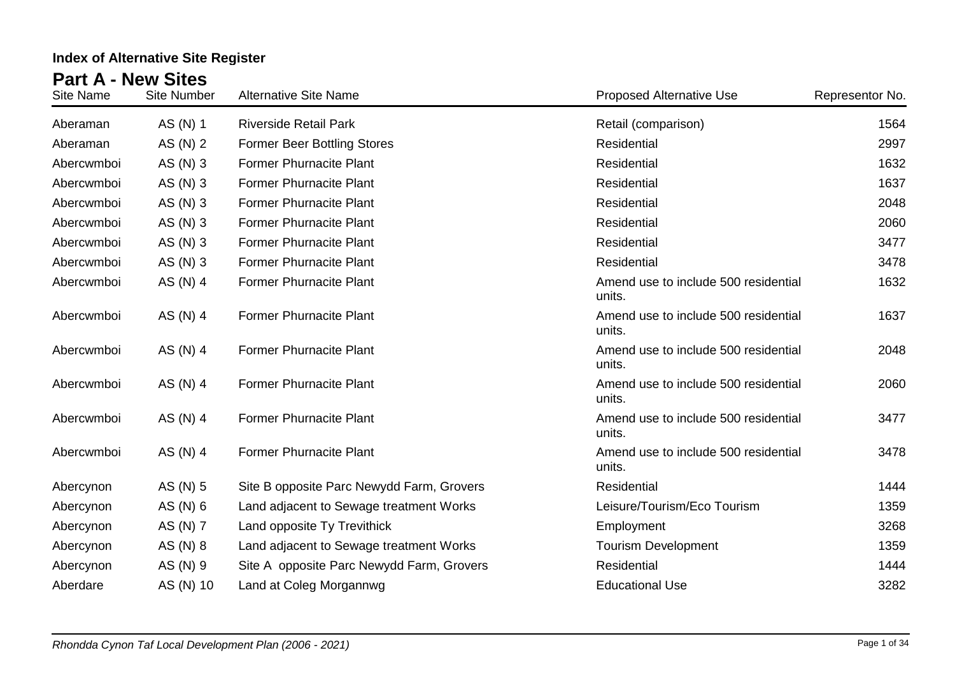| Site Name  | <b>Site Number</b> | <b>Alternative Site Name</b>              | <b>Proposed Alternative Use</b>                | Representor No. |
|------------|--------------------|-------------------------------------------|------------------------------------------------|-----------------|
| Aberaman   | AS (N) 1           | <b>Riverside Retail Park</b>              | Retail (comparison)                            | 1564            |
| Aberaman   | AS (N) 2           | <b>Former Beer Bottling Stores</b>        | Residential                                    | 2997            |
| Abercwmboi | AS (N) 3           | <b>Former Phurnacite Plant</b>            | Residential                                    | 1632            |
| Abercwmboi | AS (N) 3           | <b>Former Phurnacite Plant</b>            | Residential                                    | 1637            |
| Abercwmboi | AS (N) 3           | <b>Former Phurnacite Plant</b>            | Residential                                    | 2048            |
| Abercwmboi | AS (N) 3           | <b>Former Phurnacite Plant</b>            | Residential                                    | 2060            |
| Abercwmboi | AS (N) 3           | <b>Former Phurnacite Plant</b>            | Residential                                    | 3477            |
| Abercwmboi | AS $(N)$ 3         | <b>Former Phurnacite Plant</b>            | Residential                                    | 3478            |
| Abercwmboi | AS (N) 4           | <b>Former Phurnacite Plant</b>            | Amend use to include 500 residential<br>units. | 1632            |
| Abercwmboi | AS (N) 4           | <b>Former Phurnacite Plant</b>            | Amend use to include 500 residential<br>units. | 1637            |
| Abercwmboi | AS (N) 4           | <b>Former Phurnacite Plant</b>            | Amend use to include 500 residential<br>units. | 2048            |
| Abercwmboi | AS (N) 4           | <b>Former Phurnacite Plant</b>            | Amend use to include 500 residential<br>units. | 2060            |
| Abercwmboi | AS (N) 4           | <b>Former Phurnacite Plant</b>            | Amend use to include 500 residential<br>units. | 3477            |
| Abercwmboi | AS (N) 4           | <b>Former Phurnacite Plant</b>            | Amend use to include 500 residential<br>units. | 3478            |
| Abercynon  | AS (N) 5           | Site B opposite Parc Newydd Farm, Grovers | Residential                                    | 1444            |
| Abercynon  | AS (N) 6           | Land adjacent to Sewage treatment Works   | Leisure/Tourism/Eco Tourism                    | 1359            |
| Abercynon  | AS (N) 7           | Land opposite Ty Trevithick               | Employment                                     | 3268            |
| Abercynon  | AS $(N)$ 8         | Land adjacent to Sewage treatment Works   | <b>Tourism Development</b>                     | 1359            |
| Abercynon  | AS (N) 9           | Site A opposite Parc Newydd Farm, Grovers | Residential                                    | 1444            |
| Aberdare   | AS (N) 10          | Land at Coleg Morgannwg                   | <b>Educational Use</b>                         | 3282            |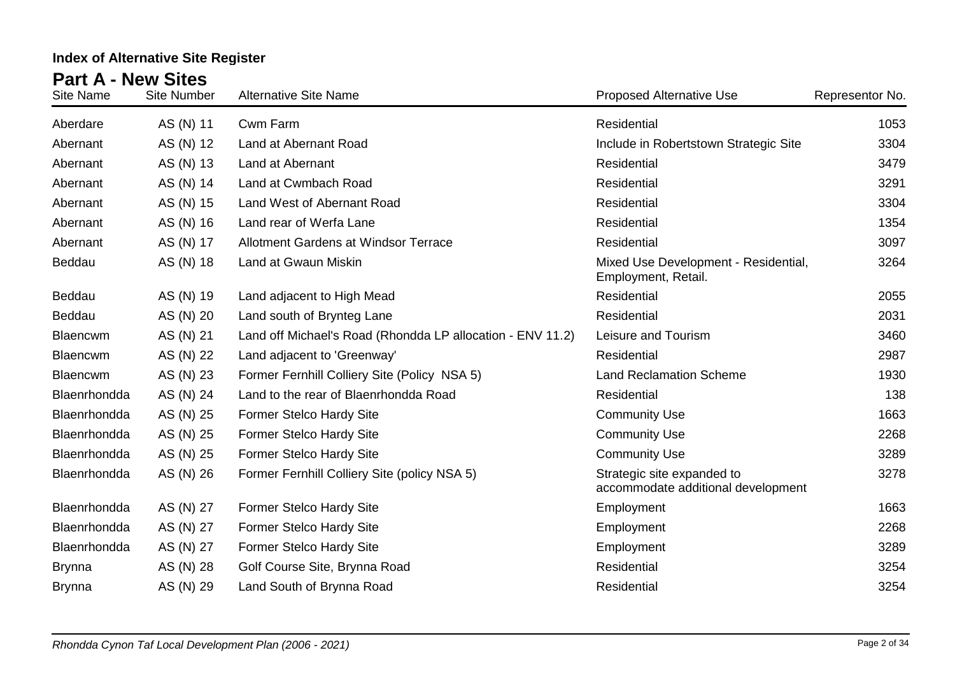| <b>Site Name</b> | <b>Site Number</b> | <b>Alternative Site Name</b>                               | <b>Proposed Alternative Use</b>                                  | Representor No. |
|------------------|--------------------|------------------------------------------------------------|------------------------------------------------------------------|-----------------|
| Aberdare         | AS (N) 11          | Cwm Farm                                                   | Residential                                                      | 1053            |
| Abernant         | AS (N) 12          | Land at Abernant Road                                      | Include in Robertstown Strategic Site                            | 3304            |
| Abernant         | AS (N) 13          | Land at Abernant                                           | Residential                                                      | 3479            |
| Abernant         | AS (N) 14          | Land at Cwmbach Road                                       | Residential                                                      | 3291            |
| Abernant         | AS (N) 15          | Land West of Abernant Road                                 | Residential                                                      | 3304            |
| Abernant         | AS (N) 16          | Land rear of Werfa Lane                                    | Residential                                                      | 1354            |
| Abernant         | AS (N) 17          | Allotment Gardens at Windsor Terrace                       | Residential                                                      | 3097            |
| Beddau           | AS (N) 18          | Land at Gwaun Miskin                                       | Mixed Use Development - Residential,<br>Employment, Retail.      | 3264            |
| Beddau           | AS (N) 19          | Land adjacent to High Mead                                 | Residential                                                      | 2055            |
| Beddau           | AS (N) 20          | Land south of Brynteg Lane                                 | Residential                                                      | 2031            |
| <b>Blaencwm</b>  | AS (N) 21          | Land off Michael's Road (Rhondda LP allocation - ENV 11.2) | Leisure and Tourism                                              | 3460            |
| <b>Blaencwm</b>  | AS (N) 22          | Land adjacent to 'Greenway'                                | Residential                                                      | 2987            |
| Blaencwm         | AS (N) 23          | Former Fernhill Colliery Site (Policy NSA 5)               | <b>Land Reclamation Scheme</b>                                   | 1930            |
| Blaenrhondda     | AS (N) 24          | Land to the rear of Blaenrhondda Road                      | Residential                                                      | 138             |
| Blaenrhondda     | AS (N) 25          | Former Stelco Hardy Site                                   | <b>Community Use</b>                                             | 1663            |
| Blaenrhondda     | AS (N) 25          | Former Stelco Hardy Site                                   | <b>Community Use</b>                                             | 2268            |
| Blaenrhondda     | AS (N) 25          | Former Stelco Hardy Site                                   | <b>Community Use</b>                                             | 3289            |
| Blaenrhondda     | AS (N) 26          | Former Fernhill Colliery Site (policy NSA 5)               | Strategic site expanded to<br>accommodate additional development | 3278            |
| Blaenrhondda     | AS (N) 27          | <b>Former Stelco Hardy Site</b>                            | Employment                                                       | 1663            |
| Blaenrhondda     | AS (N) 27          | Former Stelco Hardy Site                                   | Employment                                                       | 2268            |
| Blaenrhondda     | AS (N) 27          | Former Stelco Hardy Site                                   | Employment                                                       | 3289            |
| <b>Brynna</b>    | AS (N) 28          | Golf Course Site, Brynna Road                              | Residential                                                      | 3254            |
| <b>Brynna</b>    | AS (N) 29          | Land South of Brynna Road                                  | Residential                                                      | 3254            |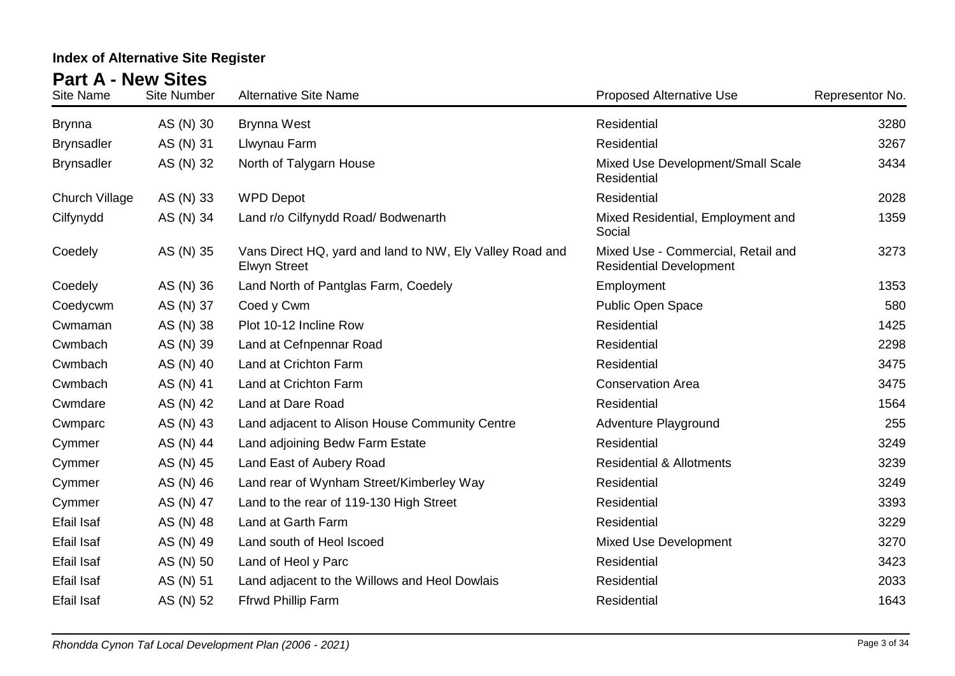| <b>Site Name</b>  | <b>Site Number</b> | <b>Alternative Site Name</b>                                                    | <b>Proposed Alternative Use</b>                                      | Representor No. |
|-------------------|--------------------|---------------------------------------------------------------------------------|----------------------------------------------------------------------|-----------------|
| <b>Brynna</b>     | AS (N) 30          | <b>Brynna West</b>                                                              | Residential                                                          | 3280            |
| <b>Brynsadler</b> | AS (N) 31          | Llwynau Farm                                                                    | Residential                                                          | 3267            |
| <b>Brynsadler</b> | AS (N) 32          | North of Talygarn House                                                         | Mixed Use Development/Small Scale<br>Residential                     | 3434            |
| Church Village    | AS (N) 33          | <b>WPD Depot</b>                                                                | Residential                                                          | 2028            |
| Cilfynydd         | AS (N) 34          | Land r/o Cilfynydd Road/ Bodwenarth                                             | Mixed Residential, Employment and<br>Social                          | 1359            |
| Coedely           | AS (N) 35          | Vans Direct HQ, yard and land to NW, Ely Valley Road and<br><b>Elwyn Street</b> | Mixed Use - Commercial, Retail and<br><b>Residential Development</b> | 3273            |
| Coedely           | AS (N) 36          | Land North of Pantglas Farm, Coedely                                            | Employment                                                           | 1353            |
| Coedycwm          | AS (N) 37          | Coed y Cwm                                                                      | Public Open Space                                                    | 580             |
| Cwmaman           | AS (N) 38          | Plot 10-12 Incline Row                                                          | Residential                                                          | 1425            |
| Cwmbach           | AS (N) 39          | Land at Cefnpennar Road                                                         | Residential                                                          | 2298            |
| Cwmbach           | AS (N) 40          | Land at Crichton Farm                                                           | Residential                                                          | 3475            |
| Cwmbach           | AS (N) 41          | Land at Crichton Farm                                                           | <b>Conservation Area</b>                                             | 3475            |
| Cwmdare           | AS (N) 42          | Land at Dare Road                                                               | Residential                                                          | 1564            |
| Cwmparc           | AS (N) 43          | Land adjacent to Alison House Community Centre                                  | Adventure Playground                                                 | 255             |
| Cymmer            | AS (N) 44          | Land adjoining Bedw Farm Estate                                                 | Residential                                                          | 3249            |
| Cymmer            | AS (N) 45          | Land East of Aubery Road                                                        | <b>Residential &amp; Allotments</b>                                  | 3239            |
| Cymmer            | AS (N) 46          | Land rear of Wynham Street/Kimberley Way                                        | Residential                                                          | 3249            |
| Cymmer            | AS (N) 47          | Land to the rear of 119-130 High Street                                         | Residential                                                          | 3393            |
| <b>Efail Isaf</b> | AS (N) 48          | Land at Garth Farm                                                              | Residential                                                          | 3229            |
| Efail Isaf        | AS (N) 49          | Land south of Heol Iscoed                                                       | Mixed Use Development                                                | 3270            |
| Efail Isaf        | AS (N) 50          | Land of Heol y Parc                                                             | Residential                                                          | 3423            |
| Efail Isaf        | AS (N) 51          | Land adjacent to the Willows and Heol Dowlais                                   | Residential                                                          | 2033            |
| Efail Isaf        | AS (N) 52          | <b>Ffrwd Phillip Farm</b>                                                       | Residential                                                          | 1643            |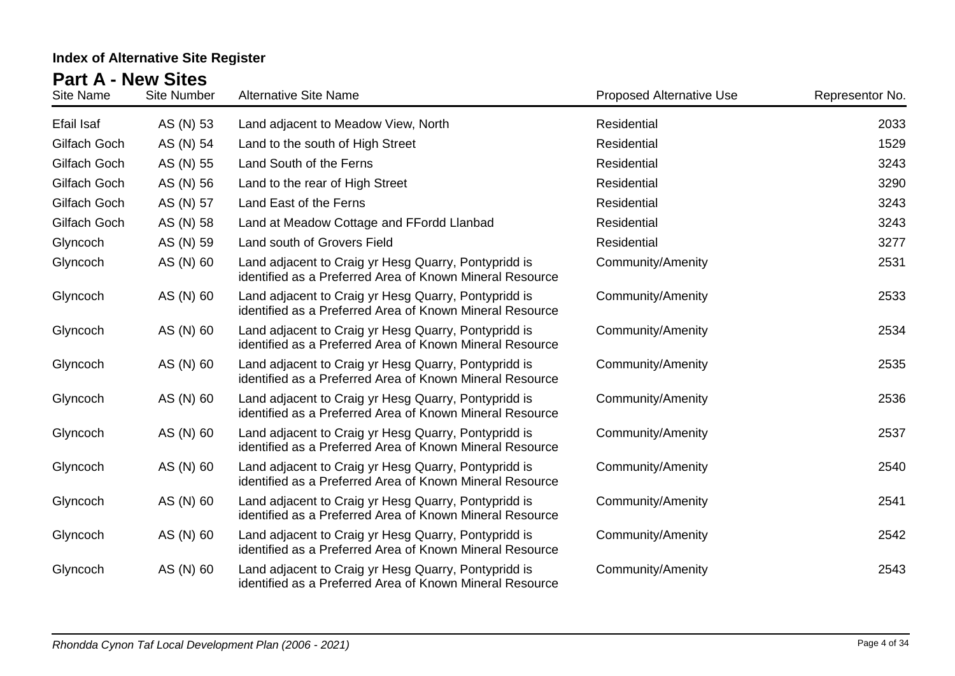| <b>Site Name</b> | <b>Site Number</b> | <b>Alternative Site Name</b>                                                                                     | <b>Proposed Alternative Use</b> | Representor No. |
|------------------|--------------------|------------------------------------------------------------------------------------------------------------------|---------------------------------|-----------------|
| Efail Isaf       | AS (N) 53          | Land adjacent to Meadow View, North                                                                              | Residential                     | 2033            |
| Gilfach Goch     | AS (N) 54          | Land to the south of High Street                                                                                 | Residential                     | 1529            |
| Gilfach Goch     | AS (N) 55          | Land South of the Ferns                                                                                          | Residential                     | 3243            |
| Gilfach Goch     | AS (N) 56          | Land to the rear of High Street                                                                                  | Residential                     | 3290            |
| Gilfach Goch     | AS (N) 57          | Land East of the Ferns                                                                                           | Residential                     | 3243            |
| Gilfach Goch     | AS (N) 58          | Land at Meadow Cottage and FFordd Llanbad                                                                        | Residential                     | 3243            |
| Glyncoch         | AS (N) 59          | Land south of Grovers Field                                                                                      | Residential                     | 3277            |
| Glyncoch         | AS (N) 60          | Land adjacent to Craig yr Hesg Quarry, Pontypridd is<br>identified as a Preferred Area of Known Mineral Resource | Community/Amenity               | 2531            |
| Glyncoch         | AS (N) 60          | Land adjacent to Craig yr Hesg Quarry, Pontypridd is<br>identified as a Preferred Area of Known Mineral Resource | Community/Amenity               | 2533            |
| Glyncoch         | AS (N) 60          | Land adjacent to Craig yr Hesg Quarry, Pontypridd is<br>identified as a Preferred Area of Known Mineral Resource | <b>Community/Amenity</b>        | 2534            |
| Glyncoch         | AS (N) 60          | Land adjacent to Craig yr Hesg Quarry, Pontypridd is<br>identified as a Preferred Area of Known Mineral Resource | Community/Amenity               | 2535            |
| Glyncoch         | AS (N) 60          | Land adjacent to Craig yr Hesg Quarry, Pontypridd is<br>identified as a Preferred Area of Known Mineral Resource | Community/Amenity               | 2536            |
| Glyncoch         | AS (N) 60          | Land adjacent to Craig yr Hesg Quarry, Pontypridd is<br>identified as a Preferred Area of Known Mineral Resource | <b>Community/Amenity</b>        | 2537            |
| Glyncoch         | AS (N) 60          | Land adjacent to Craig yr Hesg Quarry, Pontypridd is<br>identified as a Preferred Area of Known Mineral Resource | <b>Community/Amenity</b>        | 2540            |
| Glyncoch         | AS (N) 60          | Land adjacent to Craig yr Hesg Quarry, Pontypridd is<br>identified as a Preferred Area of Known Mineral Resource | <b>Community/Amenity</b>        | 2541            |
| Glyncoch         | AS (N) 60          | Land adjacent to Craig yr Hesg Quarry, Pontypridd is<br>identified as a Preferred Area of Known Mineral Resource | Community/Amenity               | 2542            |
| Glyncoch         | AS (N) 60          | Land adjacent to Craig yr Hesg Quarry, Pontypridd is<br>identified as a Preferred Area of Known Mineral Resource | Community/Amenity               | 2543            |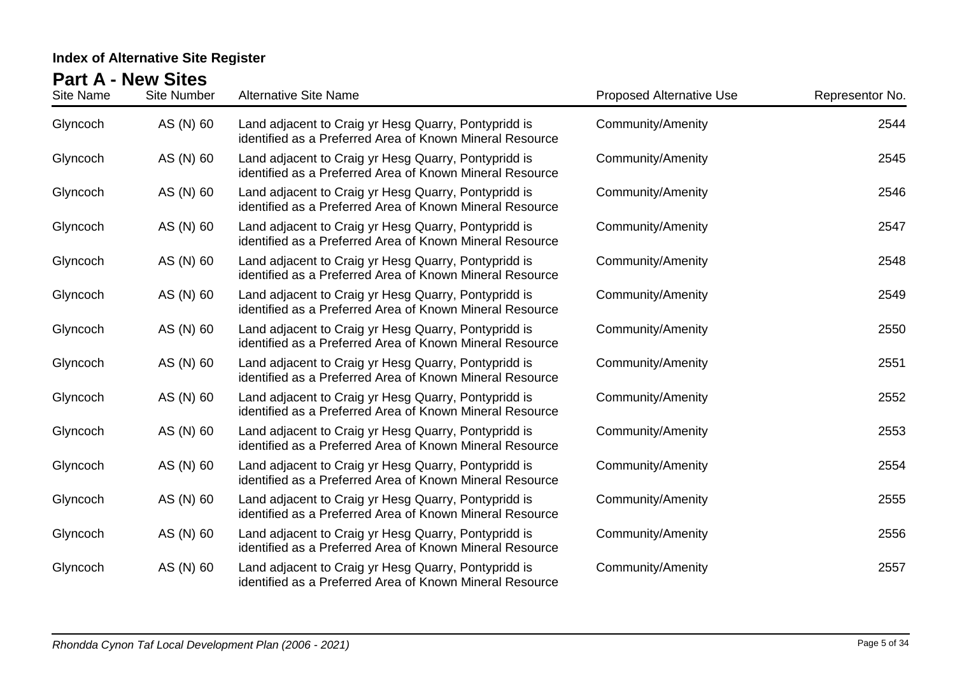| <b>Site Name</b> | <b>Site Number</b> | <b>Alternative Site Name</b>                                                                                     | <b>Proposed Alternative Use</b> | Representor No. |
|------------------|--------------------|------------------------------------------------------------------------------------------------------------------|---------------------------------|-----------------|
| Glyncoch         | AS (N) 60          | Land adjacent to Craig yr Hesg Quarry, Pontypridd is<br>identified as a Preferred Area of Known Mineral Resource | Community/Amenity               | 2544            |
| Glyncoch         | AS (N) 60          | Land adjacent to Craig yr Hesg Quarry, Pontypridd is<br>identified as a Preferred Area of Known Mineral Resource | Community/Amenity               | 2545            |
| Glyncoch         | AS (N) 60          | Land adjacent to Craig yr Hesg Quarry, Pontypridd is<br>identified as a Preferred Area of Known Mineral Resource | <b>Community/Amenity</b>        | 2546            |
| Glyncoch         | AS (N) 60          | Land adjacent to Craig yr Hesg Quarry, Pontypridd is<br>identified as a Preferred Area of Known Mineral Resource | Community/Amenity               | 2547            |
| Glyncoch         | AS (N) 60          | Land adjacent to Craig yr Hesg Quarry, Pontypridd is<br>identified as a Preferred Area of Known Mineral Resource | Community/Amenity               | 2548            |
| Glyncoch         | AS (N) 60          | Land adjacent to Craig yr Hesg Quarry, Pontypridd is<br>identified as a Preferred Area of Known Mineral Resource | Community/Amenity               | 2549            |
| Glyncoch         | AS (N) 60          | Land adjacent to Craig yr Hesg Quarry, Pontypridd is<br>identified as a Preferred Area of Known Mineral Resource | <b>Community/Amenity</b>        | 2550            |
| Glyncoch         | AS (N) 60          | Land adjacent to Craig yr Hesg Quarry, Pontypridd is<br>identified as a Preferred Area of Known Mineral Resource | <b>Community/Amenity</b>        | 2551            |
| Glyncoch         | AS (N) 60          | Land adjacent to Craig yr Hesg Quarry, Pontypridd is<br>identified as a Preferred Area of Known Mineral Resource | Community/Amenity               | 2552            |
| Glyncoch         | AS (N) 60          | Land adjacent to Craig yr Hesg Quarry, Pontypridd is<br>identified as a Preferred Area of Known Mineral Resource | Community/Amenity               | 2553            |
| Glyncoch         | AS (N) 60          | Land adjacent to Craig yr Hesg Quarry, Pontypridd is<br>identified as a Preferred Area of Known Mineral Resource | <b>Community/Amenity</b>        | 2554            |
| Glyncoch         | AS (N) 60          | Land adjacent to Craig yr Hesg Quarry, Pontypridd is<br>identified as a Preferred Area of Known Mineral Resource | <b>Community/Amenity</b>        | 2555            |
| Glyncoch         | AS (N) 60          | Land adjacent to Craig yr Hesg Quarry, Pontypridd is<br>identified as a Preferred Area of Known Mineral Resource | <b>Community/Amenity</b>        | 2556            |
| Glyncoch         | AS (N) 60          | Land adjacent to Craig yr Hesg Quarry, Pontypridd is<br>identified as a Preferred Area of Known Mineral Resource | <b>Community/Amenity</b>        | 2557            |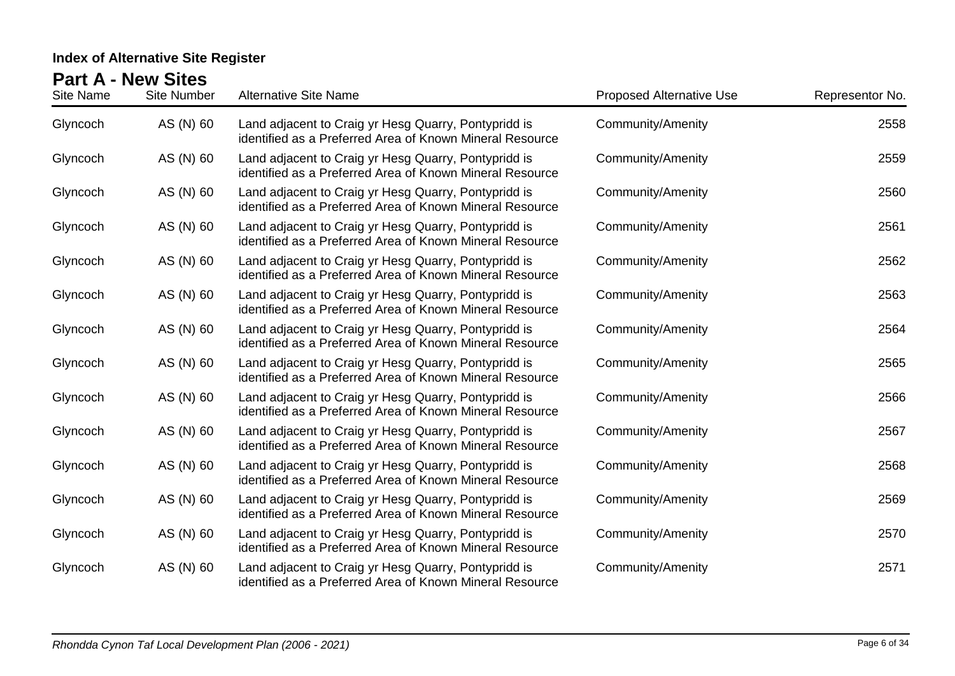| <b>Site Name</b> | <b>Site Number</b> | <b>Alternative Site Name</b>                                                                                     | <b>Proposed Alternative Use</b> | Representor No. |
|------------------|--------------------|------------------------------------------------------------------------------------------------------------------|---------------------------------|-----------------|
| Glyncoch         | AS (N) 60          | Land adjacent to Craig yr Hesg Quarry, Pontypridd is<br>identified as a Preferred Area of Known Mineral Resource | <b>Community/Amenity</b>        | 2558            |
| Glyncoch         | AS (N) 60          | Land adjacent to Craig yr Hesg Quarry, Pontypridd is<br>identified as a Preferred Area of Known Mineral Resource | <b>Community/Amenity</b>        | 2559            |
| Glyncoch         | AS (N) 60          | Land adjacent to Craig yr Hesg Quarry, Pontypridd is<br>identified as a Preferred Area of Known Mineral Resource | <b>Community/Amenity</b>        | 2560            |
| Glyncoch         | AS (N) 60          | Land adjacent to Craig yr Hesg Quarry, Pontypridd is<br>identified as a Preferred Area of Known Mineral Resource | <b>Community/Amenity</b>        | 2561            |
| Glyncoch         | AS (N) 60          | Land adjacent to Craig yr Hesg Quarry, Pontypridd is<br>identified as a Preferred Area of Known Mineral Resource | <b>Community/Amenity</b>        | 2562            |
| Glyncoch         | AS (N) 60          | Land adjacent to Craig yr Hesg Quarry, Pontypridd is<br>identified as a Preferred Area of Known Mineral Resource | <b>Community/Amenity</b>        | 2563            |
| Glyncoch         | AS (N) 60          | Land adjacent to Craig yr Hesg Quarry, Pontypridd is<br>identified as a Preferred Area of Known Mineral Resource | <b>Community/Amenity</b>        | 2564            |
| Glyncoch         | AS (N) 60          | Land adjacent to Craig yr Hesg Quarry, Pontypridd is<br>identified as a Preferred Area of Known Mineral Resource | <b>Community/Amenity</b>        | 2565            |
| Glyncoch         | AS (N) 60          | Land adjacent to Craig yr Hesg Quarry, Pontypridd is<br>identified as a Preferred Area of Known Mineral Resource | <b>Community/Amenity</b>        | 2566            |
| Glyncoch         | AS (N) 60          | Land adjacent to Craig yr Hesg Quarry, Pontypridd is<br>identified as a Preferred Area of Known Mineral Resource | <b>Community/Amenity</b>        | 2567            |
| Glyncoch         | AS (N) 60          | Land adjacent to Craig yr Hesg Quarry, Pontypridd is<br>identified as a Preferred Area of Known Mineral Resource | <b>Community/Amenity</b>        | 2568            |
| Glyncoch         | AS (N) 60          | Land adjacent to Craig yr Hesg Quarry, Pontypridd is<br>identified as a Preferred Area of Known Mineral Resource | <b>Community/Amenity</b>        | 2569            |
| Glyncoch         | AS (N) 60          | Land adjacent to Craig yr Hesg Quarry, Pontypridd is<br>identified as a Preferred Area of Known Mineral Resource | <b>Community/Amenity</b>        | 2570            |
| Glyncoch         | AS (N) 60          | Land adjacent to Craig yr Hesg Quarry, Pontypridd is<br>identified as a Preferred Area of Known Mineral Resource | <b>Community/Amenity</b>        | 2571            |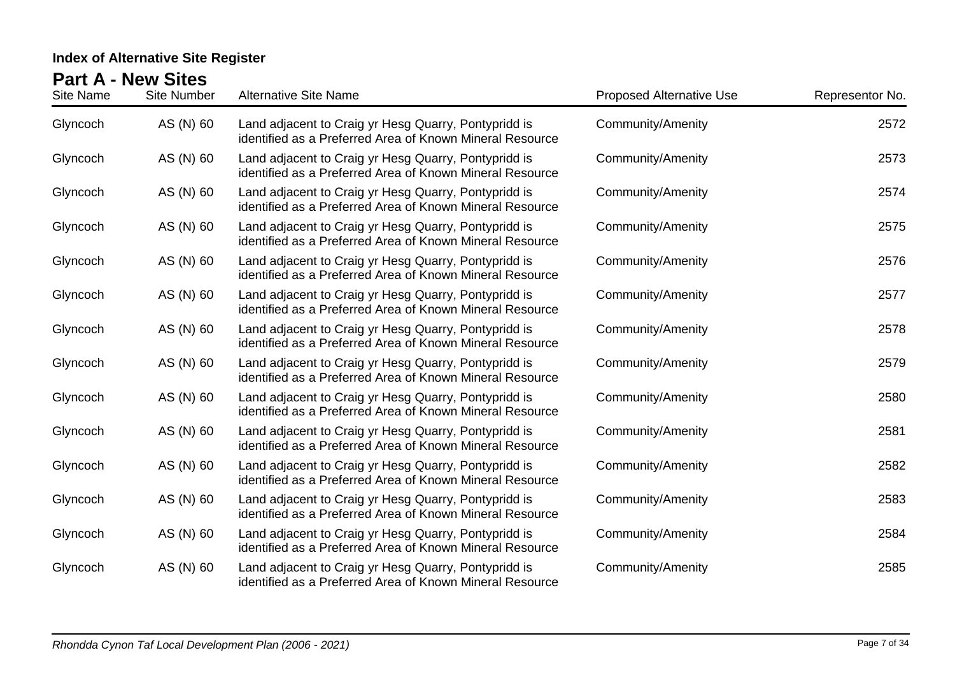| Site Name | <b>Site Number</b> | <b>Alternative Site Name</b>                                                                                     | <b>Proposed Alternative Use</b> | Representor No. |
|-----------|--------------------|------------------------------------------------------------------------------------------------------------------|---------------------------------|-----------------|
| Glyncoch  | AS (N) 60          | Land adjacent to Craig yr Hesg Quarry, Pontypridd is<br>identified as a Preferred Area of Known Mineral Resource | <b>Community/Amenity</b>        | 2572            |
| Glyncoch  | AS (N) 60          | Land adjacent to Craig yr Hesg Quarry, Pontypridd is<br>identified as a Preferred Area of Known Mineral Resource | Community/Amenity               | 2573            |
| Glyncoch  | AS (N) 60          | Land adjacent to Craig yr Hesg Quarry, Pontypridd is<br>identified as a Preferred Area of Known Mineral Resource | <b>Community/Amenity</b>        | 2574            |
| Glyncoch  | AS (N) 60          | Land adjacent to Craig yr Hesg Quarry, Pontypridd is<br>identified as a Preferred Area of Known Mineral Resource | <b>Community/Amenity</b>        | 2575            |
| Glyncoch  | AS (N) 60          | Land adjacent to Craig yr Hesg Quarry, Pontypridd is<br>identified as a Preferred Area of Known Mineral Resource | <b>Community/Amenity</b>        | 2576            |
| Glyncoch  | AS (N) 60          | Land adjacent to Craig yr Hesg Quarry, Pontypridd is<br>identified as a Preferred Area of Known Mineral Resource | <b>Community/Amenity</b>        | 2577            |
| Glyncoch  | AS (N) 60          | Land adjacent to Craig yr Hesg Quarry, Pontypridd is<br>identified as a Preferred Area of Known Mineral Resource | <b>Community/Amenity</b>        | 2578            |
| Glyncoch  | AS (N) 60          | Land adjacent to Craig yr Hesg Quarry, Pontypridd is<br>identified as a Preferred Area of Known Mineral Resource | <b>Community/Amenity</b>        | 2579            |
| Glyncoch  | AS (N) 60          | Land adjacent to Craig yr Hesg Quarry, Pontypridd is<br>identified as a Preferred Area of Known Mineral Resource | <b>Community/Amenity</b>        | 2580            |
| Glyncoch  | AS (N) 60          | Land adjacent to Craig yr Hesg Quarry, Pontypridd is<br>identified as a Preferred Area of Known Mineral Resource | <b>Community/Amenity</b>        | 2581            |
| Glyncoch  | AS (N) 60          | Land adjacent to Craig yr Hesg Quarry, Pontypridd is<br>identified as a Preferred Area of Known Mineral Resource | <b>Community/Amenity</b>        | 2582            |
| Glyncoch  | AS (N) 60          | Land adjacent to Craig yr Hesg Quarry, Pontypridd is<br>identified as a Preferred Area of Known Mineral Resource | <b>Community/Amenity</b>        | 2583            |
| Glyncoch  | AS (N) 60          | Land adjacent to Craig yr Hesg Quarry, Pontypridd is<br>identified as a Preferred Area of Known Mineral Resource | <b>Community/Amenity</b>        | 2584            |
| Glyncoch  | AS (N) 60          | Land adjacent to Craig yr Hesg Quarry, Pontypridd is<br>identified as a Preferred Area of Known Mineral Resource | <b>Community/Amenity</b>        | 2585            |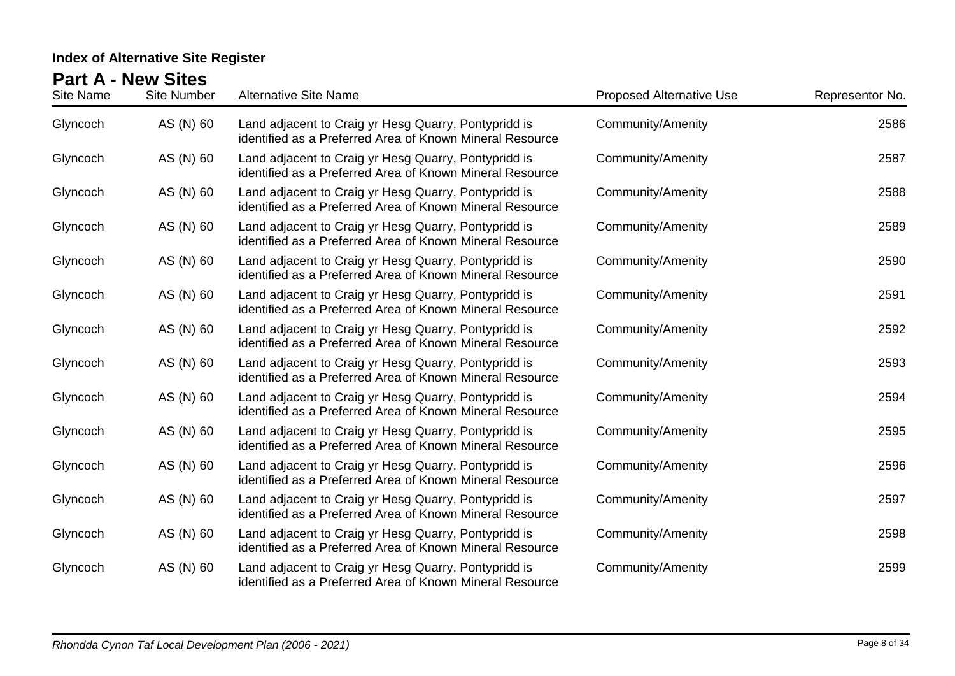| Site Name | <b>Site Number</b> | <b>Alternative Site Name</b>                                                                                     | <b>Proposed Alternative Use</b> | Representor No. |
|-----------|--------------------|------------------------------------------------------------------------------------------------------------------|---------------------------------|-----------------|
| Glyncoch  | AS (N) 60          | Land adjacent to Craig yr Hesg Quarry, Pontypridd is<br>identified as a Preferred Area of Known Mineral Resource | <b>Community/Amenity</b>        | 2586            |
| Glyncoch  | AS (N) 60          | Land adjacent to Craig yr Hesg Quarry, Pontypridd is<br>identified as a Preferred Area of Known Mineral Resource | Community/Amenity               | 2587            |
| Glyncoch  | AS (N) 60          | Land adjacent to Craig yr Hesg Quarry, Pontypridd is<br>identified as a Preferred Area of Known Mineral Resource | <b>Community/Amenity</b>        | 2588            |
| Glyncoch  | AS (N) 60          | Land adjacent to Craig yr Hesg Quarry, Pontypridd is<br>identified as a Preferred Area of Known Mineral Resource | <b>Community/Amenity</b>        | 2589            |
| Glyncoch  | AS (N) 60          | Land adjacent to Craig yr Hesg Quarry, Pontypridd is<br>identified as a Preferred Area of Known Mineral Resource | <b>Community/Amenity</b>        | 2590            |
| Glyncoch  | AS (N) 60          | Land adjacent to Craig yr Hesg Quarry, Pontypridd is<br>identified as a Preferred Area of Known Mineral Resource | <b>Community/Amenity</b>        | 2591            |
| Glyncoch  | AS (N) 60          | Land adjacent to Craig yr Hesg Quarry, Pontypridd is<br>identified as a Preferred Area of Known Mineral Resource | <b>Community/Amenity</b>        | 2592            |
| Glyncoch  | AS (N) 60          | Land adjacent to Craig yr Hesg Quarry, Pontypridd is<br>identified as a Preferred Area of Known Mineral Resource | <b>Community/Amenity</b>        | 2593            |
| Glyncoch  | AS (N) 60          | Land adjacent to Craig yr Hesg Quarry, Pontypridd is<br>identified as a Preferred Area of Known Mineral Resource | <b>Community/Amenity</b>        | 2594            |
| Glyncoch  | AS (N) 60          | Land adjacent to Craig yr Hesg Quarry, Pontypridd is<br>identified as a Preferred Area of Known Mineral Resource | <b>Community/Amenity</b>        | 2595            |
| Glyncoch  | AS (N) 60          | Land adjacent to Craig yr Hesg Quarry, Pontypridd is<br>identified as a Preferred Area of Known Mineral Resource | <b>Community/Amenity</b>        | 2596            |
| Glyncoch  | AS (N) 60          | Land adjacent to Craig yr Hesg Quarry, Pontypridd is<br>identified as a Preferred Area of Known Mineral Resource | <b>Community/Amenity</b>        | 2597            |
| Glyncoch  | AS (N) 60          | Land adjacent to Craig yr Hesg Quarry, Pontypridd is<br>identified as a Preferred Area of Known Mineral Resource | <b>Community/Amenity</b>        | 2598            |
| Glyncoch  | AS (N) 60          | Land adjacent to Craig yr Hesg Quarry, Pontypridd is<br>identified as a Preferred Area of Known Mineral Resource | <b>Community/Amenity</b>        | 2599            |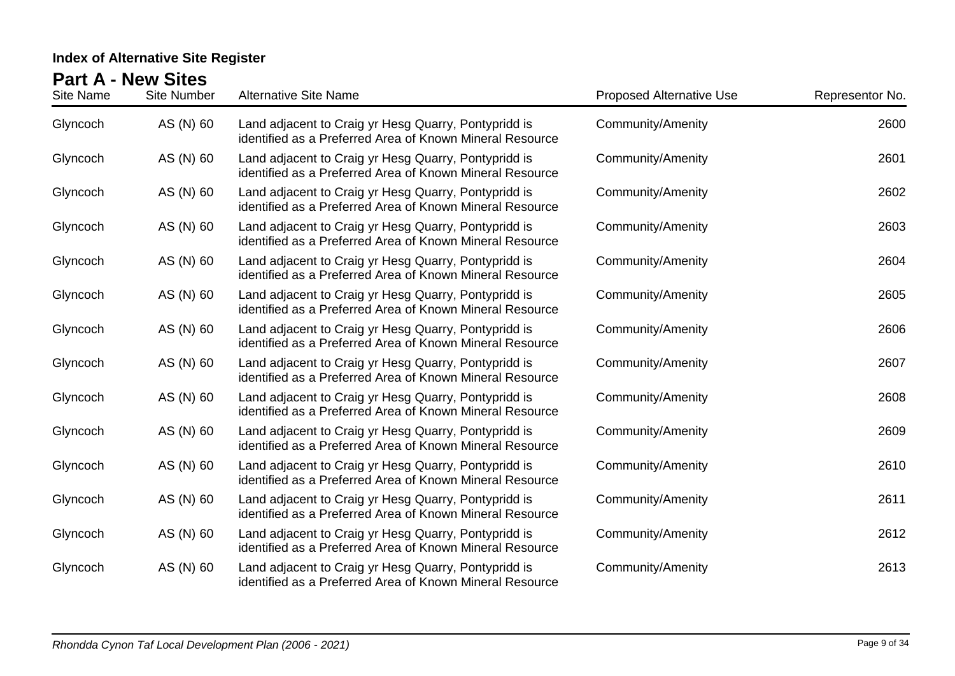| Site Name | <b>Site Number</b> | <b>Alternative Site Name</b>                                                                                     | <b>Proposed Alternative Use</b> | Representor No. |
|-----------|--------------------|------------------------------------------------------------------------------------------------------------------|---------------------------------|-----------------|
| Glyncoch  | AS (N) 60          | Land adjacent to Craig yr Hesg Quarry, Pontypridd is<br>identified as a Preferred Area of Known Mineral Resource | <b>Community/Amenity</b>        | 2600            |
| Glyncoch  | AS (N) 60          | Land adjacent to Craig yr Hesg Quarry, Pontypridd is<br>identified as a Preferred Area of Known Mineral Resource | Community/Amenity               | 2601            |
| Glyncoch  | AS (N) 60          | Land adjacent to Craig yr Hesg Quarry, Pontypridd is<br>identified as a Preferred Area of Known Mineral Resource | <b>Community/Amenity</b>        | 2602            |
| Glyncoch  | AS (N) 60          | Land adjacent to Craig yr Hesg Quarry, Pontypridd is<br>identified as a Preferred Area of Known Mineral Resource | <b>Community/Amenity</b>        | 2603            |
| Glyncoch  | AS (N) 60          | Land adjacent to Craig yr Hesg Quarry, Pontypridd is<br>identified as a Preferred Area of Known Mineral Resource | <b>Community/Amenity</b>        | 2604            |
| Glyncoch  | AS (N) 60          | Land adjacent to Craig yr Hesg Quarry, Pontypridd is<br>identified as a Preferred Area of Known Mineral Resource | <b>Community/Amenity</b>        | 2605            |
| Glyncoch  | AS (N) 60          | Land adjacent to Craig yr Hesg Quarry, Pontypridd is<br>identified as a Preferred Area of Known Mineral Resource | <b>Community/Amenity</b>        | 2606            |
| Glyncoch  | AS (N) 60          | Land adjacent to Craig yr Hesg Quarry, Pontypridd is<br>identified as a Preferred Area of Known Mineral Resource | <b>Community/Amenity</b>        | 2607            |
| Glyncoch  | AS (N) 60          | Land adjacent to Craig yr Hesg Quarry, Pontypridd is<br>identified as a Preferred Area of Known Mineral Resource | <b>Community/Amenity</b>        | 2608            |
| Glyncoch  | AS (N) 60          | Land adjacent to Craig yr Hesg Quarry, Pontypridd is<br>identified as a Preferred Area of Known Mineral Resource | <b>Community/Amenity</b>        | 2609            |
| Glyncoch  | AS (N) 60          | Land adjacent to Craig yr Hesg Quarry, Pontypridd is<br>identified as a Preferred Area of Known Mineral Resource | <b>Community/Amenity</b>        | 2610            |
| Glyncoch  | AS (N) 60          | Land adjacent to Craig yr Hesg Quarry, Pontypridd is<br>identified as a Preferred Area of Known Mineral Resource | <b>Community/Amenity</b>        | 2611            |
| Glyncoch  | AS (N) 60          | Land adjacent to Craig yr Hesg Quarry, Pontypridd is<br>identified as a Preferred Area of Known Mineral Resource | <b>Community/Amenity</b>        | 2612            |
| Glyncoch  | AS (N) 60          | Land adjacent to Craig yr Hesg Quarry, Pontypridd is<br>identified as a Preferred Area of Known Mineral Resource | <b>Community/Amenity</b>        | 2613            |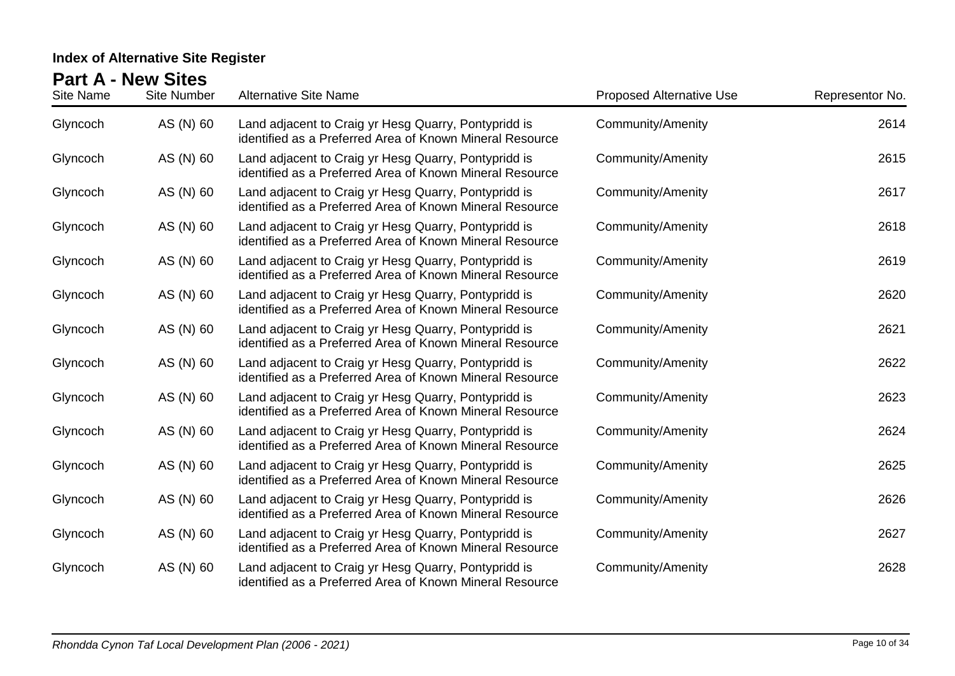| Site Name | <b>Site Number</b> | <b>Alternative Site Name</b>                                                                                     | <b>Proposed Alternative Use</b> | Representor No. |
|-----------|--------------------|------------------------------------------------------------------------------------------------------------------|---------------------------------|-----------------|
| Glyncoch  | AS (N) 60          | Land adjacent to Craig yr Hesg Quarry, Pontypridd is<br>identified as a Preferred Area of Known Mineral Resource | <b>Community/Amenity</b>        | 2614            |
| Glyncoch  | AS (N) 60          | Land adjacent to Craig yr Hesg Quarry, Pontypridd is<br>identified as a Preferred Area of Known Mineral Resource | Community/Amenity               | 2615            |
| Glyncoch  | AS (N) 60          | Land adjacent to Craig yr Hesg Quarry, Pontypridd is<br>identified as a Preferred Area of Known Mineral Resource | <b>Community/Amenity</b>        | 2617            |
| Glyncoch  | AS (N) 60          | Land adjacent to Craig yr Hesg Quarry, Pontypridd is<br>identified as a Preferred Area of Known Mineral Resource | <b>Community/Amenity</b>        | 2618            |
| Glyncoch  | AS (N) 60          | Land adjacent to Craig yr Hesg Quarry, Pontypridd is<br>identified as a Preferred Area of Known Mineral Resource | <b>Community/Amenity</b>        | 2619            |
| Glyncoch  | AS (N) 60          | Land adjacent to Craig yr Hesg Quarry, Pontypridd is<br>identified as a Preferred Area of Known Mineral Resource | <b>Community/Amenity</b>        | 2620            |
| Glyncoch  | AS (N) 60          | Land adjacent to Craig yr Hesg Quarry, Pontypridd is<br>identified as a Preferred Area of Known Mineral Resource | <b>Community/Amenity</b>        | 2621            |
| Glyncoch  | AS (N) 60          | Land adjacent to Craig yr Hesg Quarry, Pontypridd is<br>identified as a Preferred Area of Known Mineral Resource | <b>Community/Amenity</b>        | 2622            |
| Glyncoch  | AS (N) 60          | Land adjacent to Craig yr Hesg Quarry, Pontypridd is<br>identified as a Preferred Area of Known Mineral Resource | <b>Community/Amenity</b>        | 2623            |
| Glyncoch  | AS (N) 60          | Land adjacent to Craig yr Hesg Quarry, Pontypridd is<br>identified as a Preferred Area of Known Mineral Resource | <b>Community/Amenity</b>        | 2624            |
| Glyncoch  | AS (N) 60          | Land adjacent to Craig yr Hesg Quarry, Pontypridd is<br>identified as a Preferred Area of Known Mineral Resource | <b>Community/Amenity</b>        | 2625            |
| Glyncoch  | AS (N) 60          | Land adjacent to Craig yr Hesg Quarry, Pontypridd is<br>identified as a Preferred Area of Known Mineral Resource | <b>Community/Amenity</b>        | 2626            |
| Glyncoch  | AS (N) 60          | Land adjacent to Craig yr Hesg Quarry, Pontypridd is<br>identified as a Preferred Area of Known Mineral Resource | <b>Community/Amenity</b>        | 2627            |
| Glyncoch  | AS (N) 60          | Land adjacent to Craig yr Hesg Quarry, Pontypridd is<br>identified as a Preferred Area of Known Mineral Resource | <b>Community/Amenity</b>        | 2628            |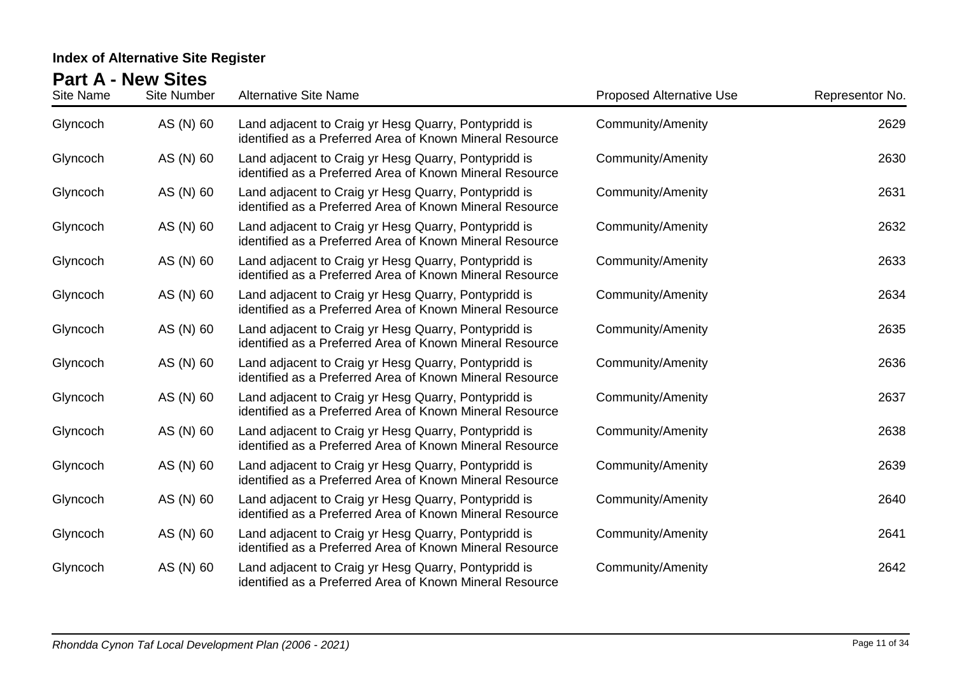| Site Name | <b>Site Number</b> | <b>Alternative Site Name</b>                                                                                     | <b>Proposed Alternative Use</b> | Representor No. |
|-----------|--------------------|------------------------------------------------------------------------------------------------------------------|---------------------------------|-----------------|
| Glyncoch  | AS (N) 60          | Land adjacent to Craig yr Hesg Quarry, Pontypridd is<br>identified as a Preferred Area of Known Mineral Resource | <b>Community/Amenity</b>        | 2629            |
| Glyncoch  | AS (N) 60          | Land adjacent to Craig yr Hesg Quarry, Pontypridd is<br>identified as a Preferred Area of Known Mineral Resource | <b>Community/Amenity</b>        | 2630            |
| Glyncoch  | AS (N) 60          | Land adjacent to Craig yr Hesg Quarry, Pontypridd is<br>identified as a Preferred Area of Known Mineral Resource | <b>Community/Amenity</b>        | 2631            |
| Glyncoch  | AS (N) 60          | Land adjacent to Craig yr Hesg Quarry, Pontypridd is<br>identified as a Preferred Area of Known Mineral Resource | <b>Community/Amenity</b>        | 2632            |
| Glyncoch  | AS (N) 60          | Land adjacent to Craig yr Hesg Quarry, Pontypridd is<br>identified as a Preferred Area of Known Mineral Resource | <b>Community/Amenity</b>        | 2633            |
| Glyncoch  | AS (N) 60          | Land adjacent to Craig yr Hesg Quarry, Pontypridd is<br>identified as a Preferred Area of Known Mineral Resource | <b>Community/Amenity</b>        | 2634            |
| Glyncoch  | AS (N) 60          | Land adjacent to Craig yr Hesg Quarry, Pontypridd is<br>identified as a Preferred Area of Known Mineral Resource | <b>Community/Amenity</b>        | 2635            |
| Glyncoch  | AS (N) 60          | Land adjacent to Craig yr Hesg Quarry, Pontypridd is<br>identified as a Preferred Area of Known Mineral Resource | Community/Amenity               | 2636            |
| Glyncoch  | AS (N) 60          | Land adjacent to Craig yr Hesg Quarry, Pontypridd is<br>identified as a Preferred Area of Known Mineral Resource | <b>Community/Amenity</b>        | 2637            |
| Glyncoch  | AS (N) 60          | Land adjacent to Craig yr Hesg Quarry, Pontypridd is<br>identified as a Preferred Area of Known Mineral Resource | <b>Community/Amenity</b>        | 2638            |
| Glyncoch  | AS (N) 60          | Land adjacent to Craig yr Hesg Quarry, Pontypridd is<br>identified as a Preferred Area of Known Mineral Resource | <b>Community/Amenity</b>        | 2639            |
| Glyncoch  | AS (N) 60          | Land adjacent to Craig yr Hesg Quarry, Pontypridd is<br>identified as a Preferred Area of Known Mineral Resource | <b>Community/Amenity</b>        | 2640            |
| Glyncoch  | AS (N) 60          | Land adjacent to Craig yr Hesg Quarry, Pontypridd is<br>identified as a Preferred Area of Known Mineral Resource | <b>Community/Amenity</b>        | 2641            |
| Glyncoch  | AS (N) 60          | Land adjacent to Craig yr Hesg Quarry, Pontypridd is<br>identified as a Preferred Area of Known Mineral Resource | <b>Community/Amenity</b>        | 2642            |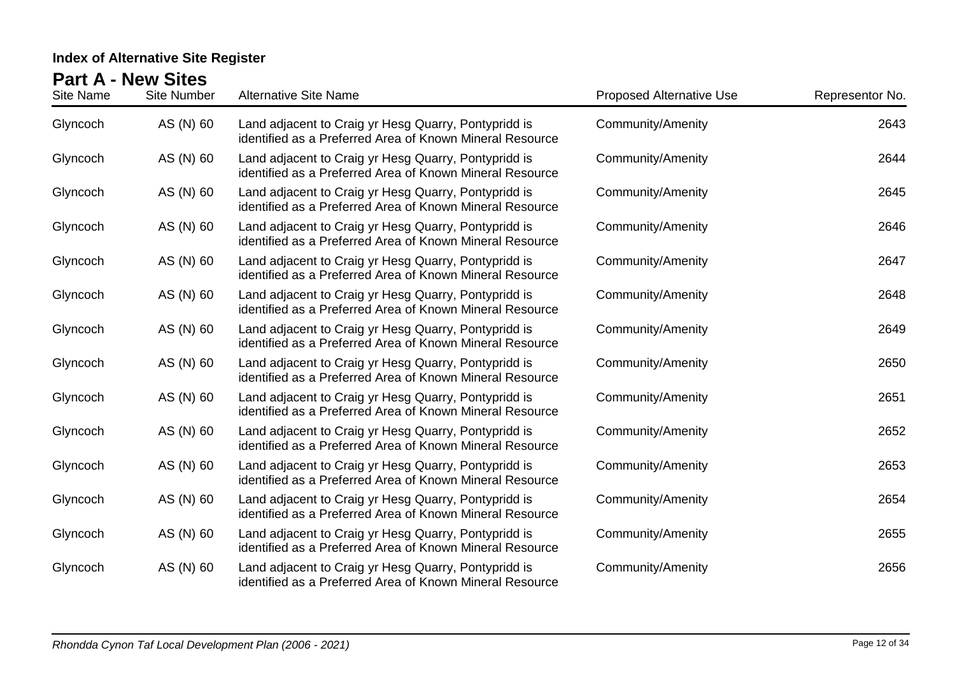| <b>Site Name</b> | <b>Site Number</b> | <b>Alternative Site Name</b>                                                                                     | <b>Proposed Alternative Use</b> | Representor No. |
|------------------|--------------------|------------------------------------------------------------------------------------------------------------------|---------------------------------|-----------------|
| Glyncoch         | AS (N) 60          | Land adjacent to Craig yr Hesg Quarry, Pontypridd is<br>identified as a Preferred Area of Known Mineral Resource | <b>Community/Amenity</b>        | 2643            |
| Glyncoch         | AS (N) 60          | Land adjacent to Craig yr Hesg Quarry, Pontypridd is<br>identified as a Preferred Area of Known Mineral Resource | <b>Community/Amenity</b>        | 2644            |
| Glyncoch         | AS (N) 60          | Land adjacent to Craig yr Hesg Quarry, Pontypridd is<br>identified as a Preferred Area of Known Mineral Resource | <b>Community/Amenity</b>        | 2645            |
| Glyncoch         | AS (N) 60          | Land adjacent to Craig yr Hesg Quarry, Pontypridd is<br>identified as a Preferred Area of Known Mineral Resource | <b>Community/Amenity</b>        | 2646            |
| Glyncoch         | AS (N) 60          | Land adjacent to Craig yr Hesg Quarry, Pontypridd is<br>identified as a Preferred Area of Known Mineral Resource | <b>Community/Amenity</b>        | 2647            |
| Glyncoch         | AS (N) 60          | Land adjacent to Craig yr Hesg Quarry, Pontypridd is<br>identified as a Preferred Area of Known Mineral Resource | <b>Community/Amenity</b>        | 2648            |
| Glyncoch         | AS (N) 60          | Land adjacent to Craig yr Hesg Quarry, Pontypridd is<br>identified as a Preferred Area of Known Mineral Resource | <b>Community/Amenity</b>        | 2649            |
| Glyncoch         | AS (N) 60          | Land adjacent to Craig yr Hesg Quarry, Pontypridd is<br>identified as a Preferred Area of Known Mineral Resource | <b>Community/Amenity</b>        | 2650            |
| Glyncoch         | AS (N) 60          | Land adjacent to Craig yr Hesg Quarry, Pontypridd is<br>identified as a Preferred Area of Known Mineral Resource | <b>Community/Amenity</b>        | 2651            |
| Glyncoch         | AS (N) 60          | Land adjacent to Craig yr Hesg Quarry, Pontypridd is<br>identified as a Preferred Area of Known Mineral Resource | <b>Community/Amenity</b>        | 2652            |
| Glyncoch         | AS (N) 60          | Land adjacent to Craig yr Hesg Quarry, Pontypridd is<br>identified as a Preferred Area of Known Mineral Resource | <b>Community/Amenity</b>        | 2653            |
| Glyncoch         | AS (N) 60          | Land adjacent to Craig yr Hesg Quarry, Pontypridd is<br>identified as a Preferred Area of Known Mineral Resource | <b>Community/Amenity</b>        | 2654            |
| Glyncoch         | AS (N) 60          | Land adjacent to Craig yr Hesg Quarry, Pontypridd is<br>identified as a Preferred Area of Known Mineral Resource | <b>Community/Amenity</b>        | 2655            |
| Glyncoch         | AS (N) 60          | Land adjacent to Craig yr Hesg Quarry, Pontypridd is<br>identified as a Preferred Area of Known Mineral Resource | <b>Community/Amenity</b>        | 2656            |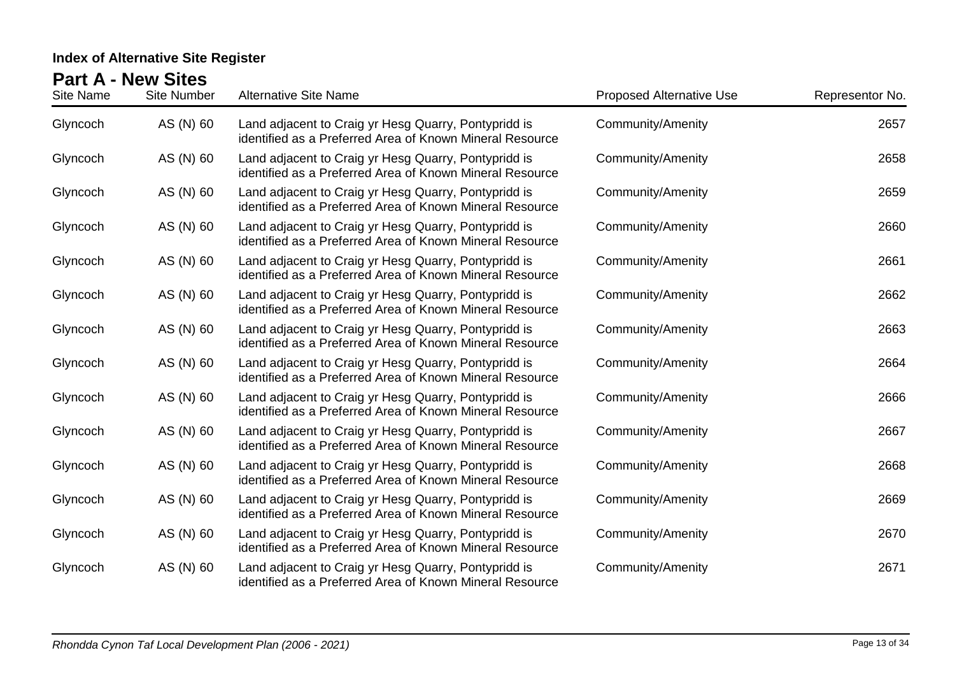| Site Name | Site Number | <b>Alternative Site Name</b>                                                                                     | <b>Proposed Alternative Use</b> | Representor No. |
|-----------|-------------|------------------------------------------------------------------------------------------------------------------|---------------------------------|-----------------|
| Glyncoch  | AS (N) 60   | Land adjacent to Craig yr Hesg Quarry, Pontypridd is<br>identified as a Preferred Area of Known Mineral Resource | <b>Community/Amenity</b>        | 2657            |
| Glyncoch  | AS (N) 60   | Land adjacent to Craig yr Hesg Quarry, Pontypridd is<br>identified as a Preferred Area of Known Mineral Resource | Community/Amenity               | 2658            |
| Glyncoch  | AS (N) 60   | Land adjacent to Craig yr Hesg Quarry, Pontypridd is<br>identified as a Preferred Area of Known Mineral Resource | Community/Amenity               | 2659            |
| Glyncoch  | AS (N) 60   | Land adjacent to Craig yr Hesg Quarry, Pontypridd is<br>identified as a Preferred Area of Known Mineral Resource | Community/Amenity               | 2660            |
| Glyncoch  | AS (N) 60   | Land adjacent to Craig yr Hesg Quarry, Pontypridd is<br>identified as a Preferred Area of Known Mineral Resource | Community/Amenity               | 2661            |
| Glyncoch  | AS (N) 60   | Land adjacent to Craig yr Hesg Quarry, Pontypridd is<br>identified as a Preferred Area of Known Mineral Resource | <b>Community/Amenity</b>        | 2662            |
| Glyncoch  | AS (N) 60   | Land adjacent to Craig yr Hesg Quarry, Pontypridd is<br>identified as a Preferred Area of Known Mineral Resource | Community/Amenity               | 2663            |
| Glyncoch  | AS (N) 60   | Land adjacent to Craig yr Hesg Quarry, Pontypridd is<br>identified as a Preferred Area of Known Mineral Resource | Community/Amenity               | 2664            |
| Glyncoch  | AS (N) 60   | Land adjacent to Craig yr Hesg Quarry, Pontypridd is<br>identified as a Preferred Area of Known Mineral Resource | <b>Community/Amenity</b>        | 2666            |
| Glyncoch  | AS (N) 60   | Land adjacent to Craig yr Hesg Quarry, Pontypridd is<br>identified as a Preferred Area of Known Mineral Resource | Community/Amenity               | 2667            |
| Glyncoch  | AS (N) 60   | Land adjacent to Craig yr Hesg Quarry, Pontypridd is<br>identified as a Preferred Area of Known Mineral Resource | <b>Community/Amenity</b>        | 2668            |
| Glyncoch  | AS (N) 60   | Land adjacent to Craig yr Hesg Quarry, Pontypridd is<br>identified as a Preferred Area of Known Mineral Resource | <b>Community/Amenity</b>        | 2669            |
| Glyncoch  | AS (N) 60   | Land adjacent to Craig yr Hesg Quarry, Pontypridd is<br>identified as a Preferred Area of Known Mineral Resource | <b>Community/Amenity</b>        | 2670            |
| Glyncoch  | AS (N) 60   | Land adjacent to Craig yr Hesg Quarry, Pontypridd is<br>identified as a Preferred Area of Known Mineral Resource | <b>Community/Amenity</b>        | 2671            |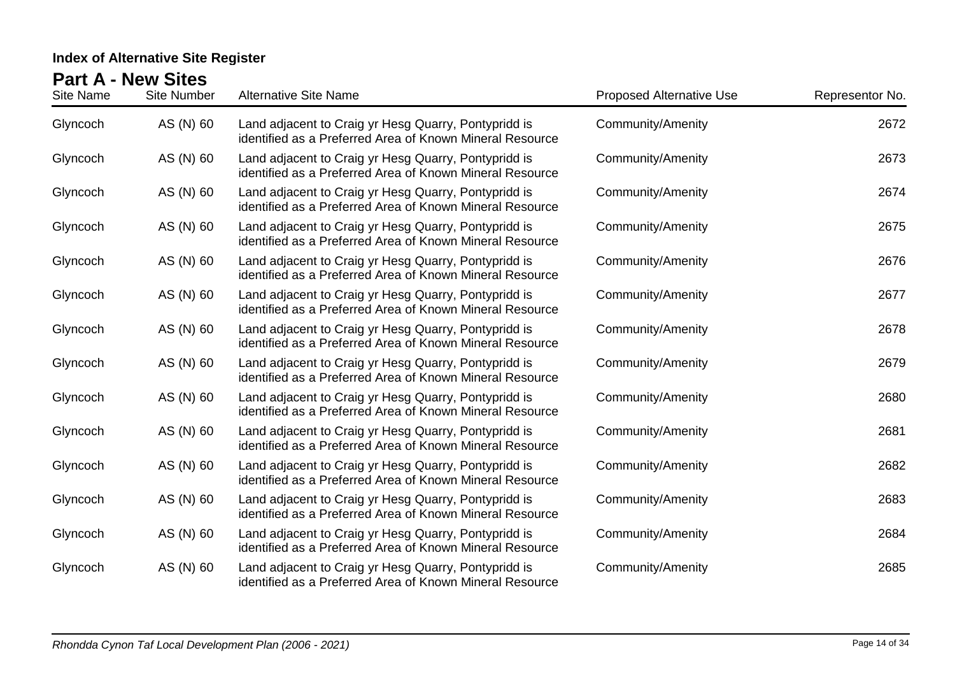| Site Name | Site Number | <b>Alternative Site Name</b>                                                                                     | <b>Proposed Alternative Use</b> | Representor No. |
|-----------|-------------|------------------------------------------------------------------------------------------------------------------|---------------------------------|-----------------|
| Glyncoch  | AS (N) 60   | Land adjacent to Craig yr Hesg Quarry, Pontypridd is<br>identified as a Preferred Area of Known Mineral Resource | <b>Community/Amenity</b>        | 2672            |
| Glyncoch  | AS (N) 60   | Land adjacent to Craig yr Hesg Quarry, Pontypridd is<br>identified as a Preferred Area of Known Mineral Resource | Community/Amenity               | 2673            |
| Glyncoch  | AS (N) 60   | Land adjacent to Craig yr Hesg Quarry, Pontypridd is<br>identified as a Preferred Area of Known Mineral Resource | Community/Amenity               | 2674            |
| Glyncoch  | AS (N) 60   | Land adjacent to Craig yr Hesg Quarry, Pontypridd is<br>identified as a Preferred Area of Known Mineral Resource | Community/Amenity               | 2675            |
| Glyncoch  | AS (N) 60   | Land adjacent to Craig yr Hesg Quarry, Pontypridd is<br>identified as a Preferred Area of Known Mineral Resource | Community/Amenity               | 2676            |
| Glyncoch  | AS (N) 60   | Land adjacent to Craig yr Hesg Quarry, Pontypridd is<br>identified as a Preferred Area of Known Mineral Resource | <b>Community/Amenity</b>        | 2677            |
| Glyncoch  | AS (N) 60   | Land adjacent to Craig yr Hesg Quarry, Pontypridd is<br>identified as a Preferred Area of Known Mineral Resource | <b>Community/Amenity</b>        | 2678            |
| Glyncoch  | AS (N) 60   | Land adjacent to Craig yr Hesg Quarry, Pontypridd is<br>identified as a Preferred Area of Known Mineral Resource | Community/Amenity               | 2679            |
| Glyncoch  | AS (N) 60   | Land adjacent to Craig yr Hesg Quarry, Pontypridd is<br>identified as a Preferred Area of Known Mineral Resource | <b>Community/Amenity</b>        | 2680            |
| Glyncoch  | AS (N) 60   | Land adjacent to Craig yr Hesg Quarry, Pontypridd is<br>identified as a Preferred Area of Known Mineral Resource | Community/Amenity               | 2681            |
| Glyncoch  | AS (N) 60   | Land adjacent to Craig yr Hesg Quarry, Pontypridd is<br>identified as a Preferred Area of Known Mineral Resource | <b>Community/Amenity</b>        | 2682            |
| Glyncoch  | AS (N) 60   | Land adjacent to Craig yr Hesg Quarry, Pontypridd is<br>identified as a Preferred Area of Known Mineral Resource | <b>Community/Amenity</b>        | 2683            |
| Glyncoch  | AS (N) 60   | Land adjacent to Craig yr Hesg Quarry, Pontypridd is<br>identified as a Preferred Area of Known Mineral Resource | <b>Community/Amenity</b>        | 2684            |
| Glyncoch  | AS (N) 60   | Land adjacent to Craig yr Hesg Quarry, Pontypridd is<br>identified as a Preferred Area of Known Mineral Resource | <b>Community/Amenity</b>        | 2685            |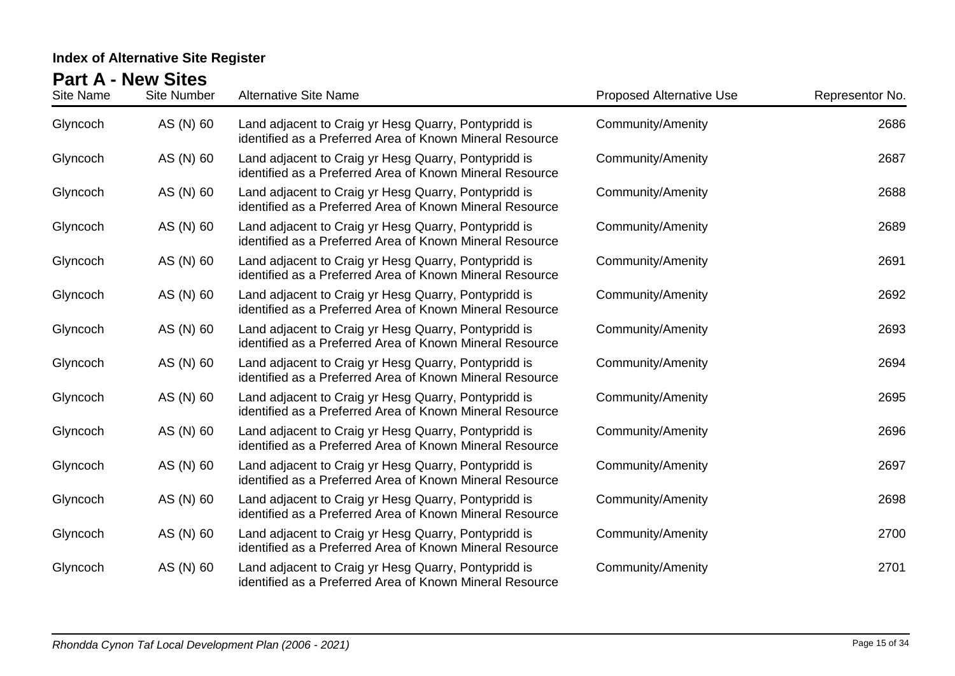| Site Name | <b>Site Number</b> | <b>Alternative Site Name</b>                                                                                     | <b>Proposed Alternative Use</b> | Representor No. |
|-----------|--------------------|------------------------------------------------------------------------------------------------------------------|---------------------------------|-----------------|
| Glyncoch  | AS (N) 60          | Land adjacent to Craig yr Hesg Quarry, Pontypridd is<br>identified as a Preferred Area of Known Mineral Resource | <b>Community/Amenity</b>        | 2686            |
| Glyncoch  | AS (N) 60          | Land adjacent to Craig yr Hesg Quarry, Pontypridd is<br>identified as a Preferred Area of Known Mineral Resource | Community/Amenity               | 2687            |
| Glyncoch  | AS (N) 60          | Land adjacent to Craig yr Hesg Quarry, Pontypridd is<br>identified as a Preferred Area of Known Mineral Resource | Community/Amenity               | 2688            |
| Glyncoch  | AS (N) 60          | Land adjacent to Craig yr Hesg Quarry, Pontypridd is<br>identified as a Preferred Area of Known Mineral Resource | Community/Amenity               | 2689            |
| Glyncoch  | AS (N) 60          | Land adjacent to Craig yr Hesg Quarry, Pontypridd is<br>identified as a Preferred Area of Known Mineral Resource | Community/Amenity               | 2691            |
| Glyncoch  | AS (N) 60          | Land adjacent to Craig yr Hesg Quarry, Pontypridd is<br>identified as a Preferred Area of Known Mineral Resource | <b>Community/Amenity</b>        | 2692            |
| Glyncoch  | AS (N) 60          | Land adjacent to Craig yr Hesg Quarry, Pontypridd is<br>identified as a Preferred Area of Known Mineral Resource | Community/Amenity               | 2693            |
| Glyncoch  | AS (N) 60          | Land adjacent to Craig yr Hesg Quarry, Pontypridd is<br>identified as a Preferred Area of Known Mineral Resource | Community/Amenity               | 2694            |
| Glyncoch  | AS (N) 60          | Land adjacent to Craig yr Hesg Quarry, Pontypridd is<br>identified as a Preferred Area of Known Mineral Resource | <b>Community/Amenity</b>        | 2695            |
| Glyncoch  | AS (N) 60          | Land adjacent to Craig yr Hesg Quarry, Pontypridd is<br>identified as a Preferred Area of Known Mineral Resource | Community/Amenity               | 2696            |
| Glyncoch  | AS (N) 60          | Land adjacent to Craig yr Hesg Quarry, Pontypridd is<br>identified as a Preferred Area of Known Mineral Resource | <b>Community/Amenity</b>        | 2697            |
| Glyncoch  | AS (N) 60          | Land adjacent to Craig yr Hesg Quarry, Pontypridd is<br>identified as a Preferred Area of Known Mineral Resource | <b>Community/Amenity</b>        | 2698            |
| Glyncoch  | AS (N) 60          | Land adjacent to Craig yr Hesg Quarry, Pontypridd is<br>identified as a Preferred Area of Known Mineral Resource | <b>Community/Amenity</b>        | 2700            |
| Glyncoch  | AS (N) 60          | Land adjacent to Craig yr Hesg Quarry, Pontypridd is<br>identified as a Preferred Area of Known Mineral Resource | <b>Community/Amenity</b>        | 2701            |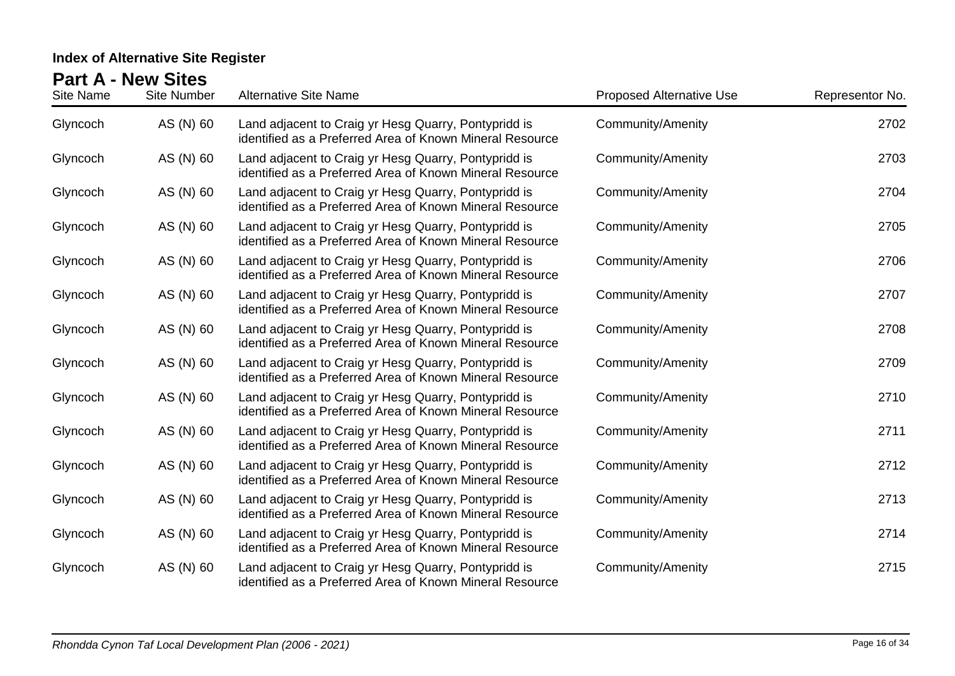| Site Name | <b>Site Number</b> | <b>Alternative Site Name</b>                                                                                     | <b>Proposed Alternative Use</b> | Representor No. |
|-----------|--------------------|------------------------------------------------------------------------------------------------------------------|---------------------------------|-----------------|
| Glyncoch  | AS (N) 60          | Land adjacent to Craig yr Hesg Quarry, Pontypridd is<br>identified as a Preferred Area of Known Mineral Resource | Community/Amenity               | 2702            |
| Glyncoch  | AS (N) 60          | Land adjacent to Craig yr Hesg Quarry, Pontypridd is<br>identified as a Preferred Area of Known Mineral Resource | <b>Community/Amenity</b>        | 2703            |
| Glyncoch  | AS (N) 60          | Land adjacent to Craig yr Hesg Quarry, Pontypridd is<br>identified as a Preferred Area of Known Mineral Resource | <b>Community/Amenity</b>        | 2704            |
| Glyncoch  | AS (N) 60          | Land adjacent to Craig yr Hesg Quarry, Pontypridd is<br>identified as a Preferred Area of Known Mineral Resource | <b>Community/Amenity</b>        | 2705            |
| Glyncoch  | AS (N) 60          | Land adjacent to Craig yr Hesg Quarry, Pontypridd is<br>identified as a Preferred Area of Known Mineral Resource | <b>Community/Amenity</b>        | 2706            |
| Glyncoch  | AS (N) 60          | Land adjacent to Craig yr Hesg Quarry, Pontypridd is<br>identified as a Preferred Area of Known Mineral Resource | <b>Community/Amenity</b>        | 2707            |
| Glyncoch  | AS (N) 60          | Land adjacent to Craig yr Hesg Quarry, Pontypridd is<br>identified as a Preferred Area of Known Mineral Resource | Community/Amenity               | 2708            |
| Glyncoch  | AS (N) 60          | Land adjacent to Craig yr Hesg Quarry, Pontypridd is<br>identified as a Preferred Area of Known Mineral Resource | <b>Community/Amenity</b>        | 2709            |
| Glyncoch  | AS (N) 60          | Land adjacent to Craig yr Hesg Quarry, Pontypridd is<br>identified as a Preferred Area of Known Mineral Resource | <b>Community/Amenity</b>        | 2710            |
| Glyncoch  | AS (N) 60          | Land adjacent to Craig yr Hesg Quarry, Pontypridd is<br>identified as a Preferred Area of Known Mineral Resource | <b>Community/Amenity</b>        | 2711            |
| Glyncoch  | AS (N) 60          | Land adjacent to Craig yr Hesg Quarry, Pontypridd is<br>identified as a Preferred Area of Known Mineral Resource | <b>Community/Amenity</b>        | 2712            |
| Glyncoch  | AS (N) 60          | Land adjacent to Craig yr Hesg Quarry, Pontypridd is<br>identified as a Preferred Area of Known Mineral Resource | <b>Community/Amenity</b>        | 2713            |
| Glyncoch  | AS (N) 60          | Land adjacent to Craig yr Hesg Quarry, Pontypridd is<br>identified as a Preferred Area of Known Mineral Resource | <b>Community/Amenity</b>        | 2714            |
| Glyncoch  | AS (N) 60          | Land adjacent to Craig yr Hesg Quarry, Pontypridd is<br>identified as a Preferred Area of Known Mineral Resource | Community/Amenity               | 2715            |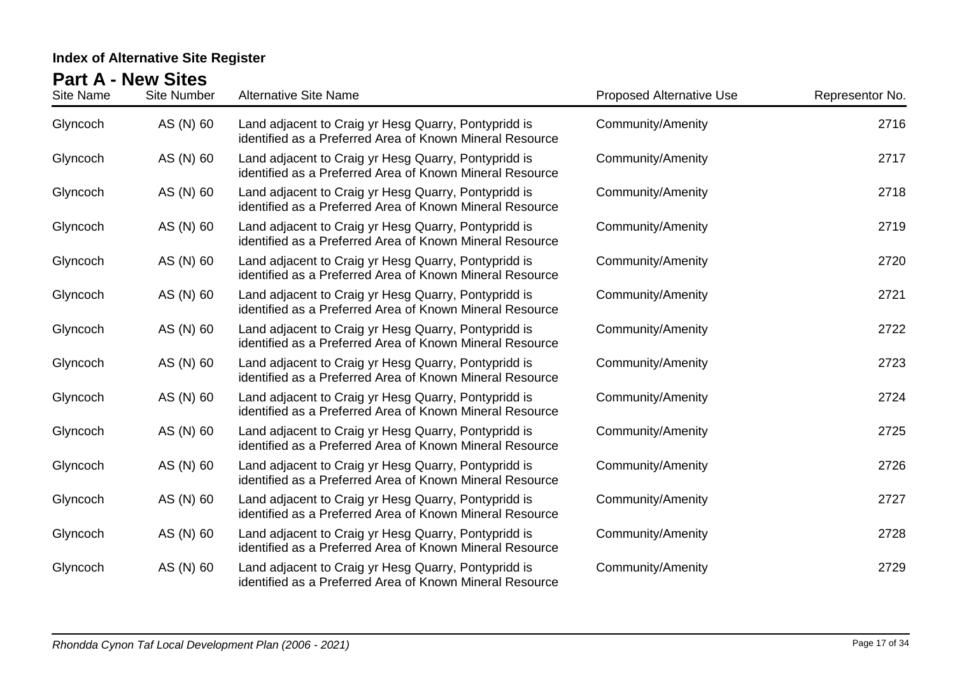| Site Name | <b>Site Number</b> | <b>Alternative Site Name</b>                                                                                     | <b>Proposed Alternative Use</b> | Representor No. |
|-----------|--------------------|------------------------------------------------------------------------------------------------------------------|---------------------------------|-----------------|
| Glyncoch  | AS (N) 60          | Land adjacent to Craig yr Hesg Quarry, Pontypridd is<br>identified as a Preferred Area of Known Mineral Resource | Community/Amenity               | 2716            |
| Glyncoch  | AS (N) 60          | Land adjacent to Craig yr Hesg Quarry, Pontypridd is<br>identified as a Preferred Area of Known Mineral Resource | <b>Community/Amenity</b>        | 2717            |
| Glyncoch  | AS (N) 60          | Land adjacent to Craig yr Hesg Quarry, Pontypridd is<br>identified as a Preferred Area of Known Mineral Resource | <b>Community/Amenity</b>        | 2718            |
| Glyncoch  | AS (N) 60          | Land adjacent to Craig yr Hesg Quarry, Pontypridd is<br>identified as a Preferred Area of Known Mineral Resource | <b>Community/Amenity</b>        | 2719            |
| Glyncoch  | AS (N) 60          | Land adjacent to Craig yr Hesg Quarry, Pontypridd is<br>identified as a Preferred Area of Known Mineral Resource | <b>Community/Amenity</b>        | 2720            |
| Glyncoch  | AS (N) 60          | Land adjacent to Craig yr Hesg Quarry, Pontypridd is<br>identified as a Preferred Area of Known Mineral Resource | <b>Community/Amenity</b>        | 2721            |
| Glyncoch  | AS (N) 60          | Land adjacent to Craig yr Hesg Quarry, Pontypridd is<br>identified as a Preferred Area of Known Mineral Resource | Community/Amenity               | 2722            |
| Glyncoch  | AS (N) 60          | Land adjacent to Craig yr Hesg Quarry, Pontypridd is<br>identified as a Preferred Area of Known Mineral Resource | <b>Community/Amenity</b>        | 2723            |
| Glyncoch  | AS (N) 60          | Land adjacent to Craig yr Hesg Quarry, Pontypridd is<br>identified as a Preferred Area of Known Mineral Resource | <b>Community/Amenity</b>        | 2724            |
| Glyncoch  | AS (N) 60          | Land adjacent to Craig yr Hesg Quarry, Pontypridd is<br>identified as a Preferred Area of Known Mineral Resource | <b>Community/Amenity</b>        | 2725            |
| Glyncoch  | AS (N) 60          | Land adjacent to Craig yr Hesg Quarry, Pontypridd is<br>identified as a Preferred Area of Known Mineral Resource | <b>Community/Amenity</b>        | 2726            |
| Glyncoch  | AS (N) 60          | Land adjacent to Craig yr Hesg Quarry, Pontypridd is<br>identified as a Preferred Area of Known Mineral Resource | <b>Community/Amenity</b>        | 2727            |
| Glyncoch  | AS (N) 60          | Land adjacent to Craig yr Hesg Quarry, Pontypridd is<br>identified as a Preferred Area of Known Mineral Resource | <b>Community/Amenity</b>        | 2728            |
| Glyncoch  | AS (N) 60          | Land adjacent to Craig yr Hesg Quarry, Pontypridd is<br>identified as a Preferred Area of Known Mineral Resource | Community/Amenity               | 2729            |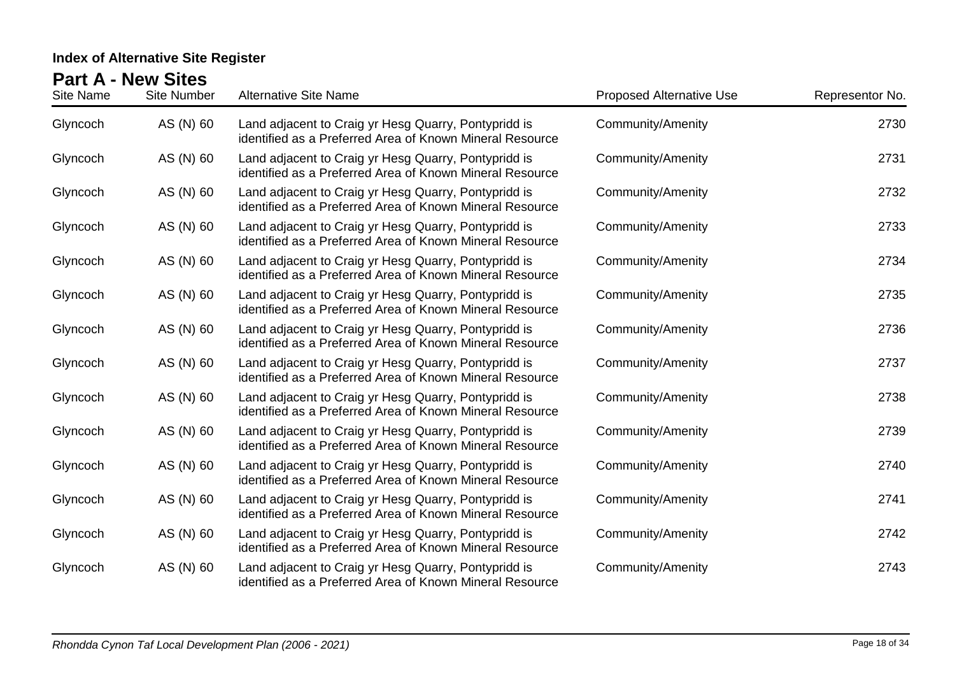| Site Name | <b>Site Number</b> | <b>Alternative Site Name</b>                                                                                     | <b>Proposed Alternative Use</b> | Representor No. |
|-----------|--------------------|------------------------------------------------------------------------------------------------------------------|---------------------------------|-----------------|
| Glyncoch  | AS (N) 60          | Land adjacent to Craig yr Hesg Quarry, Pontypridd is<br>identified as a Preferred Area of Known Mineral Resource | <b>Community/Amenity</b>        | 2730            |
| Glyncoch  | AS (N) 60          | Land adjacent to Craig yr Hesg Quarry, Pontypridd is<br>identified as a Preferred Area of Known Mineral Resource | Community/Amenity               | 2731            |
| Glyncoch  | AS (N) 60          | Land adjacent to Craig yr Hesg Quarry, Pontypridd is<br>identified as a Preferred Area of Known Mineral Resource | <b>Community/Amenity</b>        | 2732            |
| Glyncoch  | AS (N) 60          | Land adjacent to Craig yr Hesg Quarry, Pontypridd is<br>identified as a Preferred Area of Known Mineral Resource | <b>Community/Amenity</b>        | 2733            |
| Glyncoch  | AS (N) 60          | Land adjacent to Craig yr Hesg Quarry, Pontypridd is<br>identified as a Preferred Area of Known Mineral Resource | Community/Amenity               | 2734            |
| Glyncoch  | AS (N) 60          | Land adjacent to Craig yr Hesg Quarry, Pontypridd is<br>identified as a Preferred Area of Known Mineral Resource | Community/Amenity               | 2735            |
| Glyncoch  | AS (N) 60          | Land adjacent to Craig yr Hesg Quarry, Pontypridd is<br>identified as a Preferred Area of Known Mineral Resource | <b>Community/Amenity</b>        | 2736            |
| Glyncoch  | AS (N) 60          | Land adjacent to Craig yr Hesg Quarry, Pontypridd is<br>identified as a Preferred Area of Known Mineral Resource | <b>Community/Amenity</b>        | 2737            |
| Glyncoch  | AS (N) 60          | Land adjacent to Craig yr Hesg Quarry, Pontypridd is<br>identified as a Preferred Area of Known Mineral Resource | <b>Community/Amenity</b>        | 2738            |
| Glyncoch  | AS (N) 60          | Land adjacent to Craig yr Hesg Quarry, Pontypridd is<br>identified as a Preferred Area of Known Mineral Resource | <b>Community/Amenity</b>        | 2739            |
| Glyncoch  | AS (N) 60          | Land adjacent to Craig yr Hesg Quarry, Pontypridd is<br>identified as a Preferred Area of Known Mineral Resource | <b>Community/Amenity</b>        | 2740            |
| Glyncoch  | AS (N) 60          | Land adjacent to Craig yr Hesg Quarry, Pontypridd is<br>identified as a Preferred Area of Known Mineral Resource | <b>Community/Amenity</b>        | 2741            |
| Glyncoch  | AS (N) 60          | Land adjacent to Craig yr Hesg Quarry, Pontypridd is<br>identified as a Preferred Area of Known Mineral Resource | <b>Community/Amenity</b>        | 2742            |
| Glyncoch  | AS (N) 60          | Land adjacent to Craig yr Hesg Quarry, Pontypridd is<br>identified as a Preferred Area of Known Mineral Resource | <b>Community/Amenity</b>        | 2743            |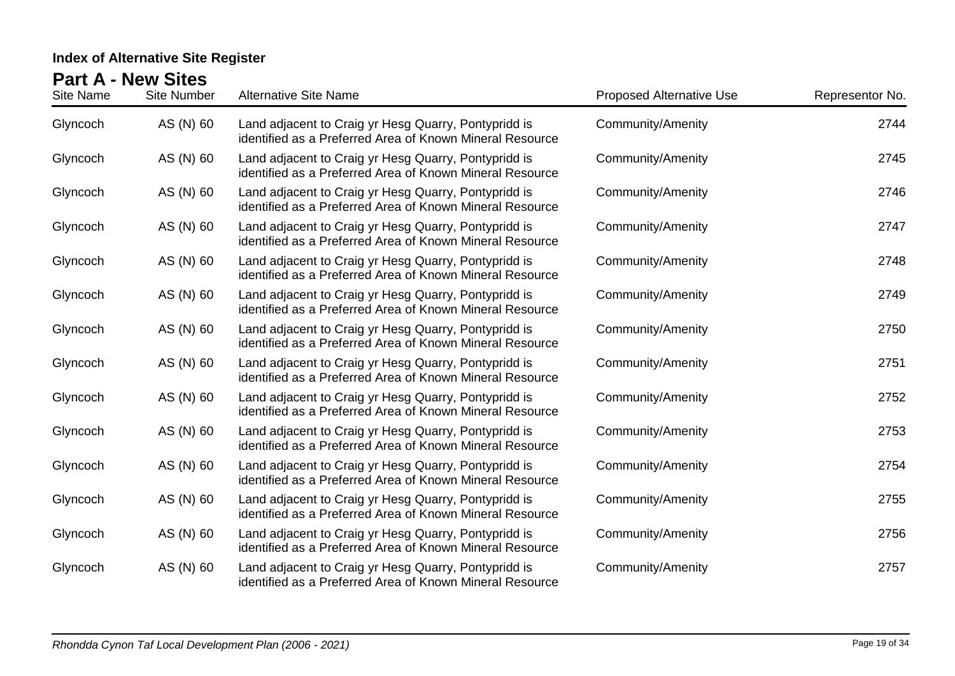| Site Name | <b>Site Number</b> | <b>Alternative Site Name</b>                                                                                     | <b>Proposed Alternative Use</b> | Representor No. |
|-----------|--------------------|------------------------------------------------------------------------------------------------------------------|---------------------------------|-----------------|
| Glyncoch  | AS (N) 60          | Land adjacent to Craig yr Hesg Quarry, Pontypridd is<br>identified as a Preferred Area of Known Mineral Resource | Community/Amenity               | 2744            |
| Glyncoch  | AS (N) 60          | Land adjacent to Craig yr Hesg Quarry, Pontypridd is<br>identified as a Preferred Area of Known Mineral Resource | Community/Amenity               | 2745            |
| Glyncoch  | AS (N) 60          | Land adjacent to Craig yr Hesg Quarry, Pontypridd is<br>identified as a Preferred Area of Known Mineral Resource | <b>Community/Amenity</b>        | 2746            |
| Glyncoch  | AS (N) 60          | Land adjacent to Craig yr Hesg Quarry, Pontypridd is<br>identified as a Preferred Area of Known Mineral Resource | Community/Amenity               | 2747            |
| Glyncoch  | AS (N) 60          | Land adjacent to Craig yr Hesg Quarry, Pontypridd is<br>identified as a Preferred Area of Known Mineral Resource | <b>Community/Amenity</b>        | 2748            |
| Glyncoch  | AS (N) 60          | Land adjacent to Craig yr Hesg Quarry, Pontypridd is<br>identified as a Preferred Area of Known Mineral Resource | Community/Amenity               | 2749            |
| Glyncoch  | AS (N) 60          | Land adjacent to Craig yr Hesg Quarry, Pontypridd is<br>identified as a Preferred Area of Known Mineral Resource | Community/Amenity               | 2750            |
| Glyncoch  | AS (N) 60          | Land adjacent to Craig yr Hesg Quarry, Pontypridd is<br>identified as a Preferred Area of Known Mineral Resource | Community/Amenity               | 2751            |
| Glyncoch  | AS (N) 60          | Land adjacent to Craig yr Hesg Quarry, Pontypridd is<br>identified as a Preferred Area of Known Mineral Resource | Community/Amenity               | 2752            |
| Glyncoch  | AS (N) 60          | Land adjacent to Craig yr Hesg Quarry, Pontypridd is<br>identified as a Preferred Area of Known Mineral Resource | Community/Amenity               | 2753            |
| Glyncoch  | AS (N) 60          | Land adjacent to Craig yr Hesg Quarry, Pontypridd is<br>identified as a Preferred Area of Known Mineral Resource | <b>Community/Amenity</b>        | 2754            |
| Glyncoch  | AS (N) 60          | Land adjacent to Craig yr Hesg Quarry, Pontypridd is<br>identified as a Preferred Area of Known Mineral Resource | Community/Amenity               | 2755            |
| Glyncoch  | AS (N) 60          | Land adjacent to Craig yr Hesg Quarry, Pontypridd is<br>identified as a Preferred Area of Known Mineral Resource | Community/Amenity               | 2756            |
| Glyncoch  | AS (N) 60          | Land adjacent to Craig yr Hesg Quarry, Pontypridd is<br>identified as a Preferred Area of Known Mineral Resource | <b>Community/Amenity</b>        | 2757            |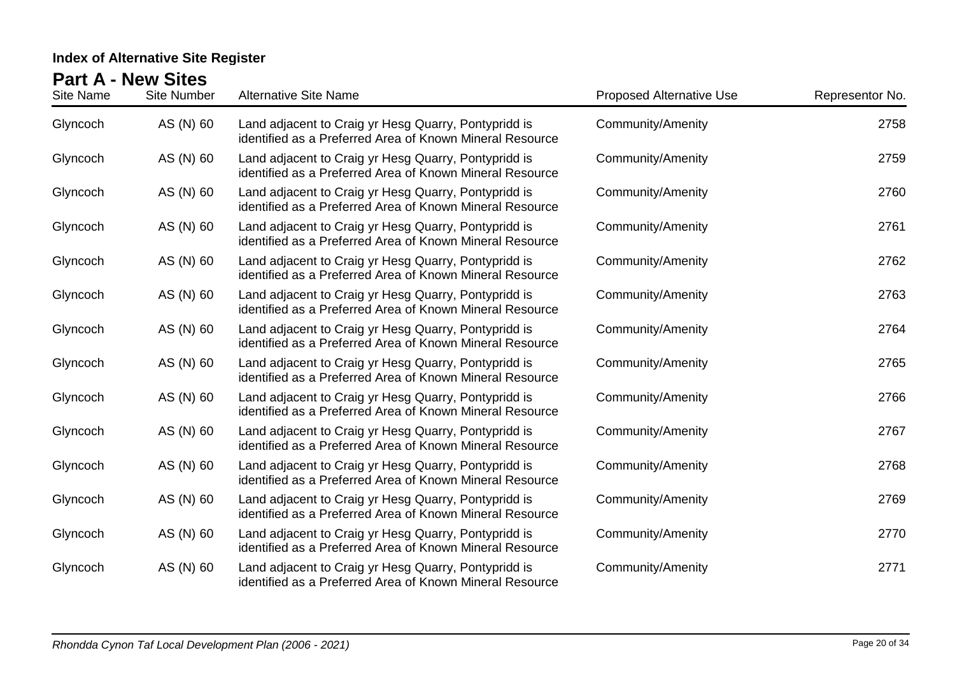| Site Name | <b>Site Number</b> | <b>Alternative Site Name</b>                                                                                     | <b>Proposed Alternative Use</b> | Representor No. |
|-----------|--------------------|------------------------------------------------------------------------------------------------------------------|---------------------------------|-----------------|
| Glyncoch  | AS (N) 60          | Land adjacent to Craig yr Hesg Quarry, Pontypridd is<br>identified as a Preferred Area of Known Mineral Resource | <b>Community/Amenity</b>        | 2758            |
| Glyncoch  | AS (N) 60          | Land adjacent to Craig yr Hesg Quarry, Pontypridd is<br>identified as a Preferred Area of Known Mineral Resource | Community/Amenity               | 2759            |
| Glyncoch  | AS (N) 60          | Land adjacent to Craig yr Hesg Quarry, Pontypridd is<br>identified as a Preferred Area of Known Mineral Resource | <b>Community/Amenity</b>        | 2760            |
| Glyncoch  | AS (N) 60          | Land adjacent to Craig yr Hesg Quarry, Pontypridd is<br>identified as a Preferred Area of Known Mineral Resource | <b>Community/Amenity</b>        | 2761            |
| Glyncoch  | AS (N) 60          | Land adjacent to Craig yr Hesg Quarry, Pontypridd is<br>identified as a Preferred Area of Known Mineral Resource | Community/Amenity               | 2762            |
| Glyncoch  | AS (N) 60          | Land adjacent to Craig yr Hesg Quarry, Pontypridd is<br>identified as a Preferred Area of Known Mineral Resource | Community/Amenity               | 2763            |
| Glyncoch  | AS (N) 60          | Land adjacent to Craig yr Hesg Quarry, Pontypridd is<br>identified as a Preferred Area of Known Mineral Resource | <b>Community/Amenity</b>        | 2764            |
| Glyncoch  | AS (N) 60          | Land adjacent to Craig yr Hesg Quarry, Pontypridd is<br>identified as a Preferred Area of Known Mineral Resource | <b>Community/Amenity</b>        | 2765            |
| Glyncoch  | AS (N) 60          | Land adjacent to Craig yr Hesg Quarry, Pontypridd is<br>identified as a Preferred Area of Known Mineral Resource | <b>Community/Amenity</b>        | 2766            |
| Glyncoch  | AS (N) 60          | Land adjacent to Craig yr Hesg Quarry, Pontypridd is<br>identified as a Preferred Area of Known Mineral Resource | <b>Community/Amenity</b>        | 2767            |
| Glyncoch  | AS (N) 60          | Land adjacent to Craig yr Hesg Quarry, Pontypridd is<br>identified as a Preferred Area of Known Mineral Resource | <b>Community/Amenity</b>        | 2768            |
| Glyncoch  | AS (N) 60          | Land adjacent to Craig yr Hesg Quarry, Pontypridd is<br>identified as a Preferred Area of Known Mineral Resource | <b>Community/Amenity</b>        | 2769            |
| Glyncoch  | AS (N) 60          | Land adjacent to Craig yr Hesg Quarry, Pontypridd is<br>identified as a Preferred Area of Known Mineral Resource | <b>Community/Amenity</b>        | 2770            |
| Glyncoch  | AS (N) 60          | Land adjacent to Craig yr Hesg Quarry, Pontypridd is<br>identified as a Preferred Area of Known Mineral Resource | <b>Community/Amenity</b>        | 2771            |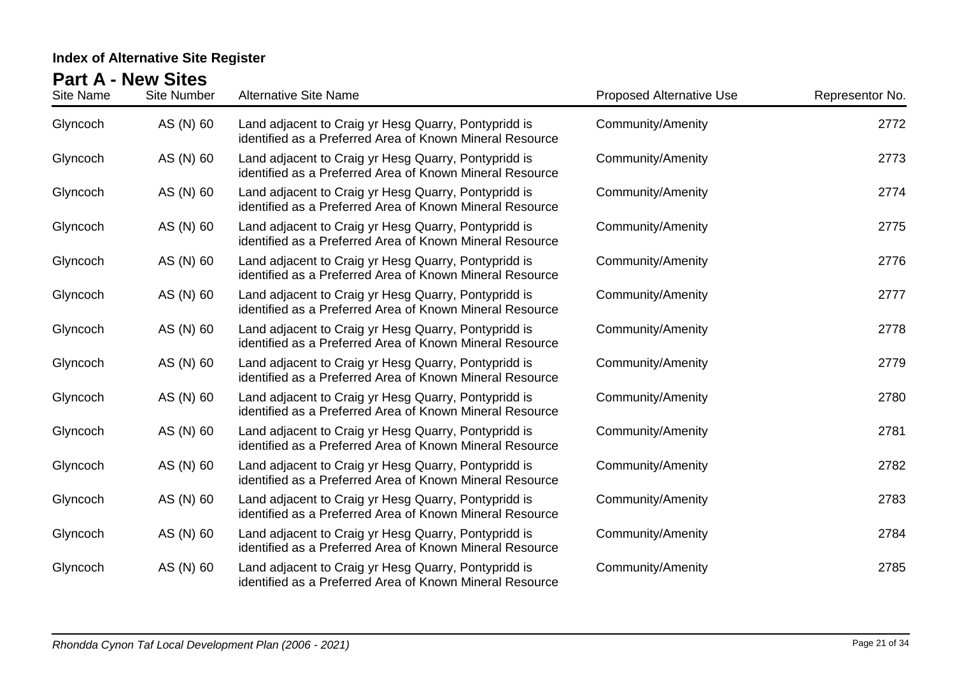| Site Name | <b>Site Number</b> | <b>Alternative Site Name</b>                                                                                     | <b>Proposed Alternative Use</b> | Representor No. |
|-----------|--------------------|------------------------------------------------------------------------------------------------------------------|---------------------------------|-----------------|
| Glyncoch  | AS (N) 60          | Land adjacent to Craig yr Hesg Quarry, Pontypridd is<br>identified as a Preferred Area of Known Mineral Resource | <b>Community/Amenity</b>        | 2772            |
| Glyncoch  | AS (N) 60          | Land adjacent to Craig yr Hesg Quarry, Pontypridd is<br>identified as a Preferred Area of Known Mineral Resource | Community/Amenity               | 2773            |
| Glyncoch  | AS (N) 60          | Land adjacent to Craig yr Hesg Quarry, Pontypridd is<br>identified as a Preferred Area of Known Mineral Resource | <b>Community/Amenity</b>        | 2774            |
| Glyncoch  | AS (N) 60          | Land adjacent to Craig yr Hesg Quarry, Pontypridd is<br>identified as a Preferred Area of Known Mineral Resource | <b>Community/Amenity</b>        | 2775            |
| Glyncoch  | AS (N) 60          | Land adjacent to Craig yr Hesg Quarry, Pontypridd is<br>identified as a Preferred Area of Known Mineral Resource | Community/Amenity               | 2776            |
| Glyncoch  | AS (N) 60          | Land adjacent to Craig yr Hesg Quarry, Pontypridd is<br>identified as a Preferred Area of Known Mineral Resource | Community/Amenity               | 2777            |
| Glyncoch  | AS (N) 60          | Land adjacent to Craig yr Hesg Quarry, Pontypridd is<br>identified as a Preferred Area of Known Mineral Resource | <b>Community/Amenity</b>        | 2778            |
| Glyncoch  | AS (N) 60          | Land adjacent to Craig yr Hesg Quarry, Pontypridd is<br>identified as a Preferred Area of Known Mineral Resource | Community/Amenity               | 2779            |
| Glyncoch  | AS (N) 60          | Land adjacent to Craig yr Hesg Quarry, Pontypridd is<br>identified as a Preferred Area of Known Mineral Resource | <b>Community/Amenity</b>        | 2780            |
| Glyncoch  | AS (N) 60          | Land adjacent to Craig yr Hesg Quarry, Pontypridd is<br>identified as a Preferred Area of Known Mineral Resource | <b>Community/Amenity</b>        | 2781            |
| Glyncoch  | AS (N) 60          | Land adjacent to Craig yr Hesg Quarry, Pontypridd is<br>identified as a Preferred Area of Known Mineral Resource | <b>Community/Amenity</b>        | 2782            |
| Glyncoch  | AS (N) 60          | Land adjacent to Craig yr Hesg Quarry, Pontypridd is<br>identified as a Preferred Area of Known Mineral Resource | <b>Community/Amenity</b>        | 2783            |
| Glyncoch  | AS (N) 60          | Land adjacent to Craig yr Hesg Quarry, Pontypridd is<br>identified as a Preferred Area of Known Mineral Resource | <b>Community/Amenity</b>        | 2784            |
| Glyncoch  | AS (N) 60          | Land adjacent to Craig yr Hesg Quarry, Pontypridd is<br>identified as a Preferred Area of Known Mineral Resource | <b>Community/Amenity</b>        | 2785            |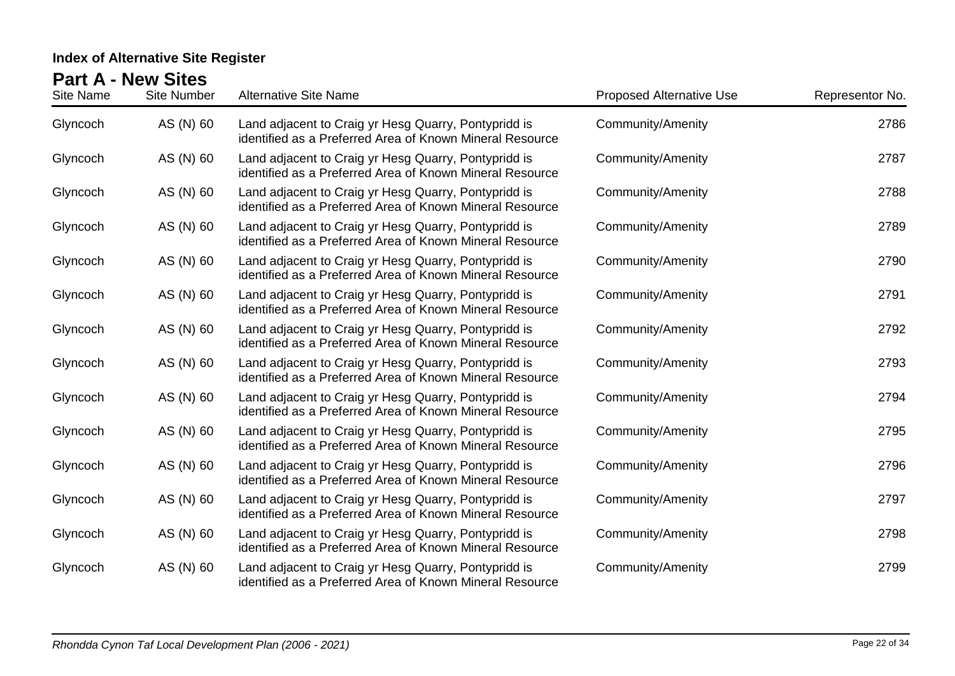| Site Name | <b>Site Number</b> | <b>Alternative Site Name</b>                                                                                     | <b>Proposed Alternative Use</b> | Representor No. |
|-----------|--------------------|------------------------------------------------------------------------------------------------------------------|---------------------------------|-----------------|
| Glyncoch  | AS (N) 60          | Land adjacent to Craig yr Hesg Quarry, Pontypridd is<br>identified as a Preferred Area of Known Mineral Resource | <b>Community/Amenity</b>        | 2786            |
| Glyncoch  | AS (N) 60          | Land adjacent to Craig yr Hesg Quarry, Pontypridd is<br>identified as a Preferred Area of Known Mineral Resource | Community/Amenity               | 2787            |
| Glyncoch  | AS (N) 60          | Land adjacent to Craig yr Hesg Quarry, Pontypridd is<br>identified as a Preferred Area of Known Mineral Resource | <b>Community/Amenity</b>        | 2788            |
| Glyncoch  | AS (N) 60          | Land adjacent to Craig yr Hesg Quarry, Pontypridd is<br>identified as a Preferred Area of Known Mineral Resource | <b>Community/Amenity</b>        | 2789            |
| Glyncoch  | AS (N) 60          | Land adjacent to Craig yr Hesg Quarry, Pontypridd is<br>identified as a Preferred Area of Known Mineral Resource | Community/Amenity               | 2790            |
| Glyncoch  | AS (N) 60          | Land adjacent to Craig yr Hesg Quarry, Pontypridd is<br>identified as a Preferred Area of Known Mineral Resource | <b>Community/Amenity</b>        | 2791            |
| Glyncoch  | AS (N) 60          | Land adjacent to Craig yr Hesg Quarry, Pontypridd is<br>identified as a Preferred Area of Known Mineral Resource | <b>Community/Amenity</b>        | 2792            |
| Glyncoch  | AS (N) 60          | Land adjacent to Craig yr Hesg Quarry, Pontypridd is<br>identified as a Preferred Area of Known Mineral Resource | Community/Amenity               | 2793            |
| Glyncoch  | AS (N) 60          | Land adjacent to Craig yr Hesg Quarry, Pontypridd is<br>identified as a Preferred Area of Known Mineral Resource | <b>Community/Amenity</b>        | 2794            |
| Glyncoch  | AS (N) 60          | Land adjacent to Craig yr Hesg Quarry, Pontypridd is<br>identified as a Preferred Area of Known Mineral Resource | <b>Community/Amenity</b>        | 2795            |
| Glyncoch  | AS (N) 60          | Land adjacent to Craig yr Hesg Quarry, Pontypridd is<br>identified as a Preferred Area of Known Mineral Resource | <b>Community/Amenity</b>        | 2796            |
| Glyncoch  | AS (N) 60          | Land adjacent to Craig yr Hesg Quarry, Pontypridd is<br>identified as a Preferred Area of Known Mineral Resource | <b>Community/Amenity</b>        | 2797            |
| Glyncoch  | AS (N) 60          | Land adjacent to Craig yr Hesg Quarry, Pontypridd is<br>identified as a Preferred Area of Known Mineral Resource | <b>Community/Amenity</b>        | 2798            |
| Glyncoch  | AS (N) 60          | Land adjacent to Craig yr Hesg Quarry, Pontypridd is<br>identified as a Preferred Area of Known Mineral Resource | <b>Community/Amenity</b>        | 2799            |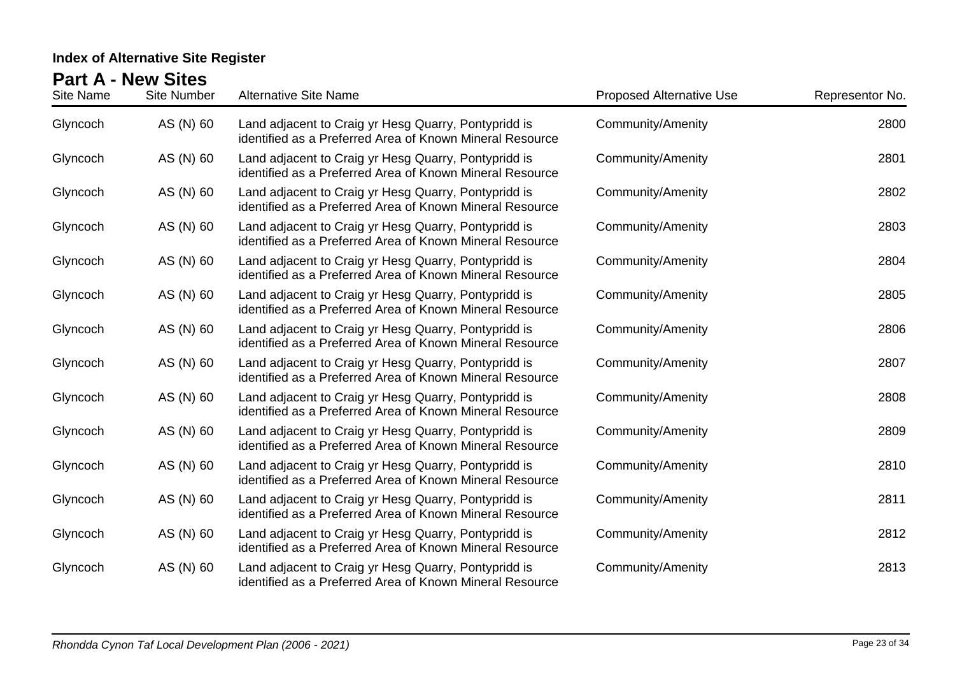| Site Name | <b>Site Number</b> | <b>Alternative Site Name</b>                                                                                     | <b>Proposed Alternative Use</b> | Representor No. |
|-----------|--------------------|------------------------------------------------------------------------------------------------------------------|---------------------------------|-----------------|
| Glyncoch  | AS (N) 60          | Land adjacent to Craig yr Hesg Quarry, Pontypridd is<br>identified as a Preferred Area of Known Mineral Resource | <b>Community/Amenity</b>        | 2800            |
| Glyncoch  | AS (N) 60          | Land adjacent to Craig yr Hesg Quarry, Pontypridd is<br>identified as a Preferred Area of Known Mineral Resource | Community/Amenity               | 2801            |
| Glyncoch  | AS (N) 60          | Land adjacent to Craig yr Hesg Quarry, Pontypridd is<br>identified as a Preferred Area of Known Mineral Resource | <b>Community/Amenity</b>        | 2802            |
| Glyncoch  | AS (N) 60          | Land adjacent to Craig yr Hesg Quarry, Pontypridd is<br>identified as a Preferred Area of Known Mineral Resource | <b>Community/Amenity</b>        | 2803            |
| Glyncoch  | AS (N) 60          | Land adjacent to Craig yr Hesg Quarry, Pontypridd is<br>identified as a Preferred Area of Known Mineral Resource | <b>Community/Amenity</b>        | 2804            |
| Glyncoch  | AS (N) 60          | Land adjacent to Craig yr Hesg Quarry, Pontypridd is<br>identified as a Preferred Area of Known Mineral Resource | <b>Community/Amenity</b>        | 2805            |
| Glyncoch  | AS (N) 60          | Land adjacent to Craig yr Hesg Quarry, Pontypridd is<br>identified as a Preferred Area of Known Mineral Resource | <b>Community/Amenity</b>        | 2806            |
| Glyncoch  | AS (N) 60          | Land adjacent to Craig yr Hesg Quarry, Pontypridd is<br>identified as a Preferred Area of Known Mineral Resource | <b>Community/Amenity</b>        | 2807            |
| Glyncoch  | AS (N) 60          | Land adjacent to Craig yr Hesg Quarry, Pontypridd is<br>identified as a Preferred Area of Known Mineral Resource | <b>Community/Amenity</b>        | 2808            |
| Glyncoch  | AS (N) 60          | Land adjacent to Craig yr Hesg Quarry, Pontypridd is<br>identified as a Preferred Area of Known Mineral Resource | <b>Community/Amenity</b>        | 2809            |
| Glyncoch  | AS (N) 60          | Land adjacent to Craig yr Hesg Quarry, Pontypridd is<br>identified as a Preferred Area of Known Mineral Resource | <b>Community/Amenity</b>        | 2810            |
| Glyncoch  | AS (N) 60          | Land adjacent to Craig yr Hesg Quarry, Pontypridd is<br>identified as a Preferred Area of Known Mineral Resource | <b>Community/Amenity</b>        | 2811            |
| Glyncoch  | AS (N) 60          | Land adjacent to Craig yr Hesg Quarry, Pontypridd is<br>identified as a Preferred Area of Known Mineral Resource | <b>Community/Amenity</b>        | 2812            |
| Glyncoch  | AS (N) 60          | Land adjacent to Craig yr Hesg Quarry, Pontypridd is<br>identified as a Preferred Area of Known Mineral Resource | <b>Community/Amenity</b>        | 2813            |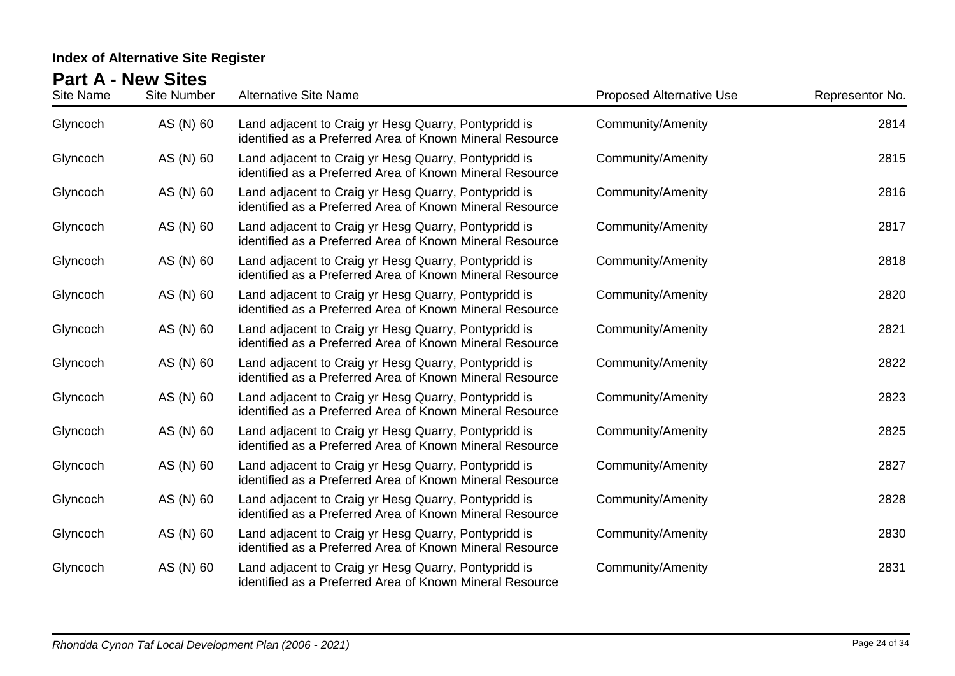| Site Name | <b>Site Number</b> | <b>Alternative Site Name</b>                                                                                     | <b>Proposed Alternative Use</b> | Representor No. |
|-----------|--------------------|------------------------------------------------------------------------------------------------------------------|---------------------------------|-----------------|
| Glyncoch  | AS (N) 60          | Land adjacent to Craig yr Hesg Quarry, Pontypridd is<br>identified as a Preferred Area of Known Mineral Resource | <b>Community/Amenity</b>        | 2814            |
| Glyncoch  | AS (N) 60          | Land adjacent to Craig yr Hesg Quarry, Pontypridd is<br>identified as a Preferred Area of Known Mineral Resource | Community/Amenity               | 2815            |
| Glyncoch  | AS (N) 60          | Land adjacent to Craig yr Hesg Quarry, Pontypridd is<br>identified as a Preferred Area of Known Mineral Resource | <b>Community/Amenity</b>        | 2816            |
| Glyncoch  | AS (N) 60          | Land adjacent to Craig yr Hesg Quarry, Pontypridd is<br>identified as a Preferred Area of Known Mineral Resource | Community/Amenity               | 2817            |
| Glyncoch  | AS (N) 60          | Land adjacent to Craig yr Hesg Quarry, Pontypridd is<br>identified as a Preferred Area of Known Mineral Resource | <b>Community/Amenity</b>        | 2818            |
| Glyncoch  | AS (N) 60          | Land adjacent to Craig yr Hesg Quarry, Pontypridd is<br>identified as a Preferred Area of Known Mineral Resource | <b>Community/Amenity</b>        | 2820            |
| Glyncoch  | AS (N) 60          | Land adjacent to Craig yr Hesg Quarry, Pontypridd is<br>identified as a Preferred Area of Known Mineral Resource | <b>Community/Amenity</b>        | 2821            |
| Glyncoch  | AS (N) 60          | Land adjacent to Craig yr Hesg Quarry, Pontypridd is<br>identified as a Preferred Area of Known Mineral Resource | <b>Community/Amenity</b>        | 2822            |
| Glyncoch  | AS (N) 60          | Land adjacent to Craig yr Hesg Quarry, Pontypridd is<br>identified as a Preferred Area of Known Mineral Resource | <b>Community/Amenity</b>        | 2823            |
| Glyncoch  | AS (N) 60          | Land adjacent to Craig yr Hesg Quarry, Pontypridd is<br>identified as a Preferred Area of Known Mineral Resource | <b>Community/Amenity</b>        | 2825            |
| Glyncoch  | AS (N) 60          | Land adjacent to Craig yr Hesg Quarry, Pontypridd is<br>identified as a Preferred Area of Known Mineral Resource | <b>Community/Amenity</b>        | 2827            |
| Glyncoch  | AS (N) 60          | Land adjacent to Craig yr Hesg Quarry, Pontypridd is<br>identified as a Preferred Area of Known Mineral Resource | <b>Community/Amenity</b>        | 2828            |
| Glyncoch  | AS (N) 60          | Land adjacent to Craig yr Hesg Quarry, Pontypridd is<br>identified as a Preferred Area of Known Mineral Resource | <b>Community/Amenity</b>        | 2830            |
| Glyncoch  | AS (N) 60          | Land adjacent to Craig yr Hesg Quarry, Pontypridd is<br>identified as a Preferred Area of Known Mineral Resource | <b>Community/Amenity</b>        | 2831            |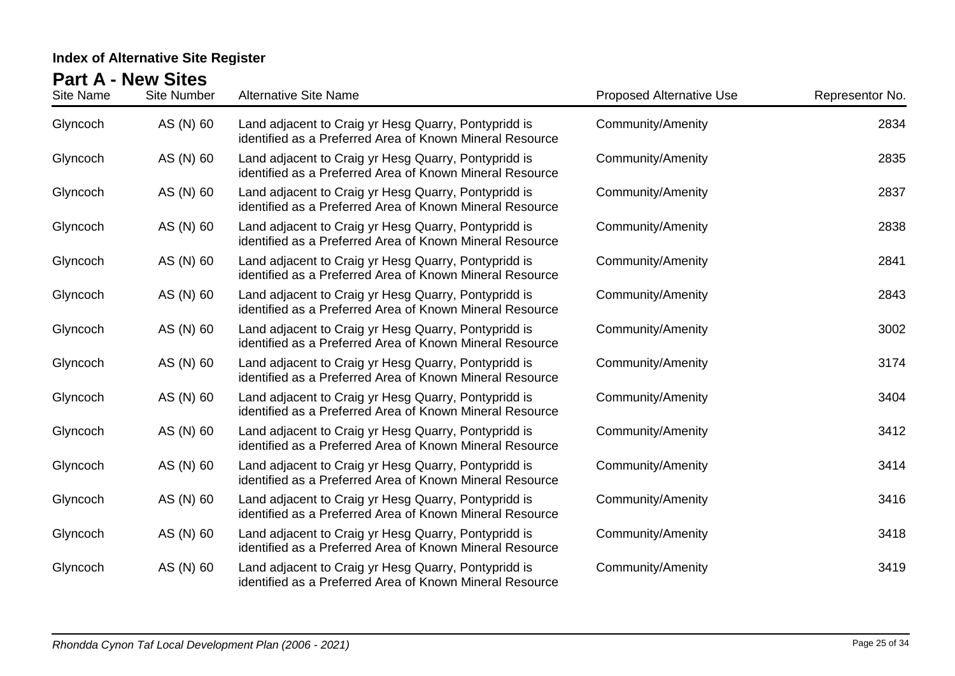| <u>GILT</u><br>Site Name | 11 J J V<br><b>Site Number</b> | <b>Alternative Site Name</b>                                                                                     | <b>Proposed Alternative Use</b> | Representor No. |
|--------------------------|--------------------------------|------------------------------------------------------------------------------------------------------------------|---------------------------------|-----------------|
| Glyncoch                 | AS (N) 60                      | Land adjacent to Craig yr Hesg Quarry, Pontypridd is<br>identified as a Preferred Area of Known Mineral Resource | <b>Community/Amenity</b>        | 2834            |
| Glyncoch                 | AS (N) 60                      | Land adjacent to Craig yr Hesg Quarry, Pontypridd is<br>identified as a Preferred Area of Known Mineral Resource | Community/Amenity               | 2835            |
| Glyncoch                 | AS (N) 60                      | Land adjacent to Craig yr Hesg Quarry, Pontypridd is<br>identified as a Preferred Area of Known Mineral Resource | Community/Amenity               | 2837            |
| Glyncoch                 | AS (N) 60                      | Land adjacent to Craig yr Hesg Quarry, Pontypridd is<br>identified as a Preferred Area of Known Mineral Resource | Community/Amenity               | 2838            |
| Glyncoch                 | AS (N) 60                      | Land adjacent to Craig yr Hesg Quarry, Pontypridd is<br>identified as a Preferred Area of Known Mineral Resource | <b>Community/Amenity</b>        | 2841            |
| Glyncoch                 | AS (N) 60                      | Land adjacent to Craig yr Hesg Quarry, Pontypridd is<br>identified as a Preferred Area of Known Mineral Resource | Community/Amenity               | 2843            |
| Glyncoch                 | AS (N) 60                      | Land adjacent to Craig yr Hesg Quarry, Pontypridd is<br>identified as a Preferred Area of Known Mineral Resource | <b>Community/Amenity</b>        | 3002            |
| Glyncoch                 | AS (N) 60                      | Land adjacent to Craig yr Hesg Quarry, Pontypridd is<br>identified as a Preferred Area of Known Mineral Resource | Community/Amenity               | 3174            |
| Glyncoch                 | AS (N) 60                      | Land adjacent to Craig yr Hesg Quarry, Pontypridd is<br>identified as a Preferred Area of Known Mineral Resource | <b>Community/Amenity</b>        | 3404            |
| Glyncoch                 | AS (N) 60                      | Land adjacent to Craig yr Hesg Quarry, Pontypridd is<br>identified as a Preferred Area of Known Mineral Resource | <b>Community/Amenity</b>        | 3412            |
| Glyncoch                 | AS (N) 60                      | Land adjacent to Craig yr Hesg Quarry, Pontypridd is<br>identified as a Preferred Area of Known Mineral Resource | <b>Community/Amenity</b>        | 3414            |
| Glyncoch                 | AS (N) 60                      | Land adjacent to Craig yr Hesg Quarry, Pontypridd is<br>identified as a Preferred Area of Known Mineral Resource | <b>Community/Amenity</b>        | 3416            |
| Glyncoch                 | AS (N) 60                      | Land adjacent to Craig yr Hesg Quarry, Pontypridd is<br>identified as a Preferred Area of Known Mineral Resource | <b>Community/Amenity</b>        | 3418            |
| Glyncoch                 | AS (N) 60                      | Land adjacent to Craig yr Hesg Quarry, Pontypridd is<br>identified as a Preferred Area of Known Mineral Resource | <b>Community/Amenity</b>        | 3419            |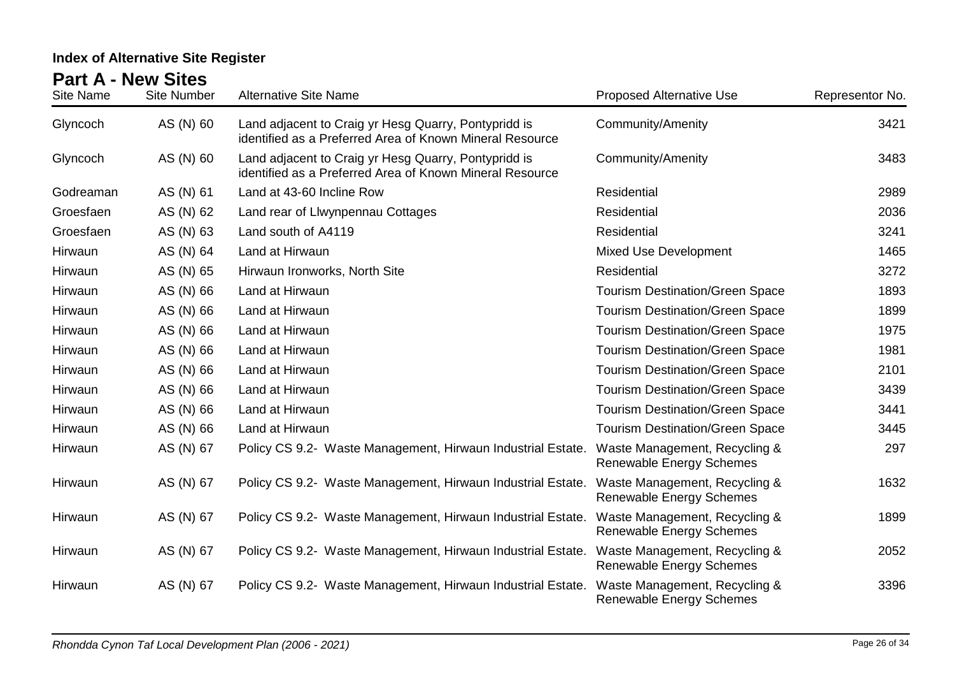| Site Name | <b>Site Number</b> | <b>Alternative Site Name</b>                                                                                     | <b>Proposed Alternative Use</b>                                  | Representor No. |
|-----------|--------------------|------------------------------------------------------------------------------------------------------------------|------------------------------------------------------------------|-----------------|
| Glyncoch  | AS (N) 60          | Land adjacent to Craig yr Hesg Quarry, Pontypridd is<br>identified as a Preferred Area of Known Mineral Resource | Community/Amenity                                                | 3421            |
| Glyncoch  | AS (N) 60          | Land adjacent to Craig yr Hesg Quarry, Pontypridd is<br>identified as a Preferred Area of Known Mineral Resource | <b>Community/Amenity</b>                                         | 3483            |
| Godreaman | AS (N) 61          | Land at 43-60 Incline Row                                                                                        | <b>Residential</b>                                               | 2989            |
| Groesfaen | AS (N) 62          | Land rear of Llwynpennau Cottages                                                                                | Residential                                                      | 2036            |
| Groesfaen | AS (N) 63          | Land south of A4119                                                                                              | Residential                                                      | 3241            |
| Hirwaun   | AS (N) 64          | Land at Hirwaun                                                                                                  | <b>Mixed Use Development</b>                                     | 1465            |
| Hirwaun   | AS (N) 65          | Hirwaun Ironworks, North Site                                                                                    | Residential                                                      | 3272            |
| Hirwaun   | AS (N) 66          | Land at Hirwaun                                                                                                  | <b>Tourism Destination/Green Space</b>                           | 1893            |
| Hirwaun   | AS (N) 66          | Land at Hirwaun                                                                                                  | <b>Tourism Destination/Green Space</b>                           | 1899            |
| Hirwaun   | AS (N) 66          | Land at Hirwaun                                                                                                  | <b>Tourism Destination/Green Space</b>                           | 1975            |
| Hirwaun   | AS (N) 66          | Land at Hirwaun                                                                                                  | <b>Tourism Destination/Green Space</b>                           | 1981            |
| Hirwaun   | AS (N) 66          | Land at Hirwaun                                                                                                  | <b>Tourism Destination/Green Space</b>                           | 2101            |
| Hirwaun   | AS (N) 66          | Land at Hirwaun                                                                                                  | <b>Tourism Destination/Green Space</b>                           | 3439            |
| Hirwaun   | AS (N) 66          | Land at Hirwaun                                                                                                  | <b>Tourism Destination/Green Space</b>                           | 3441            |
| Hirwaun   | AS (N) 66          | Land at Hirwaun                                                                                                  | <b>Tourism Destination/Green Space</b>                           | 3445            |
| Hirwaun   | AS (N) 67          | Policy CS 9.2- Waste Management, Hirwaun Industrial Estate.                                                      | Waste Management, Recycling &<br><b>Renewable Energy Schemes</b> | 297             |
| Hirwaun   | AS (N) 67          | Policy CS 9.2- Waste Management, Hirwaun Industrial Estate.                                                      | Waste Management, Recycling &<br>Renewable Energy Schemes        | 1632            |
| Hirwaun   | AS (N) 67          | Policy CS 9.2- Waste Management, Hirwaun Industrial Estate.                                                      | Waste Management, Recycling &<br><b>Renewable Energy Schemes</b> | 1899            |
| Hirwaun   | AS (N) 67          | Policy CS 9.2- Waste Management, Hirwaun Industrial Estate.                                                      | Waste Management, Recycling &<br>Renewable Energy Schemes        | 2052            |
| Hirwaun   | AS (N) 67          | Policy CS 9.2- Waste Management, Hirwaun Industrial Estate.                                                      | Waste Management, Recycling &<br><b>Renewable Energy Schemes</b> | 3396            |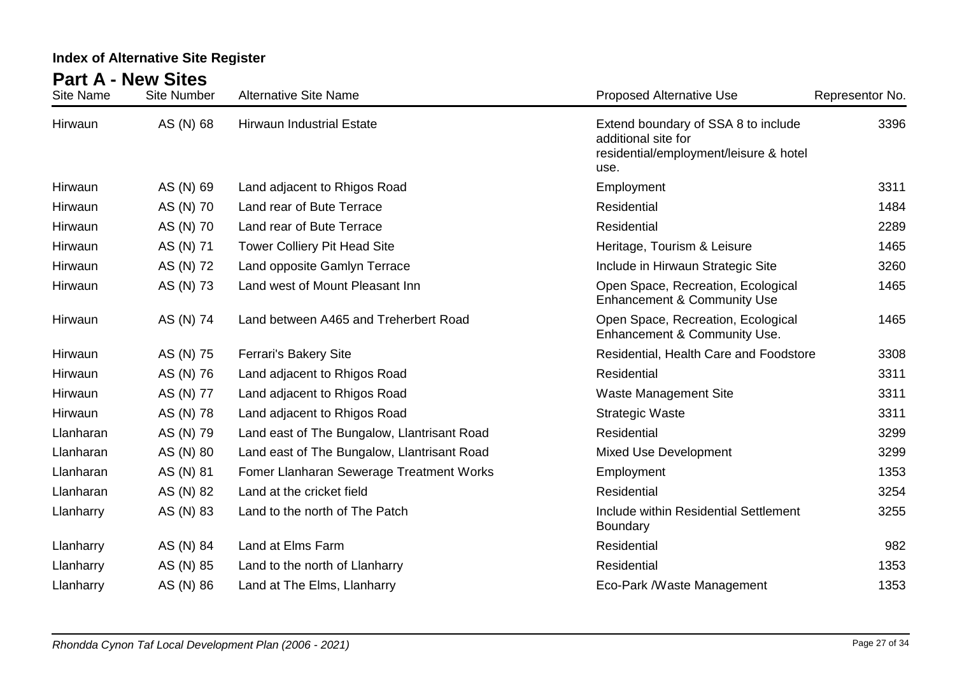| <b>Site Name</b> | <b>Site Number</b> | <b>Alternative Site Name</b>                | <b>Proposed Alternative Use</b>                                                                              | Representor No. |
|------------------|--------------------|---------------------------------------------|--------------------------------------------------------------------------------------------------------------|-----------------|
| Hirwaun          | AS (N) 68          | <b>Hirwaun Industrial Estate</b>            | Extend boundary of SSA 8 to include<br>additional site for<br>residential/employment/leisure & hotel<br>use. | 3396            |
| Hirwaun          | AS (N) 69          | Land adjacent to Rhigos Road                | Employment                                                                                                   | 3311            |
| Hirwaun          | AS (N) 70          | Land rear of Bute Terrace                   | <b>Residential</b>                                                                                           | 1484            |
| Hirwaun          | AS (N) 70          | Land rear of Bute Terrace                   | Residential                                                                                                  | 2289            |
| Hirwaun          | AS (N) 71          | <b>Tower Colliery Pit Head Site</b>         | Heritage, Tourism & Leisure                                                                                  | 1465            |
| Hirwaun          | AS (N) 72          | Land opposite Gamlyn Terrace                | Include in Hirwaun Strategic Site                                                                            | 3260            |
| Hirwaun          | AS (N) 73          | Land west of Mount Pleasant Inn             | Open Space, Recreation, Ecological<br><b>Enhancement &amp; Community Use</b>                                 | 1465            |
| Hirwaun          | AS (N) 74          | Land between A465 and Treherbert Road       | Open Space, Recreation, Ecological<br>Enhancement & Community Use.                                           | 1465            |
| Hirwaun          | AS (N) 75          | Ferrari's Bakery Site                       | Residential, Health Care and Foodstore                                                                       | 3308            |
| Hirwaun          | AS (N) 76          | Land adjacent to Rhigos Road                | Residential                                                                                                  | 3311            |
| Hirwaun          | AS (N) 77          | Land adjacent to Rhigos Road                | <b>Waste Management Site</b>                                                                                 | 3311            |
| Hirwaun          | AS (N) 78          | Land adjacent to Rhigos Road                | <b>Strategic Waste</b>                                                                                       | 3311            |
| Llanharan        | AS (N) 79          | Land east of The Bungalow, Llantrisant Road | Residential                                                                                                  | 3299            |
| Llanharan        | AS (N) 80          | Land east of The Bungalow, Llantrisant Road | <b>Mixed Use Development</b>                                                                                 | 3299            |
| Llanharan        | AS (N) 81          | Fomer Llanharan Sewerage Treatment Works    | Employment                                                                                                   | 1353            |
| Llanharan        | AS (N) 82          | Land at the cricket field                   | Residential                                                                                                  | 3254            |
| Llanharry        | AS (N) 83          | Land to the north of The Patch              | Include within Residential Settlement<br><b>Boundary</b>                                                     | 3255            |
| Llanharry        | AS (N) 84          | Land at Elms Farm                           | Residential                                                                                                  | 982             |
| Llanharry        | AS (N) 85          | Land to the north of Llanharry              | Residential                                                                                                  | 1353            |
| Llanharry        | AS (N) 86          | Land at The Elms, Llanharry                 | Eco-Park /Waste Management                                                                                   | 1353            |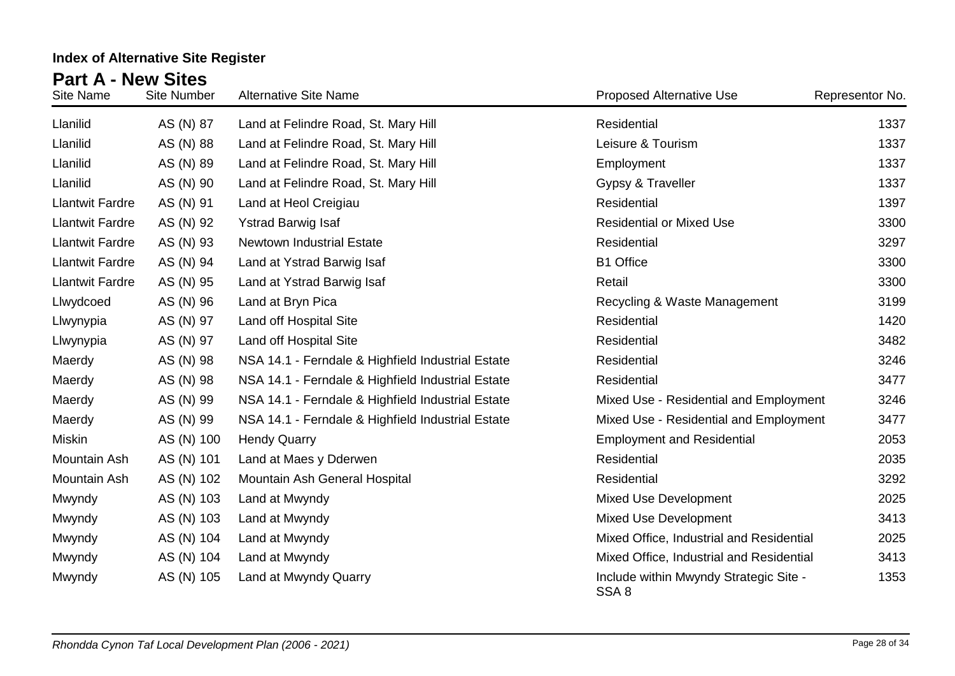| Site Name              | <b>Site Number</b> | <b>Alternative Site Name</b>                      | <b>Proposed Alternative Use</b>                 | Representor No. |
|------------------------|--------------------|---------------------------------------------------|-------------------------------------------------|-----------------|
| Llanilid               | AS (N) 87          | Land at Felindre Road, St. Mary Hill              | Residential                                     | 1337            |
| Llanilid               | AS (N) 88          | Land at Felindre Road, St. Mary Hill              | Leisure & Tourism                               | 1337            |
| Llanilid               | AS (N) 89          | Land at Felindre Road, St. Mary Hill              | Employment                                      | 1337            |
| Llanilid               | AS (N) 90          | Land at Felindre Road, St. Mary Hill              | Gypsy & Traveller                               | 1337            |
| <b>Llantwit Fardre</b> | AS (N) 91          | Land at Heol Creigiau                             | Residential                                     | 1397            |
| <b>Llantwit Fardre</b> | AS (N) 92          | <b>Ystrad Barwig Isaf</b>                         | <b>Residential or Mixed Use</b>                 | 3300            |
| <b>Llantwit Fardre</b> | AS (N) 93          | Newtown Industrial Estate                         | Residential                                     | 3297            |
| <b>Llantwit Fardre</b> | AS (N) 94          | Land at Ystrad Barwig Isaf                        | <b>B1 Office</b>                                | 3300            |
| <b>Llantwit Fardre</b> | AS (N) 95          | Land at Ystrad Barwig Isaf                        | Retail                                          | 3300            |
| Llwydcoed              | AS (N) 96          | Land at Bryn Pica                                 | Recycling & Waste Management                    | 3199            |
| Llwynypia              | AS (N) 97          | Land off Hospital Site                            | Residential                                     | 1420            |
| Llwynypia              | AS (N) 97          | Land off Hospital Site                            | Residential                                     | 3482            |
| Maerdy                 | AS (N) 98          | NSA 14.1 - Ferndale & Highfield Industrial Estate | Residential                                     | 3246            |
| Maerdy                 | AS (N) 98          | NSA 14.1 - Ferndale & Highfield Industrial Estate | Residential                                     | 3477            |
| Maerdy                 | AS (N) 99          | NSA 14.1 - Ferndale & Highfield Industrial Estate | Mixed Use - Residential and Employment          | 3246            |
| Maerdy                 | AS (N) 99          | NSA 14.1 - Ferndale & Highfield Industrial Estate | Mixed Use - Residential and Employment          | 3477            |
| Miskin                 | AS (N) 100         | <b>Hendy Quarry</b>                               | <b>Employment and Residential</b>               | 2053            |
| Mountain Ash           | AS (N) 101         | Land at Maes y Dderwen                            | Residential                                     | 2035            |
| Mountain Ash           | AS (N) 102         | Mountain Ash General Hospital                     | Residential                                     | 3292            |
| Mwyndy                 | AS (N) 103         | Land at Mwyndy                                    | <b>Mixed Use Development</b>                    | 2025            |
| Mwyndy                 | AS (N) 103         | Land at Mwyndy                                    | <b>Mixed Use Development</b>                    | 3413            |
| Mwyndy                 | AS (N) 104         | Land at Mwyndy                                    | Mixed Office, Industrial and Residential        | 2025            |
| Mwyndy                 | AS (N) 104         | Land at Mwyndy                                    | Mixed Office, Industrial and Residential        | 3413            |
| Mwyndy                 | AS (N) 105         | Land at Mwyndy Quarry                             | Include within Mwyndy Strategic Site -<br>SSA 8 | 1353            |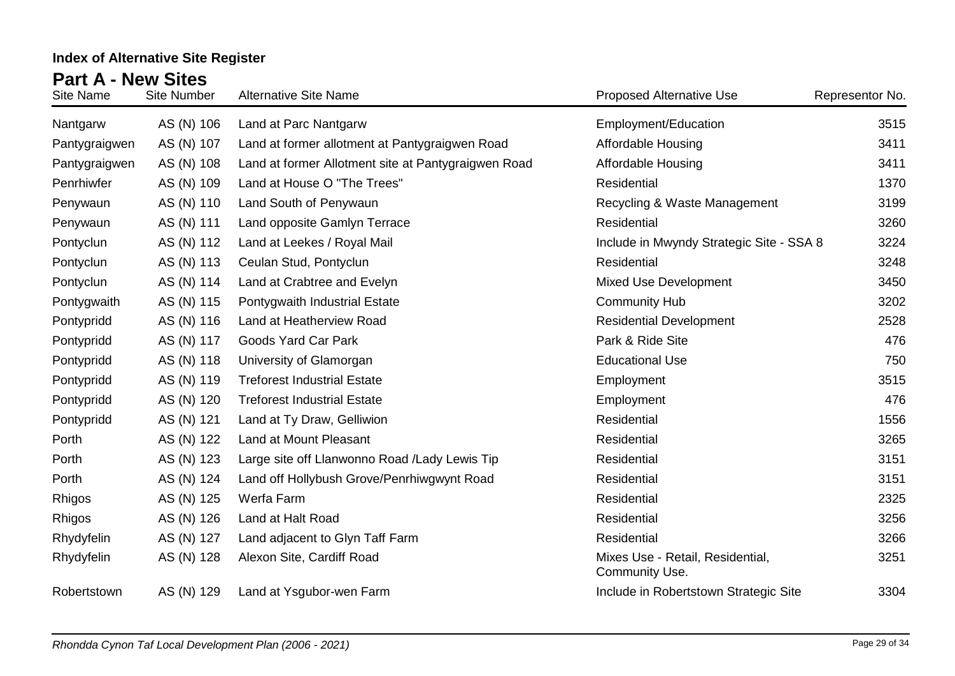| Site Name     | <b>Site Number</b> | <b>Alternative Site Name</b>                        | <b>Proposed Alternative Use</b>                    | Representor No. |
|---------------|--------------------|-----------------------------------------------------|----------------------------------------------------|-----------------|
| Nantgarw      | AS (N) 106         | Land at Parc Nantgarw                               | Employment/Education                               | 3515            |
| Pantygraigwen | AS (N) 107         | Land at former allotment at Pantygraigwen Road      | <b>Affordable Housing</b>                          | 3411            |
| Pantygraigwen | AS (N) 108         | Land at former Allotment site at Pantygraigwen Road | <b>Affordable Housing</b>                          | 3411            |
| Penrhiwfer    | AS (N) 109         | Land at House O "The Trees"                         | Residential                                        | 1370            |
| Penywaun      | AS (N) 110         | Land South of Penywaun                              | Recycling & Waste Management                       | 3199            |
| Penywaun      | AS (N) 111         | Land opposite Gamlyn Terrace                        | Residential                                        | 3260            |
| Pontyclun     | AS (N) 112         | Land at Leekes / Royal Mail                         | Include in Mwyndy Strategic Site - SSA 8           | 3224            |
| Pontyclun     | AS (N) 113         | Ceulan Stud, Pontyclun                              | Residential                                        | 3248            |
| Pontyclun     | AS (N) 114         | Land at Crabtree and Evelyn                         | <b>Mixed Use Development</b>                       | 3450            |
| Pontygwaith   | AS (N) 115         | Pontygwaith Industrial Estate                       | <b>Community Hub</b>                               | 3202            |
| Pontypridd    | AS (N) 116         | Land at Heatherview Road                            | <b>Residential Development</b>                     | 2528            |
| Pontypridd    | AS (N) 117         | <b>Goods Yard Car Park</b>                          | Park & Ride Site                                   | 476             |
| Pontypridd    | AS (N) 118         | University of Glamorgan                             | <b>Educational Use</b>                             | 750             |
| Pontypridd    | AS (N) 119         | <b>Treforest Industrial Estate</b>                  | Employment                                         | 3515            |
| Pontypridd    | AS (N) 120         | <b>Treforest Industrial Estate</b>                  | Employment                                         | 476             |
| Pontypridd    | AS (N) 121         | Land at Ty Draw, Gelliwion                          | Residential                                        | 1556            |
| Porth         | AS (N) 122         | Land at Mount Pleasant                              | Residential                                        | 3265            |
| Porth         | AS (N) 123         | Large site off Llanwonno Road / Lady Lewis Tip      | Residential                                        | 3151            |
| Porth         | AS (N) 124         | Land off Hollybush Grove/Penrhiwgwynt Road          | Residential                                        | 3151            |
| Rhigos        | AS (N) 125         | Werfa Farm                                          | Residential                                        | 2325            |
| Rhigos        | AS (N) 126         | Land at Halt Road                                   | Residential                                        | 3256            |
| Rhydyfelin    | AS (N) 127         | Land adjacent to Glyn Taff Farm                     | Residential                                        | 3266            |
| Rhydyfelin    | AS (N) 128         | Alexon Site, Cardiff Road                           | Mixes Use - Retail, Residential,<br>Community Use. | 3251            |
| Robertstown   | AS (N) 129         | Land at Ysgubor-wen Farm                            | Include in Robertstown Strategic Site              | 3304            |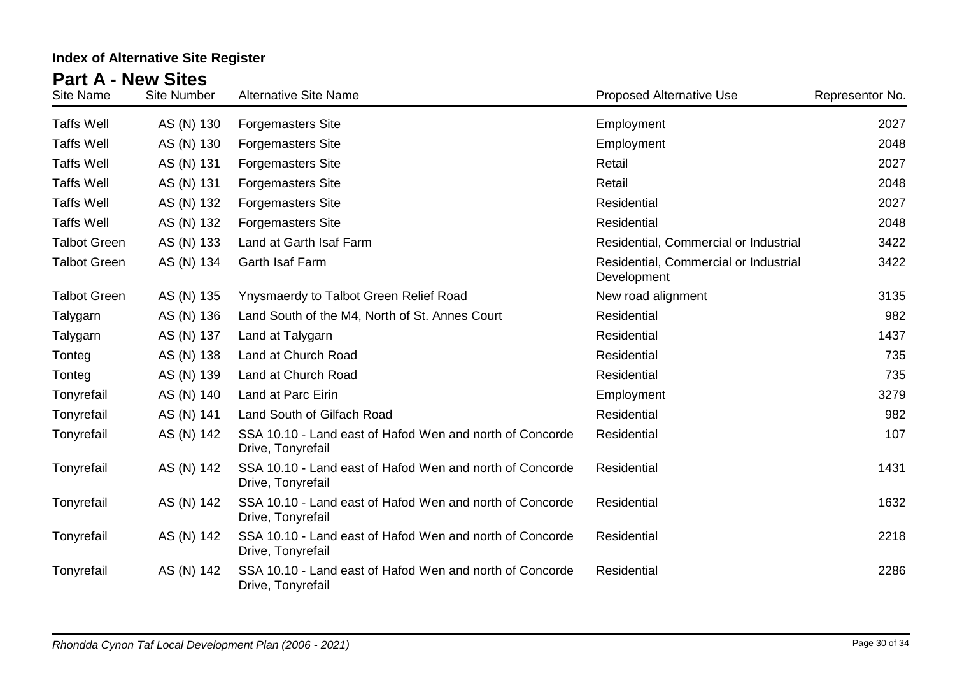| <b>Site Name</b>    | <b>Site Number</b> | <b>Alternative Site Name</b>                                                  | <b>Proposed Alternative Use</b>                      | Representor No. |
|---------------------|--------------------|-------------------------------------------------------------------------------|------------------------------------------------------|-----------------|
| <b>Taffs Well</b>   | AS (N) 130         | <b>Forgemasters Site</b>                                                      | Employment                                           | 2027            |
| <b>Taffs Well</b>   | AS (N) 130         | <b>Forgemasters Site</b>                                                      | Employment                                           | 2048            |
| <b>Taffs Well</b>   | AS (N) 131         | <b>Forgemasters Site</b>                                                      | Retail                                               | 2027            |
| <b>Taffs Well</b>   | AS (N) 131         | <b>Forgemasters Site</b>                                                      | Retail                                               | 2048            |
| <b>Taffs Well</b>   | AS (N) 132         | <b>Forgemasters Site</b>                                                      | Residential                                          | 2027            |
| <b>Taffs Well</b>   | AS (N) 132         | <b>Forgemasters Site</b>                                                      | Residential                                          | 2048            |
| <b>Talbot Green</b> | AS (N) 133         | Land at Garth Isaf Farm                                                       | Residential, Commercial or Industrial                | 3422            |
| <b>Talbot Green</b> | AS (N) 134         | Garth Isaf Farm                                                               | Residential, Commercial or Industrial<br>Development | 3422            |
| <b>Talbot Green</b> | AS (N) 135         | Ynysmaerdy to Talbot Green Relief Road                                        | New road alignment                                   | 3135            |
| Talygarn            | AS (N) 136         | Land South of the M4, North of St. Annes Court                                | Residential                                          | 982             |
| Talygarn            | AS (N) 137         | Land at Talygarn                                                              | Residential                                          | 1437            |
| Tonteg              | AS (N) 138         | Land at Church Road                                                           | Residential                                          | 735             |
| Tonteg              | AS (N) 139         | Land at Church Road                                                           | Residential                                          | 735             |
| Tonyrefail          | AS (N) 140         | Land at Parc Eirin                                                            | Employment                                           | 3279            |
| Tonyrefail          | AS (N) 141         | Land South of Gilfach Road                                                    | Residential                                          | 982             |
| Tonyrefail          | AS (N) 142         | SSA 10.10 - Land east of Hafod Wen and north of Concorde<br>Drive, Tonyrefail | Residential                                          | 107             |
| Tonyrefail          | AS (N) 142         | SSA 10.10 - Land east of Hafod Wen and north of Concorde<br>Drive, Tonyrefail | Residential                                          | 1431            |
| Tonyrefail          | AS (N) 142         | SSA 10.10 - Land east of Hafod Wen and north of Concorde<br>Drive, Tonyrefail | Residential                                          | 1632            |
| Tonyrefail          | AS (N) 142         | SSA 10.10 - Land east of Hafod Wen and north of Concorde<br>Drive, Tonyrefail | Residential                                          | 2218            |
| Tonyrefail          | AS (N) 142         | SSA 10.10 - Land east of Hafod Wen and north of Concorde<br>Drive, Tonyrefail | Residential                                          | 2286            |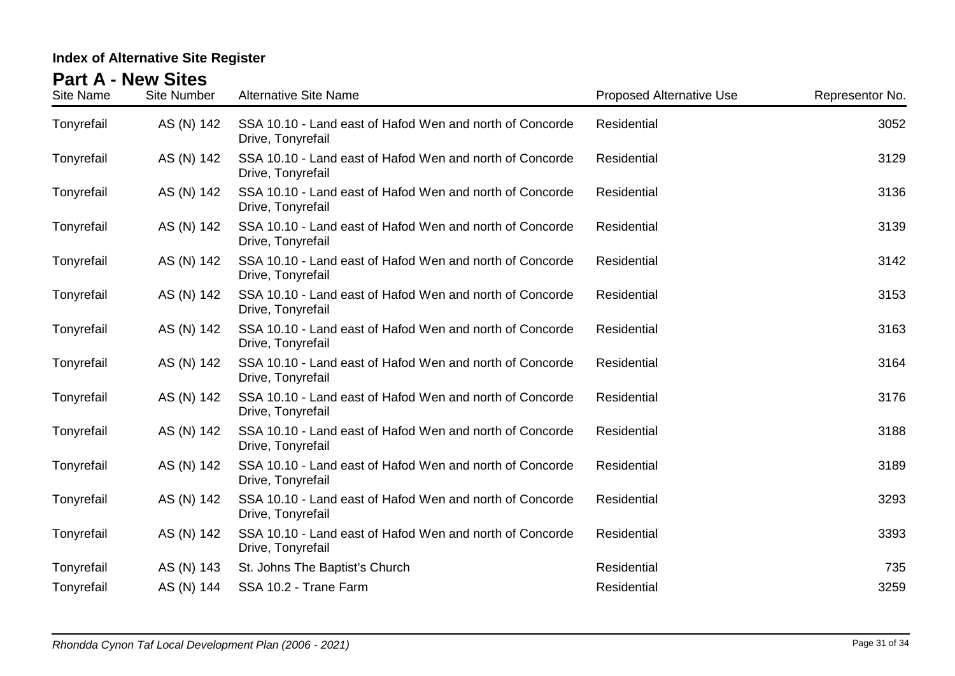| <b>Site Name</b> | <b>Site Number</b> | <b>Alternative Site Name</b>                                                  | <b>Proposed Alternative Use</b> | Representor No. |
|------------------|--------------------|-------------------------------------------------------------------------------|---------------------------------|-----------------|
| Tonyrefail       | AS (N) 142         | SSA 10.10 - Land east of Hafod Wen and north of Concorde<br>Drive, Tonyrefail | Residential                     | 3052            |
| Tonyrefail       | AS (N) 142         | SSA 10.10 - Land east of Hafod Wen and north of Concorde<br>Drive, Tonyrefail | Residential                     | 3129            |
| Tonyrefail       | AS (N) 142         | SSA 10.10 - Land east of Hafod Wen and north of Concorde<br>Drive, Tonyrefail | Residential                     | 3136            |
| Tonyrefail       | AS (N) 142         | SSA 10.10 - Land east of Hafod Wen and north of Concorde<br>Drive, Tonyrefail | Residential                     | 3139            |
| Tonyrefail       | AS (N) 142         | SSA 10.10 - Land east of Hafod Wen and north of Concorde<br>Drive, Tonyrefail | Residential                     | 3142            |
| Tonyrefail       | AS (N) 142         | SSA 10.10 - Land east of Hafod Wen and north of Concorde<br>Drive, Tonyrefail | Residential                     | 3153            |
| Tonyrefail       | AS (N) 142         | SSA 10.10 - Land east of Hafod Wen and north of Concorde<br>Drive, Tonyrefail | Residential                     | 3163            |
| Tonyrefail       | AS (N) 142         | SSA 10.10 - Land east of Hafod Wen and north of Concorde<br>Drive, Tonyrefail | Residential                     | 3164            |
| Tonyrefail       | AS (N) 142         | SSA 10.10 - Land east of Hafod Wen and north of Concorde<br>Drive, Tonyrefail | Residential                     | 3176            |
| Tonyrefail       | AS (N) 142         | SSA 10.10 - Land east of Hafod Wen and north of Concorde<br>Drive, Tonyrefail | Residential                     | 3188            |
| Tonyrefail       | AS (N) 142         | SSA 10.10 - Land east of Hafod Wen and north of Concorde<br>Drive, Tonyrefail | Residential                     | 3189            |
| Tonyrefail       | AS (N) 142         | SSA 10.10 - Land east of Hafod Wen and north of Concorde<br>Drive, Tonyrefail | Residential                     | 3293            |
| Tonyrefail       | AS (N) 142         | SSA 10.10 - Land east of Hafod Wen and north of Concorde<br>Drive, Tonyrefail | Residential                     | 3393            |
| Tonyrefail       | AS (N) 143         | St. Johns The Baptist's Church                                                | Residential                     | 735             |
| Tonyrefail       | AS (N) 144         | SSA 10.2 - Trane Farm                                                         | Residential                     | 3259            |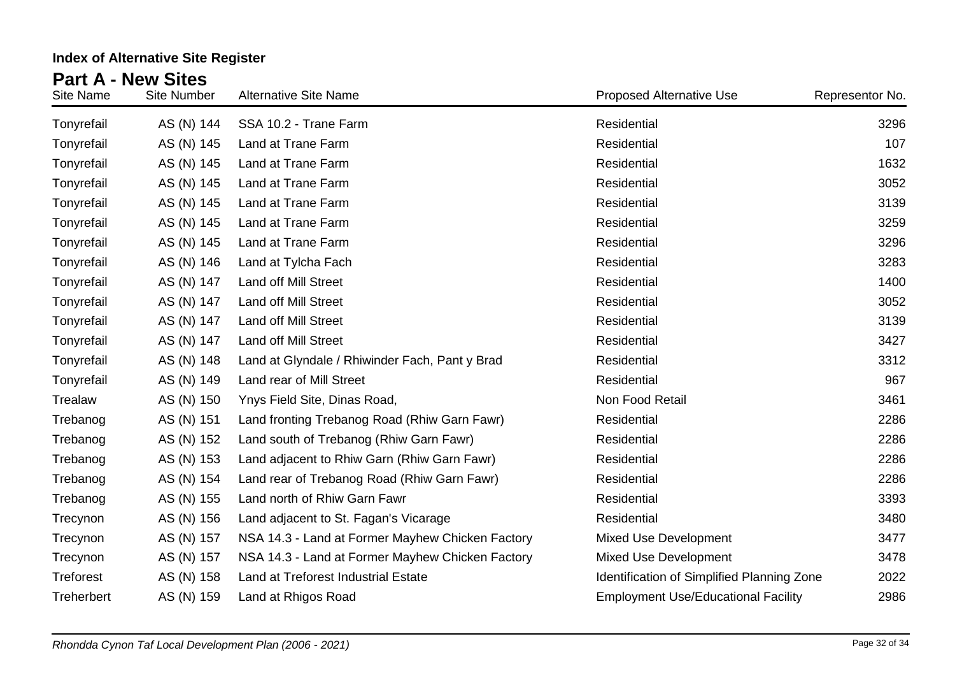| Site Name        | <b>Site Number</b> | <b>Alternative Site Name</b>                     | <b>Proposed Alternative Use</b>            | Representor No. |
|------------------|--------------------|--------------------------------------------------|--------------------------------------------|-----------------|
| Tonyrefail       | AS (N) 144         | SSA 10.2 - Trane Farm                            | Residential                                | 3296            |
| Tonyrefail       | AS (N) 145         | Land at Trane Farm                               | Residential                                | 107             |
| Tonyrefail       | AS (N) 145         | Land at Trane Farm                               | Residential                                | 1632            |
| Tonyrefail       | AS (N) 145         | Land at Trane Farm                               | Residential                                | 3052            |
| Tonyrefail       | AS (N) 145         | Land at Trane Farm                               | Residential                                | 3139            |
| Tonyrefail       | AS (N) 145         | Land at Trane Farm                               | Residential                                | 3259            |
| Tonyrefail       | AS (N) 145         | Land at Trane Farm                               | Residential                                | 3296            |
| Tonyrefail       | AS (N) 146         | Land at Tylcha Fach                              | Residential                                | 3283            |
| Tonyrefail       | AS (N) 147         | Land off Mill Street                             | Residential                                | 1400            |
| Tonyrefail       | AS (N) 147         | <b>Land off Mill Street</b>                      | Residential                                | 3052            |
| Tonyrefail       | AS (N) 147         | Land off Mill Street                             | Residential                                | 3139            |
| Tonyrefail       | AS (N) 147         | <b>Land off Mill Street</b>                      | Residential                                | 3427            |
| Tonyrefail       | AS (N) 148         | Land at Glyndale / Rhiwinder Fach, Pant y Brad   | Residential                                | 3312            |
| Tonyrefail       | AS (N) 149         | Land rear of Mill Street                         | Residential                                | 967             |
| Trealaw          | AS (N) 150         | Ynys Field Site, Dinas Road,                     | Non Food Retail                            | 3461            |
| Trebanog         | AS (N) 151         | Land fronting Trebanog Road (Rhiw Garn Fawr)     | Residential                                | 2286            |
| Trebanog         | AS (N) 152         | Land south of Trebanog (Rhiw Garn Fawr)          | Residential                                | 2286            |
| Trebanog         | AS (N) 153         | Land adjacent to Rhiw Garn (Rhiw Garn Fawr)      | Residential                                | 2286            |
| Trebanog         | AS (N) 154         | Land rear of Trebanog Road (Rhiw Garn Fawr)      | Residential                                | 2286            |
| Trebanog         | AS (N) 155         | Land north of Rhiw Garn Fawr                     | Residential                                | 3393            |
| Trecynon         | AS (N) 156         | Land adjacent to St. Fagan's Vicarage            | Residential                                | 3480            |
| Trecynon         | AS (N) 157         | NSA 14.3 - Land at Former Mayhew Chicken Factory | <b>Mixed Use Development</b>               | 3477            |
| Trecynon         | AS (N) 157         | NSA 14.3 - Land at Former Mayhew Chicken Factory | <b>Mixed Use Development</b>               | 3478            |
| <b>Treforest</b> | AS (N) 158         | Land at Treforest Industrial Estate              | Identification of Simplified Planning Zone | 2022            |
| Treherbert       | AS (N) 159         | Land at Rhigos Road                              | <b>Employment Use/Educational Facility</b> | 2986            |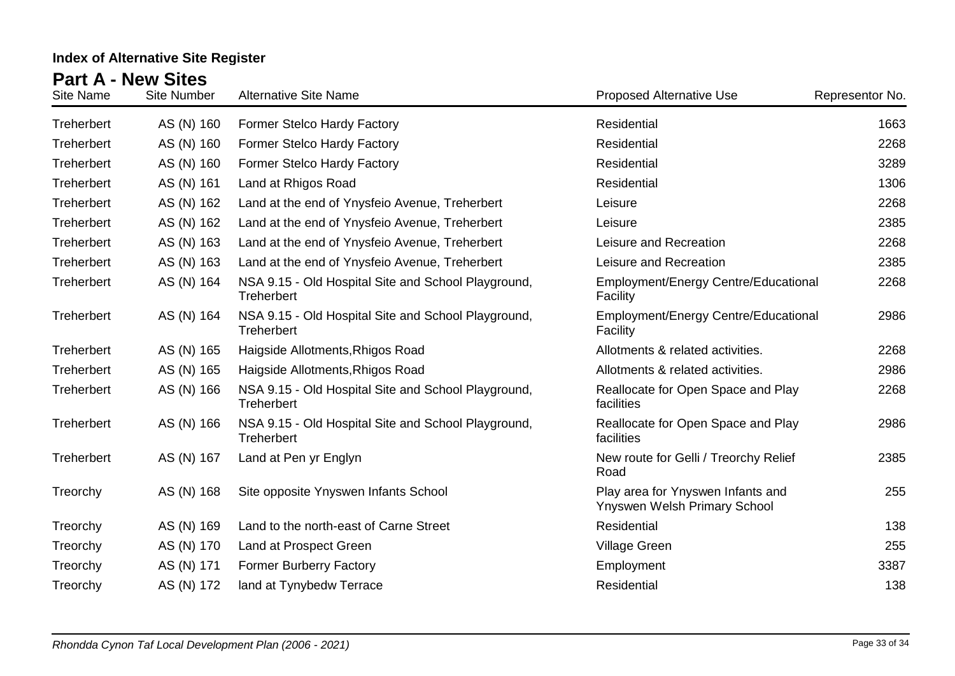| Site Name  | <b>Site Number</b> | <b>Alternative Site Name</b>                                             | <b>Proposed Alternative Use</b>                                   | Representor No. |
|------------|--------------------|--------------------------------------------------------------------------|-------------------------------------------------------------------|-----------------|
| Treherbert | AS (N) 160         | Former Stelco Hardy Factory                                              | Residential                                                       | 1663            |
| Treherbert | AS (N) 160         | Former Stelco Hardy Factory                                              | <b>Residential</b>                                                | 2268            |
| Treherbert | AS (N) 160         | Former Stelco Hardy Factory                                              | Residential                                                       | 3289            |
| Treherbert | AS (N) 161         | Land at Rhigos Road                                                      | Residential                                                       | 1306            |
| Treherbert | AS (N) 162         | Land at the end of Ynysfeio Avenue, Treherbert                           | Leisure                                                           | 2268            |
| Treherbert | AS (N) 162         | Land at the end of Ynysfeio Avenue, Treherbert                           | Leisure                                                           | 2385            |
| Treherbert | AS (N) 163         | Land at the end of Ynysfeio Avenue, Treherbert                           | Leisure and Recreation                                            | 2268            |
| Treherbert | AS (N) 163         | Land at the end of Ynysfeio Avenue, Treherbert                           | Leisure and Recreation                                            | 2385            |
| Treherbert | AS (N) 164         | NSA 9.15 - Old Hospital Site and School Playground,<br><b>Treherbert</b> | Employment/Energy Centre/Educational<br>Facility                  | 2268            |
| Treherbert | AS (N) 164         | NSA 9.15 - Old Hospital Site and School Playground,<br><b>Treherbert</b> | Employment/Energy Centre/Educational<br>Facility                  | 2986            |
| Treherbert | AS (N) 165         | Haigside Allotments, Rhigos Road                                         | Allotments & related activities.                                  | 2268            |
| Treherbert | AS (N) 165         | Haigside Allotments, Rhigos Road                                         | Allotments & related activities.                                  | 2986            |
| Treherbert | AS (N) 166         | NSA 9.15 - Old Hospital Site and School Playground,<br><b>Treherbert</b> | Reallocate for Open Space and Play<br>facilities                  | 2268            |
| Treherbert | AS (N) 166         | NSA 9.15 - Old Hospital Site and School Playground,<br><b>Treherbert</b> | Reallocate for Open Space and Play<br>facilities                  | 2986            |
| Treherbert | AS (N) 167         | Land at Pen yr Englyn                                                    | New route for Gelli / Treorchy Relief<br>Road                     | 2385            |
| Treorchy   | AS (N) 168         | Site opposite Ynyswen Infants School                                     | Play area for Ynyswen Infants and<br>Ynyswen Welsh Primary School | 255             |
| Treorchy   | AS (N) 169         | Land to the north-east of Carne Street                                   | Residential                                                       | 138             |
| Treorchy   | AS (N) 170         | Land at Prospect Green                                                   | <b>Village Green</b>                                              | 255             |
| Treorchy   | AS (N) 171         | <b>Former Burberry Factory</b>                                           | Employment                                                        | 3387            |
| Treorchy   | AS (N) 172         | land at Tynybedw Terrace                                                 | Residential                                                       | 138             |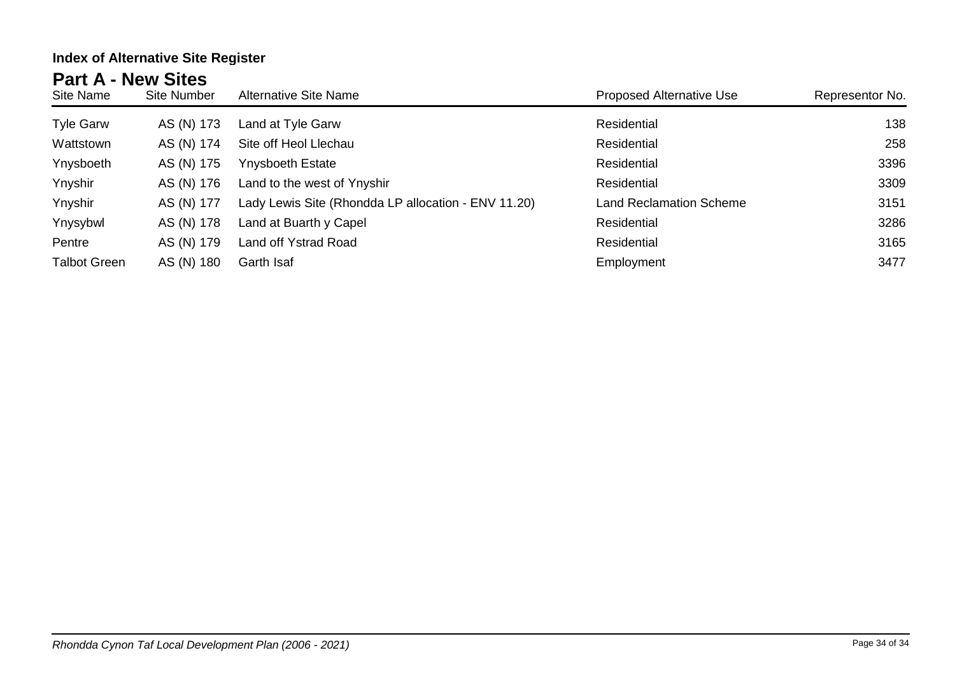| Site Name           | <b>Site Number</b> | <b>Alternative Site Name</b>                        | <b>Proposed Alternative Use</b> | Representor No. |
|---------------------|--------------------|-----------------------------------------------------|---------------------------------|-----------------|
| <b>Tyle Garw</b>    | AS (N) 173         | Land at Tyle Garw                                   | Residential                     | 138             |
| Wattstown           | AS (N) 174         | Site off Heol Llechau                               | Residential                     | 258             |
| Ynysboeth           | AS (N) 175         | <b>Ynysboeth Estate</b>                             | Residential                     | 3396            |
| Ynyshir             | AS (N) 176         | Land to the west of Ynyshir                         | Residential                     | 3309            |
| Ynyshir             | AS (N) 177         | Lady Lewis Site (Rhondda LP allocation - ENV 11.20) | <b>Land Reclamation Scheme</b>  | 3151            |
| Ynysybwl            | AS (N) 178         | Land at Buarth y Capel                              | Residential                     | 3286            |
| Pentre              | AS (N) 179         | Land off Ystrad Road                                | Residential                     | 3165            |
| <b>Talbot Green</b> | AS (N) 180         | Garth Isaf                                          | Employment                      | 3477            |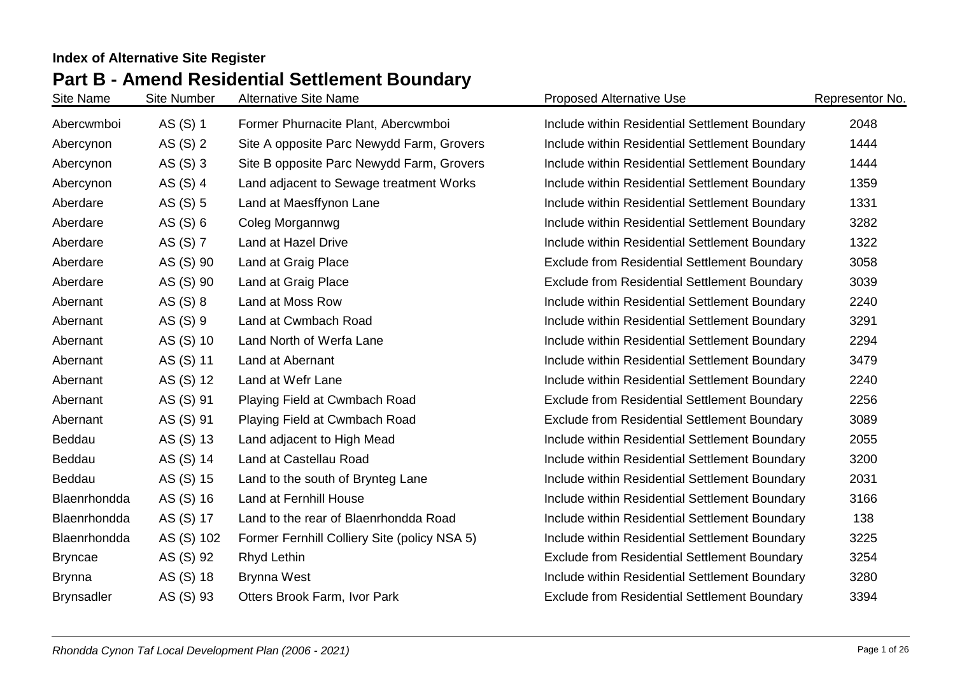# **Part B - Amend Residential Settlement Boundary Index of Alternative Site Register**

| Site Name         | <b>Site Number</b> | <b>Alternative Site Name</b>                 | <b>Proposed Alternative Use</b>                     | Representor No. |
|-------------------|--------------------|----------------------------------------------|-----------------------------------------------------|-----------------|
| Abercwmboi        | AS (S) 1           | Former Phurnacite Plant, Abercwmboi          | Include within Residential Settlement Boundary      | 2048            |
| Abercynon         | AS (S) 2           | Site A opposite Parc Newydd Farm, Grovers    | Include within Residential Settlement Boundary      | 1444            |
| Abercynon         | AS $(S)$ 3         | Site B opposite Parc Newydd Farm, Grovers    | Include within Residential Settlement Boundary      | 1444            |
| Abercynon         | AS (S) 4           | Land adjacent to Sewage treatment Works      | Include within Residential Settlement Boundary      | 1359            |
| Aberdare          | AS (S) 5           | Land at Maesffynon Lane                      | Include within Residential Settlement Boundary      | 1331            |
| Aberdare          | AS $(S)$ 6         | Coleg Morgannwg                              | Include within Residential Settlement Boundary      | 3282            |
| Aberdare          | AS (S) 7           | Land at Hazel Drive                          | Include within Residential Settlement Boundary      | 1322            |
| Aberdare          | AS (S) 90          | Land at Graig Place                          | <b>Exclude from Residential Settlement Boundary</b> | 3058            |
| Aberdare          | AS (S) 90          | Land at Graig Place                          | <b>Exclude from Residential Settlement Boundary</b> | 3039            |
| Abernant          | AS (S) 8           | Land at Moss Row                             | Include within Residential Settlement Boundary      | 2240            |
| Abernant          | AS (S) 9           | Land at Cwmbach Road                         | Include within Residential Settlement Boundary      | 3291            |
| Abernant          | AS (S) 10          | Land North of Werfa Lane                     | Include within Residential Settlement Boundary      | 2294            |
| Abernant          | AS (S) 11          | Land at Abernant                             | Include within Residential Settlement Boundary      | 3479            |
| Abernant          | AS (S) 12          | Land at Wefr Lane                            | Include within Residential Settlement Boundary      | 2240            |
| Abernant          | AS (S) 91          | Playing Field at Cwmbach Road                | <b>Exclude from Residential Settlement Boundary</b> | 2256            |
| Abernant          | AS (S) 91          | Playing Field at Cwmbach Road                | <b>Exclude from Residential Settlement Boundary</b> | 3089            |
| Beddau            | AS (S) 13          | Land adjacent to High Mead                   | Include within Residential Settlement Boundary      | 2055            |
| Beddau            | AS (S) 14          | Land at Castellau Road                       | Include within Residential Settlement Boundary      | 3200            |
| Beddau            | AS (S) 15          | Land to the south of Brynteg Lane            | Include within Residential Settlement Boundary      | 2031            |
| Blaenrhondda      | AS (S) 16          | Land at Fernhill House                       | Include within Residential Settlement Boundary      | 3166            |
| Blaenrhondda      | AS (S) 17          | Land to the rear of Blaenrhondda Road        | Include within Residential Settlement Boundary      | 138             |
| Blaenrhondda      | AS (S) 102         | Former Fernhill Colliery Site (policy NSA 5) | Include within Residential Settlement Boundary      | 3225            |
| <b>Bryncae</b>    | AS (S) 92          | Rhyd Lethin                                  | <b>Exclude from Residential Settlement Boundary</b> | 3254            |
| <b>Brynna</b>     | AS (S) 18          | <b>Brynna West</b>                           | Include within Residential Settlement Boundary      | 3280            |
| <b>Brynsadler</b> | AS (S) 93          | Otters Brook Farm, Ivor Park                 | <b>Exclude from Residential Settlement Boundary</b> | 3394            |
|                   |                    |                                              |                                                     |                 |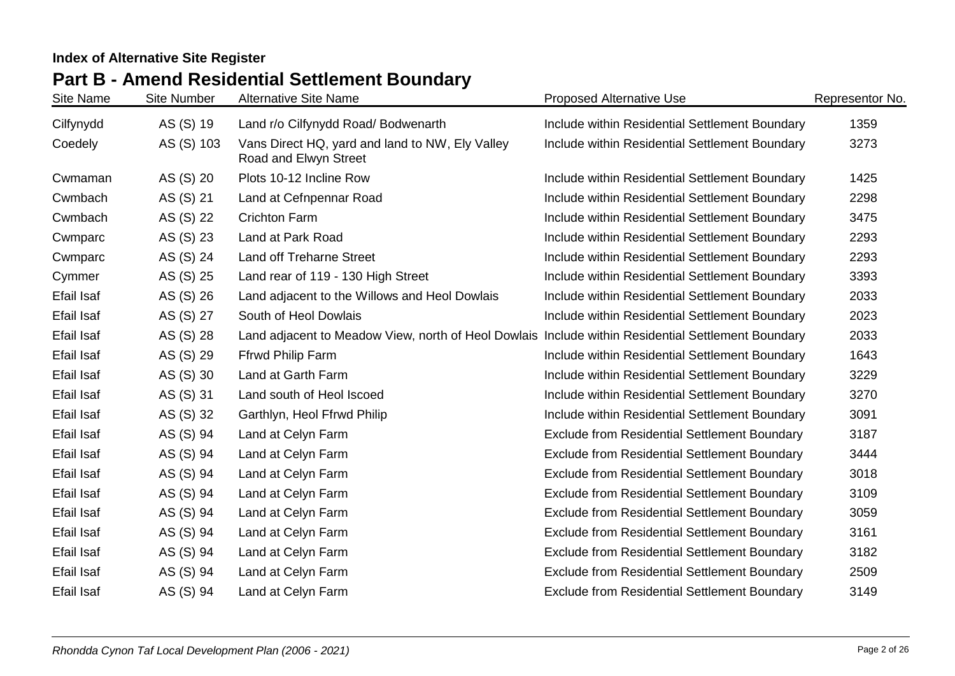# **Part B - Amend Residential Settlement Boundary**

| Site Name         | <b>Site Number</b> | <b>Alternative Site Name</b>                                                                       | <b>Proposed Alternative Use</b>                     | Representor No. |
|-------------------|--------------------|----------------------------------------------------------------------------------------------------|-----------------------------------------------------|-----------------|
| Cilfynydd         | AS (S) 19          | Land r/o Cilfynydd Road/ Bodwenarth                                                                | Include within Residential Settlement Boundary      | 1359            |
| Coedely           | AS (S) 103         | Vans Direct HQ, yard and land to NW, Ely Valley<br>Road and Elwyn Street                           | Include within Residential Settlement Boundary      | 3273            |
| Cwmaman           | AS (S) 20          | Plots 10-12 Incline Row                                                                            | Include within Residential Settlement Boundary      | 1425            |
| Cwmbach           | AS (S) 21          | Land at Cefnpennar Road                                                                            | Include within Residential Settlement Boundary      | 2298            |
| Cwmbach           | AS (S) 22          | <b>Crichton Farm</b>                                                                               | Include within Residential Settlement Boundary      | 3475            |
| Cwmparc           | AS (S) 23          | Land at Park Road                                                                                  | Include within Residential Settlement Boundary      | 2293            |
| Cwmparc           | AS (S) 24          | <b>Land off Treharne Street</b>                                                                    | Include within Residential Settlement Boundary      | 2293            |
| Cymmer            | AS (S) 25          | Land rear of 119 - 130 High Street                                                                 | Include within Residential Settlement Boundary      | 3393            |
| Efail Isaf        | AS (S) 26          | Land adjacent to the Willows and Heol Dowlais                                                      | Include within Residential Settlement Boundary      | 2033            |
| <b>Efail Isaf</b> | AS (S) 27          | South of Heol Dowlais                                                                              | Include within Residential Settlement Boundary      | 2023            |
| Efail Isaf        | AS (S) 28          | Land adjacent to Meadow View, north of Heol Dowlais Include within Residential Settlement Boundary |                                                     | 2033            |
| <b>Efail Isaf</b> | AS (S) 29          | Ffrwd Philip Farm                                                                                  | Include within Residential Settlement Boundary      | 1643            |
| Efail Isaf        | AS (S) 30          | Land at Garth Farm                                                                                 | Include within Residential Settlement Boundary      | 3229            |
| Efail Isaf        | AS (S) 31          | Land south of Heol Iscoed                                                                          | Include within Residential Settlement Boundary      | 3270            |
| Efail Isaf        | AS (S) 32          | Garthlyn, Heol Ffrwd Philip                                                                        | Include within Residential Settlement Boundary      | 3091            |
| <b>Efail Isaf</b> | AS (S) 94          | Land at Celyn Farm                                                                                 | <b>Exclude from Residential Settlement Boundary</b> | 3187            |
| Efail Isaf        | AS (S) 94          | Land at Celyn Farm                                                                                 | <b>Exclude from Residential Settlement Boundary</b> | 3444            |
| <b>Efail Isaf</b> | AS (S) 94          | Land at Celyn Farm                                                                                 | <b>Exclude from Residential Settlement Boundary</b> | 3018            |
| <b>Efail Isaf</b> | AS (S) 94          | Land at Celyn Farm                                                                                 | <b>Exclude from Residential Settlement Boundary</b> | 3109            |
| <b>Efail Isaf</b> | AS (S) 94          | Land at Celyn Farm                                                                                 | <b>Exclude from Residential Settlement Boundary</b> | 3059            |
| Efail Isaf        | AS (S) 94          | Land at Celyn Farm                                                                                 | <b>Exclude from Residential Settlement Boundary</b> | 3161            |
| <b>Efail Isaf</b> | AS (S) 94          | Land at Celyn Farm                                                                                 | <b>Exclude from Residential Settlement Boundary</b> | 3182            |
| <b>Efail Isaf</b> | AS (S) 94          | Land at Celyn Farm                                                                                 | <b>Exclude from Residential Settlement Boundary</b> | 2509            |
| <b>Efail Isaf</b> | AS (S) 94          | Land at Celyn Farm                                                                                 | <b>Exclude from Residential Settlement Boundary</b> | 3149            |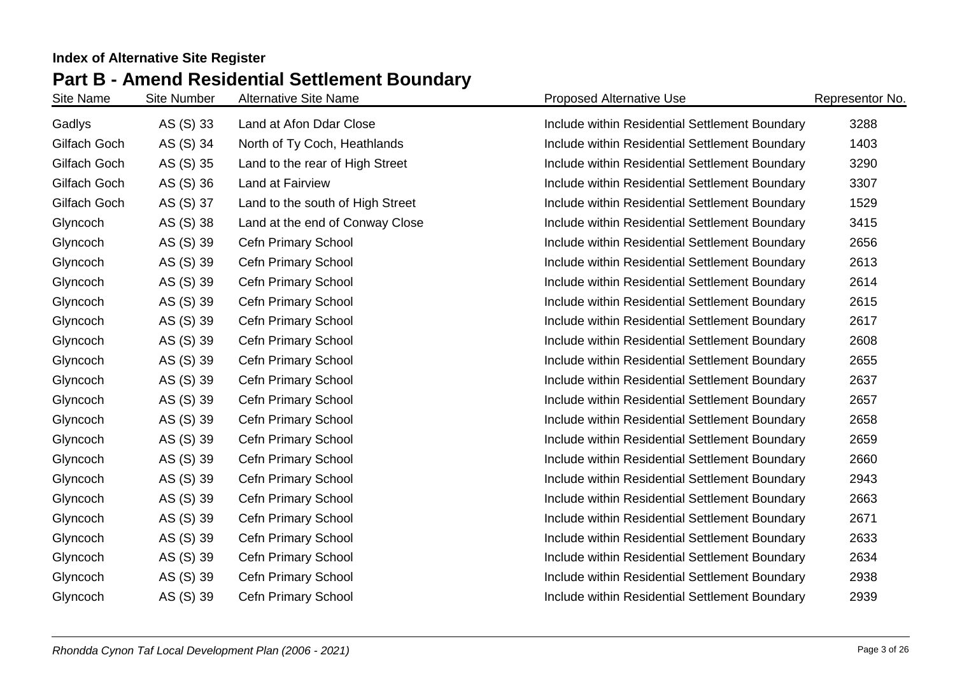# **Part B - Amend Residential Settlement Boundary**

| Site Name    | <b>Site Number</b> | <b>Alternative Site Name</b>     | <b>Proposed Alternative Use</b>                | Representor No. |
|--------------|--------------------|----------------------------------|------------------------------------------------|-----------------|
| Gadlys       | AS (S) 33          | Land at Afon Ddar Close          | Include within Residential Settlement Boundary | 3288            |
| Gilfach Goch | AS (S) 34          | North of Ty Coch, Heathlands     | Include within Residential Settlement Boundary | 1403            |
| Gilfach Goch | AS (S) 35          | Land to the rear of High Street  | Include within Residential Settlement Boundary | 3290            |
| Gilfach Goch | AS (S) 36          | Land at Fairview                 | Include within Residential Settlement Boundary | 3307            |
| Gilfach Goch | AS (S) 37          | Land to the south of High Street | Include within Residential Settlement Boundary | 1529            |
| Glyncoch     | AS (S) 38          | Land at the end of Conway Close  | Include within Residential Settlement Boundary | 3415            |
| Glyncoch     | AS (S) 39          | Cefn Primary School              | Include within Residential Settlement Boundary | 2656            |
| Glyncoch     | AS (S) 39          | Cefn Primary School              | Include within Residential Settlement Boundary | 2613            |
| Glyncoch     | AS (S) 39          | Cefn Primary School              | Include within Residential Settlement Boundary | 2614            |
| Glyncoch     | AS (S) 39          | Cefn Primary School              | Include within Residential Settlement Boundary | 2615            |
| Glyncoch     | AS (S) 39          | Cefn Primary School              | Include within Residential Settlement Boundary | 2617            |
| Glyncoch     | AS (S) 39          | <b>Cefn Primary School</b>       | Include within Residential Settlement Boundary | 2608            |
| Glyncoch     | AS (S) 39          | <b>Cefn Primary School</b>       | Include within Residential Settlement Boundary | 2655            |
| Glyncoch     | AS (S) 39          | Cefn Primary School              | Include within Residential Settlement Boundary | 2637            |
| Glyncoch     | AS (S) 39          | Cefn Primary School              | Include within Residential Settlement Boundary | 2657            |
| Glyncoch     | AS (S) 39          | Cefn Primary School              | Include within Residential Settlement Boundary | 2658            |
| Glyncoch     | AS (S) 39          | Cefn Primary School              | Include within Residential Settlement Boundary | 2659            |
| Glyncoch     | AS (S) 39          | <b>Cefn Primary School</b>       | Include within Residential Settlement Boundary | 2660            |
| Glyncoch     | AS (S) 39          | Cefn Primary School              | Include within Residential Settlement Boundary | 2943            |
| Glyncoch     | AS (S) 39          | <b>Cefn Primary School</b>       | Include within Residential Settlement Boundary | 2663            |
| Glyncoch     | AS (S) 39          | Cefn Primary School              | Include within Residential Settlement Boundary | 2671            |
| Glyncoch     | AS (S) 39          | Cefn Primary School              | Include within Residential Settlement Boundary | 2633            |
| Glyncoch     | AS (S) 39          | Cefn Primary School              | Include within Residential Settlement Boundary | 2634            |
| Glyncoch     | AS (S) 39          | <b>Cefn Primary School</b>       | Include within Residential Settlement Boundary | 2938            |
| Glyncoch     | AS (S) 39          | Cefn Primary School              | Include within Residential Settlement Boundary | 2939            |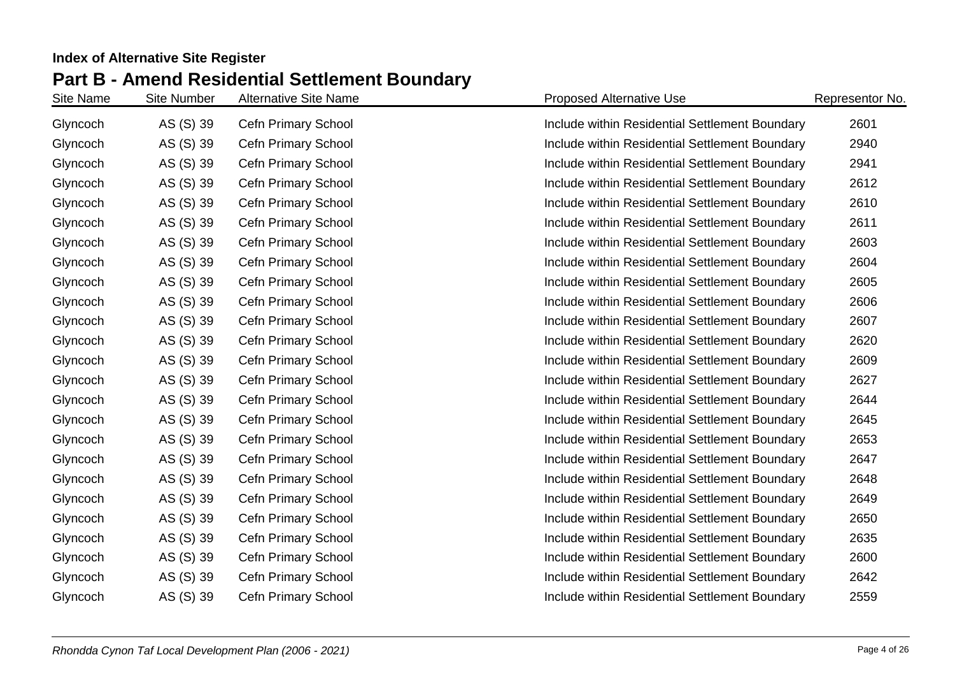| Site Name | <b>Site Number</b> | <b>Alternative Site Name</b> | <b>Proposed Alternative Use</b>                | Representor No. |
|-----------|--------------------|------------------------------|------------------------------------------------|-----------------|
| Glyncoch  | AS (S) 39          | <b>Cefn Primary School</b>   | Include within Residential Settlement Boundary | 2601            |
| Glyncoch  | AS (S) 39          | <b>Cefn Primary School</b>   | Include within Residential Settlement Boundary | 2940            |
| Glyncoch  | AS (S) 39          | Cefn Primary School          | Include within Residential Settlement Boundary | 2941            |
| Glyncoch  | AS (S) 39          | Cefn Primary School          | Include within Residential Settlement Boundary | 2612            |
| Glyncoch  | AS (S) 39          | Cefn Primary School          | Include within Residential Settlement Boundary | 2610            |
| Glyncoch  | AS (S) 39          | <b>Cefn Primary School</b>   | Include within Residential Settlement Boundary | 2611            |
| Glyncoch  | AS (S) 39          | Cefn Primary School          | Include within Residential Settlement Boundary | 2603            |
| Glyncoch  | AS (S) 39          | Cefn Primary School          | Include within Residential Settlement Boundary | 2604            |
| Glyncoch  | AS (S) 39          | Cefn Primary School          | Include within Residential Settlement Boundary | 2605            |
| Glyncoch  | AS (S) 39          | Cefn Primary School          | Include within Residential Settlement Boundary | 2606            |
| Glyncoch  | AS (S) 39          | Cefn Primary School          | Include within Residential Settlement Boundary | 2607            |
| Glyncoch  | AS (S) 39          | Cefn Primary School          | Include within Residential Settlement Boundary | 2620            |
| Glyncoch  | AS (S) 39          | Cefn Primary School          | Include within Residential Settlement Boundary | 2609            |
| Glyncoch  | AS (S) 39          | Cefn Primary School          | Include within Residential Settlement Boundary | 2627            |
| Glyncoch  | AS (S) 39          | Cefn Primary School          | Include within Residential Settlement Boundary | 2644            |
| Glyncoch  | AS (S) 39          | Cefn Primary School          | Include within Residential Settlement Boundary | 2645            |
| Glyncoch  | AS (S) 39          | Cefn Primary School          | Include within Residential Settlement Boundary | 2653            |
| Glyncoch  | AS (S) 39          | Cefn Primary School          | Include within Residential Settlement Boundary | 2647            |
| Glyncoch  | AS (S) 39          | Cefn Primary School          | Include within Residential Settlement Boundary | 2648            |
| Glyncoch  | AS (S) 39          | Cefn Primary School          | Include within Residential Settlement Boundary | 2649            |
| Glyncoch  | AS (S) 39          | Cefn Primary School          | Include within Residential Settlement Boundary | 2650            |
| Glyncoch  | AS (S) 39          | Cefn Primary School          | Include within Residential Settlement Boundary | 2635            |
| Glyncoch  | AS (S) 39          | Cefn Primary School          | Include within Residential Settlement Boundary | 2600            |
| Glyncoch  | AS (S) 39          | Cefn Primary School          | Include within Residential Settlement Boundary | 2642            |
| Glyncoch  | AS (S) 39          | Cefn Primary School          | Include within Residential Settlement Boundary | 2559            |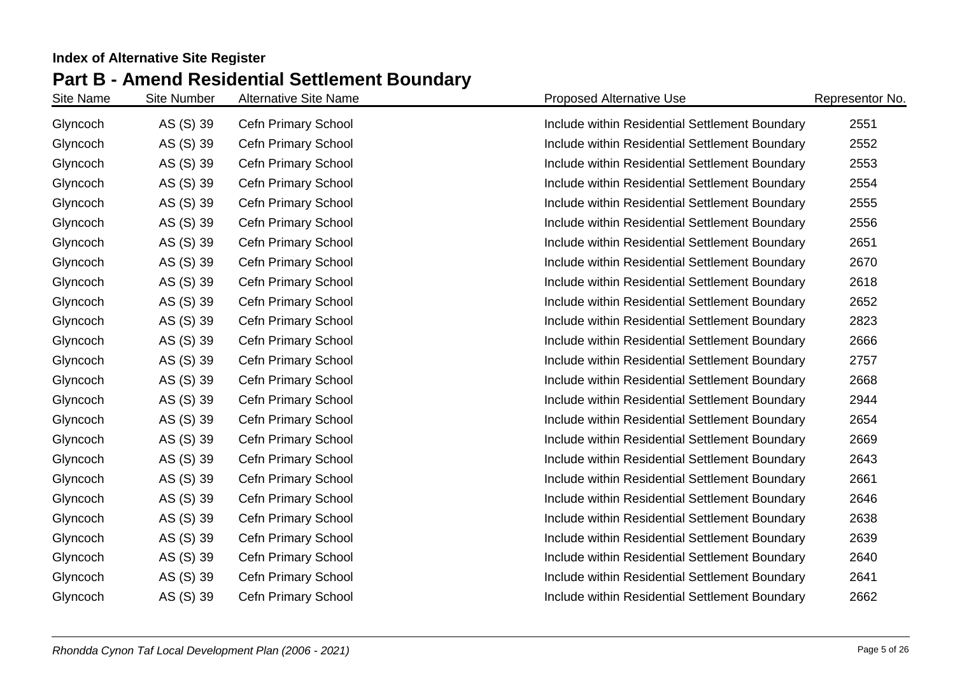| Site Name | <b>Site Number</b> | <b>Alternative Site Name</b> | <b>Proposed Alternative Use</b>                | Representor No. |
|-----------|--------------------|------------------------------|------------------------------------------------|-----------------|
| Glyncoch  | AS (S) 39          | Cefn Primary School          | Include within Residential Settlement Boundary | 2551            |
| Glyncoch  | AS (S) 39          | <b>Cefn Primary School</b>   | Include within Residential Settlement Boundary | 2552            |
| Glyncoch  | AS (S) 39          | Cefn Primary School          | Include within Residential Settlement Boundary | 2553            |
| Glyncoch  | AS (S) 39          | Cefn Primary School          | Include within Residential Settlement Boundary | 2554            |
| Glyncoch  | AS (S) 39          | Cefn Primary School          | Include within Residential Settlement Boundary | 2555            |
| Glyncoch  | AS (S) 39          | Cefn Primary School          | Include within Residential Settlement Boundary | 2556            |
| Glyncoch  | AS (S) 39          | Cefn Primary School          | Include within Residential Settlement Boundary | 2651            |
| Glyncoch  | AS (S) 39          | Cefn Primary School          | Include within Residential Settlement Boundary | 2670            |
| Glyncoch  | AS (S) 39          | Cefn Primary School          | Include within Residential Settlement Boundary | 2618            |
| Glyncoch  | AS (S) 39          | Cefn Primary School          | Include within Residential Settlement Boundary | 2652            |
| Glyncoch  | AS (S) 39          | Cefn Primary School          | Include within Residential Settlement Boundary | 2823            |
| Glyncoch  | AS (S) 39          | Cefn Primary School          | Include within Residential Settlement Boundary | 2666            |
| Glyncoch  | AS (S) 39          | Cefn Primary School          | Include within Residential Settlement Boundary | 2757            |
| Glyncoch  | AS (S) 39          | Cefn Primary School          | Include within Residential Settlement Boundary | 2668            |
| Glyncoch  | AS (S) 39          | Cefn Primary School          | Include within Residential Settlement Boundary | 2944            |
| Glyncoch  | AS (S) 39          | Cefn Primary School          | Include within Residential Settlement Boundary | 2654            |
| Glyncoch  | AS (S) 39          | Cefn Primary School          | Include within Residential Settlement Boundary | 2669            |
| Glyncoch  | AS (S) 39          | Cefn Primary School          | Include within Residential Settlement Boundary | 2643            |
| Glyncoch  | AS (S) 39          | Cefn Primary School          | Include within Residential Settlement Boundary | 2661            |
| Glyncoch  | AS (S) 39          | Cefn Primary School          | Include within Residential Settlement Boundary | 2646            |
| Glyncoch  | AS (S) 39          | Cefn Primary School          | Include within Residential Settlement Boundary | 2638            |
| Glyncoch  | AS (S) 39          | Cefn Primary School          | Include within Residential Settlement Boundary | 2639            |
| Glyncoch  | AS (S) 39          | Cefn Primary School          | Include within Residential Settlement Boundary | 2640            |
| Glyncoch  | AS (S) 39          | Cefn Primary School          | Include within Residential Settlement Boundary | 2641            |
| Glyncoch  | AS (S) 39          | Cefn Primary School          | Include within Residential Settlement Boundary | 2662            |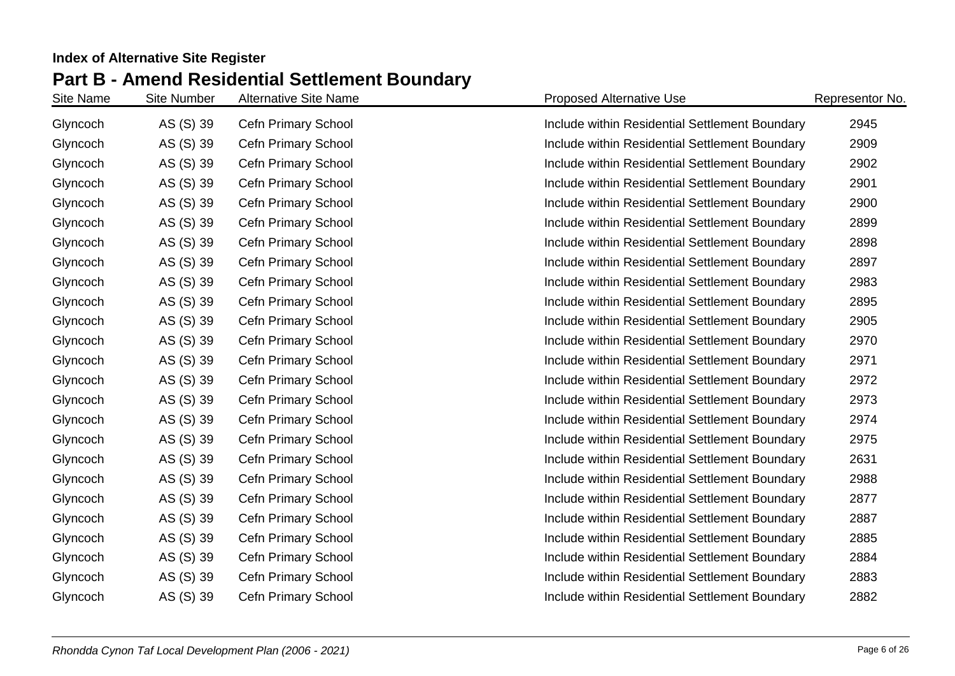| Site Name | <b>Site Number</b> | <b>Alternative Site Name</b> | <b>Proposed Alternative Use</b>                | Representor No. |
|-----------|--------------------|------------------------------|------------------------------------------------|-----------------|
| Glyncoch  | AS (S) 39          | Cefn Primary School          | Include within Residential Settlement Boundary | 2945            |
| Glyncoch  | AS (S) 39          | Cefn Primary School          | Include within Residential Settlement Boundary | 2909            |
| Glyncoch  | AS (S) 39          | Cefn Primary School          | Include within Residential Settlement Boundary | 2902            |
| Glyncoch  | AS (S) 39          | Cefn Primary School          | Include within Residential Settlement Boundary | 2901            |
| Glyncoch  | AS (S) 39          | Cefn Primary School          | Include within Residential Settlement Boundary | 2900            |
| Glyncoch  | AS (S) 39          | Cefn Primary School          | Include within Residential Settlement Boundary | 2899            |
| Glyncoch  | AS (S) 39          | Cefn Primary School          | Include within Residential Settlement Boundary | 2898            |
| Glyncoch  | AS (S) 39          | Cefn Primary School          | Include within Residential Settlement Boundary | 2897            |
| Glyncoch  | AS (S) 39          | Cefn Primary School          | Include within Residential Settlement Boundary | 2983            |
| Glyncoch  | AS (S) 39          | Cefn Primary School          | Include within Residential Settlement Boundary | 2895            |
| Glyncoch  | AS (S) 39          | Cefn Primary School          | Include within Residential Settlement Boundary | 2905            |
| Glyncoch  | AS (S) 39          | Cefn Primary School          | Include within Residential Settlement Boundary | 2970            |
| Glyncoch  | AS (S) 39          | Cefn Primary School          | Include within Residential Settlement Boundary | 2971            |
| Glyncoch  | AS (S) 39          | Cefn Primary School          | Include within Residential Settlement Boundary | 2972            |
| Glyncoch  | AS (S) 39          | Cefn Primary School          | Include within Residential Settlement Boundary | 2973            |
| Glyncoch  | AS (S) 39          | Cefn Primary School          | Include within Residential Settlement Boundary | 2974            |
| Glyncoch  | AS (S) 39          | Cefn Primary School          | Include within Residential Settlement Boundary | 2975            |
| Glyncoch  | AS (S) 39          | Cefn Primary School          | Include within Residential Settlement Boundary | 2631            |
| Glyncoch  | AS (S) 39          | Cefn Primary School          | Include within Residential Settlement Boundary | 2988            |
| Glyncoch  | AS (S) 39          | Cefn Primary School          | Include within Residential Settlement Boundary | 2877            |
| Glyncoch  | AS (S) 39          | Cefn Primary School          | Include within Residential Settlement Boundary | 2887            |
| Glyncoch  | AS (S) 39          | Cefn Primary School          | Include within Residential Settlement Boundary | 2885            |
| Glyncoch  | AS (S) 39          | Cefn Primary School          | Include within Residential Settlement Boundary | 2884            |
| Glyncoch  | AS (S) 39          | Cefn Primary School          | Include within Residential Settlement Boundary | 2883            |
| Glyncoch  | AS (S) 39          | Cefn Primary School          | Include within Residential Settlement Boundary | 2882            |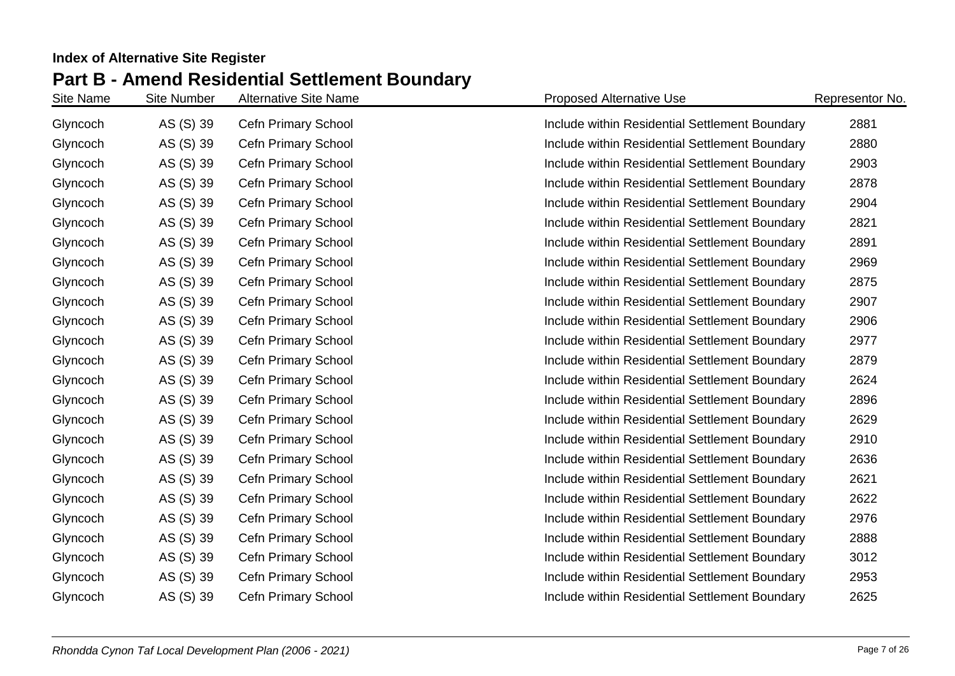| Site Name | <b>Site Number</b> | <b>Alternative Site Name</b> | <b>Proposed Alternative Use</b>                | Representor No. |
|-----------|--------------------|------------------------------|------------------------------------------------|-----------------|
| Glyncoch  | AS (S) 39          | <b>Cefn Primary School</b>   | Include within Residential Settlement Boundary | 2881            |
| Glyncoch  | AS (S) 39          | <b>Cefn Primary School</b>   | Include within Residential Settlement Boundary | 2880            |
| Glyncoch  | AS (S) 39          | Cefn Primary School          | Include within Residential Settlement Boundary | 2903            |
| Glyncoch  | AS (S) 39          | Cefn Primary School          | Include within Residential Settlement Boundary | 2878            |
| Glyncoch  | AS (S) 39          | <b>Cefn Primary School</b>   | Include within Residential Settlement Boundary | 2904            |
| Glyncoch  | AS (S) 39          | <b>Cefn Primary School</b>   | Include within Residential Settlement Boundary | 2821            |
| Glyncoch  | AS (S) 39          | Cefn Primary School          | Include within Residential Settlement Boundary | 2891            |
| Glyncoch  | AS (S) 39          | Cefn Primary School          | Include within Residential Settlement Boundary | 2969            |
| Glyncoch  | AS (S) 39          | Cefn Primary School          | Include within Residential Settlement Boundary | 2875            |
| Glyncoch  | AS (S) 39          | Cefn Primary School          | Include within Residential Settlement Boundary | 2907            |
| Glyncoch  | AS (S) 39          | Cefn Primary School          | Include within Residential Settlement Boundary | 2906            |
| Glyncoch  | AS (S) 39          | Cefn Primary School          | Include within Residential Settlement Boundary | 2977            |
| Glyncoch  | AS (S) 39          | Cefn Primary School          | Include within Residential Settlement Boundary | 2879            |
| Glyncoch  | AS (S) 39          | Cefn Primary School          | Include within Residential Settlement Boundary | 2624            |
| Glyncoch  | AS (S) 39          | Cefn Primary School          | Include within Residential Settlement Boundary | 2896            |
| Glyncoch  | AS (S) 39          | Cefn Primary School          | Include within Residential Settlement Boundary | 2629            |
| Glyncoch  | AS (S) 39          | Cefn Primary School          | Include within Residential Settlement Boundary | 2910            |
| Glyncoch  | AS (S) 39          | Cefn Primary School          | Include within Residential Settlement Boundary | 2636            |
| Glyncoch  | AS (S) 39          | Cefn Primary School          | Include within Residential Settlement Boundary | 2621            |
| Glyncoch  | AS (S) 39          | <b>Cefn Primary School</b>   | Include within Residential Settlement Boundary | 2622            |
| Glyncoch  | AS (S) 39          | Cefn Primary School          | Include within Residential Settlement Boundary | 2976            |
| Glyncoch  | AS (S) 39          | Cefn Primary School          | Include within Residential Settlement Boundary | 2888            |
| Glyncoch  | AS (S) 39          | Cefn Primary School          | Include within Residential Settlement Boundary | 3012            |
| Glyncoch  | AS (S) 39          | Cefn Primary School          | Include within Residential Settlement Boundary | 2953            |
| Glyncoch  | AS (S) 39          | Cefn Primary School          | Include within Residential Settlement Boundary | 2625            |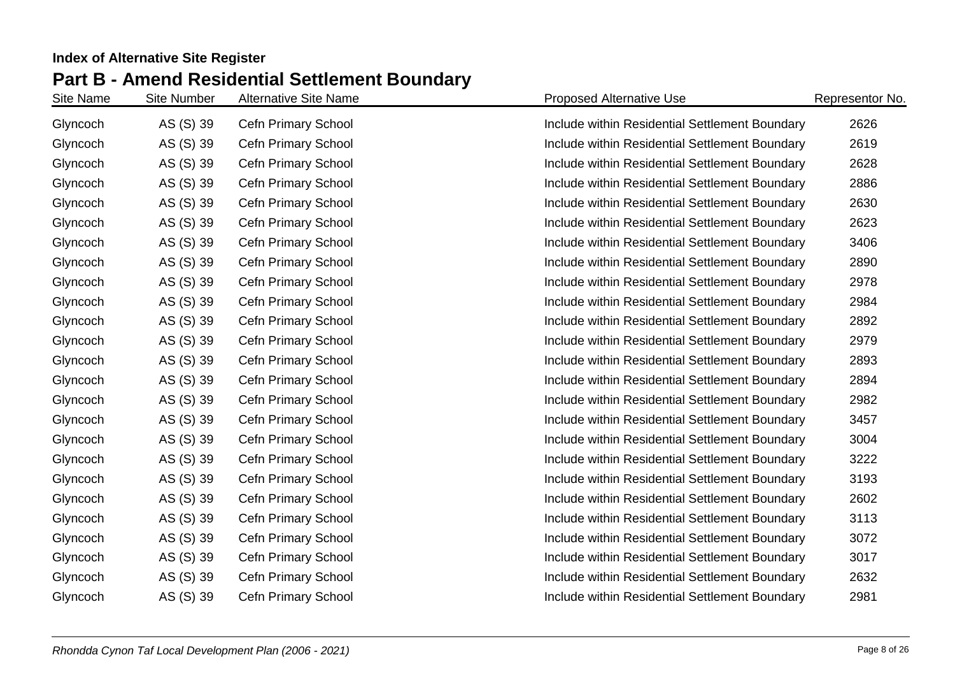| Site Name | <b>Site Number</b> | <b>Alternative Site Name</b> | <b>Proposed Alternative Use</b>                | Representor No. |
|-----------|--------------------|------------------------------|------------------------------------------------|-----------------|
| Glyncoch  | AS (S) 39          | <b>Cefn Primary School</b>   | Include within Residential Settlement Boundary | 2626            |
| Glyncoch  | AS (S) 39          | <b>Cefn Primary School</b>   | Include within Residential Settlement Boundary | 2619            |
| Glyncoch  | AS (S) 39          | Cefn Primary School          | Include within Residential Settlement Boundary | 2628            |
| Glyncoch  | AS (S) 39          | Cefn Primary School          | Include within Residential Settlement Boundary | 2886            |
| Glyncoch  | AS (S) 39          | <b>Cefn Primary School</b>   | Include within Residential Settlement Boundary | 2630            |
| Glyncoch  | AS (S) 39          | <b>Cefn Primary School</b>   | Include within Residential Settlement Boundary | 2623            |
| Glyncoch  | AS (S) 39          | Cefn Primary School          | Include within Residential Settlement Boundary | 3406            |
| Glyncoch  | AS (S) 39          | Cefn Primary School          | Include within Residential Settlement Boundary | 2890            |
| Glyncoch  | AS (S) 39          | Cefn Primary School          | Include within Residential Settlement Boundary | 2978            |
| Glyncoch  | AS (S) 39          | Cefn Primary School          | Include within Residential Settlement Boundary | 2984            |
| Glyncoch  | AS (S) 39          | Cefn Primary School          | Include within Residential Settlement Boundary | 2892            |
| Glyncoch  | AS (S) 39          | Cefn Primary School          | Include within Residential Settlement Boundary | 2979            |
| Glyncoch  | AS (S) 39          | Cefn Primary School          | Include within Residential Settlement Boundary | 2893            |
| Glyncoch  | AS (S) 39          | Cefn Primary School          | Include within Residential Settlement Boundary | 2894            |
| Glyncoch  | AS (S) 39          | Cefn Primary School          | Include within Residential Settlement Boundary | 2982            |
| Glyncoch  | AS (S) 39          | Cefn Primary School          | Include within Residential Settlement Boundary | 3457            |
| Glyncoch  | AS (S) 39          | Cefn Primary School          | Include within Residential Settlement Boundary | 3004            |
| Glyncoch  | AS (S) 39          | Cefn Primary School          | Include within Residential Settlement Boundary | 3222            |
| Glyncoch  | AS (S) 39          | Cefn Primary School          | Include within Residential Settlement Boundary | 3193            |
| Glyncoch  | AS (S) 39          | <b>Cefn Primary School</b>   | Include within Residential Settlement Boundary | 2602            |
| Glyncoch  | AS (S) 39          | Cefn Primary School          | Include within Residential Settlement Boundary | 3113            |
| Glyncoch  | AS (S) 39          | Cefn Primary School          | Include within Residential Settlement Boundary | 3072            |
| Glyncoch  | AS (S) 39          | Cefn Primary School          | Include within Residential Settlement Boundary | 3017            |
| Glyncoch  | AS (S) 39          | Cefn Primary School          | Include within Residential Settlement Boundary | 2632            |
| Glyncoch  | AS (S) 39          | Cefn Primary School          | Include within Residential Settlement Boundary | 2981            |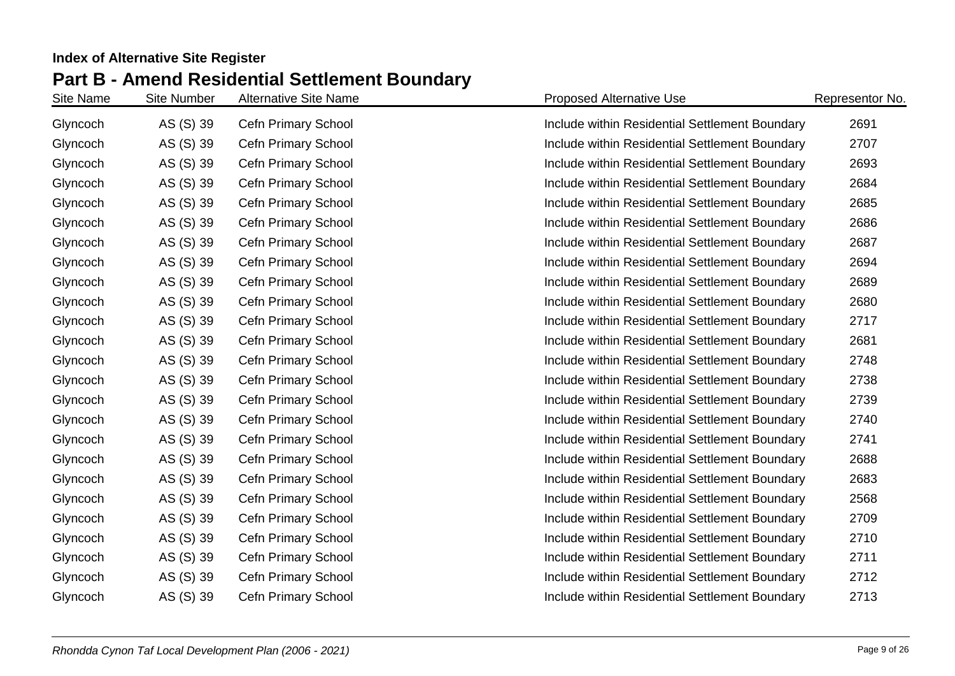| Site Name | <b>Site Number</b> | <b>Alternative Site Name</b> | <b>Proposed Alternative Use</b>                | Representor No. |
|-----------|--------------------|------------------------------|------------------------------------------------|-----------------|
| Glyncoch  | AS (S) 39          | <b>Cefn Primary School</b>   | Include within Residential Settlement Boundary | 2691            |
| Glyncoch  | AS (S) 39          | <b>Cefn Primary School</b>   | Include within Residential Settlement Boundary | 2707            |
| Glyncoch  | AS (S) 39          | Cefn Primary School          | Include within Residential Settlement Boundary | 2693            |
| Glyncoch  | AS (S) 39          | Cefn Primary School          | Include within Residential Settlement Boundary | 2684            |
| Glyncoch  | AS (S) 39          | <b>Cefn Primary School</b>   | Include within Residential Settlement Boundary | 2685            |
| Glyncoch  | AS (S) 39          | <b>Cefn Primary School</b>   | Include within Residential Settlement Boundary | 2686            |
| Glyncoch  | AS (S) 39          | Cefn Primary School          | Include within Residential Settlement Boundary | 2687            |
| Glyncoch  | AS (S) 39          | Cefn Primary School          | Include within Residential Settlement Boundary | 2694            |
| Glyncoch  | AS (S) 39          | Cefn Primary School          | Include within Residential Settlement Boundary | 2689            |
| Glyncoch  | AS (S) 39          | Cefn Primary School          | Include within Residential Settlement Boundary | 2680            |
| Glyncoch  | AS (S) 39          | Cefn Primary School          | Include within Residential Settlement Boundary | 2717            |
| Glyncoch  | AS (S) 39          | Cefn Primary School          | Include within Residential Settlement Boundary | 2681            |
| Glyncoch  | AS (S) 39          | Cefn Primary School          | Include within Residential Settlement Boundary | 2748            |
| Glyncoch  | AS (S) 39          | Cefn Primary School          | Include within Residential Settlement Boundary | 2738            |
| Glyncoch  | AS (S) 39          | Cefn Primary School          | Include within Residential Settlement Boundary | 2739            |
| Glyncoch  | AS (S) 39          | Cefn Primary School          | Include within Residential Settlement Boundary | 2740            |
| Glyncoch  | AS (S) 39          | Cefn Primary School          | Include within Residential Settlement Boundary | 2741            |
| Glyncoch  | AS (S) 39          | Cefn Primary School          | Include within Residential Settlement Boundary | 2688            |
| Glyncoch  | AS (S) 39          | Cefn Primary School          | Include within Residential Settlement Boundary | 2683            |
| Glyncoch  | AS (S) 39          | <b>Cefn Primary School</b>   | Include within Residential Settlement Boundary | 2568            |
| Glyncoch  | AS (S) 39          | Cefn Primary School          | Include within Residential Settlement Boundary | 2709            |
| Glyncoch  | AS (S) 39          | Cefn Primary School          | Include within Residential Settlement Boundary | 2710            |
| Glyncoch  | AS (S) 39          | Cefn Primary School          | Include within Residential Settlement Boundary | 2711            |
| Glyncoch  | AS (S) 39          | Cefn Primary School          | Include within Residential Settlement Boundary | 2712            |
| Glyncoch  | AS (S) 39          | Cefn Primary School          | Include within Residential Settlement Boundary | 2713            |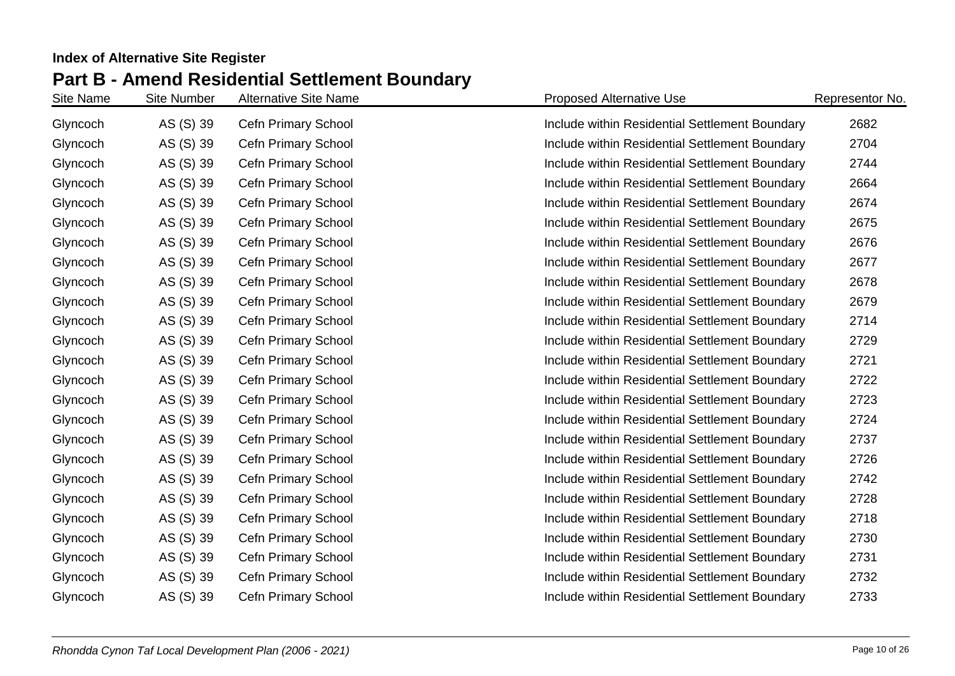| Site Name | <b>Site Number</b> | <b>Alternative Site Name</b> | <b>Proposed Alternative Use</b>                | Representor No. |
|-----------|--------------------|------------------------------|------------------------------------------------|-----------------|
| Glyncoch  | AS (S) 39          | <b>Cefn Primary School</b>   | Include within Residential Settlement Boundary | 2682            |
| Glyncoch  | AS (S) 39          | <b>Cefn Primary School</b>   | Include within Residential Settlement Boundary | 2704            |
| Glyncoch  | AS (S) 39          | Cefn Primary School          | Include within Residential Settlement Boundary | 2744            |
| Glyncoch  | AS (S) 39          | Cefn Primary School          | Include within Residential Settlement Boundary | 2664            |
| Glyncoch  | AS (S) 39          | <b>Cefn Primary School</b>   | Include within Residential Settlement Boundary | 2674            |
| Glyncoch  | AS (S) 39          | <b>Cefn Primary School</b>   | Include within Residential Settlement Boundary | 2675            |
| Glyncoch  | AS (S) 39          | Cefn Primary School          | Include within Residential Settlement Boundary | 2676            |
| Glyncoch  | AS (S) 39          | Cefn Primary School          | Include within Residential Settlement Boundary | 2677            |
| Glyncoch  | AS (S) 39          | Cefn Primary School          | Include within Residential Settlement Boundary | 2678            |
| Glyncoch  | AS (S) 39          | Cefn Primary School          | Include within Residential Settlement Boundary | 2679            |
| Glyncoch  | AS (S) 39          | Cefn Primary School          | Include within Residential Settlement Boundary | 2714            |
| Glyncoch  | AS (S) 39          | Cefn Primary School          | Include within Residential Settlement Boundary | 2729            |
| Glyncoch  | AS (S) 39          | Cefn Primary School          | Include within Residential Settlement Boundary | 2721            |
| Glyncoch  | AS (S) 39          | Cefn Primary School          | Include within Residential Settlement Boundary | 2722            |
| Glyncoch  | AS (S) 39          | Cefn Primary School          | Include within Residential Settlement Boundary | 2723            |
| Glyncoch  | AS (S) 39          | Cefn Primary School          | Include within Residential Settlement Boundary | 2724            |
| Glyncoch  | AS (S) 39          | Cefn Primary School          | Include within Residential Settlement Boundary | 2737            |
| Glyncoch  | AS (S) 39          | Cefn Primary School          | Include within Residential Settlement Boundary | 2726            |
| Glyncoch  | AS (S) 39          | Cefn Primary School          | Include within Residential Settlement Boundary | 2742            |
| Glyncoch  | AS (S) 39          | <b>Cefn Primary School</b>   | Include within Residential Settlement Boundary | 2728            |
| Glyncoch  | AS (S) 39          | Cefn Primary School          | Include within Residential Settlement Boundary | 2718            |
| Glyncoch  | AS (S) 39          | Cefn Primary School          | Include within Residential Settlement Boundary | 2730            |
| Glyncoch  | AS (S) 39          | Cefn Primary School          | Include within Residential Settlement Boundary | 2731            |
| Glyncoch  | AS (S) 39          | Cefn Primary School          | Include within Residential Settlement Boundary | 2732            |
| Glyncoch  | AS (S) 39          | Cefn Primary School          | Include within Residential Settlement Boundary | 2733            |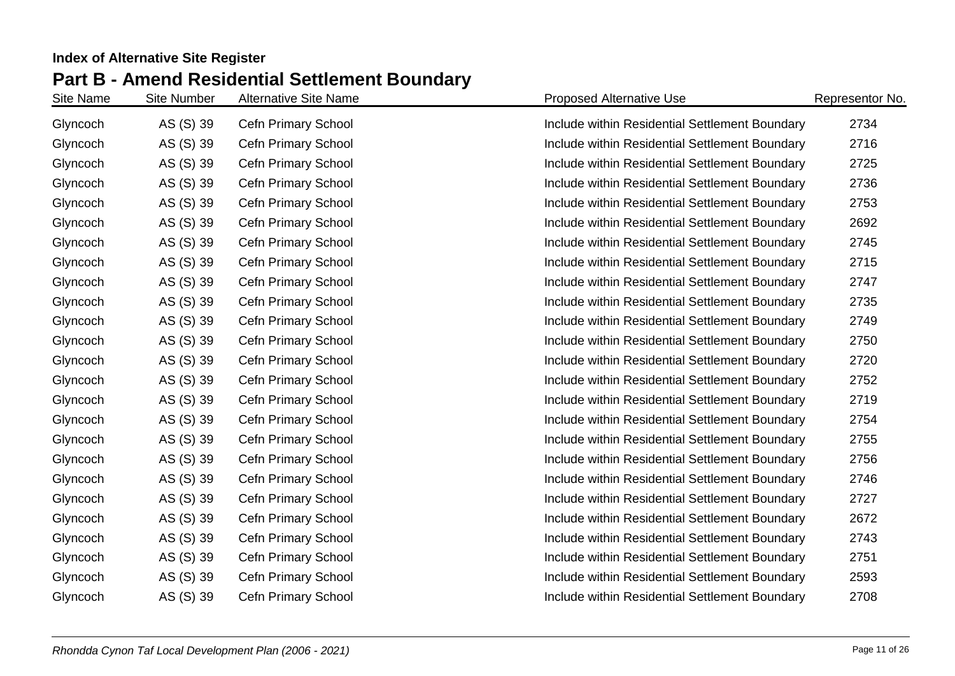| Site Name | <b>Site Number</b> | <b>Alternative Site Name</b> | <b>Proposed Alternative Use</b>                | Representor No. |
|-----------|--------------------|------------------------------|------------------------------------------------|-----------------|
| Glyncoch  | AS (S) 39          | <b>Cefn Primary School</b>   | Include within Residential Settlement Boundary | 2734            |
| Glyncoch  | AS (S) 39          | <b>Cefn Primary School</b>   | Include within Residential Settlement Boundary | 2716            |
| Glyncoch  | AS (S) 39          | Cefn Primary School          | Include within Residential Settlement Boundary | 2725            |
| Glyncoch  | AS (S) 39          | Cefn Primary School          | Include within Residential Settlement Boundary | 2736            |
| Glyncoch  | AS (S) 39          | Cefn Primary School          | Include within Residential Settlement Boundary | 2753            |
| Glyncoch  | AS (S) 39          | Cefn Primary School          | Include within Residential Settlement Boundary | 2692            |
| Glyncoch  | AS (S) 39          | Cefn Primary School          | Include within Residential Settlement Boundary | 2745            |
| Glyncoch  | AS (S) 39          | Cefn Primary School          | Include within Residential Settlement Boundary | 2715            |
| Glyncoch  | AS (S) 39          | Cefn Primary School          | Include within Residential Settlement Boundary | 2747            |
| Glyncoch  | AS (S) 39          | Cefn Primary School          | Include within Residential Settlement Boundary | 2735            |
| Glyncoch  | AS (S) 39          | Cefn Primary School          | Include within Residential Settlement Boundary | 2749            |
| Glyncoch  | AS (S) 39          | Cefn Primary School          | Include within Residential Settlement Boundary | 2750            |
| Glyncoch  | AS (S) 39          | Cefn Primary School          | Include within Residential Settlement Boundary | 2720            |
| Glyncoch  | AS (S) 39          | Cefn Primary School          | Include within Residential Settlement Boundary | 2752            |
| Glyncoch  | AS (S) 39          | Cefn Primary School          | Include within Residential Settlement Boundary | 2719            |
| Glyncoch  | AS (S) 39          | Cefn Primary School          | Include within Residential Settlement Boundary | 2754            |
| Glyncoch  | AS (S) 39          | Cefn Primary School          | Include within Residential Settlement Boundary | 2755            |
| Glyncoch  | AS (S) 39          | Cefn Primary School          | Include within Residential Settlement Boundary | 2756            |
| Glyncoch  | AS (S) 39          | Cefn Primary School          | Include within Residential Settlement Boundary | 2746            |
| Glyncoch  | AS (S) 39          | <b>Cefn Primary School</b>   | Include within Residential Settlement Boundary | 2727            |
| Glyncoch  | AS (S) 39          | Cefn Primary School          | Include within Residential Settlement Boundary | 2672            |
| Glyncoch  | AS (S) 39          | Cefn Primary School          | Include within Residential Settlement Boundary | 2743            |
| Glyncoch  | AS (S) 39          | Cefn Primary School          | Include within Residential Settlement Boundary | 2751            |
| Glyncoch  | AS (S) 39          | Cefn Primary School          | Include within Residential Settlement Boundary | 2593            |
| Glyncoch  | AS (S) 39          | Cefn Primary School          | Include within Residential Settlement Boundary | 2708            |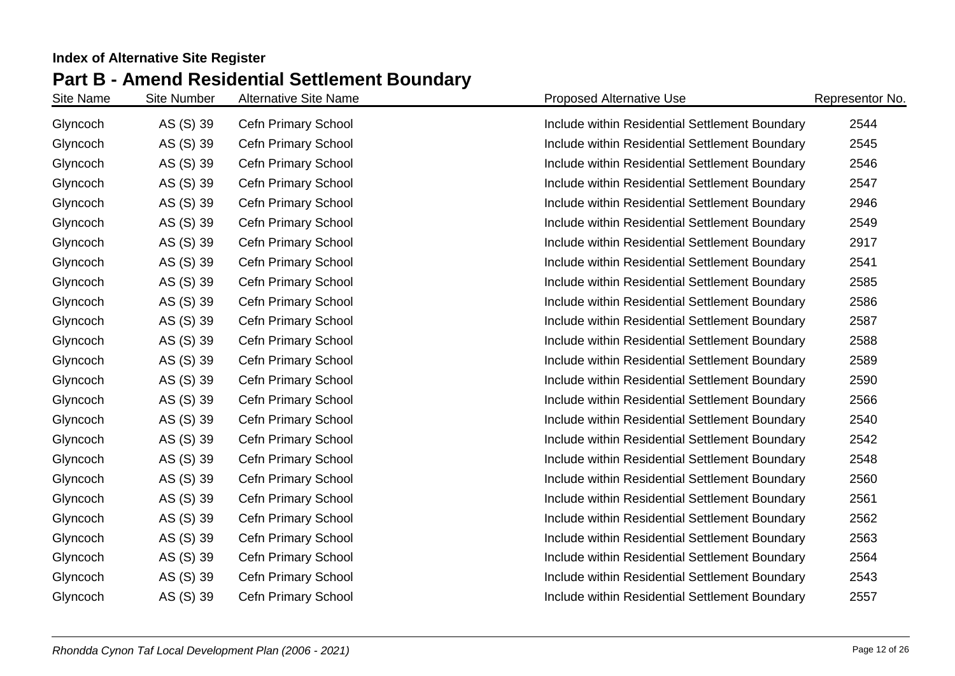| Site Name | <b>Site Number</b> | <b>Alternative Site Name</b> | <b>Proposed Alternative Use</b>                | Representor No. |
|-----------|--------------------|------------------------------|------------------------------------------------|-----------------|
| Glyncoch  | AS (S) 39          | <b>Cefn Primary School</b>   | Include within Residential Settlement Boundary | 2544            |
| Glyncoch  | AS (S) 39          | <b>Cefn Primary School</b>   | Include within Residential Settlement Boundary | 2545            |
| Glyncoch  | AS (S) 39          | Cefn Primary School          | Include within Residential Settlement Boundary | 2546            |
| Glyncoch  | AS (S) 39          | Cefn Primary School          | Include within Residential Settlement Boundary | 2547            |
| Glyncoch  | AS (S) 39          | Cefn Primary School          | Include within Residential Settlement Boundary | 2946            |
| Glyncoch  | AS (S) 39          | Cefn Primary School          | Include within Residential Settlement Boundary | 2549            |
| Glyncoch  | AS (S) 39          | Cefn Primary School          | Include within Residential Settlement Boundary | 2917            |
| Glyncoch  | AS (S) 39          | Cefn Primary School          | Include within Residential Settlement Boundary | 2541            |
| Glyncoch  | AS (S) 39          | Cefn Primary School          | Include within Residential Settlement Boundary | 2585            |
| Glyncoch  | AS (S) 39          | Cefn Primary School          | Include within Residential Settlement Boundary | 2586            |
| Glyncoch  | AS (S) 39          | Cefn Primary School          | Include within Residential Settlement Boundary | 2587            |
| Glyncoch  | AS (S) 39          | Cefn Primary School          | Include within Residential Settlement Boundary | 2588            |
| Glyncoch  | AS (S) 39          | Cefn Primary School          | Include within Residential Settlement Boundary | 2589            |
| Glyncoch  | AS (S) 39          | Cefn Primary School          | Include within Residential Settlement Boundary | 2590            |
| Glyncoch  | AS (S) 39          | Cefn Primary School          | Include within Residential Settlement Boundary | 2566            |
| Glyncoch  | AS (S) 39          | Cefn Primary School          | Include within Residential Settlement Boundary | 2540            |
| Glyncoch  | AS (S) 39          | Cefn Primary School          | Include within Residential Settlement Boundary | 2542            |
| Glyncoch  | AS (S) 39          | Cefn Primary School          | Include within Residential Settlement Boundary | 2548            |
| Glyncoch  | AS (S) 39          | Cefn Primary School          | Include within Residential Settlement Boundary | 2560            |
| Glyncoch  | AS (S) 39          | Cefn Primary School          | Include within Residential Settlement Boundary | 2561            |
| Glyncoch  | AS (S) 39          | Cefn Primary School          | Include within Residential Settlement Boundary | 2562            |
| Glyncoch  | AS (S) 39          | Cefn Primary School          | Include within Residential Settlement Boundary | 2563            |
| Glyncoch  | AS (S) 39          | Cefn Primary School          | Include within Residential Settlement Boundary | 2564            |
| Glyncoch  | AS (S) 39          | Cefn Primary School          | Include within Residential Settlement Boundary | 2543            |
| Glyncoch  | AS (S) 39          | Cefn Primary School          | Include within Residential Settlement Boundary | 2557            |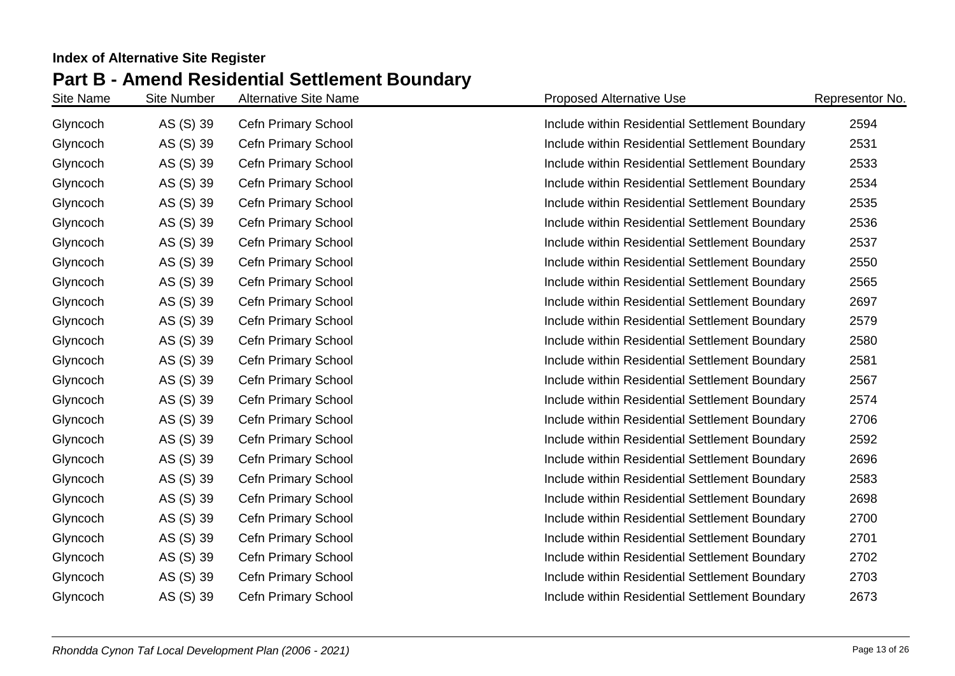| Site Name | <b>Site Number</b> | <b>Alternative Site Name</b> | <b>Proposed Alternative Use</b>                | Representor No. |
|-----------|--------------------|------------------------------|------------------------------------------------|-----------------|
| Glyncoch  | AS (S) 39          | Cefn Primary School          | Include within Residential Settlement Boundary | 2594            |
| Glyncoch  | AS (S) 39          | Cefn Primary School          | Include within Residential Settlement Boundary | 2531            |
| Glyncoch  | AS (S) 39          | Cefn Primary School          | Include within Residential Settlement Boundary | 2533            |
| Glyncoch  | AS (S) 39          | Cefn Primary School          | Include within Residential Settlement Boundary | 2534            |
| Glyncoch  | AS (S) 39          | Cefn Primary School          | Include within Residential Settlement Boundary | 2535            |
| Glyncoch  | AS (S) 39          | Cefn Primary School          | Include within Residential Settlement Boundary | 2536            |
| Glyncoch  | AS (S) 39          | Cefn Primary School          | Include within Residential Settlement Boundary | 2537            |
| Glyncoch  | AS (S) 39          | Cefn Primary School          | Include within Residential Settlement Boundary | 2550            |
| Glyncoch  | AS (S) 39          | Cefn Primary School          | Include within Residential Settlement Boundary | 2565            |
| Glyncoch  | AS (S) 39          | Cefn Primary School          | Include within Residential Settlement Boundary | 2697            |
| Glyncoch  | AS (S) 39          | Cefn Primary School          | Include within Residential Settlement Boundary | 2579            |
| Glyncoch  | AS (S) 39          | Cefn Primary School          | Include within Residential Settlement Boundary | 2580            |
| Glyncoch  | AS (S) 39          | Cefn Primary School          | Include within Residential Settlement Boundary | 2581            |
| Glyncoch  | AS (S) 39          | Cefn Primary School          | Include within Residential Settlement Boundary | 2567            |
| Glyncoch  | AS (S) 39          | Cefn Primary School          | Include within Residential Settlement Boundary | 2574            |
| Glyncoch  | AS (S) 39          | Cefn Primary School          | Include within Residential Settlement Boundary | 2706            |
| Glyncoch  | AS (S) 39          | Cefn Primary School          | Include within Residential Settlement Boundary | 2592            |
| Glyncoch  | AS (S) 39          | Cefn Primary School          | Include within Residential Settlement Boundary | 2696            |
| Glyncoch  | AS (S) 39          | Cefn Primary School          | Include within Residential Settlement Boundary | 2583            |
| Glyncoch  | AS (S) 39          | Cefn Primary School          | Include within Residential Settlement Boundary | 2698            |
| Glyncoch  | AS (S) 39          | Cefn Primary School          | Include within Residential Settlement Boundary | 2700            |
| Glyncoch  | AS (S) 39          | Cefn Primary School          | Include within Residential Settlement Boundary | 2701            |
| Glyncoch  | AS (S) 39          | Cefn Primary School          | Include within Residential Settlement Boundary | 2702            |
| Glyncoch  | AS (S) 39          | Cefn Primary School          | Include within Residential Settlement Boundary | 2703            |
| Glyncoch  | AS (S) 39          | Cefn Primary School          | Include within Residential Settlement Boundary | 2673            |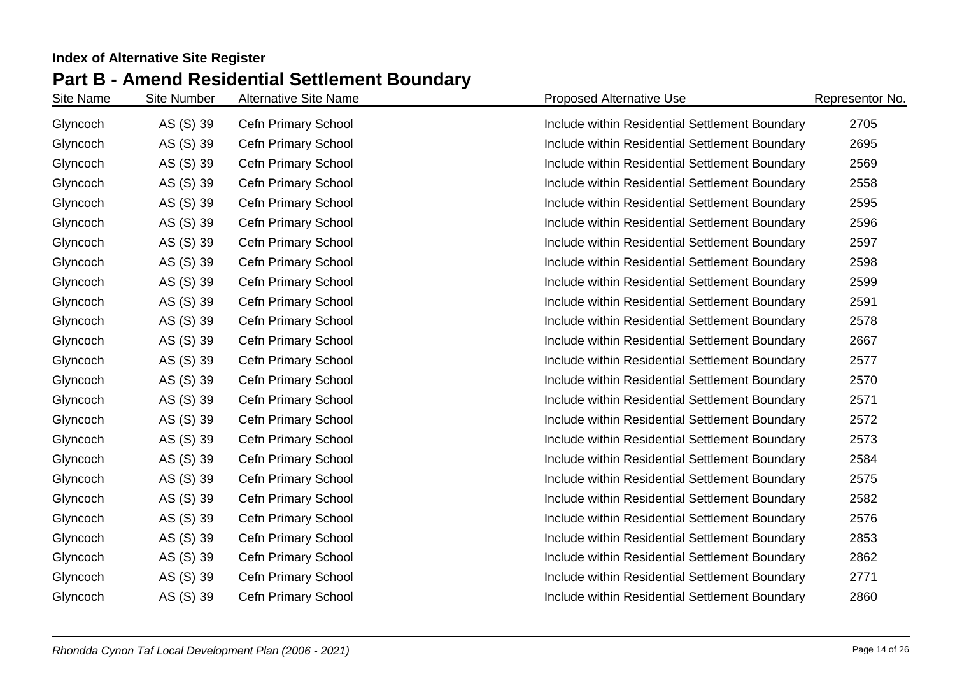| Site Name | <b>Site Number</b> | <b>Alternative Site Name</b> | <b>Proposed Alternative Use</b>                | Representor No. |
|-----------|--------------------|------------------------------|------------------------------------------------|-----------------|
| Glyncoch  | AS (S) 39          | <b>Cefn Primary School</b>   | Include within Residential Settlement Boundary | 2705            |
| Glyncoch  | AS (S) 39          | Cefn Primary School          | Include within Residential Settlement Boundary | 2695            |
| Glyncoch  | AS (S) 39          | Cefn Primary School          | Include within Residential Settlement Boundary | 2569            |
| Glyncoch  | AS (S) 39          | Cefn Primary School          | Include within Residential Settlement Boundary | 2558            |
| Glyncoch  | AS (S) 39          | <b>Cefn Primary School</b>   | Include within Residential Settlement Boundary | 2595            |
| Glyncoch  | AS (S) 39          | Cefn Primary School          | Include within Residential Settlement Boundary | 2596            |
| Glyncoch  | AS (S) 39          | Cefn Primary School          | Include within Residential Settlement Boundary | 2597            |
| Glyncoch  | AS (S) 39          | Cefn Primary School          | Include within Residential Settlement Boundary | 2598            |
| Glyncoch  | AS (S) 39          | Cefn Primary School          | Include within Residential Settlement Boundary | 2599            |
| Glyncoch  | AS (S) 39          | Cefn Primary School          | Include within Residential Settlement Boundary | 2591            |
| Glyncoch  | AS (S) 39          | Cefn Primary School          | Include within Residential Settlement Boundary | 2578            |
| Glyncoch  | AS (S) 39          | <b>Cefn Primary School</b>   | Include within Residential Settlement Boundary | 2667            |
| Glyncoch  | AS (S) 39          | <b>Cefn Primary School</b>   | Include within Residential Settlement Boundary | 2577            |
| Glyncoch  | AS (S) 39          | Cefn Primary School          | Include within Residential Settlement Boundary | 2570            |
| Glyncoch  | AS (S) 39          | Cefn Primary School          | Include within Residential Settlement Boundary | 2571            |
| Glyncoch  | AS (S) 39          | Cefn Primary School          | Include within Residential Settlement Boundary | 2572            |
| Glyncoch  | AS (S) 39          | <b>Cefn Primary School</b>   | Include within Residential Settlement Boundary | 2573            |
| Glyncoch  | AS (S) 39          | Cefn Primary School          | Include within Residential Settlement Boundary | 2584            |
| Glyncoch  | AS (S) 39          | Cefn Primary School          | Include within Residential Settlement Boundary | 2575            |
| Glyncoch  | AS (S) 39          | Cefn Primary School          | Include within Residential Settlement Boundary | 2582            |
| Glyncoch  | AS (S) 39          | <b>Cefn Primary School</b>   | Include within Residential Settlement Boundary | 2576            |
| Glyncoch  | AS (S) 39          | Cefn Primary School          | Include within Residential Settlement Boundary | 2853            |
| Glyncoch  | AS (S) 39          | Cefn Primary School          | Include within Residential Settlement Boundary | 2862            |
| Glyncoch  | AS (S) 39          | Cefn Primary School          | Include within Residential Settlement Boundary | 2771            |
| Glyncoch  | AS (S) 39          | Cefn Primary School          | Include within Residential Settlement Boundary | 2860            |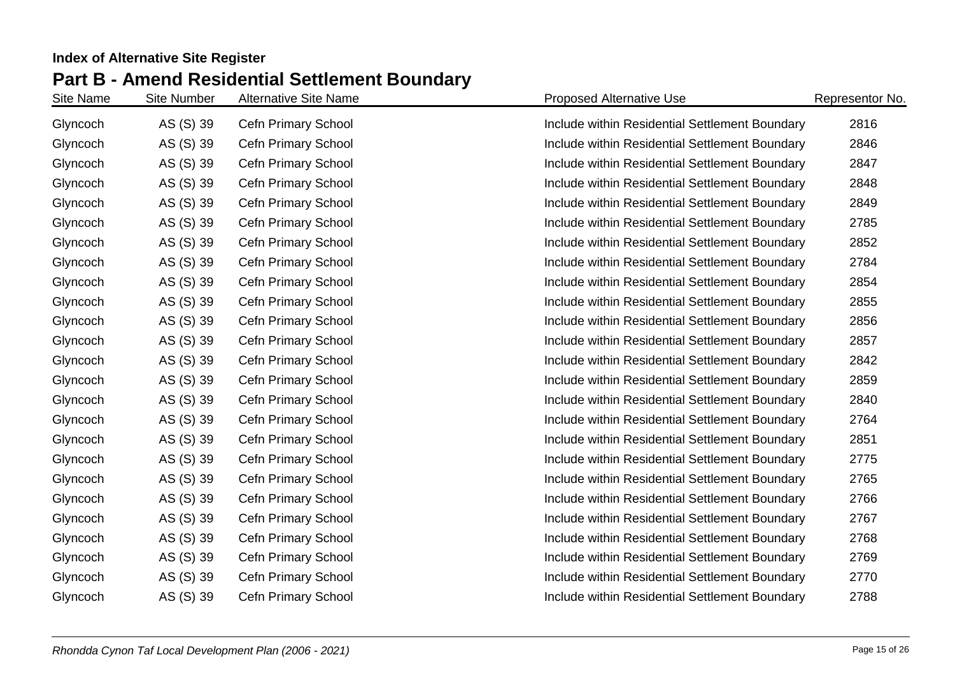| Site Name | <b>Site Number</b> | <b>Alternative Site Name</b> | <b>Proposed Alternative Use</b>                | Representor No. |
|-----------|--------------------|------------------------------|------------------------------------------------|-----------------|
| Glyncoch  | AS (S) 39          | Cefn Primary School          | Include within Residential Settlement Boundary | 2816            |
| Glyncoch  | AS (S) 39          | <b>Cefn Primary School</b>   | Include within Residential Settlement Boundary | 2846            |
| Glyncoch  | AS (S) 39          | Cefn Primary School          | Include within Residential Settlement Boundary | 2847            |
| Glyncoch  | AS (S) 39          | Cefn Primary School          | Include within Residential Settlement Boundary | 2848            |
| Glyncoch  | AS (S) 39          | Cefn Primary School          | Include within Residential Settlement Boundary | 2849            |
| Glyncoch  | AS (S) 39          | Cefn Primary School          | Include within Residential Settlement Boundary | 2785            |
| Glyncoch  | AS (S) 39          | Cefn Primary School          | Include within Residential Settlement Boundary | 2852            |
| Glyncoch  | AS (S) 39          | Cefn Primary School          | Include within Residential Settlement Boundary | 2784            |
| Glyncoch  | AS (S) 39          | Cefn Primary School          | Include within Residential Settlement Boundary | 2854            |
| Glyncoch  | AS (S) 39          | Cefn Primary School          | Include within Residential Settlement Boundary | 2855            |
| Glyncoch  | AS (S) 39          | Cefn Primary School          | Include within Residential Settlement Boundary | 2856            |
| Glyncoch  | AS (S) 39          | <b>Cefn Primary School</b>   | Include within Residential Settlement Boundary | 2857            |
| Glyncoch  | AS (S) 39          | <b>Cefn Primary School</b>   | Include within Residential Settlement Boundary | 2842            |
| Glyncoch  | AS (S) 39          | Cefn Primary School          | Include within Residential Settlement Boundary | 2859            |
| Glyncoch  | AS (S) 39          | Cefn Primary School          | Include within Residential Settlement Boundary | 2840            |
| Glyncoch  | AS (S) 39          | Cefn Primary School          | Include within Residential Settlement Boundary | 2764            |
| Glyncoch  | AS (S) 39          | Cefn Primary School          | Include within Residential Settlement Boundary | 2851            |
| Glyncoch  | AS (S) 39          | Cefn Primary School          | Include within Residential Settlement Boundary | 2775            |
| Glyncoch  | AS (S) 39          | Cefn Primary School          | Include within Residential Settlement Boundary | 2765            |
| Glyncoch  | AS (S) 39          | Cefn Primary School          | Include within Residential Settlement Boundary | 2766            |
| Glyncoch  | AS (S) 39          | Cefn Primary School          | Include within Residential Settlement Boundary | 2767            |
| Glyncoch  | AS (S) 39          | Cefn Primary School          | Include within Residential Settlement Boundary | 2768            |
| Glyncoch  | AS (S) 39          | Cefn Primary School          | Include within Residential Settlement Boundary | 2769            |
| Glyncoch  | AS (S) 39          | Cefn Primary School          | Include within Residential Settlement Boundary | 2770            |
| Glyncoch  | AS (S) 39          | Cefn Primary School          | Include within Residential Settlement Boundary | 2788            |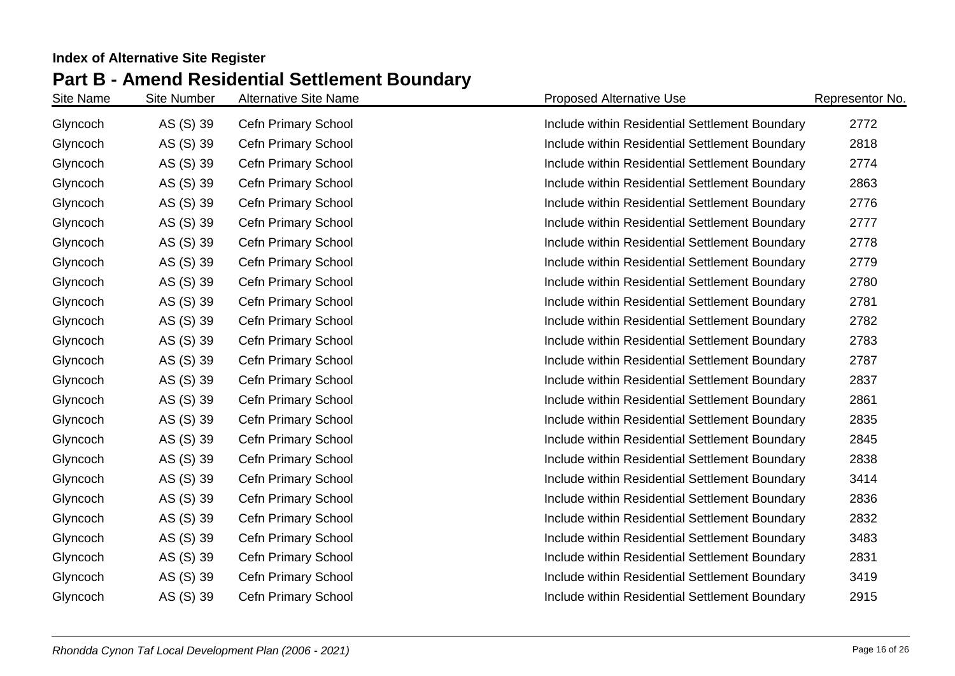| Site Name | <b>Site Number</b> | <b>Alternative Site Name</b> | <b>Proposed Alternative Use</b>                | Representor No. |
|-----------|--------------------|------------------------------|------------------------------------------------|-----------------|
| Glyncoch  | AS (S) 39          | Cefn Primary School          | Include within Residential Settlement Boundary | 2772            |
| Glyncoch  | AS (S) 39          | <b>Cefn Primary School</b>   | Include within Residential Settlement Boundary | 2818            |
| Glyncoch  | AS (S) 39          | Cefn Primary School          | Include within Residential Settlement Boundary | 2774            |
| Glyncoch  | AS (S) 39          | Cefn Primary School          | Include within Residential Settlement Boundary | 2863            |
| Glyncoch  | AS (S) 39          | Cefn Primary School          | Include within Residential Settlement Boundary | 2776            |
| Glyncoch  | AS (S) 39          | Cefn Primary School          | Include within Residential Settlement Boundary | 2777            |
| Glyncoch  | AS (S) 39          | Cefn Primary School          | Include within Residential Settlement Boundary | 2778            |
| Glyncoch  | AS (S) 39          | Cefn Primary School          | Include within Residential Settlement Boundary | 2779            |
| Glyncoch  | AS (S) 39          | Cefn Primary School          | Include within Residential Settlement Boundary | 2780            |
| Glyncoch  | AS (S) 39          | Cefn Primary School          | Include within Residential Settlement Boundary | 2781            |
| Glyncoch  | AS (S) 39          | Cefn Primary School          | Include within Residential Settlement Boundary | 2782            |
| Glyncoch  | AS (S) 39          | Cefn Primary School          | Include within Residential Settlement Boundary | 2783            |
| Glyncoch  | AS (S) 39          | Cefn Primary School          | Include within Residential Settlement Boundary | 2787            |
| Glyncoch  | AS (S) 39          | Cefn Primary School          | Include within Residential Settlement Boundary | 2837            |
| Glyncoch  | AS (S) 39          | Cefn Primary School          | Include within Residential Settlement Boundary | 2861            |
| Glyncoch  | AS (S) 39          | <b>Cefn Primary School</b>   | Include within Residential Settlement Boundary | 2835            |
| Glyncoch  | AS (S) 39          | Cefn Primary School          | Include within Residential Settlement Boundary | 2845            |
| Glyncoch  | AS (S) 39          | Cefn Primary School          | Include within Residential Settlement Boundary | 2838            |
| Glyncoch  | AS (S) 39          | Cefn Primary School          | Include within Residential Settlement Boundary | 3414            |
| Glyncoch  | AS (S) 39          | Cefn Primary School          | Include within Residential Settlement Boundary | 2836            |
| Glyncoch  | AS (S) 39          | Cefn Primary School          | Include within Residential Settlement Boundary | 2832            |
| Glyncoch  | AS (S) 39          | Cefn Primary School          | Include within Residential Settlement Boundary | 3483            |
| Glyncoch  | AS (S) 39          | Cefn Primary School          | Include within Residential Settlement Boundary | 2831            |
| Glyncoch  | AS (S) 39          | Cefn Primary School          | Include within Residential Settlement Boundary | 3419            |
| Glyncoch  | AS (S) 39          | Cefn Primary School          | Include within Residential Settlement Boundary | 2915            |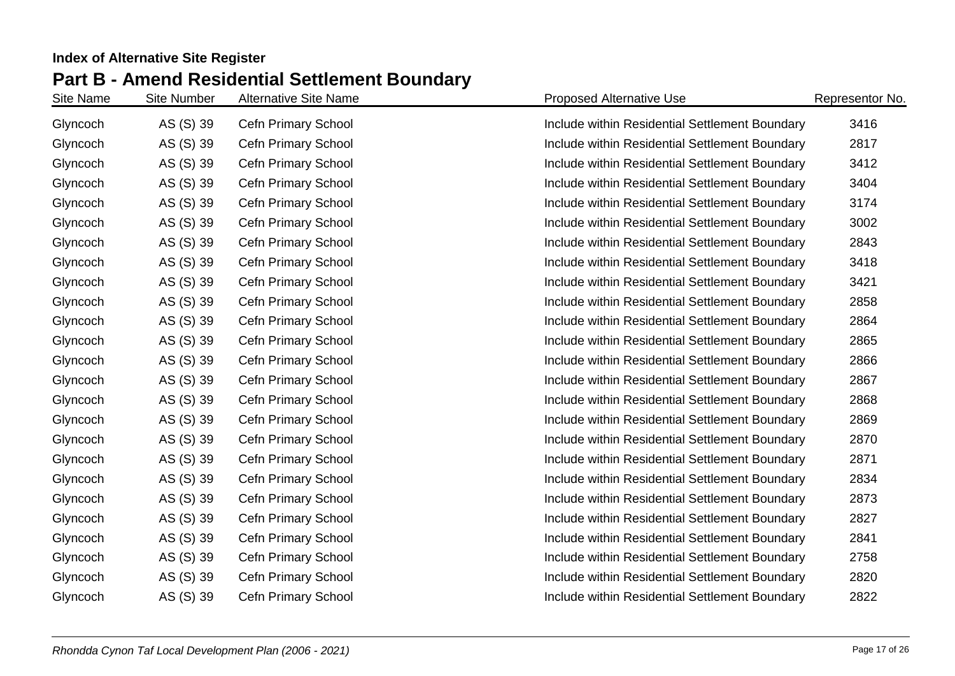| Site Name | <b>Site Number</b> | <b>Alternative Site Name</b> | <b>Proposed Alternative Use</b>                | Representor No. |
|-----------|--------------------|------------------------------|------------------------------------------------|-----------------|
| Glyncoch  | AS (S) 39          | <b>Cefn Primary School</b>   | Include within Residential Settlement Boundary | 3416            |
| Glyncoch  | AS (S) 39          | <b>Cefn Primary School</b>   | Include within Residential Settlement Boundary | 2817            |
| Glyncoch  | AS (S) 39          | Cefn Primary School          | Include within Residential Settlement Boundary | 3412            |
| Glyncoch  | AS (S) 39          | Cefn Primary School          | Include within Residential Settlement Boundary | 3404            |
| Glyncoch  | AS (S) 39          | Cefn Primary School          | Include within Residential Settlement Boundary | 3174            |
| Glyncoch  | AS (S) 39          | <b>Cefn Primary School</b>   | Include within Residential Settlement Boundary | 3002            |
| Glyncoch  | AS (S) 39          | Cefn Primary School          | Include within Residential Settlement Boundary | 2843            |
| Glyncoch  | AS (S) 39          | Cefn Primary School          | Include within Residential Settlement Boundary | 3418            |
| Glyncoch  | AS (S) 39          | Cefn Primary School          | Include within Residential Settlement Boundary | 3421            |
| Glyncoch  | AS (S) 39          | Cefn Primary School          | Include within Residential Settlement Boundary | 2858            |
| Glyncoch  | AS (S) 39          | Cefn Primary School          | Include within Residential Settlement Boundary | 2864            |
| Glyncoch  | AS (S) 39          | Cefn Primary School          | Include within Residential Settlement Boundary | 2865            |
| Glyncoch  | AS (S) 39          | Cefn Primary School          | Include within Residential Settlement Boundary | 2866            |
| Glyncoch  | AS (S) 39          | Cefn Primary School          | Include within Residential Settlement Boundary | 2867            |
| Glyncoch  | AS (S) 39          | Cefn Primary School          | Include within Residential Settlement Boundary | 2868            |
| Glyncoch  | AS (S) 39          | Cefn Primary School          | Include within Residential Settlement Boundary | 2869            |
| Glyncoch  | AS (S) 39          | Cefn Primary School          | Include within Residential Settlement Boundary | 2870            |
| Glyncoch  | AS (S) 39          | Cefn Primary School          | Include within Residential Settlement Boundary | 2871            |
| Glyncoch  | AS (S) 39          | Cefn Primary School          | Include within Residential Settlement Boundary | 2834            |
| Glyncoch  | AS (S) 39          | <b>Cefn Primary School</b>   | Include within Residential Settlement Boundary | 2873            |
| Glyncoch  | AS (S) 39          | Cefn Primary School          | Include within Residential Settlement Boundary | 2827            |
| Glyncoch  | AS (S) 39          | Cefn Primary School          | Include within Residential Settlement Boundary | 2841            |
| Glyncoch  | AS (S) 39          | Cefn Primary School          | Include within Residential Settlement Boundary | 2758            |
| Glyncoch  | AS (S) 39          | Cefn Primary School          | Include within Residential Settlement Boundary | 2820            |
| Glyncoch  | AS (S) 39          | Cefn Primary School          | Include within Residential Settlement Boundary | 2822            |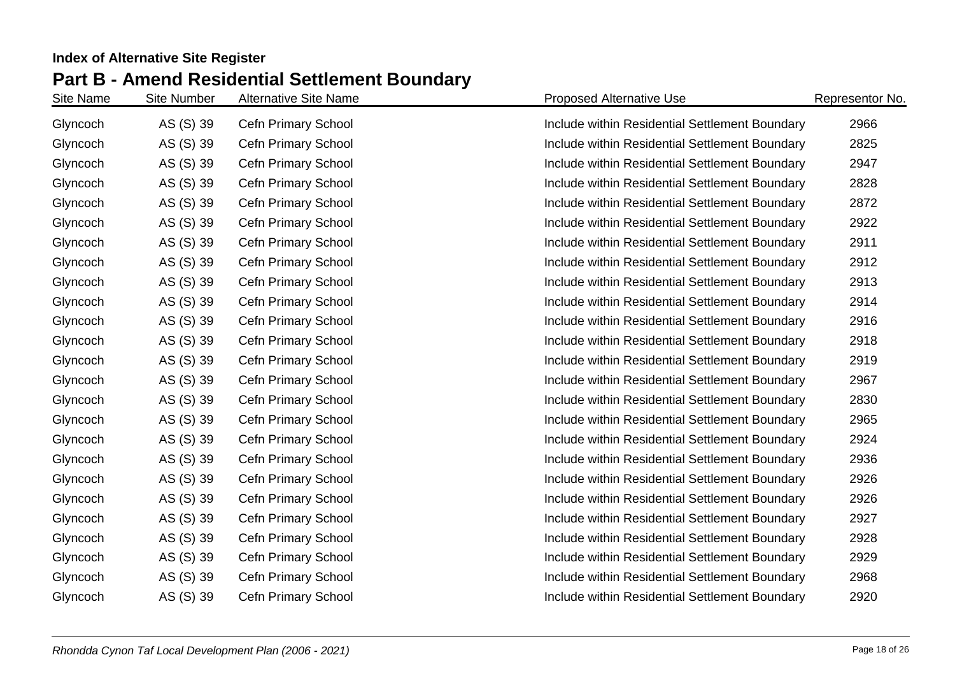| Site Name | <b>Site Number</b> | <b>Alternative Site Name</b> | <b>Proposed Alternative Use</b>                | Representor No. |
|-----------|--------------------|------------------------------|------------------------------------------------|-----------------|
| Glyncoch  | AS (S) 39          | <b>Cefn Primary School</b>   | Include within Residential Settlement Boundary | 2966            |
| Glyncoch  | AS (S) 39          | <b>Cefn Primary School</b>   | Include within Residential Settlement Boundary | 2825            |
| Glyncoch  | AS (S) 39          | Cefn Primary School          | Include within Residential Settlement Boundary | 2947            |
| Glyncoch  | AS (S) 39          | Cefn Primary School          | Include within Residential Settlement Boundary | 2828            |
| Glyncoch  | AS (S) 39          | Cefn Primary School          | Include within Residential Settlement Boundary | 2872            |
| Glyncoch  | AS (S) 39          | Cefn Primary School          | Include within Residential Settlement Boundary | 2922            |
| Glyncoch  | AS (S) 39          | Cefn Primary School          | Include within Residential Settlement Boundary | 2911            |
| Glyncoch  | AS (S) 39          | Cefn Primary School          | Include within Residential Settlement Boundary | 2912            |
| Glyncoch  | AS (S) 39          | Cefn Primary School          | Include within Residential Settlement Boundary | 2913            |
| Glyncoch  | AS (S) 39          | Cefn Primary School          | Include within Residential Settlement Boundary | 2914            |
| Glyncoch  | AS (S) 39          | Cefn Primary School          | Include within Residential Settlement Boundary | 2916            |
| Glyncoch  | AS (S) 39          | Cefn Primary School          | Include within Residential Settlement Boundary | 2918            |
| Glyncoch  | AS (S) 39          | Cefn Primary School          | Include within Residential Settlement Boundary | 2919            |
| Glyncoch  | AS (S) 39          | Cefn Primary School          | Include within Residential Settlement Boundary | 2967            |
| Glyncoch  | AS (S) 39          | Cefn Primary School          | Include within Residential Settlement Boundary | 2830            |
| Glyncoch  | AS (S) 39          | Cefn Primary School          | Include within Residential Settlement Boundary | 2965            |
| Glyncoch  | AS (S) 39          | Cefn Primary School          | Include within Residential Settlement Boundary | 2924            |
| Glyncoch  | AS (S) 39          | Cefn Primary School          | Include within Residential Settlement Boundary | 2936            |
| Glyncoch  | AS (S) 39          | Cefn Primary School          | Include within Residential Settlement Boundary | 2926            |
| Glyncoch  | AS (S) 39          | <b>Cefn Primary School</b>   | Include within Residential Settlement Boundary | 2926            |
| Glyncoch  | AS (S) 39          | Cefn Primary School          | Include within Residential Settlement Boundary | 2927            |
| Glyncoch  | AS (S) 39          | Cefn Primary School          | Include within Residential Settlement Boundary | 2928            |
| Glyncoch  | AS (S) 39          | Cefn Primary School          | Include within Residential Settlement Boundary | 2929            |
| Glyncoch  | AS (S) 39          | Cefn Primary School          | Include within Residential Settlement Boundary | 2968            |
| Glyncoch  | AS (S) 39          | Cefn Primary School          | Include within Residential Settlement Boundary | 2920            |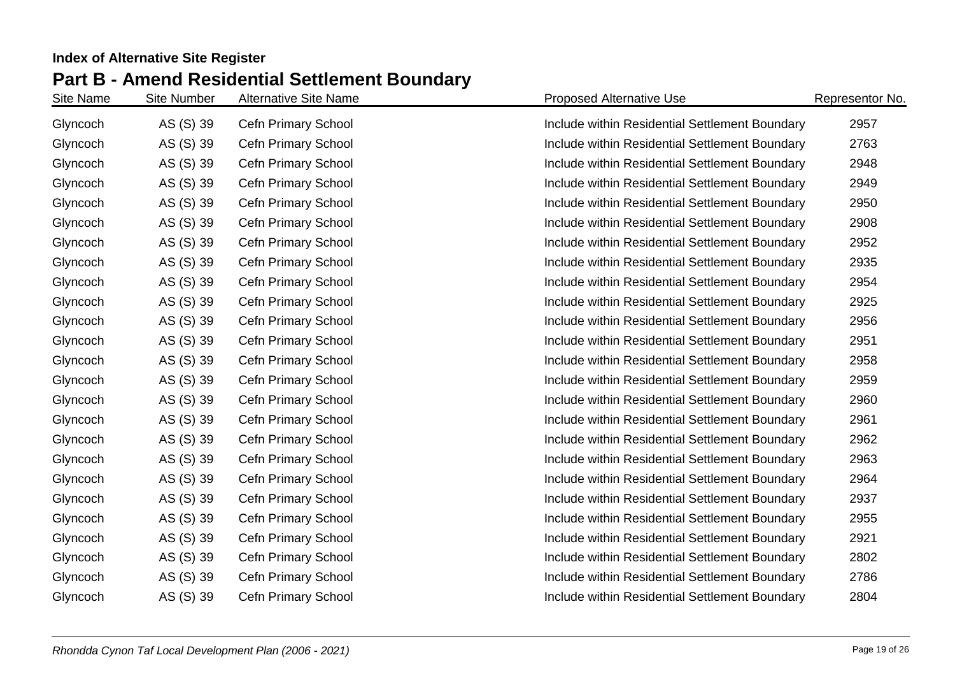| Site Name | <b>Site Number</b> | <b>Alternative Site Name</b> | <b>Proposed Alternative Use</b>                | Representor No. |
|-----------|--------------------|------------------------------|------------------------------------------------|-----------------|
| Glyncoch  | AS (S) 39          | <b>Cefn Primary School</b>   | Include within Residential Settlement Boundary | 2957            |
| Glyncoch  | AS (S) 39          | <b>Cefn Primary School</b>   | Include within Residential Settlement Boundary | 2763            |
| Glyncoch  | AS (S) 39          | Cefn Primary School          | Include within Residential Settlement Boundary | 2948            |
| Glyncoch  | AS (S) 39          | Cefn Primary School          | Include within Residential Settlement Boundary | 2949            |
| Glyncoch  | AS (S) 39          | <b>Cefn Primary School</b>   | Include within Residential Settlement Boundary | 2950            |
| Glyncoch  | AS (S) 39          | <b>Cefn Primary School</b>   | Include within Residential Settlement Boundary | 2908            |
| Glyncoch  | AS (S) 39          | Cefn Primary School          | Include within Residential Settlement Boundary | 2952            |
| Glyncoch  | AS (S) 39          | Cefn Primary School          | Include within Residential Settlement Boundary | 2935            |
| Glyncoch  | AS (S) 39          | Cefn Primary School          | Include within Residential Settlement Boundary | 2954            |
| Glyncoch  | AS (S) 39          | Cefn Primary School          | Include within Residential Settlement Boundary | 2925            |
| Glyncoch  | AS (S) 39          | Cefn Primary School          | Include within Residential Settlement Boundary | 2956            |
| Glyncoch  | AS (S) 39          | Cefn Primary School          | Include within Residential Settlement Boundary | 2951            |
| Glyncoch  | AS (S) 39          | Cefn Primary School          | Include within Residential Settlement Boundary | 2958            |
| Glyncoch  | AS (S) 39          | Cefn Primary School          | Include within Residential Settlement Boundary | 2959            |
| Glyncoch  | AS (S) 39          | Cefn Primary School          | Include within Residential Settlement Boundary | 2960            |
| Glyncoch  | AS (S) 39          | Cefn Primary School          | Include within Residential Settlement Boundary | 2961            |
| Glyncoch  | AS (S) 39          | Cefn Primary School          | Include within Residential Settlement Boundary | 2962            |
| Glyncoch  | AS (S) 39          | Cefn Primary School          | Include within Residential Settlement Boundary | 2963            |
| Glyncoch  | AS (S) 39          | Cefn Primary School          | Include within Residential Settlement Boundary | 2964            |
| Glyncoch  | AS (S) 39          | <b>Cefn Primary School</b>   | Include within Residential Settlement Boundary | 2937            |
| Glyncoch  | AS (S) 39          | Cefn Primary School          | Include within Residential Settlement Boundary | 2955            |
| Glyncoch  | AS (S) 39          | Cefn Primary School          | Include within Residential Settlement Boundary | 2921            |
| Glyncoch  | AS (S) 39          | Cefn Primary School          | Include within Residential Settlement Boundary | 2802            |
| Glyncoch  | AS (S) 39          | Cefn Primary School          | Include within Residential Settlement Boundary | 2786            |
| Glyncoch  | AS (S) 39          | <b>Cefn Primary School</b>   | Include within Residential Settlement Boundary | 2804            |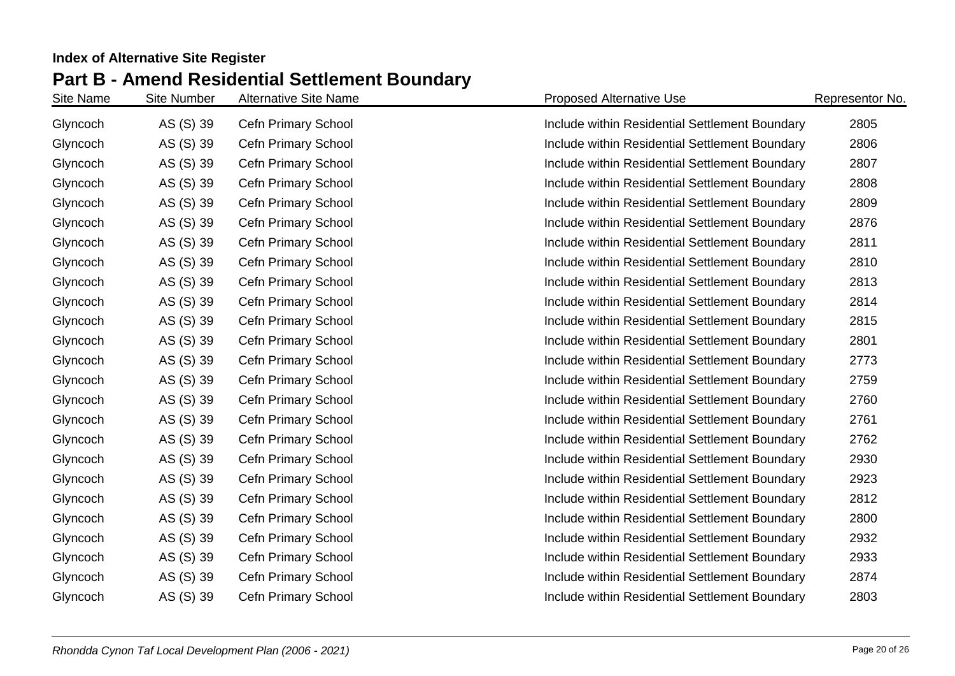| Site Name | <b>Site Number</b> | <b>Alternative Site Name</b> | <b>Proposed Alternative Use</b>                | Representor No. |
|-----------|--------------------|------------------------------|------------------------------------------------|-----------------|
| Glyncoch  | AS (S) 39          | <b>Cefn Primary School</b>   | Include within Residential Settlement Boundary | 2805            |
| Glyncoch  | AS (S) 39          | <b>Cefn Primary School</b>   | Include within Residential Settlement Boundary | 2806            |
| Glyncoch  | AS (S) 39          | Cefn Primary School          | Include within Residential Settlement Boundary | 2807            |
| Glyncoch  | AS (S) 39          | Cefn Primary School          | Include within Residential Settlement Boundary | 2808            |
| Glyncoch  | AS (S) 39          | <b>Cefn Primary School</b>   | Include within Residential Settlement Boundary | 2809            |
| Glyncoch  | AS (S) 39          | <b>Cefn Primary School</b>   | Include within Residential Settlement Boundary | 2876            |
| Glyncoch  | AS (S) 39          | Cefn Primary School          | Include within Residential Settlement Boundary | 2811            |
| Glyncoch  | AS (S) 39          | Cefn Primary School          | Include within Residential Settlement Boundary | 2810            |
| Glyncoch  | AS (S) 39          | Cefn Primary School          | Include within Residential Settlement Boundary | 2813            |
| Glyncoch  | AS (S) 39          | Cefn Primary School          | Include within Residential Settlement Boundary | 2814            |
| Glyncoch  | AS (S) 39          | Cefn Primary School          | Include within Residential Settlement Boundary | 2815            |
| Glyncoch  | AS (S) 39          | Cefn Primary School          | Include within Residential Settlement Boundary | 2801            |
| Glyncoch  | AS (S) 39          | Cefn Primary School          | Include within Residential Settlement Boundary | 2773            |
| Glyncoch  | AS (S) 39          | Cefn Primary School          | Include within Residential Settlement Boundary | 2759            |
| Glyncoch  | AS (S) 39          | Cefn Primary School          | Include within Residential Settlement Boundary | 2760            |
| Glyncoch  | AS (S) 39          | Cefn Primary School          | Include within Residential Settlement Boundary | 2761            |
| Glyncoch  | AS (S) 39          | Cefn Primary School          | Include within Residential Settlement Boundary | 2762            |
| Glyncoch  | AS (S) 39          | Cefn Primary School          | Include within Residential Settlement Boundary | 2930            |
| Glyncoch  | AS (S) 39          | Cefn Primary School          | Include within Residential Settlement Boundary | 2923            |
| Glyncoch  | AS (S) 39          | <b>Cefn Primary School</b>   | Include within Residential Settlement Boundary | 2812            |
| Glyncoch  | AS (S) 39          | Cefn Primary School          | Include within Residential Settlement Boundary | 2800            |
| Glyncoch  | AS (S) 39          | Cefn Primary School          | Include within Residential Settlement Boundary | 2932            |
| Glyncoch  | AS (S) 39          | Cefn Primary School          | Include within Residential Settlement Boundary | 2933            |
| Glyncoch  | AS (S) 39          | Cefn Primary School          | Include within Residential Settlement Boundary | 2874            |
| Glyncoch  | AS (S) 39          | <b>Cefn Primary School</b>   | Include within Residential Settlement Boundary | 2803            |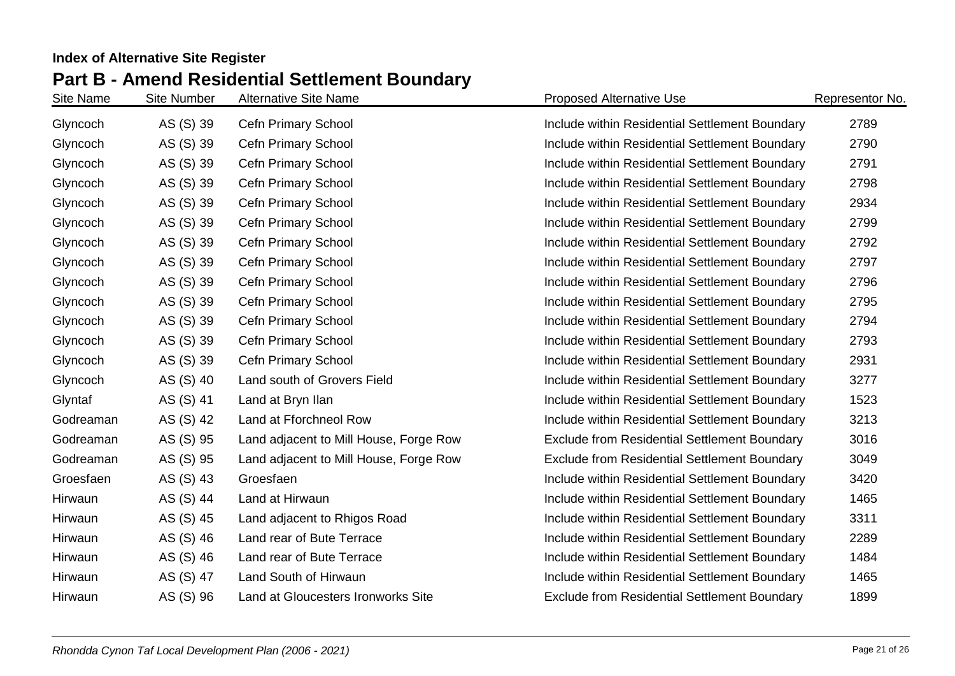| Site Name | <b>Site Number</b> | <b>Alternative Site Name</b>           | <b>Proposed Alternative Use</b>                     | Representor No. |
|-----------|--------------------|----------------------------------------|-----------------------------------------------------|-----------------|
| Glyncoch  | AS (S) 39          | Cefn Primary School                    | Include within Residential Settlement Boundary      | 2789            |
| Glyncoch  | AS (S) 39          | <b>Cefn Primary School</b>             | Include within Residential Settlement Boundary      | 2790            |
| Glyncoch  | AS (S) 39          | <b>Cefn Primary School</b>             | Include within Residential Settlement Boundary      | 2791            |
| Glyncoch  | AS (S) 39          | Cefn Primary School                    | Include within Residential Settlement Boundary      | 2798            |
| Glyncoch  | AS (S) 39          | Cefn Primary School                    | Include within Residential Settlement Boundary      | 2934            |
| Glyncoch  | AS (S) 39          | Cefn Primary School                    | Include within Residential Settlement Boundary      | 2799            |
| Glyncoch  | AS (S) 39          | Cefn Primary School                    | Include within Residential Settlement Boundary      | 2792            |
| Glyncoch  | AS (S) 39          | Cefn Primary School                    | Include within Residential Settlement Boundary      | 2797            |
| Glyncoch  | AS (S) 39          | Cefn Primary School                    | Include within Residential Settlement Boundary      | 2796            |
| Glyncoch  | AS (S) 39          | Cefn Primary School                    | Include within Residential Settlement Boundary      | 2795            |
| Glyncoch  | AS (S) 39          | <b>Cefn Primary School</b>             | Include within Residential Settlement Boundary      | 2794            |
| Glyncoch  | AS (S) 39          | Cefn Primary School                    | Include within Residential Settlement Boundary      | 2793            |
| Glyncoch  | AS (S) 39          | Cefn Primary School                    | Include within Residential Settlement Boundary      | 2931            |
| Glyncoch  | AS (S) 40          | Land south of Grovers Field            | Include within Residential Settlement Boundary      | 3277            |
| Glyntaf   | AS (S) 41          | Land at Bryn Ilan                      | Include within Residential Settlement Boundary      | 1523            |
| Godreaman | AS (S) 42          | Land at Fforchneol Row                 | Include within Residential Settlement Boundary      | 3213            |
| Godreaman | AS (S) 95          | Land adjacent to Mill House, Forge Row | <b>Exclude from Residential Settlement Boundary</b> | 3016            |
| Godreaman | AS (S) 95          | Land adjacent to Mill House, Forge Row | <b>Exclude from Residential Settlement Boundary</b> | 3049            |
| Groesfaen | AS (S) 43          | Groesfaen                              | Include within Residential Settlement Boundary      | 3420            |
| Hirwaun   | AS (S) 44          | Land at Hirwaun                        | Include within Residential Settlement Boundary      | 1465            |
| Hirwaun   | AS (S) 45          | Land adjacent to Rhigos Road           | Include within Residential Settlement Boundary      | 3311            |
| Hirwaun   | AS (S) 46          | Land rear of Bute Terrace              | Include within Residential Settlement Boundary      | 2289            |
| Hirwaun   | AS (S) 46          | Land rear of Bute Terrace              | Include within Residential Settlement Boundary      | 1484            |
| Hirwaun   | AS (S) 47          | Land South of Hirwaun                  | Include within Residential Settlement Boundary      | 1465            |
| Hirwaun   | AS (S) 96          | Land at Gloucesters Ironworks Site     | <b>Exclude from Residential Settlement Boundary</b> | 1899            |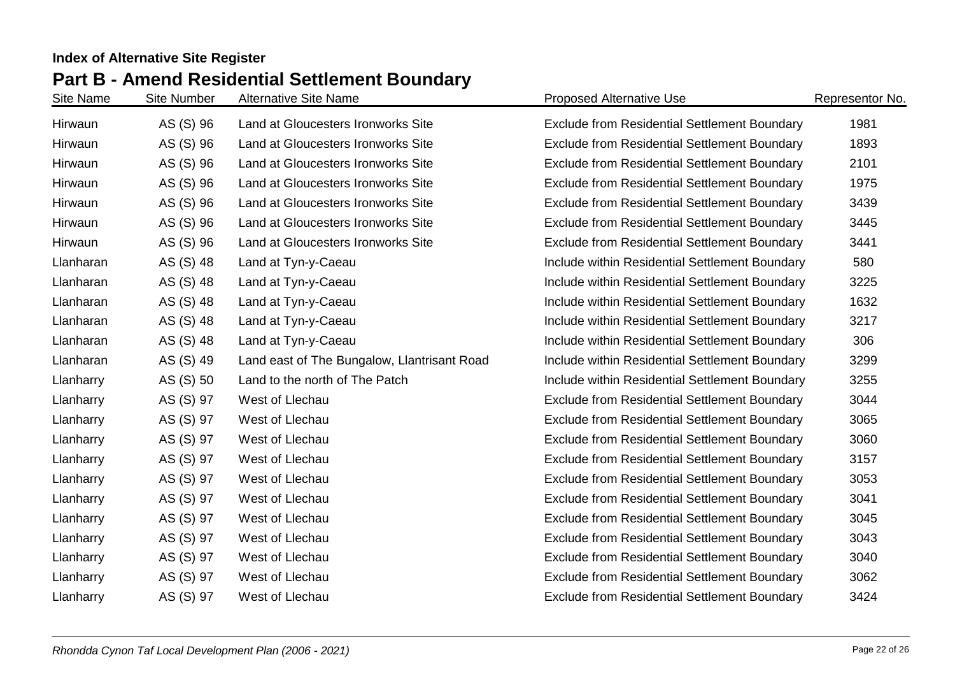| Site Name | Site Number | <b>Alternative Site Name</b>                | <b>Proposed Alternative Use</b>                     | Representor No. |
|-----------|-------------|---------------------------------------------|-----------------------------------------------------|-----------------|
| Hirwaun   | AS (S) 96   | Land at Gloucesters Ironworks Site          | <b>Exclude from Residential Settlement Boundary</b> | 1981            |
| Hirwaun   | AS (S) 96   | Land at Gloucesters Ironworks Site          | <b>Exclude from Residential Settlement Boundary</b> | 1893            |
| Hirwaun   | AS (S) 96   | Land at Gloucesters Ironworks Site          | <b>Exclude from Residential Settlement Boundary</b> | 2101            |
| Hirwaun   | AS (S) 96   | Land at Gloucesters Ironworks Site          | <b>Exclude from Residential Settlement Boundary</b> | 1975            |
| Hirwaun   | AS (S) 96   | Land at Gloucesters Ironworks Site          | <b>Exclude from Residential Settlement Boundary</b> | 3439            |
| Hirwaun   | AS (S) 96   | Land at Gloucesters Ironworks Site          | <b>Exclude from Residential Settlement Boundary</b> | 3445            |
| Hirwaun   | AS (S) 96   | Land at Gloucesters Ironworks Site          | <b>Exclude from Residential Settlement Boundary</b> | 3441            |
| Llanharan | AS (S) 48   | Land at Tyn-y-Caeau                         | Include within Residential Settlement Boundary      | 580             |
| Llanharan | AS (S) 48   | Land at Tyn-y-Caeau                         | Include within Residential Settlement Boundary      | 3225            |
| Llanharan | AS (S) 48   | Land at Tyn-y-Caeau                         | Include within Residential Settlement Boundary      | 1632            |
| Llanharan | AS (S) 48   | Land at Tyn-y-Caeau                         | Include within Residential Settlement Boundary      | 3217            |
| Llanharan | AS (S) 48   | Land at Tyn-y-Caeau                         | Include within Residential Settlement Boundary      | 306             |
| Llanharan | AS (S) 49   | Land east of The Bungalow, Llantrisant Road | Include within Residential Settlement Boundary      | 3299            |
| Llanharry | AS (S) 50   | Land to the north of The Patch              | Include within Residential Settlement Boundary      | 3255            |
| Llanharry | AS (S) 97   | West of Llechau                             | <b>Exclude from Residential Settlement Boundary</b> | 3044            |
| Llanharry | AS (S) 97   | West of Llechau                             | <b>Exclude from Residential Settlement Boundary</b> | 3065            |
| Llanharry | AS (S) 97   | West of Llechau                             | <b>Exclude from Residential Settlement Boundary</b> | 3060            |
| Llanharry | AS (S) 97   | West of Llechau                             | <b>Exclude from Residential Settlement Boundary</b> | 3157            |
| Llanharry | AS (S) 97   | West of Llechau                             | <b>Exclude from Residential Settlement Boundary</b> | 3053            |
| Llanharry | AS (S) 97   | West of Llechau                             | <b>Exclude from Residential Settlement Boundary</b> | 3041            |
| Llanharry | AS (S) 97   | West of Llechau                             | <b>Exclude from Residential Settlement Boundary</b> | 3045            |
| Llanharry | AS (S) 97   | West of Llechau                             | <b>Exclude from Residential Settlement Boundary</b> | 3043            |
| Llanharry | AS (S) 97   | West of Llechau                             | <b>Exclude from Residential Settlement Boundary</b> | 3040            |
| Llanharry | AS (S) 97   | West of Llechau                             | <b>Exclude from Residential Settlement Boundary</b> | 3062            |
| Llanharry | AS (S) 97   | West of Llechau                             | <b>Exclude from Residential Settlement Boundary</b> | 3424            |
|           |             |                                             |                                                     |                 |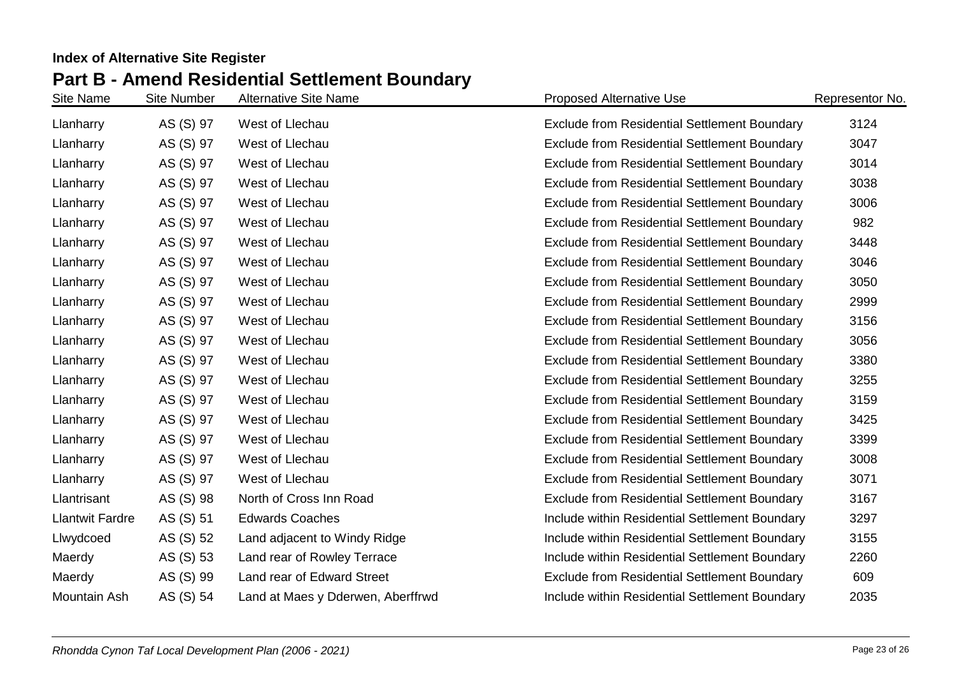| Site Name              | <b>Site Number</b> | <b>Alternative Site Name</b>      | <b>Proposed Alternative Use</b>                     | Representor No. |
|------------------------|--------------------|-----------------------------------|-----------------------------------------------------|-----------------|
| Llanharry              | AS (S) 97          | West of Llechau                   | <b>Exclude from Residential Settlement Boundary</b> | 3124            |
| Llanharry              | AS (S) 97          | West of Llechau                   | <b>Exclude from Residential Settlement Boundary</b> | 3047            |
| Llanharry              | AS (S) 97          | West of Llechau                   | <b>Exclude from Residential Settlement Boundary</b> | 3014            |
| Llanharry              | AS (S) 97          | West of Llechau                   | <b>Exclude from Residential Settlement Boundary</b> | 3038            |
| Llanharry              | AS (S) 97          | West of Llechau                   | <b>Exclude from Residential Settlement Boundary</b> | 3006            |
| Llanharry              | AS (S) 97          | West of Llechau                   | <b>Exclude from Residential Settlement Boundary</b> | 982             |
| Llanharry              | AS (S) 97          | West of Llechau                   | Exclude from Residential Settlement Boundary        | 3448            |
| Llanharry              | AS (S) 97          | West of Llechau                   | <b>Exclude from Residential Settlement Boundary</b> | 3046            |
| Llanharry              | AS (S) 97          | West of Llechau                   | <b>Exclude from Residential Settlement Boundary</b> | 3050            |
| Llanharry              | AS (S) 97          | West of Llechau                   | <b>Exclude from Residential Settlement Boundary</b> | 2999            |
| Llanharry              | AS (S) 97          | West of Llechau                   | <b>Exclude from Residential Settlement Boundary</b> | 3156            |
| Llanharry              | AS (S) 97          | West of Llechau                   | Exclude from Residential Settlement Boundary        | 3056            |
| Llanharry              | AS (S) 97          | West of Llechau                   | <b>Exclude from Residential Settlement Boundary</b> | 3380            |
| Llanharry              | AS (S) 97          | West of Llechau                   | <b>Exclude from Residential Settlement Boundary</b> | 3255            |
| Llanharry              | AS (S) 97          | West of Llechau                   | <b>Exclude from Residential Settlement Boundary</b> | 3159            |
| Llanharry              | AS (S) 97          | West of Llechau                   | <b>Exclude from Residential Settlement Boundary</b> | 3425            |
| Llanharry              | AS (S) 97          | West of Llechau                   | <b>Exclude from Residential Settlement Boundary</b> | 3399            |
| Llanharry              | AS (S) 97          | West of Llechau                   | <b>Exclude from Residential Settlement Boundary</b> | 3008            |
| Llanharry              | AS (S) 97          | West of Llechau                   | <b>Exclude from Residential Settlement Boundary</b> | 3071            |
| Llantrisant            | AS (S) 98          | North of Cross Inn Road           | <b>Exclude from Residential Settlement Boundary</b> | 3167            |
| <b>Llantwit Fardre</b> | AS (S) 51          | <b>Edwards Coaches</b>            | Include within Residential Settlement Boundary      | 3297            |
| Llwydcoed              | AS (S) 52          | Land adjacent to Windy Ridge      | Include within Residential Settlement Boundary      | 3155            |
| Maerdy                 | AS (S) 53          | Land rear of Rowley Terrace       | Include within Residential Settlement Boundary      | 2260            |
| Maerdy                 | AS (S) 99          | Land rear of Edward Street        | <b>Exclude from Residential Settlement Boundary</b> | 609             |
| Mountain Ash           | AS (S) 54          | Land at Maes y Dderwen, Aberffrwd | Include within Residential Settlement Boundary      | 2035            |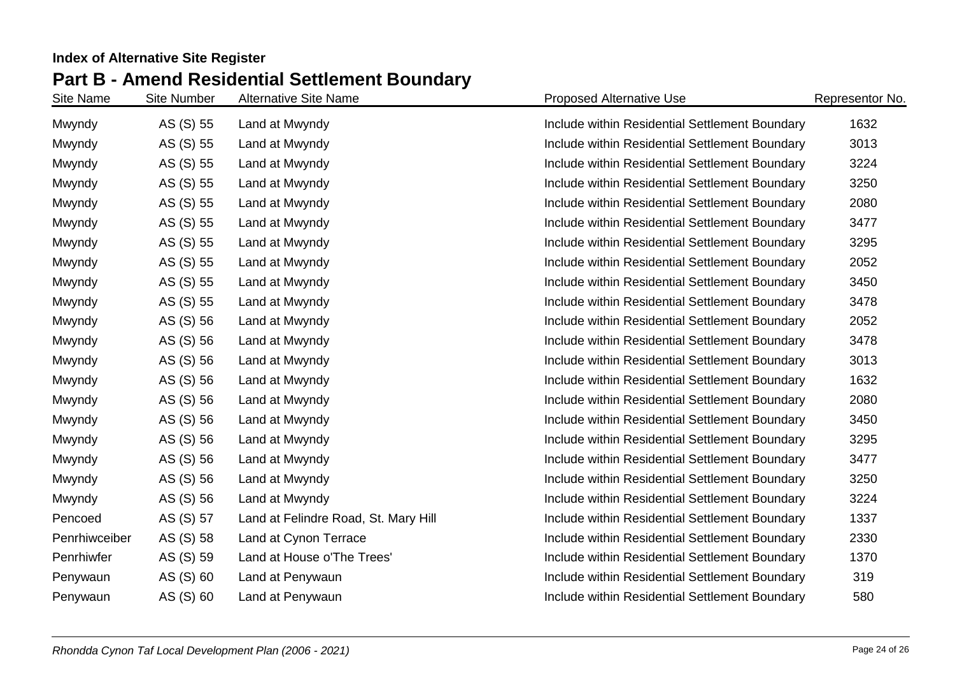| Site Name     | <b>Site Number</b> | <b>Alternative Site Name</b>         | <b>Proposed Alternative Use</b>                | Representor No. |
|---------------|--------------------|--------------------------------------|------------------------------------------------|-----------------|
| Mwyndy        | AS (S) 55          | Land at Mwyndy                       | Include within Residential Settlement Boundary | 1632            |
| Mwyndy        | AS (S) 55          | Land at Mwyndy                       | Include within Residential Settlement Boundary | 3013            |
| Mwyndy        | AS (S) 55          | Land at Mwyndy                       | Include within Residential Settlement Boundary | 3224            |
| Mwyndy        | AS (S) 55          | Land at Mwyndy                       | Include within Residential Settlement Boundary | 3250            |
| Mwyndy        | AS (S) 55          | Land at Mwyndy                       | Include within Residential Settlement Boundary | 2080            |
| Mwyndy        | AS (S) 55          | Land at Mwyndy                       | Include within Residential Settlement Boundary | 3477            |
| Mwyndy        | AS (S) 55          | Land at Mwyndy                       | Include within Residential Settlement Boundary | 3295            |
| Mwyndy        | AS (S) 55          | Land at Mwyndy                       | Include within Residential Settlement Boundary | 2052            |
| Mwyndy        | AS (S) 55          | Land at Mwyndy                       | Include within Residential Settlement Boundary | 3450            |
| Mwyndy        | AS (S) 55          | Land at Mwyndy                       | Include within Residential Settlement Boundary | 3478            |
| Mwyndy        | AS (S) 56          | Land at Mwyndy                       | Include within Residential Settlement Boundary | 2052            |
| Mwyndy        | AS (S) 56          | Land at Mwyndy                       | Include within Residential Settlement Boundary | 3478            |
| Mwyndy        | AS (S) 56          | Land at Mwyndy                       | Include within Residential Settlement Boundary | 3013            |
| Mwyndy        | AS (S) 56          | Land at Mwyndy                       | Include within Residential Settlement Boundary | 1632            |
| Mwyndy        | AS (S) 56          | Land at Mwyndy                       | Include within Residential Settlement Boundary | 2080            |
| Mwyndy        | AS (S) 56          | Land at Mwyndy                       | Include within Residential Settlement Boundary | 3450            |
| Mwyndy        | AS (S) 56          | Land at Mwyndy                       | Include within Residential Settlement Boundary | 3295            |
| Mwyndy        | AS (S) 56          | Land at Mwyndy                       | Include within Residential Settlement Boundary | 3477            |
| Mwyndy        | AS (S) 56          | Land at Mwyndy                       | Include within Residential Settlement Boundary | 3250            |
| Mwyndy        | AS (S) 56          | Land at Mwyndy                       | Include within Residential Settlement Boundary | 3224            |
| Pencoed       | AS (S) 57          | Land at Felindre Road, St. Mary Hill | Include within Residential Settlement Boundary | 1337            |
| Penrhiwceiber | AS (S) 58          | Land at Cynon Terrace                | Include within Residential Settlement Boundary | 2330            |
| Penrhiwfer    | AS (S) 59          | Land at House o'The Trees'           | Include within Residential Settlement Boundary | 1370            |
| Penywaun      | AS (S) 60          | Land at Penywaun                     | Include within Residential Settlement Boundary | 319             |
| Penywaun      | AS (S) 60          | Land at Penywaun                     | Include within Residential Settlement Boundary | 580             |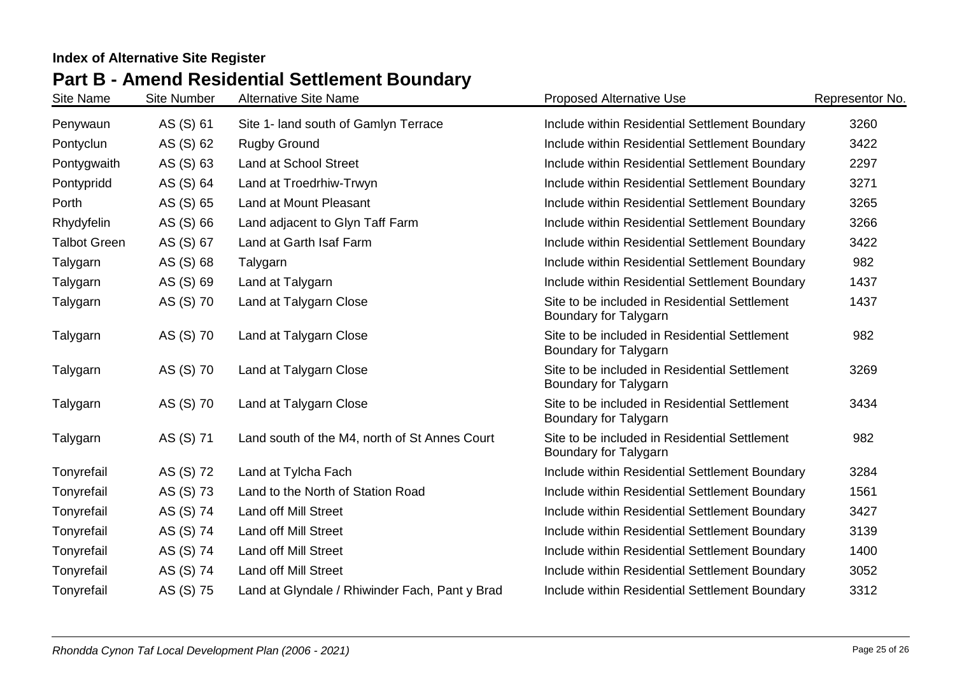## **Part B - Amend Residential Settlement Boundary**

| Site Name           | <b>Site Number</b> | <b>Alternative Site Name</b>                   | <b>Proposed Alternative Use</b>                                        | Representor No. |
|---------------------|--------------------|------------------------------------------------|------------------------------------------------------------------------|-----------------|
| Penywaun            | AS (S) 61          | Site 1- land south of Gamlyn Terrace           | Include within Residential Settlement Boundary                         | 3260            |
| Pontyclun           | AS (S) 62          | <b>Rugby Ground</b>                            | Include within Residential Settlement Boundary                         | 3422            |
| Pontygwaith         | AS (S) 63          | <b>Land at School Street</b>                   | Include within Residential Settlement Boundary                         | 2297            |
| Pontypridd          | AS (S) 64          | Land at Troedrhiw-Trwyn                        | Include within Residential Settlement Boundary                         | 3271            |
| Porth               | AS (S) 65          | Land at Mount Pleasant                         | Include within Residential Settlement Boundary                         | 3265            |
| Rhydyfelin          | AS (S) 66          | Land adjacent to Glyn Taff Farm                | Include within Residential Settlement Boundary                         | 3266            |
| <b>Talbot Green</b> | AS (S) 67          | Land at Garth Isaf Farm                        | Include within Residential Settlement Boundary                         | 3422            |
| Talygarn            | AS (S) 68          | Talygarn                                       | Include within Residential Settlement Boundary                         | 982             |
| Talygarn            | AS (S) 69          | Land at Talygarn                               | Include within Residential Settlement Boundary                         | 1437            |
| Talygarn            | AS (S) 70          | Land at Talygarn Close                         | Site to be included in Residential Settlement<br>Boundary for Talygarn | 1437            |
| Talygarn            | AS (S) 70          | Land at Talygarn Close                         | Site to be included in Residential Settlement<br>Boundary for Talygarn | 982             |
| Talygarn            | AS (S) 70          | Land at Talygarn Close                         | Site to be included in Residential Settlement<br>Boundary for Talygarn | 3269            |
| Talygarn            | AS (S) 70          | Land at Talygarn Close                         | Site to be included in Residential Settlement<br>Boundary for Talygarn | 3434            |
| Talygarn            | AS (S) 71          | Land south of the M4, north of St Annes Court  | Site to be included in Residential Settlement<br>Boundary for Talygarn | 982             |
| Tonyrefail          | AS (S) 72          | Land at Tylcha Fach                            | Include within Residential Settlement Boundary                         | 3284            |
| Tonyrefail          | AS (S) 73          | Land to the North of Station Road              | Include within Residential Settlement Boundary                         | 1561            |
| Tonyrefail          | AS (S) 74          | Land off Mill Street                           | Include within Residential Settlement Boundary                         | 3427            |
| Tonyrefail          | AS (S) 74          | <b>Land off Mill Street</b>                    | Include within Residential Settlement Boundary                         | 3139            |
| Tonyrefail          | AS (S) 74          | Land off Mill Street                           | Include within Residential Settlement Boundary                         | 1400            |
| Tonyrefail          | AS (S) 74          | Land off Mill Street                           | Include within Residential Settlement Boundary                         | 3052            |
| Tonyrefail          | AS (S) 75          | Land at Glyndale / Rhiwinder Fach, Pant y Brad | Include within Residential Settlement Boundary                         | 3312            |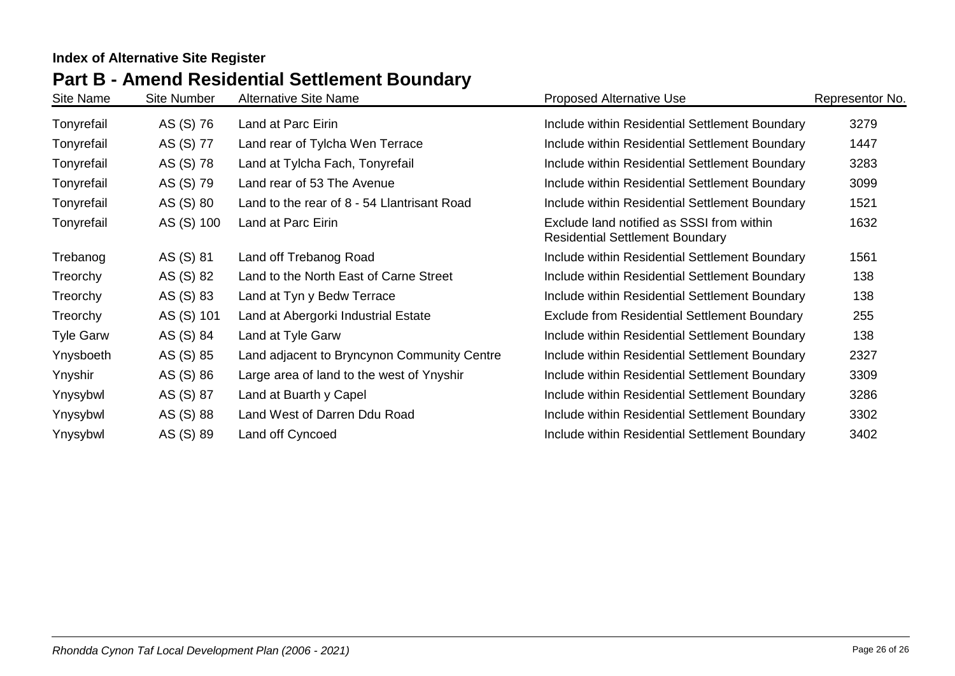# **Part B - Amend Residential Settlement Boundary**

| Site Name        | Site Number | <b>Alternative Site Name</b>                | <b>Proposed Alternative Use</b>                                                     | Representor No. |
|------------------|-------------|---------------------------------------------|-------------------------------------------------------------------------------------|-----------------|
| Tonyrefail       | AS (S) 76   | Land at Parc Eirin                          | Include within Residential Settlement Boundary                                      | 3279            |
| Tonyrefail       | AS (S) 77   | Land rear of Tylcha Wen Terrace             | Include within Residential Settlement Boundary                                      | 1447            |
| Tonyrefail       | AS (S) 78   | Land at Tylcha Fach, Tonyrefail             | Include within Residential Settlement Boundary                                      | 3283            |
| Tonyrefail       | AS (S) 79   | Land rear of 53 The Avenue                  | Include within Residential Settlement Boundary                                      | 3099            |
| Tonyrefail       | AS (S) 80   | Land to the rear of 8 - 54 Llantrisant Road | Include within Residential Settlement Boundary                                      | 1521            |
| Tonyrefail       | AS (S) 100  | Land at Parc Eirin                          | Exclude land notified as SSSI from within<br><b>Residential Settlement Boundary</b> | 1632            |
| Trebanog         | AS (S) 81   | Land off Trebanog Road                      | Include within Residential Settlement Boundary                                      | 1561            |
| Treorchy         | AS (S) 82   | Land to the North East of Carne Street      | Include within Residential Settlement Boundary                                      | 138             |
| Treorchy         | AS (S) 83   | Land at Tyn y Bedw Terrace                  | Include within Residential Settlement Boundary                                      | 138             |
| Treorchy         | AS (S) 101  | Land at Abergorki Industrial Estate         | <b>Exclude from Residential Settlement Boundary</b>                                 | 255             |
| <b>Tyle Garw</b> | AS (S) 84   | Land at Tyle Garw                           | Include within Residential Settlement Boundary                                      | 138             |
| Ynysboeth        | AS (S) 85   | Land adjacent to Bryncynon Community Centre | Include within Residential Settlement Boundary                                      | 2327            |
| Ynyshir          | AS (S) 86   | Large area of land to the west of Ynyshir   | Include within Residential Settlement Boundary                                      | 3309            |
| Ynysybwl         | AS (S) 87   | Land at Buarth y Capel                      | Include within Residential Settlement Boundary                                      | 3286            |
| Ynysybwl         | AS (S) 88   | Land West of Darren Ddu Road                | Include within Residential Settlement Boundary                                      | 3302            |
| Ynysybwl         | AS (S) 89   | Land off Cyncoed                            | Include within Residential Settlement Boundary                                      | 3402            |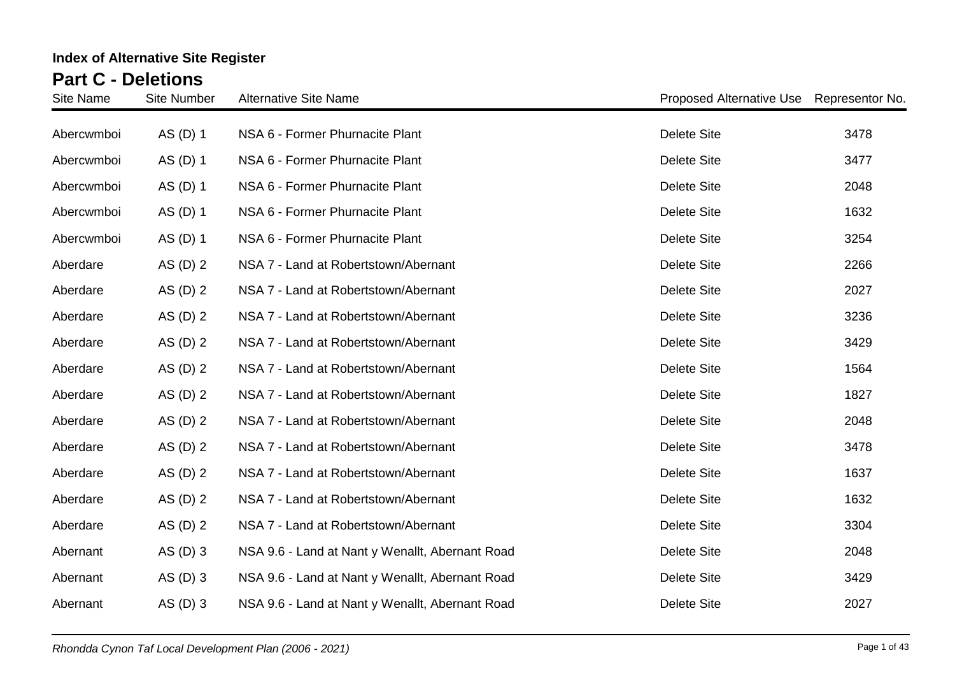| Site Name  | <b>Site Number</b> | <b>Alternative Site Name</b>                    | Proposed Alternative Use Representor No. |      |
|------------|--------------------|-------------------------------------------------|------------------------------------------|------|
| Abercwmboi | AS (D) 1           | NSA 6 - Former Phurnacite Plant                 | <b>Delete Site</b>                       | 3478 |
| Abercwmboi | AS (D) 1           | NSA 6 - Former Phurnacite Plant                 | <b>Delete Site</b>                       | 3477 |
| Abercwmboi | AS (D) 1           | NSA 6 - Former Phurnacite Plant                 | <b>Delete Site</b>                       | 2048 |
| Abercwmboi | AS (D) 1           | NSA 6 - Former Phurnacite Plant                 | <b>Delete Site</b>                       | 1632 |
| Abercwmboi | AS (D) 1           | NSA 6 - Former Phurnacite Plant                 | <b>Delete Site</b>                       | 3254 |
| Aberdare   | AS $(D)$ 2         | NSA 7 - Land at Robertstown/Abernant            | <b>Delete Site</b>                       | 2266 |
| Aberdare   | AS $(D)$ 2         | NSA 7 - Land at Robertstown/Abernant            | <b>Delete Site</b>                       | 2027 |
| Aberdare   | AS $(D)$ 2         | NSA 7 - Land at Robertstown/Abernant            | <b>Delete Site</b>                       | 3236 |
| Aberdare   | AS $(D)$ 2         | NSA 7 - Land at Robertstown/Abernant            | <b>Delete Site</b>                       | 3429 |
| Aberdare   | AS $(D)$ 2         | NSA 7 - Land at Robertstown/Abernant            | <b>Delete Site</b>                       | 1564 |
| Aberdare   | AS $(D)$ 2         | NSA 7 - Land at Robertstown/Abernant            | <b>Delete Site</b>                       | 1827 |
| Aberdare   | AS $(D)$ 2         | NSA 7 - Land at Robertstown/Abernant            | <b>Delete Site</b>                       | 2048 |
| Aberdare   | AS $(D)$ 2         | NSA 7 - Land at Robertstown/Abernant            | <b>Delete Site</b>                       | 3478 |
| Aberdare   | AS $(D)$ 2         | NSA 7 - Land at Robertstown/Abernant            | <b>Delete Site</b>                       | 1637 |
| Aberdare   | AS $(D)$ 2         | NSA 7 - Land at Robertstown/Abernant            | <b>Delete Site</b>                       | 1632 |
| Aberdare   | AS $(D)$ 2         | NSA 7 - Land at Robertstown/Abernant            | <b>Delete Site</b>                       | 3304 |
| Abernant   | AS $(D)$ 3         | NSA 9.6 - Land at Nant y Wenallt, Abernant Road | <b>Delete Site</b>                       | 2048 |
| Abernant   | AS $(D)$ 3         | NSA 9.6 - Land at Nant y Wenallt, Abernant Road | <b>Delete Site</b>                       | 3429 |
| Abernant   | AS $(D)$ 3         | NSA 9.6 - Land at Nant y Wenallt, Abernant Road | <b>Delete Site</b>                       | 2027 |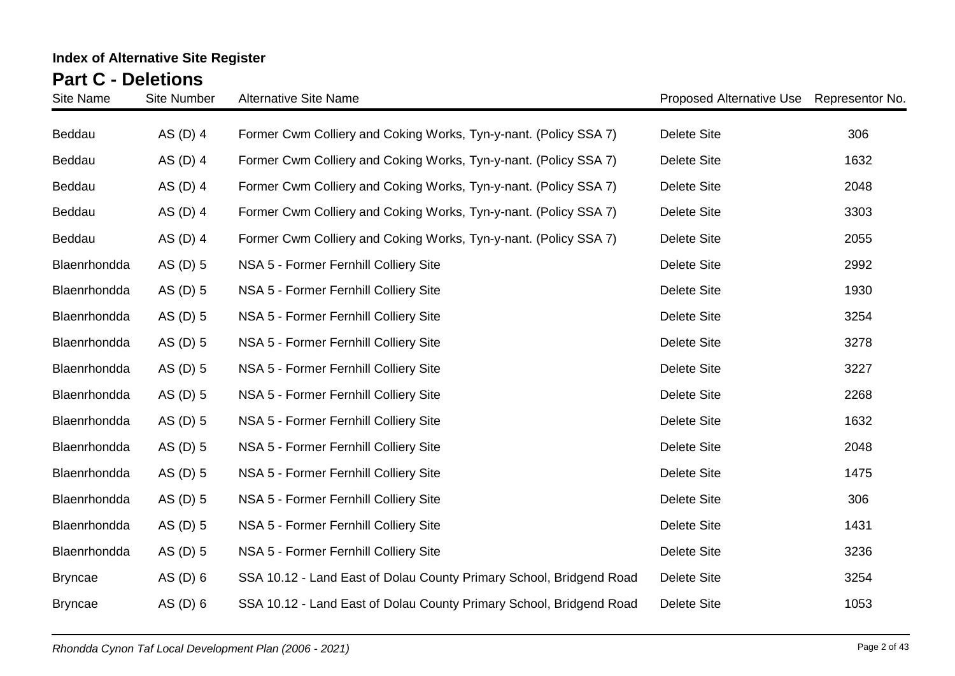| Site Name      | <b>Site Number</b> | <b>Alternative Site Name</b>                                        | Proposed Alternative Use | Representor No. |
|----------------|--------------------|---------------------------------------------------------------------|--------------------------|-----------------|
| Beddau         | AS $(D)$ 4         | Former Cwm Colliery and Coking Works, Tyn-y-nant. (Policy SSA 7)    | <b>Delete Site</b>       | 306             |
| Beddau         | AS $(D)$ 4         | Former Cwm Colliery and Coking Works, Tyn-y-nant. (Policy SSA 7)    | <b>Delete Site</b>       | 1632            |
| Beddau         | AS $(D)$ 4         | Former Cwm Colliery and Coking Works, Tyn-y-nant. (Policy SSA 7)    | <b>Delete Site</b>       | 2048            |
| Beddau         | AS $(D)$ 4         | Former Cwm Colliery and Coking Works, Tyn-y-nant. (Policy SSA 7)    | <b>Delete Site</b>       | 3303            |
| Beddau         | AS (D) 4           | Former Cwm Colliery and Coking Works, Tyn-y-nant. (Policy SSA 7)    | <b>Delete Site</b>       | 2055            |
| Blaenrhondda   | AS (D) 5           | NSA 5 - Former Fernhill Colliery Site                               | <b>Delete Site</b>       | 2992            |
| Blaenrhondda   | AS (D) 5           | NSA 5 - Former Fernhill Colliery Site                               | <b>Delete Site</b>       | 1930            |
| Blaenrhondda   | $AS$ (D) 5         | NSA 5 - Former Fernhill Colliery Site                               | <b>Delete Site</b>       | 3254            |
| Blaenrhondda   | AS (D) 5           | NSA 5 - Former Fernhill Colliery Site                               | <b>Delete Site</b>       | 3278            |
| Blaenrhondda   | AS (D) 5           | NSA 5 - Former Fernhill Colliery Site                               | <b>Delete Site</b>       | 3227            |
| Blaenrhondda   | AS (D) 5           | NSA 5 - Former Fernhill Colliery Site                               | <b>Delete Site</b>       | 2268            |
| Blaenrhondda   | AS (D) 5           | NSA 5 - Former Fernhill Colliery Site                               | <b>Delete Site</b>       | 1632            |
| Blaenrhondda   | AS (D) 5           | NSA 5 - Former Fernhill Colliery Site                               | <b>Delete Site</b>       | 2048            |
| Blaenrhondda   | $AS$ (D) 5         | NSA 5 - Former Fernhill Colliery Site                               | <b>Delete Site</b>       | 1475            |
| Blaenrhondda   | $AS$ (D) 5         | NSA 5 - Former Fernhill Colliery Site                               | <b>Delete Site</b>       | 306             |
| Blaenrhondda   | $AS$ (D) 5         | NSA 5 - Former Fernhill Colliery Site                               | <b>Delete Site</b>       | 1431            |
| Blaenrhondda   | AS (D) 5           | NSA 5 - Former Fernhill Colliery Site                               | <b>Delete Site</b>       | 3236            |
| <b>Bryncae</b> | $AS$ (D) 6         | SSA 10.12 - Land East of Dolau County Primary School, Bridgend Road | <b>Delete Site</b>       | 3254            |
| <b>Bryncae</b> | AS $(D)$ 6         | SSA 10.12 - Land East of Dolau County Primary School, Bridgend Road | <b>Delete Site</b>       | 1053            |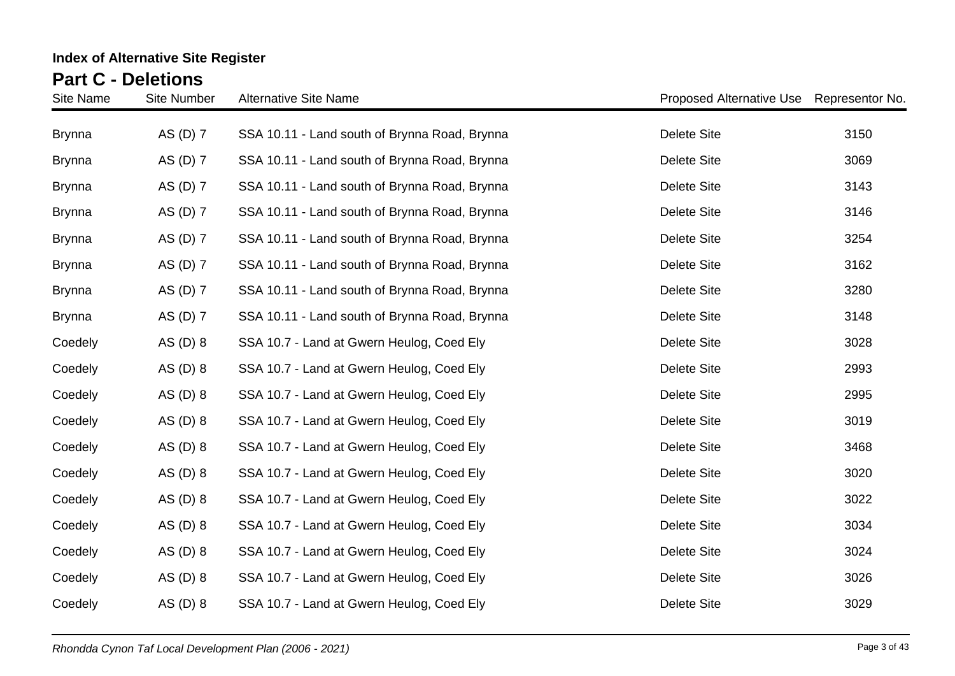| <b>Site Name</b> | <b>Site Number</b> | <b>Alternative Site Name</b>                  | Proposed Alternative Use Representor No. |      |
|------------------|--------------------|-----------------------------------------------|------------------------------------------|------|
| <b>Brynna</b>    | AS (D) 7           | SSA 10.11 - Land south of Brynna Road, Brynna | <b>Delete Site</b>                       | 3150 |
| <b>Brynna</b>    | AS (D) 7           | SSA 10.11 - Land south of Brynna Road, Brynna | <b>Delete Site</b>                       | 3069 |
| <b>Brynna</b>    | AS (D) 7           | SSA 10.11 - Land south of Brynna Road, Brynna | <b>Delete Site</b>                       | 3143 |
| <b>Brynna</b>    | AS (D) 7           | SSA 10.11 - Land south of Brynna Road, Brynna | <b>Delete Site</b>                       | 3146 |
| <b>Brynna</b>    | AS (D) 7           | SSA 10.11 - Land south of Brynna Road, Brynna | <b>Delete Site</b>                       | 3254 |
| <b>Brynna</b>    | AS (D) 7           | SSA 10.11 - Land south of Brynna Road, Brynna | <b>Delete Site</b>                       | 3162 |
| <b>Brynna</b>    | AS (D) 7           | SSA 10.11 - Land south of Brynna Road, Brynna | <b>Delete Site</b>                       | 3280 |
| <b>Brynna</b>    | AS (D) 7           | SSA 10.11 - Land south of Brynna Road, Brynna | <b>Delete Site</b>                       | 3148 |
| Coedely          | $AS$ (D) $8$       | SSA 10.7 - Land at Gwern Heulog, Coed Ely     | <b>Delete Site</b>                       | 3028 |
| Coedely          | AS $(D)$ 8         | SSA 10.7 - Land at Gwern Heulog, Coed Ely     | <b>Delete Site</b>                       | 2993 |
| Coedely          | AS $(D)$ 8         | SSA 10.7 - Land at Gwern Heulog, Coed Ely     | <b>Delete Site</b>                       | 2995 |
| Coedely          | AS $(D)$ 8         | SSA 10.7 - Land at Gwern Heulog, Coed Ely     | <b>Delete Site</b>                       | 3019 |
| Coedely          | AS $(D)$ 8         | SSA 10.7 - Land at Gwern Heulog, Coed Ely     | <b>Delete Site</b>                       | 3468 |
| Coedely          | AS $(D)$ 8         | SSA 10.7 - Land at Gwern Heulog, Coed Ely     | <b>Delete Site</b>                       | 3020 |
| Coedely          | AS $(D)$ 8         | SSA 10.7 - Land at Gwern Heulog, Coed Ely     | <b>Delete Site</b>                       | 3022 |
| Coedely          | $AS$ (D) $8$       | SSA 10.7 - Land at Gwern Heulog, Coed Ely     | <b>Delete Site</b>                       | 3034 |
| Coedely          | $AS$ (D) $8$       | SSA 10.7 - Land at Gwern Heulog, Coed Ely     | <b>Delete Site</b>                       | 3024 |
| Coedely          | AS $(D)$ 8         | SSA 10.7 - Land at Gwern Heulog, Coed Ely     | <b>Delete Site</b>                       | 3026 |
| Coedely          | AS $(D)$ 8         | SSA 10.7 - Land at Gwern Heulog, Coed Ely     | <b>Delete Site</b>                       | 3029 |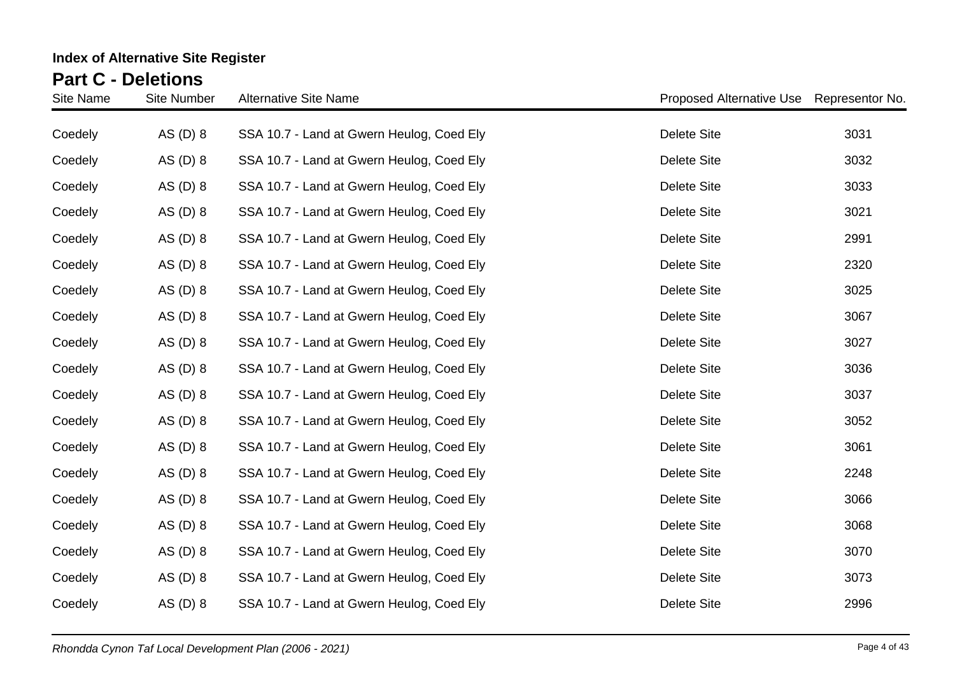| Site Name | <b>Site Number</b> | <b>Alternative Site Name</b>              | Proposed Alternative Use Representor No. |      |
|-----------|--------------------|-------------------------------------------|------------------------------------------|------|
| Coedely   | AS $(D)$ 8         | SSA 10.7 - Land at Gwern Heulog, Coed Ely | <b>Delete Site</b>                       | 3031 |
| Coedely   | AS $(D)$ 8         | SSA 10.7 - Land at Gwern Heulog, Coed Ely | <b>Delete Site</b>                       | 3032 |
| Coedely   | AS $(D)$ 8         | SSA 10.7 - Land at Gwern Heulog, Coed Ely | <b>Delete Site</b>                       | 3033 |
| Coedely   | AS $(D)$ 8         | SSA 10.7 - Land at Gwern Heulog, Coed Ely | Delete Site                              | 3021 |
| Coedely   | AS $(D)$ 8         | SSA 10.7 - Land at Gwern Heulog, Coed Ely | <b>Delete Site</b>                       | 2991 |
| Coedely   | AS $(D)$ 8         | SSA 10.7 - Land at Gwern Heulog, Coed Ely | <b>Delete Site</b>                       | 2320 |
| Coedely   | AS $(D)$ 8         | SSA 10.7 - Land at Gwern Heulog, Coed Ely | Delete Site                              | 3025 |
| Coedely   | AS $(D)$ 8         | SSA 10.7 - Land at Gwern Heulog, Coed Ely | <b>Delete Site</b>                       | 3067 |
| Coedely   | AS $(D)$ 8         | SSA 10.7 - Land at Gwern Heulog, Coed Ely | Delete Site                              | 3027 |
| Coedely   | AS $(D)$ 8         | SSA 10.7 - Land at Gwern Heulog, Coed Ely | <b>Delete Site</b>                       | 3036 |
| Coedely   | AS $(D)$ 8         | SSA 10.7 - Land at Gwern Heulog, Coed Ely | Delete Site                              | 3037 |
| Coedely   | AS $(D)$ 8         | SSA 10.7 - Land at Gwern Heulog, Coed Ely | <b>Delete Site</b>                       | 3052 |
| Coedely   | AS $(D)$ 8         | SSA 10.7 - Land at Gwern Heulog, Coed Ely | <b>Delete Site</b>                       | 3061 |
| Coedely   | AS(D) 8            | SSA 10.7 - Land at Gwern Heulog, Coed Ely | Delete Site                              | 2248 |
| Coedely   | AS $(D)$ 8         | SSA 10.7 - Land at Gwern Heulog, Coed Ely | <b>Delete Site</b>                       | 3066 |
| Coedely   | AS $(D)$ 8         | SSA 10.7 - Land at Gwern Heulog, Coed Ely | <b>Delete Site</b>                       | 3068 |
| Coedely   | AS $(D)$ 8         | SSA 10.7 - Land at Gwern Heulog, Coed Ely | <b>Delete Site</b>                       | 3070 |
| Coedely   | AS $(D)$ 8         | SSA 10.7 - Land at Gwern Heulog, Coed Ely | <b>Delete Site</b>                       | 3073 |
| Coedely   | AS (D) 8           | SSA 10.7 - Land at Gwern Heulog, Coed Ely | <b>Delete Site</b>                       | 2996 |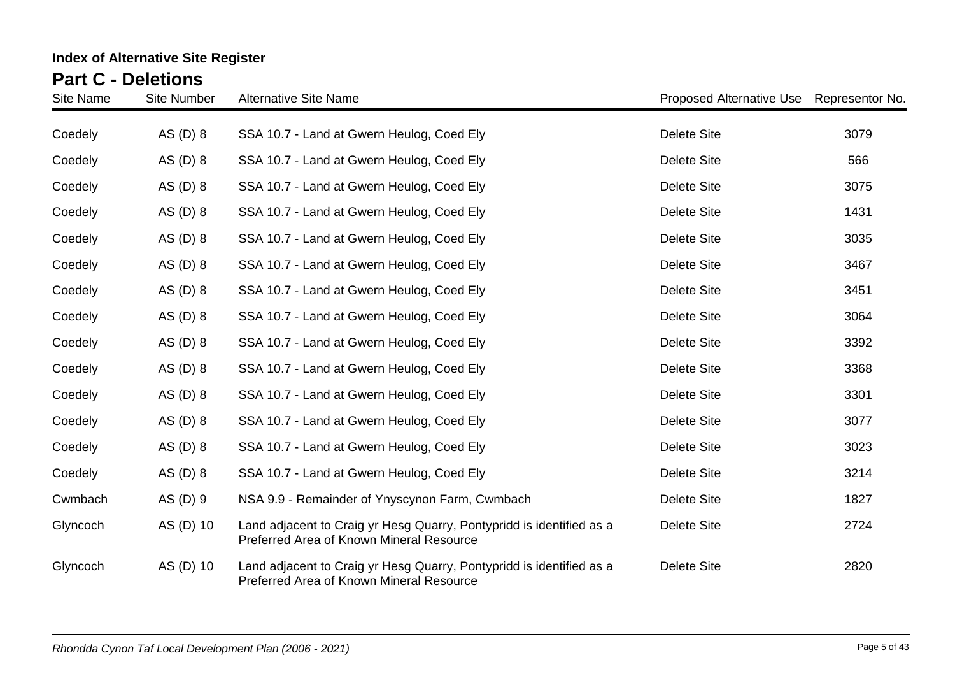| Site Name | <b>Site Number</b> | <b>Alternative Site Name</b>                                                                                     | Proposed Alternative Use Representor No. |      |
|-----------|--------------------|------------------------------------------------------------------------------------------------------------------|------------------------------------------|------|
| Coedely   | AS $(D)$ 8         | SSA 10.7 - Land at Gwern Heulog, Coed Ely                                                                        | <b>Delete Site</b>                       | 3079 |
| Coedely   | AS $(D)$ 8         | SSA 10.7 - Land at Gwern Heulog, Coed Ely                                                                        | Delete Site                              | 566  |
| Coedely   | AS $(D)$ 8         | SSA 10.7 - Land at Gwern Heulog, Coed Ely                                                                        | Delete Site                              | 3075 |
| Coedely   | AS $(D)$ 8         | SSA 10.7 - Land at Gwern Heulog, Coed Ely                                                                        | <b>Delete Site</b>                       | 1431 |
| Coedely   | AS $(D)$ 8         | SSA 10.7 - Land at Gwern Heulog, Coed Ely                                                                        | <b>Delete Site</b>                       | 3035 |
| Coedely   | AS $(D)$ 8         | SSA 10.7 - Land at Gwern Heulog, Coed Ely                                                                        | <b>Delete Site</b>                       | 3467 |
| Coedely   | AS $(D)$ 8         | SSA 10.7 - Land at Gwern Heulog, Coed Ely                                                                        | <b>Delete Site</b>                       | 3451 |
| Coedely   | AS $(D)$ 8         | SSA 10.7 - Land at Gwern Heulog, Coed Ely                                                                        | <b>Delete Site</b>                       | 3064 |
| Coedely   | AS $(D)$ 8         | SSA 10.7 - Land at Gwern Heulog, Coed Ely                                                                        | <b>Delete Site</b>                       | 3392 |
| Coedely   | AS $(D)$ 8         | SSA 10.7 - Land at Gwern Heulog, Coed Ely                                                                        | <b>Delete Site</b>                       | 3368 |
| Coedely   | AS $(D)$ 8         | SSA 10.7 - Land at Gwern Heulog, Coed Ely                                                                        | <b>Delete Site</b>                       | 3301 |
| Coedely   | AS $(D)$ 8         | SSA 10.7 - Land at Gwern Heulog, Coed Ely                                                                        | <b>Delete Site</b>                       | 3077 |
| Coedely   | AS $(D)$ 8         | SSA 10.7 - Land at Gwern Heulog, Coed Ely                                                                        | <b>Delete Site</b>                       | 3023 |
| Coedely   | AS $(D)$ 8         | SSA 10.7 - Land at Gwern Heulog, Coed Ely                                                                        | Delete Site                              | 3214 |
| Cwmbach   | AS(D) 9            | NSA 9.9 - Remainder of Ynyscynon Farm, Cwmbach                                                                   | Delete Site                              | 1827 |
| Glyncoch  | AS (D) 10          | Land adjacent to Craig yr Hesg Quarry, Pontypridd is identified as a<br>Preferred Area of Known Mineral Resource | Delete Site                              | 2724 |
| Glyncoch  | AS (D) 10          | Land adjacent to Craig yr Hesg Quarry, Pontypridd is identified as a<br>Preferred Area of Known Mineral Resource | Delete Site                              | 2820 |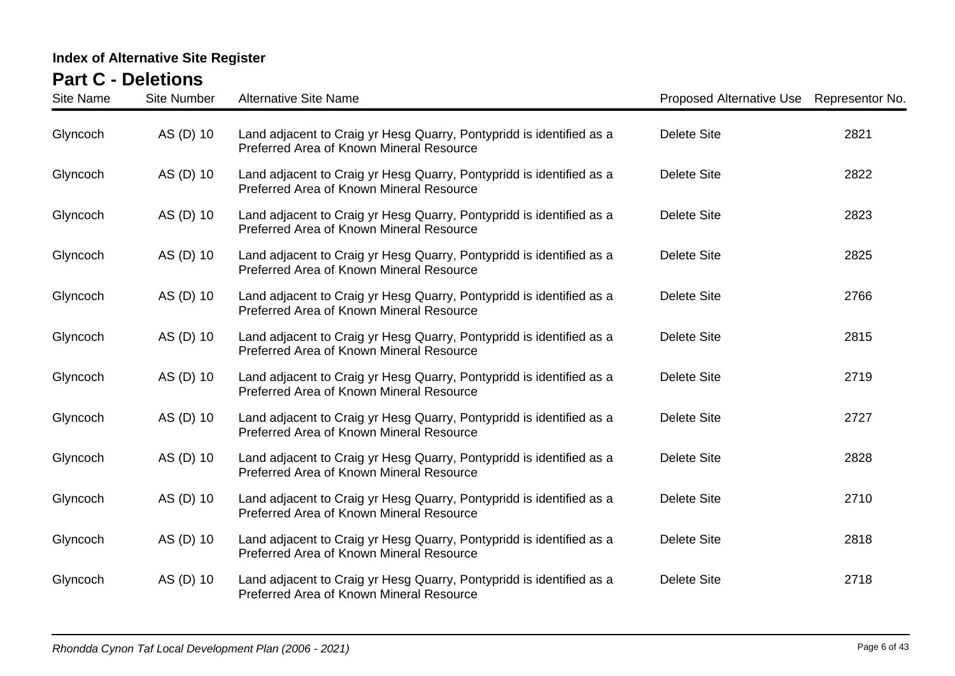| <b>Site Name</b> | <b>Site Number</b> | <b>Alternative Site Name</b>                                                                                     | Proposed Alternative Use Representor No. |      |
|------------------|--------------------|------------------------------------------------------------------------------------------------------------------|------------------------------------------|------|
| Glyncoch         | AS (D) 10          | Land adjacent to Craig yr Hesg Quarry, Pontypridd is identified as a<br>Preferred Area of Known Mineral Resource | <b>Delete Site</b>                       | 2821 |
| Glyncoch         | AS (D) 10          | Land adjacent to Craig yr Hesg Quarry, Pontypridd is identified as a<br>Preferred Area of Known Mineral Resource | <b>Delete Site</b>                       | 2822 |
| Glyncoch         | AS (D) 10          | Land adjacent to Craig yr Hesg Quarry, Pontypridd is identified as a<br>Preferred Area of Known Mineral Resource | <b>Delete Site</b>                       | 2823 |
| Glyncoch         | AS (D) 10          | Land adjacent to Craig yr Hesg Quarry, Pontypridd is identified as a<br>Preferred Area of Known Mineral Resource | <b>Delete Site</b>                       | 2825 |
| Glyncoch         | AS (D) 10          | Land adjacent to Craig yr Hesg Quarry, Pontypridd is identified as a<br>Preferred Area of Known Mineral Resource | <b>Delete Site</b>                       | 2766 |
| Glyncoch         | AS (D) 10          | Land adjacent to Craig yr Hesg Quarry, Pontypridd is identified as a<br>Preferred Area of Known Mineral Resource | <b>Delete Site</b>                       | 2815 |
| Glyncoch         | AS (D) 10          | Land adjacent to Craig yr Hesg Quarry, Pontypridd is identified as a<br>Preferred Area of Known Mineral Resource | <b>Delete Site</b>                       | 2719 |
| Glyncoch         | AS (D) 10          | Land adjacent to Craig yr Hesg Quarry, Pontypridd is identified as a<br>Preferred Area of Known Mineral Resource | <b>Delete Site</b>                       | 2727 |
| Glyncoch         | AS (D) 10          | Land adjacent to Craig yr Hesg Quarry, Pontypridd is identified as a<br>Preferred Area of Known Mineral Resource | <b>Delete Site</b>                       | 2828 |
| Glyncoch         | AS (D) 10          | Land adjacent to Craig yr Hesg Quarry, Pontypridd is identified as a<br>Preferred Area of Known Mineral Resource | <b>Delete Site</b>                       | 2710 |
| Glyncoch         | AS (D) 10          | Land adjacent to Craig yr Hesg Quarry, Pontypridd is identified as a<br>Preferred Area of Known Mineral Resource | <b>Delete Site</b>                       | 2818 |
| Glyncoch         | AS (D) 10          | Land adjacent to Craig yr Hesg Quarry, Pontypridd is identified as a<br>Preferred Area of Known Mineral Resource | <b>Delete Site</b>                       | 2718 |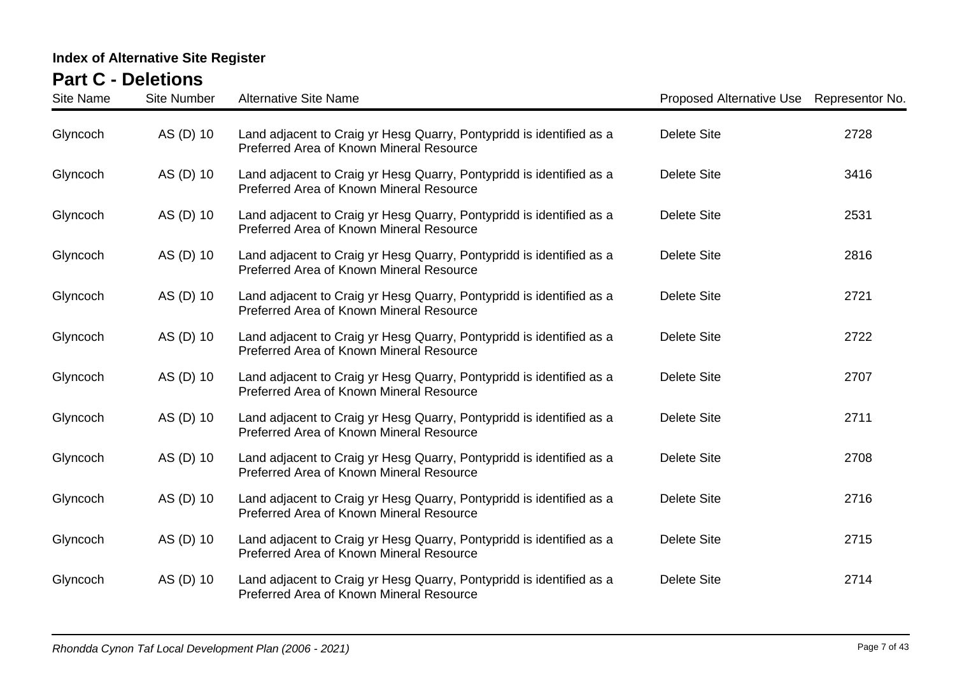| <b>Site Name</b> | <b>Site Number</b> | <b>Alternative Site Name</b>                                                                                     | Proposed Alternative Use Representor No. |      |
|------------------|--------------------|------------------------------------------------------------------------------------------------------------------|------------------------------------------|------|
| Glyncoch         | AS (D) 10          | Land adjacent to Craig yr Hesg Quarry, Pontypridd is identified as a<br>Preferred Area of Known Mineral Resource | <b>Delete Site</b>                       | 2728 |
| Glyncoch         | AS (D) 10          | Land adjacent to Craig yr Hesg Quarry, Pontypridd is identified as a<br>Preferred Area of Known Mineral Resource | <b>Delete Site</b>                       | 3416 |
| Glyncoch         | AS (D) 10          | Land adjacent to Craig yr Hesg Quarry, Pontypridd is identified as a<br>Preferred Area of Known Mineral Resource | <b>Delete Site</b>                       | 2531 |
| Glyncoch         | AS (D) 10          | Land adjacent to Craig yr Hesg Quarry, Pontypridd is identified as a<br>Preferred Area of Known Mineral Resource | <b>Delete Site</b>                       | 2816 |
| Glyncoch         | AS (D) 10          | Land adjacent to Craig yr Hesg Quarry, Pontypridd is identified as a<br>Preferred Area of Known Mineral Resource | <b>Delete Site</b>                       | 2721 |
| Glyncoch         | AS (D) 10          | Land adjacent to Craig yr Hesg Quarry, Pontypridd is identified as a<br>Preferred Area of Known Mineral Resource | <b>Delete Site</b>                       | 2722 |
| Glyncoch         | AS (D) 10          | Land adjacent to Craig yr Hesg Quarry, Pontypridd is identified as a<br>Preferred Area of Known Mineral Resource | <b>Delete Site</b>                       | 2707 |
| Glyncoch         | AS (D) 10          | Land adjacent to Craig yr Hesg Quarry, Pontypridd is identified as a<br>Preferred Area of Known Mineral Resource | <b>Delete Site</b>                       | 2711 |
| Glyncoch         | AS (D) 10          | Land adjacent to Craig yr Hesg Quarry, Pontypridd is identified as a<br>Preferred Area of Known Mineral Resource | <b>Delete Site</b>                       | 2708 |
| Glyncoch         | AS (D) 10          | Land adjacent to Craig yr Hesg Quarry, Pontypridd is identified as a<br>Preferred Area of Known Mineral Resource | <b>Delete Site</b>                       | 2716 |
| Glyncoch         | AS (D) 10          | Land adjacent to Craig yr Hesg Quarry, Pontypridd is identified as a<br>Preferred Area of Known Mineral Resource | <b>Delete Site</b>                       | 2715 |
| Glyncoch         | AS (D) 10          | Land adjacent to Craig yr Hesg Quarry, Pontypridd is identified as a<br>Preferred Area of Known Mineral Resource | <b>Delete Site</b>                       | 2714 |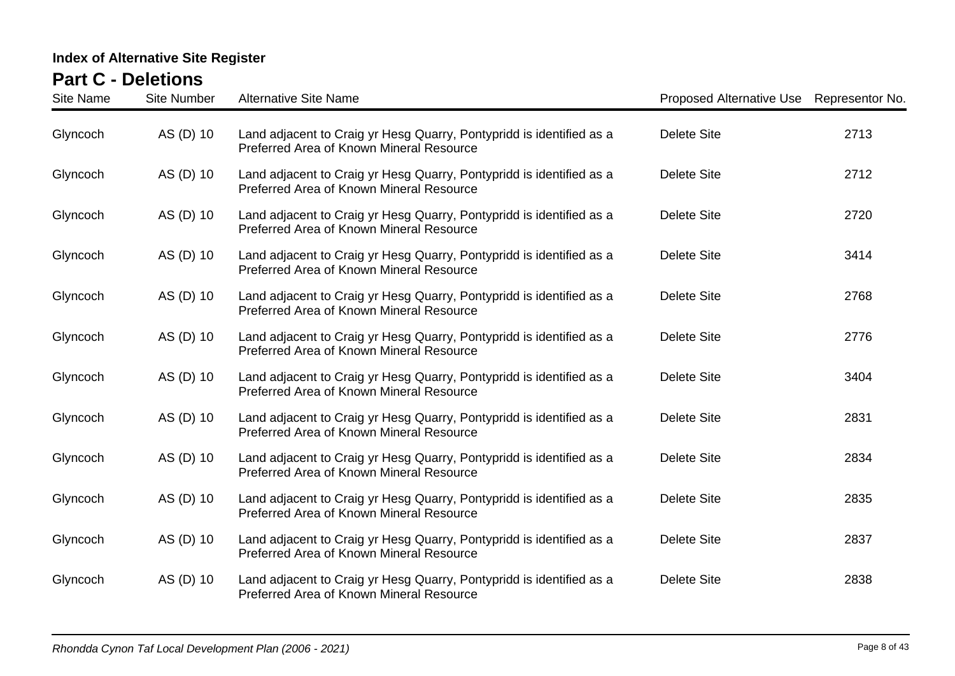| <b>Site Name</b> | <b>Site Number</b> | <b>Alternative Site Name</b>                                                                                     | Proposed Alternative Use Representor No. |      |
|------------------|--------------------|------------------------------------------------------------------------------------------------------------------|------------------------------------------|------|
| Glyncoch         | AS (D) 10          | Land adjacent to Craig yr Hesg Quarry, Pontypridd is identified as a<br>Preferred Area of Known Mineral Resource | <b>Delete Site</b>                       | 2713 |
| Glyncoch         | AS (D) 10          | Land adjacent to Craig yr Hesg Quarry, Pontypridd is identified as a<br>Preferred Area of Known Mineral Resource | <b>Delete Site</b>                       | 2712 |
| Glyncoch         | AS (D) 10          | Land adjacent to Craig yr Hesg Quarry, Pontypridd is identified as a<br>Preferred Area of Known Mineral Resource | <b>Delete Site</b>                       | 2720 |
| Glyncoch         | AS (D) 10          | Land adjacent to Craig yr Hesg Quarry, Pontypridd is identified as a<br>Preferred Area of Known Mineral Resource | <b>Delete Site</b>                       | 3414 |
| Glyncoch         | AS (D) 10          | Land adjacent to Craig yr Hesg Quarry, Pontypridd is identified as a<br>Preferred Area of Known Mineral Resource | <b>Delete Site</b>                       | 2768 |
| Glyncoch         | AS (D) 10          | Land adjacent to Craig yr Hesg Quarry, Pontypridd is identified as a<br>Preferred Area of Known Mineral Resource | <b>Delete Site</b>                       | 2776 |
| Glyncoch         | AS (D) 10          | Land adjacent to Craig yr Hesg Quarry, Pontypridd is identified as a<br>Preferred Area of Known Mineral Resource | <b>Delete Site</b>                       | 3404 |
| Glyncoch         | AS (D) 10          | Land adjacent to Craig yr Hesg Quarry, Pontypridd is identified as a<br>Preferred Area of Known Mineral Resource | <b>Delete Site</b>                       | 2831 |
| Glyncoch         | AS (D) 10          | Land adjacent to Craig yr Hesg Quarry, Pontypridd is identified as a<br>Preferred Area of Known Mineral Resource | <b>Delete Site</b>                       | 2834 |
| Glyncoch         | AS (D) 10          | Land adjacent to Craig yr Hesg Quarry, Pontypridd is identified as a<br>Preferred Area of Known Mineral Resource | <b>Delete Site</b>                       | 2835 |
| Glyncoch         | AS (D) 10          | Land adjacent to Craig yr Hesg Quarry, Pontypridd is identified as a<br>Preferred Area of Known Mineral Resource | <b>Delete Site</b>                       | 2837 |
| Glyncoch         | AS (D) 10          | Land adjacent to Craig yr Hesg Quarry, Pontypridd is identified as a<br>Preferred Area of Known Mineral Resource | <b>Delete Site</b>                       | 2838 |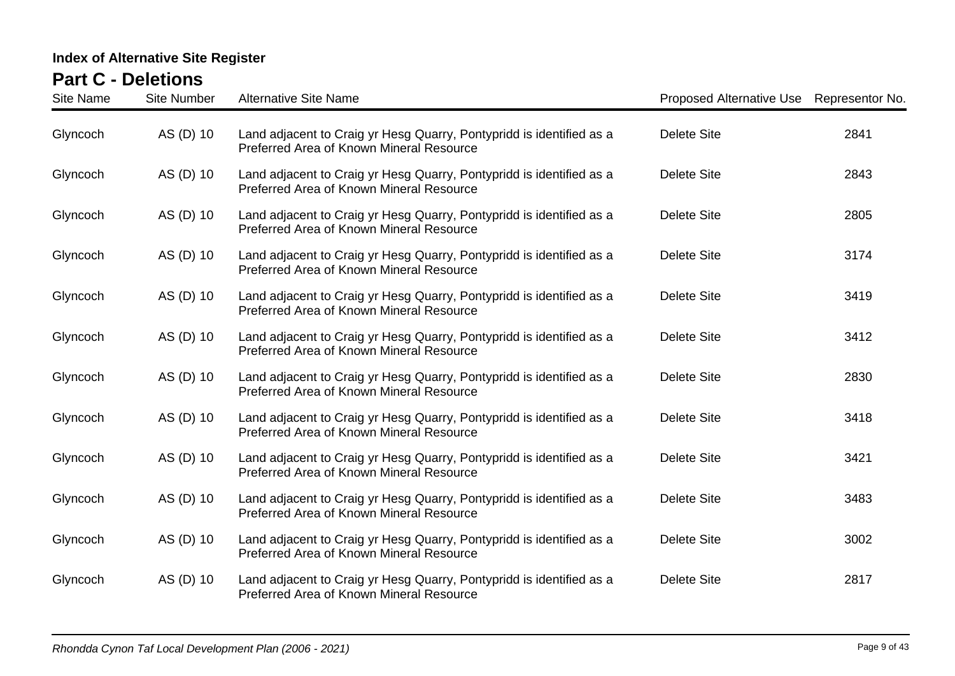| <b>Site Name</b> | <b>Site Number</b> | <b>Alternative Site Name</b>                                                                                     | Proposed Alternative Use Representor No. |      |
|------------------|--------------------|------------------------------------------------------------------------------------------------------------------|------------------------------------------|------|
| Glyncoch         | AS (D) 10          | Land adjacent to Craig yr Hesg Quarry, Pontypridd is identified as a<br>Preferred Area of Known Mineral Resource | <b>Delete Site</b>                       | 2841 |
| Glyncoch         | AS (D) 10          | Land adjacent to Craig yr Hesg Quarry, Pontypridd is identified as a<br>Preferred Area of Known Mineral Resource | <b>Delete Site</b>                       | 2843 |
| Glyncoch         | AS (D) 10          | Land adjacent to Craig yr Hesg Quarry, Pontypridd is identified as a<br>Preferred Area of Known Mineral Resource | <b>Delete Site</b>                       | 2805 |
| Glyncoch         | AS (D) 10          | Land adjacent to Craig yr Hesg Quarry, Pontypridd is identified as a<br>Preferred Area of Known Mineral Resource | <b>Delete Site</b>                       | 3174 |
| Glyncoch         | AS (D) 10          | Land adjacent to Craig yr Hesg Quarry, Pontypridd is identified as a<br>Preferred Area of Known Mineral Resource | <b>Delete Site</b>                       | 3419 |
| Glyncoch         | AS (D) 10          | Land adjacent to Craig yr Hesg Quarry, Pontypridd is identified as a<br>Preferred Area of Known Mineral Resource | <b>Delete Site</b>                       | 3412 |
| Glyncoch         | AS (D) 10          | Land adjacent to Craig yr Hesg Quarry, Pontypridd is identified as a<br>Preferred Area of Known Mineral Resource | <b>Delete Site</b>                       | 2830 |
| Glyncoch         | AS (D) 10          | Land adjacent to Craig yr Hesg Quarry, Pontypridd is identified as a<br>Preferred Area of Known Mineral Resource | Delete Site                              | 3418 |
| Glyncoch         | AS (D) 10          | Land adjacent to Craig yr Hesg Quarry, Pontypridd is identified as a<br>Preferred Area of Known Mineral Resource | <b>Delete Site</b>                       | 3421 |
| Glyncoch         | AS (D) 10          | Land adjacent to Craig yr Hesg Quarry, Pontypridd is identified as a<br>Preferred Area of Known Mineral Resource | <b>Delete Site</b>                       | 3483 |
| Glyncoch         | AS (D) 10          | Land adjacent to Craig yr Hesg Quarry, Pontypridd is identified as a<br>Preferred Area of Known Mineral Resource | <b>Delete Site</b>                       | 3002 |
| Glyncoch         | AS (D) 10          | Land adjacent to Craig yr Hesg Quarry, Pontypridd is identified as a<br>Preferred Area of Known Mineral Resource | <b>Delete Site</b>                       | 2817 |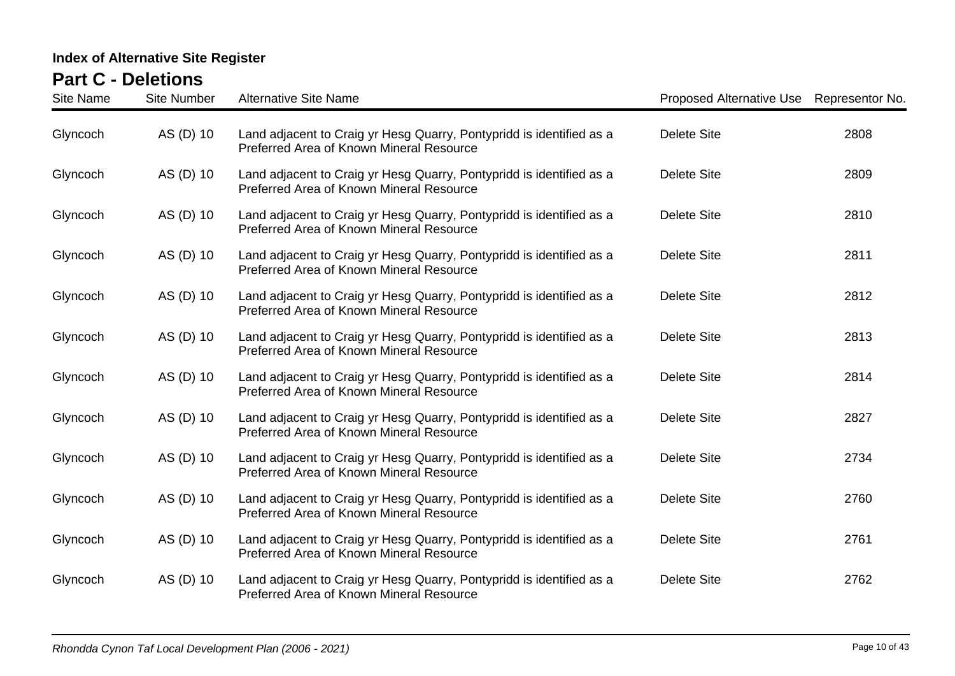| <b>Site Name</b> | <b>Site Number</b> | <b>Alternative Site Name</b>                                                                                     | Proposed Alternative Use Representor No. |      |
|------------------|--------------------|------------------------------------------------------------------------------------------------------------------|------------------------------------------|------|
| Glyncoch         | AS (D) 10          | Land adjacent to Craig yr Hesg Quarry, Pontypridd is identified as a<br>Preferred Area of Known Mineral Resource | <b>Delete Site</b>                       | 2808 |
| Glyncoch         | AS (D) 10          | Land adjacent to Craig yr Hesg Quarry, Pontypridd is identified as a<br>Preferred Area of Known Mineral Resource | <b>Delete Site</b>                       | 2809 |
| Glyncoch         | AS (D) 10          | Land adjacent to Craig yr Hesg Quarry, Pontypridd is identified as a<br>Preferred Area of Known Mineral Resource | <b>Delete Site</b>                       | 2810 |
| Glyncoch         | AS (D) 10          | Land adjacent to Craig yr Hesg Quarry, Pontypridd is identified as a<br>Preferred Area of Known Mineral Resource | <b>Delete Site</b>                       | 2811 |
| Glyncoch         | AS (D) 10          | Land adjacent to Craig yr Hesg Quarry, Pontypridd is identified as a<br>Preferred Area of Known Mineral Resource | <b>Delete Site</b>                       | 2812 |
| Glyncoch         | AS (D) 10          | Land adjacent to Craig yr Hesg Quarry, Pontypridd is identified as a<br>Preferred Area of Known Mineral Resource | <b>Delete Site</b>                       | 2813 |
| Glyncoch         | AS (D) 10          | Land adjacent to Craig yr Hesg Quarry, Pontypridd is identified as a<br>Preferred Area of Known Mineral Resource | <b>Delete Site</b>                       | 2814 |
| Glyncoch         | AS (D) 10          | Land adjacent to Craig yr Hesg Quarry, Pontypridd is identified as a<br>Preferred Area of Known Mineral Resource | <b>Delete Site</b>                       | 2827 |
| Glyncoch         | AS (D) 10          | Land adjacent to Craig yr Hesg Quarry, Pontypridd is identified as a<br>Preferred Area of Known Mineral Resource | <b>Delete Site</b>                       | 2734 |
| Glyncoch         | AS (D) 10          | Land adjacent to Craig yr Hesg Quarry, Pontypridd is identified as a<br>Preferred Area of Known Mineral Resource | <b>Delete Site</b>                       | 2760 |
| Glyncoch         | AS (D) 10          | Land adjacent to Craig yr Hesg Quarry, Pontypridd is identified as a<br>Preferred Area of Known Mineral Resource | <b>Delete Site</b>                       | 2761 |
| Glyncoch         | AS (D) 10          | Land adjacent to Craig yr Hesg Quarry, Pontypridd is identified as a<br>Preferred Area of Known Mineral Resource | <b>Delete Site</b>                       | 2762 |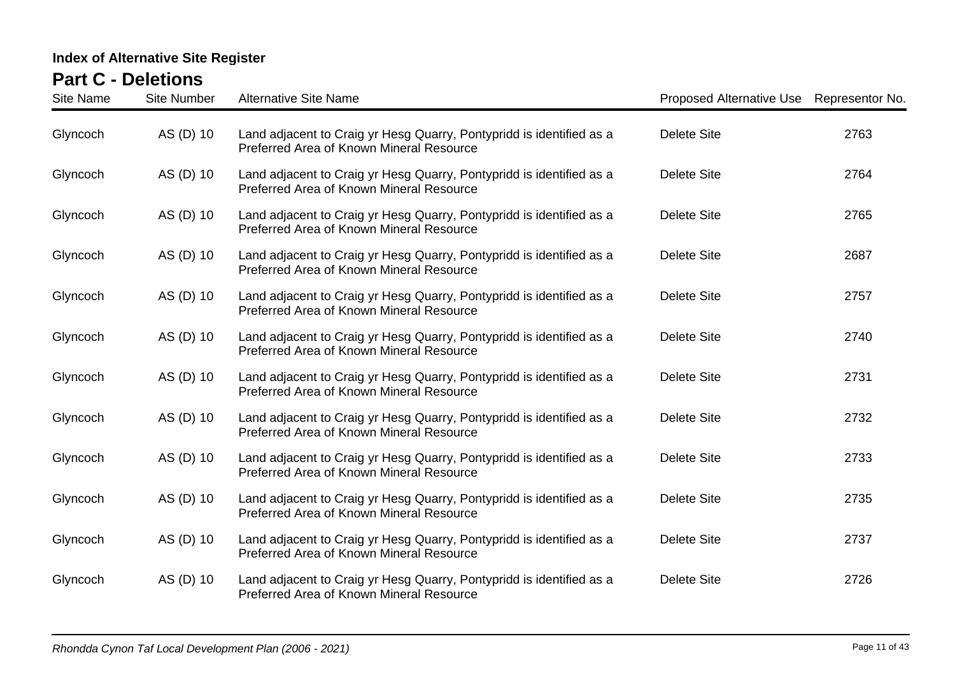| <b>Site Name</b> | <b>Site Number</b> | <b>Alternative Site Name</b>                                                                                     | Proposed Alternative Use Representor No. |      |
|------------------|--------------------|------------------------------------------------------------------------------------------------------------------|------------------------------------------|------|
| Glyncoch         | AS (D) 10          | Land adjacent to Craig yr Hesg Quarry, Pontypridd is identified as a<br>Preferred Area of Known Mineral Resource | <b>Delete Site</b>                       | 2763 |
| Glyncoch         | AS (D) 10          | Land adjacent to Craig yr Hesg Quarry, Pontypridd is identified as a<br>Preferred Area of Known Mineral Resource | <b>Delete Site</b>                       | 2764 |
| Glyncoch         | AS (D) 10          | Land adjacent to Craig yr Hesg Quarry, Pontypridd is identified as a<br>Preferred Area of Known Mineral Resource | <b>Delete Site</b>                       | 2765 |
| Glyncoch         | AS (D) 10          | Land adjacent to Craig yr Hesg Quarry, Pontypridd is identified as a<br>Preferred Area of Known Mineral Resource | <b>Delete Site</b>                       | 2687 |
| Glyncoch         | AS (D) 10          | Land adjacent to Craig yr Hesg Quarry, Pontypridd is identified as a<br>Preferred Area of Known Mineral Resource | <b>Delete Site</b>                       | 2757 |
| Glyncoch         | AS (D) 10          | Land adjacent to Craig yr Hesg Quarry, Pontypridd is identified as a<br>Preferred Area of Known Mineral Resource | <b>Delete Site</b>                       | 2740 |
| Glyncoch         | AS (D) 10          | Land adjacent to Craig yr Hesg Quarry, Pontypridd is identified as a<br>Preferred Area of Known Mineral Resource | <b>Delete Site</b>                       | 2731 |
| Glyncoch         | AS (D) 10          | Land adjacent to Craig yr Hesg Quarry, Pontypridd is identified as a<br>Preferred Area of Known Mineral Resource | <b>Delete Site</b>                       | 2732 |
| Glyncoch         | AS (D) 10          | Land adjacent to Craig yr Hesg Quarry, Pontypridd is identified as a<br>Preferred Area of Known Mineral Resource | <b>Delete Site</b>                       | 2733 |
| Glyncoch         | AS (D) 10          | Land adjacent to Craig yr Hesg Quarry, Pontypridd is identified as a<br>Preferred Area of Known Mineral Resource | <b>Delete Site</b>                       | 2735 |
| Glyncoch         | AS (D) 10          | Land adjacent to Craig yr Hesg Quarry, Pontypridd is identified as a<br>Preferred Area of Known Mineral Resource | Delete Site                              | 2737 |
| Glyncoch         | AS (D) 10          | Land adjacent to Craig yr Hesg Quarry, Pontypridd is identified as a<br>Preferred Area of Known Mineral Resource | <b>Delete Site</b>                       | 2726 |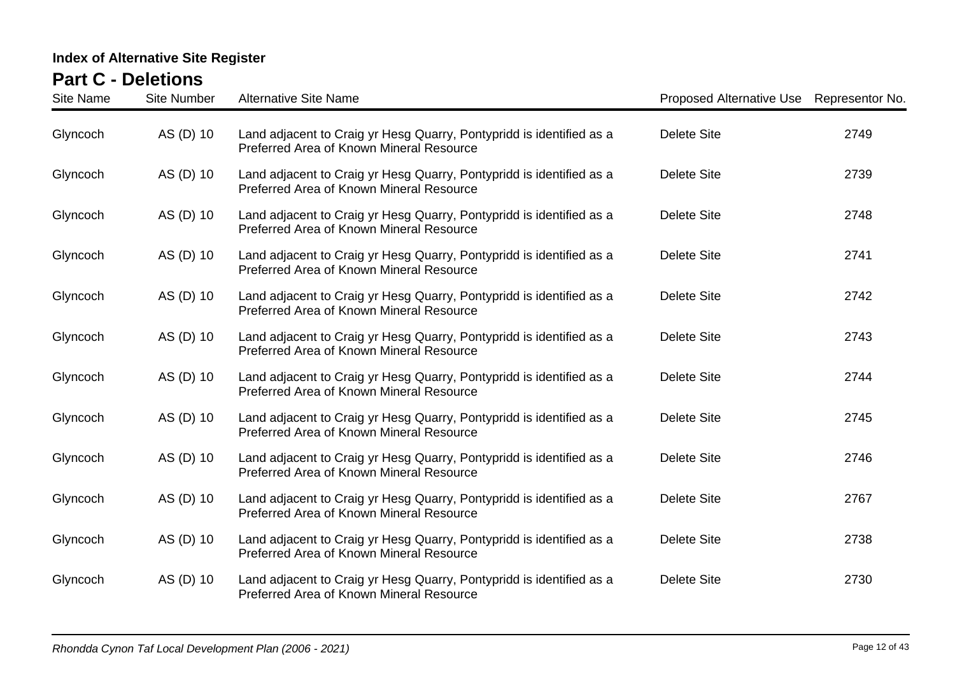| <b>Site Name</b> | <b>Site Number</b> | <b>Alternative Site Name</b>                                                                                     | Proposed Alternative Use Representor No. |      |
|------------------|--------------------|------------------------------------------------------------------------------------------------------------------|------------------------------------------|------|
| Glyncoch         | AS (D) 10          | Land adjacent to Craig yr Hesg Quarry, Pontypridd is identified as a<br>Preferred Area of Known Mineral Resource | <b>Delete Site</b>                       | 2749 |
| Glyncoch         | AS (D) 10          | Land adjacent to Craig yr Hesg Quarry, Pontypridd is identified as a<br>Preferred Area of Known Mineral Resource | <b>Delete Site</b>                       | 2739 |
| Glyncoch         | AS (D) 10          | Land adjacent to Craig yr Hesg Quarry, Pontypridd is identified as a<br>Preferred Area of Known Mineral Resource | <b>Delete Site</b>                       | 2748 |
| Glyncoch         | AS (D) 10          | Land adjacent to Craig yr Hesg Quarry, Pontypridd is identified as a<br>Preferred Area of Known Mineral Resource | <b>Delete Site</b>                       | 2741 |
| Glyncoch         | AS (D) 10          | Land adjacent to Craig yr Hesg Quarry, Pontypridd is identified as a<br>Preferred Area of Known Mineral Resource | <b>Delete Site</b>                       | 2742 |
| Glyncoch         | AS (D) 10          | Land adjacent to Craig yr Hesg Quarry, Pontypridd is identified as a<br>Preferred Area of Known Mineral Resource | <b>Delete Site</b>                       | 2743 |
| Glyncoch         | AS (D) 10          | Land adjacent to Craig yr Hesg Quarry, Pontypridd is identified as a<br>Preferred Area of Known Mineral Resource | <b>Delete Site</b>                       | 2744 |
| Glyncoch         | AS (D) 10          | Land adjacent to Craig yr Hesg Quarry, Pontypridd is identified as a<br>Preferred Area of Known Mineral Resource | <b>Delete Site</b>                       | 2745 |
| Glyncoch         | AS (D) 10          | Land adjacent to Craig yr Hesg Quarry, Pontypridd is identified as a<br>Preferred Area of Known Mineral Resource | <b>Delete Site</b>                       | 2746 |
| Glyncoch         | AS (D) 10          | Land adjacent to Craig yr Hesg Quarry, Pontypridd is identified as a<br>Preferred Area of Known Mineral Resource | <b>Delete Site</b>                       | 2767 |
| Glyncoch         | AS (D) 10          | Land adjacent to Craig yr Hesg Quarry, Pontypridd is identified as a<br>Preferred Area of Known Mineral Resource | <b>Delete Site</b>                       | 2738 |
| Glyncoch         | AS (D) 10          | Land adjacent to Craig yr Hesg Quarry, Pontypridd is identified as a<br>Preferred Area of Known Mineral Resource | <b>Delete Site</b>                       | 2730 |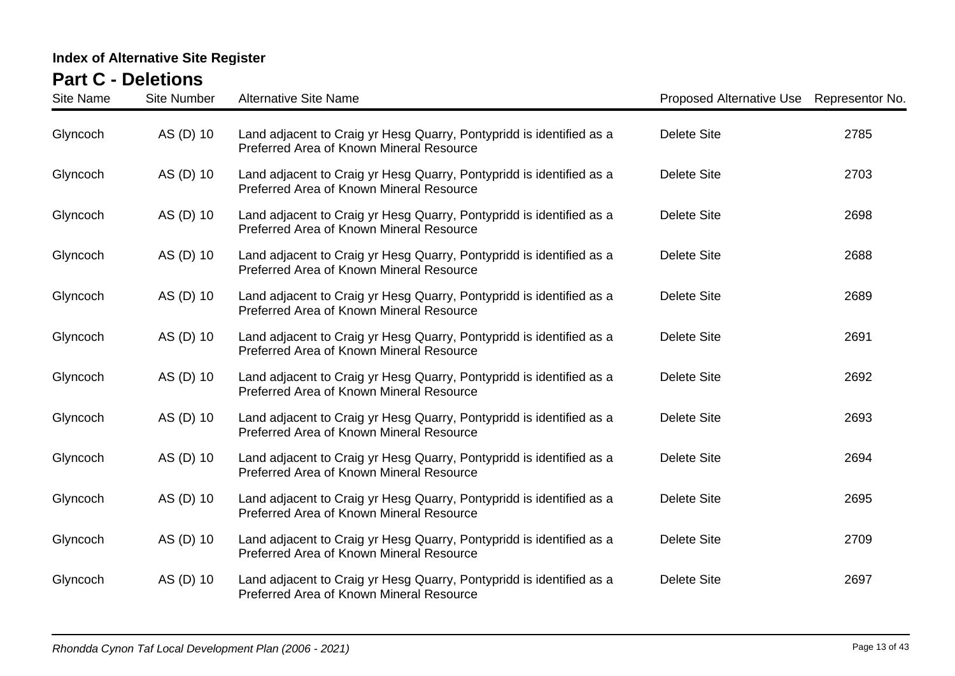| <b>Site Name</b> | <b>Site Number</b> | <b>Alternative Site Name</b>                                                                                     | Proposed Alternative Use Representor No. |      |
|------------------|--------------------|------------------------------------------------------------------------------------------------------------------|------------------------------------------|------|
| Glyncoch         | AS (D) 10          | Land adjacent to Craig yr Hesg Quarry, Pontypridd is identified as a<br>Preferred Area of Known Mineral Resource | <b>Delete Site</b>                       | 2785 |
| Glyncoch         | AS (D) 10          | Land adjacent to Craig yr Hesg Quarry, Pontypridd is identified as a<br>Preferred Area of Known Mineral Resource | <b>Delete Site</b>                       | 2703 |
| Glyncoch         | AS (D) 10          | Land adjacent to Craig yr Hesg Quarry, Pontypridd is identified as a<br>Preferred Area of Known Mineral Resource | <b>Delete Site</b>                       | 2698 |
| Glyncoch         | AS (D) 10          | Land adjacent to Craig yr Hesg Quarry, Pontypridd is identified as a<br>Preferred Area of Known Mineral Resource | <b>Delete Site</b>                       | 2688 |
| Glyncoch         | AS (D) 10          | Land adjacent to Craig yr Hesg Quarry, Pontypridd is identified as a<br>Preferred Area of Known Mineral Resource | <b>Delete Site</b>                       | 2689 |
| Glyncoch         | AS (D) 10          | Land adjacent to Craig yr Hesg Quarry, Pontypridd is identified as a<br>Preferred Area of Known Mineral Resource | <b>Delete Site</b>                       | 2691 |
| Glyncoch         | AS (D) 10          | Land adjacent to Craig yr Hesg Quarry, Pontypridd is identified as a<br>Preferred Area of Known Mineral Resource | <b>Delete Site</b>                       | 2692 |
| Glyncoch         | AS (D) 10          | Land adjacent to Craig yr Hesg Quarry, Pontypridd is identified as a<br>Preferred Area of Known Mineral Resource | <b>Delete Site</b>                       | 2693 |
| Glyncoch         | AS (D) 10          | Land adjacent to Craig yr Hesg Quarry, Pontypridd is identified as a<br>Preferred Area of Known Mineral Resource | <b>Delete Site</b>                       | 2694 |
| Glyncoch         | AS (D) 10          | Land adjacent to Craig yr Hesg Quarry, Pontypridd is identified as a<br>Preferred Area of Known Mineral Resource | <b>Delete Site</b>                       | 2695 |
| Glyncoch         | AS (D) 10          | Land adjacent to Craig yr Hesg Quarry, Pontypridd is identified as a<br>Preferred Area of Known Mineral Resource | Delete Site                              | 2709 |
| Glyncoch         | AS (D) 10          | Land adjacent to Craig yr Hesg Quarry, Pontypridd is identified as a<br>Preferred Area of Known Mineral Resource | <b>Delete Site</b>                       | 2697 |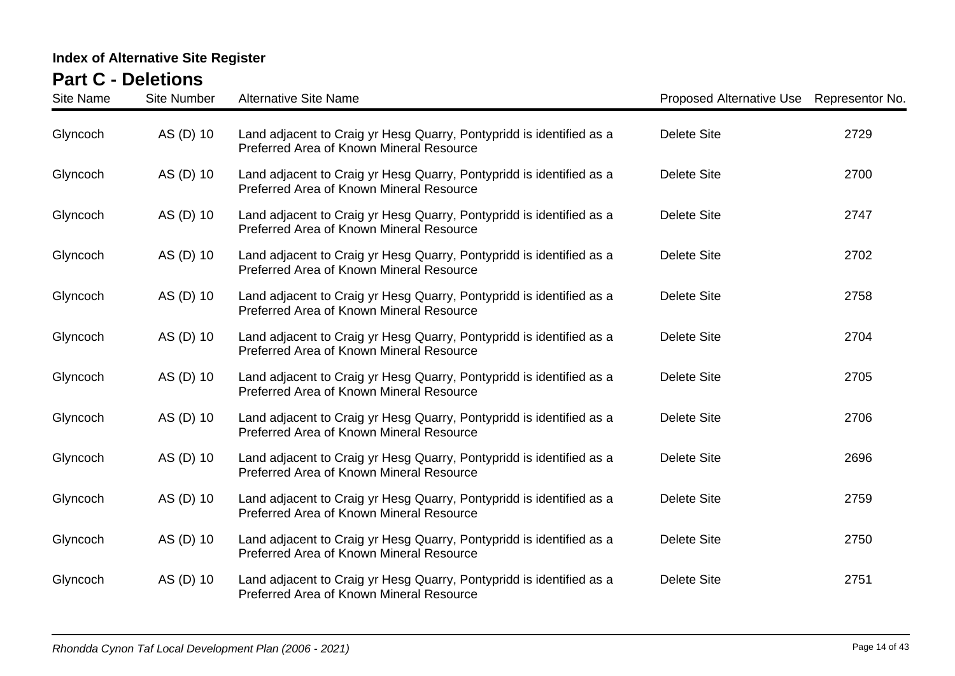| <b>Site Name</b> | <b>Site Number</b> | <b>Alternative Site Name</b>                                                                                     | Proposed Alternative Use Representor No. |      |
|------------------|--------------------|------------------------------------------------------------------------------------------------------------------|------------------------------------------|------|
| Glyncoch         | AS (D) 10          | Land adjacent to Craig yr Hesg Quarry, Pontypridd is identified as a<br>Preferred Area of Known Mineral Resource | <b>Delete Site</b>                       | 2729 |
| Glyncoch         | AS (D) 10          | Land adjacent to Craig yr Hesg Quarry, Pontypridd is identified as a<br>Preferred Area of Known Mineral Resource | <b>Delete Site</b>                       | 2700 |
| Glyncoch         | AS (D) 10          | Land adjacent to Craig yr Hesg Quarry, Pontypridd is identified as a<br>Preferred Area of Known Mineral Resource | <b>Delete Site</b>                       | 2747 |
| Glyncoch         | AS (D) 10          | Land adjacent to Craig yr Hesg Quarry, Pontypridd is identified as a<br>Preferred Area of Known Mineral Resource | <b>Delete Site</b>                       | 2702 |
| Glyncoch         | AS (D) 10          | Land adjacent to Craig yr Hesg Quarry, Pontypridd is identified as a<br>Preferred Area of Known Mineral Resource | <b>Delete Site</b>                       | 2758 |
| Glyncoch         | AS (D) 10          | Land adjacent to Craig yr Hesg Quarry, Pontypridd is identified as a<br>Preferred Area of Known Mineral Resource | <b>Delete Site</b>                       | 2704 |
| Glyncoch         | AS (D) 10          | Land adjacent to Craig yr Hesg Quarry, Pontypridd is identified as a<br>Preferred Area of Known Mineral Resource | <b>Delete Site</b>                       | 2705 |
| Glyncoch         | AS (D) 10          | Land adjacent to Craig yr Hesg Quarry, Pontypridd is identified as a<br>Preferred Area of Known Mineral Resource | <b>Delete Site</b>                       | 2706 |
| Glyncoch         | AS (D) 10          | Land adjacent to Craig yr Hesg Quarry, Pontypridd is identified as a<br>Preferred Area of Known Mineral Resource | <b>Delete Site</b>                       | 2696 |
| Glyncoch         | AS (D) 10          | Land adjacent to Craig yr Hesg Quarry, Pontypridd is identified as a<br>Preferred Area of Known Mineral Resource | <b>Delete Site</b>                       | 2759 |
| Glyncoch         | AS (D) 10          | Land adjacent to Craig yr Hesg Quarry, Pontypridd is identified as a<br>Preferred Area of Known Mineral Resource | <b>Delete Site</b>                       | 2750 |
| Glyncoch         | AS (D) 10          | Land adjacent to Craig yr Hesg Quarry, Pontypridd is identified as a<br>Preferred Area of Known Mineral Resource | <b>Delete Site</b>                       | 2751 |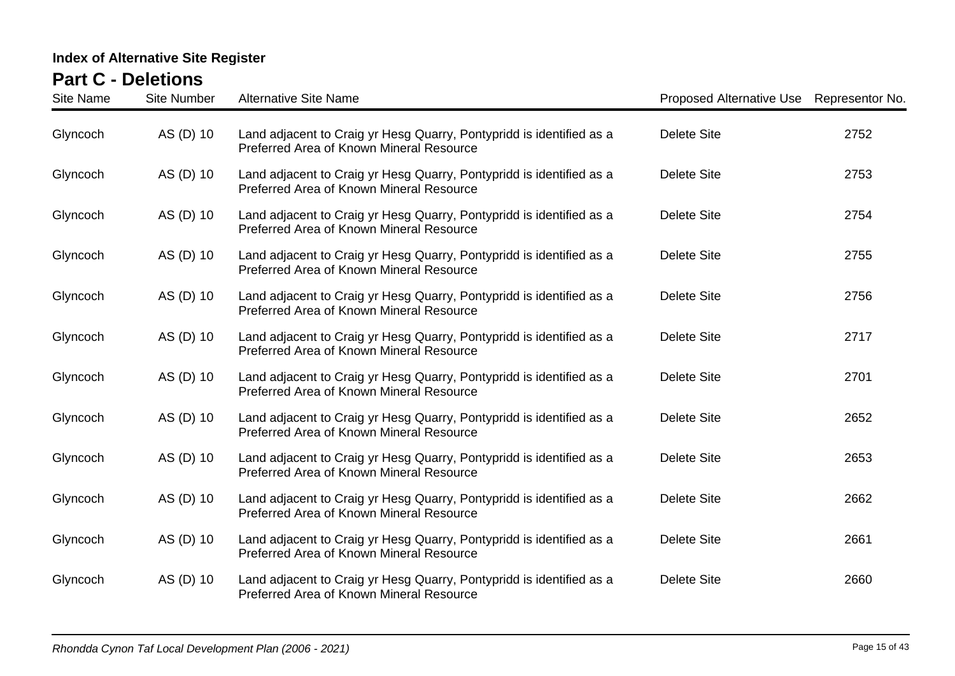| <b>Site Name</b> | <b>Site Number</b> | <b>Alternative Site Name</b>                                                                                     | Proposed Alternative Use Representor No. |      |
|------------------|--------------------|------------------------------------------------------------------------------------------------------------------|------------------------------------------|------|
| Glyncoch         | AS (D) 10          | Land adjacent to Craig yr Hesg Quarry, Pontypridd is identified as a<br>Preferred Area of Known Mineral Resource | <b>Delete Site</b>                       | 2752 |
| Glyncoch         | AS (D) 10          | Land adjacent to Craig yr Hesg Quarry, Pontypridd is identified as a<br>Preferred Area of Known Mineral Resource | <b>Delete Site</b>                       | 2753 |
| Glyncoch         | AS (D) 10          | Land adjacent to Craig yr Hesg Quarry, Pontypridd is identified as a<br>Preferred Area of Known Mineral Resource | <b>Delete Site</b>                       | 2754 |
| Glyncoch         | AS (D) 10          | Land adjacent to Craig yr Hesg Quarry, Pontypridd is identified as a<br>Preferred Area of Known Mineral Resource | <b>Delete Site</b>                       | 2755 |
| Glyncoch         | AS (D) 10          | Land adjacent to Craig yr Hesg Quarry, Pontypridd is identified as a<br>Preferred Area of Known Mineral Resource | <b>Delete Site</b>                       | 2756 |
| Glyncoch         | AS (D) 10          | Land adjacent to Craig yr Hesg Quarry, Pontypridd is identified as a<br>Preferred Area of Known Mineral Resource | <b>Delete Site</b>                       | 2717 |
| Glyncoch         | AS (D) 10          | Land adjacent to Craig yr Hesg Quarry, Pontypridd is identified as a<br>Preferred Area of Known Mineral Resource | <b>Delete Site</b>                       | 2701 |
| Glyncoch         | AS (D) 10          | Land adjacent to Craig yr Hesg Quarry, Pontypridd is identified as a<br>Preferred Area of Known Mineral Resource | <b>Delete Site</b>                       | 2652 |
| Glyncoch         | AS (D) 10          | Land adjacent to Craig yr Hesg Quarry, Pontypridd is identified as a<br>Preferred Area of Known Mineral Resource | <b>Delete Site</b>                       | 2653 |
| Glyncoch         | AS (D) 10          | Land adjacent to Craig yr Hesg Quarry, Pontypridd is identified as a<br>Preferred Area of Known Mineral Resource | <b>Delete Site</b>                       | 2662 |
| Glyncoch         | AS (D) 10          | Land adjacent to Craig yr Hesg Quarry, Pontypridd is identified as a<br>Preferred Area of Known Mineral Resource | Delete Site                              | 2661 |
| Glyncoch         | AS (D) 10          | Land adjacent to Craig yr Hesg Quarry, Pontypridd is identified as a<br>Preferred Area of Known Mineral Resource | <b>Delete Site</b>                       | 2660 |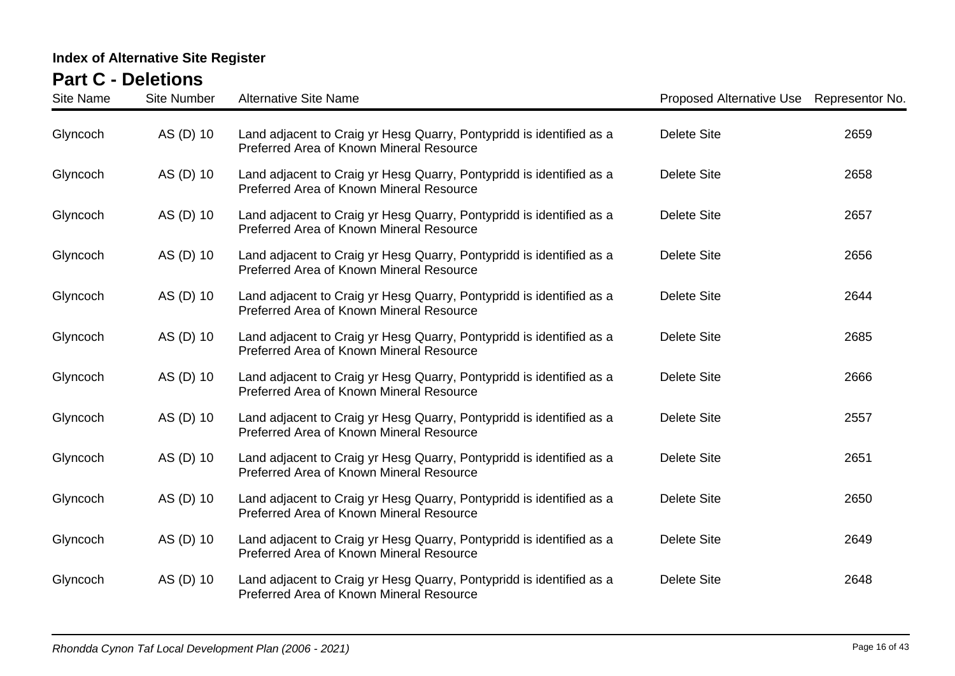| <b>Site Name</b> | <b>Site Number</b> | <b>Alternative Site Name</b>                                                                                     | Proposed Alternative Use Representor No. |      |
|------------------|--------------------|------------------------------------------------------------------------------------------------------------------|------------------------------------------|------|
| Glyncoch         | AS (D) 10          | Land adjacent to Craig yr Hesg Quarry, Pontypridd is identified as a<br>Preferred Area of Known Mineral Resource | <b>Delete Site</b>                       | 2659 |
| Glyncoch         | AS (D) 10          | Land adjacent to Craig yr Hesg Quarry, Pontypridd is identified as a<br>Preferred Area of Known Mineral Resource | <b>Delete Site</b>                       | 2658 |
| Glyncoch         | AS (D) 10          | Land adjacent to Craig yr Hesg Quarry, Pontypridd is identified as a<br>Preferred Area of Known Mineral Resource | <b>Delete Site</b>                       | 2657 |
| Glyncoch         | AS (D) 10          | Land adjacent to Craig yr Hesg Quarry, Pontypridd is identified as a<br>Preferred Area of Known Mineral Resource | <b>Delete Site</b>                       | 2656 |
| Glyncoch         | AS (D) 10          | Land adjacent to Craig yr Hesg Quarry, Pontypridd is identified as a<br>Preferred Area of Known Mineral Resource | <b>Delete Site</b>                       | 2644 |
| Glyncoch         | AS (D) 10          | Land adjacent to Craig yr Hesg Quarry, Pontypridd is identified as a<br>Preferred Area of Known Mineral Resource | <b>Delete Site</b>                       | 2685 |
| Glyncoch         | AS (D) 10          | Land adjacent to Craig yr Hesg Quarry, Pontypridd is identified as a<br>Preferred Area of Known Mineral Resource | <b>Delete Site</b>                       | 2666 |
| Glyncoch         | AS (D) 10          | Land adjacent to Craig yr Hesg Quarry, Pontypridd is identified as a<br>Preferred Area of Known Mineral Resource | <b>Delete Site</b>                       | 2557 |
| Glyncoch         | AS (D) 10          | Land adjacent to Craig yr Hesg Quarry, Pontypridd is identified as a<br>Preferred Area of Known Mineral Resource | <b>Delete Site</b>                       | 2651 |
| Glyncoch         | AS (D) 10          | Land adjacent to Craig yr Hesg Quarry, Pontypridd is identified as a<br>Preferred Area of Known Mineral Resource | <b>Delete Site</b>                       | 2650 |
| Glyncoch         | AS (D) 10          | Land adjacent to Craig yr Hesg Quarry, Pontypridd is identified as a<br>Preferred Area of Known Mineral Resource | Delete Site                              | 2649 |
| Glyncoch         | AS (D) 10          | Land adjacent to Craig yr Hesg Quarry, Pontypridd is identified as a<br>Preferred Area of Known Mineral Resource | <b>Delete Site</b>                       | 2648 |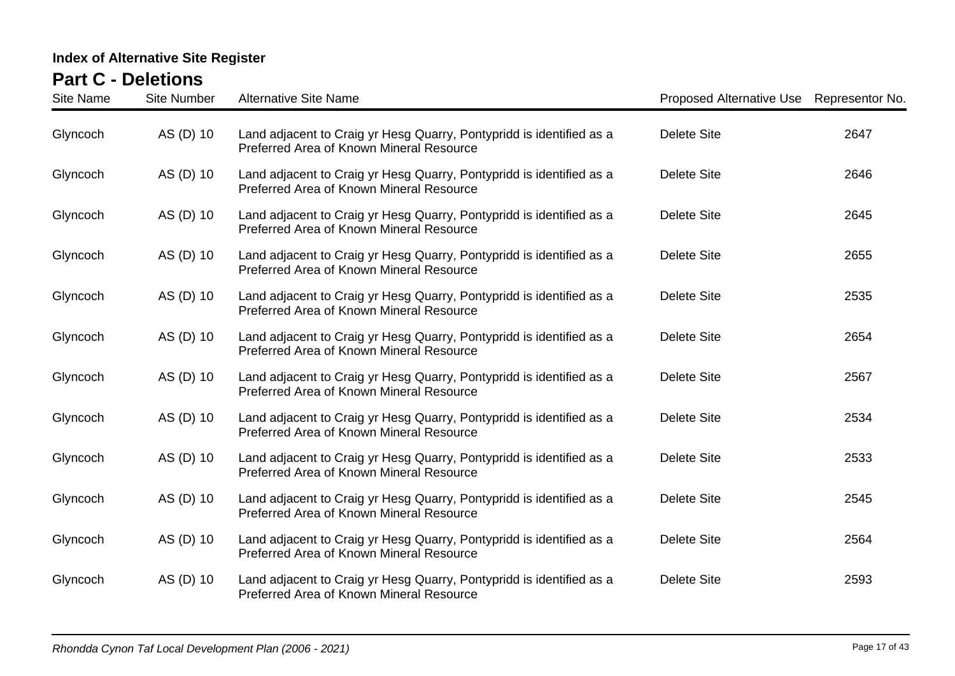| <b>Site Name</b> | <b>Site Number</b> | <b>Alternative Site Name</b>                                                                                     | Proposed Alternative Use Representor No. |      |
|------------------|--------------------|------------------------------------------------------------------------------------------------------------------|------------------------------------------|------|
| Glyncoch         | AS (D) 10          | Land adjacent to Craig yr Hesg Quarry, Pontypridd is identified as a<br>Preferred Area of Known Mineral Resource | <b>Delete Site</b>                       | 2647 |
| Glyncoch         | AS (D) 10          | Land adjacent to Craig yr Hesg Quarry, Pontypridd is identified as a<br>Preferred Area of Known Mineral Resource | <b>Delete Site</b>                       | 2646 |
| Glyncoch         | AS (D) 10          | Land adjacent to Craig yr Hesg Quarry, Pontypridd is identified as a<br>Preferred Area of Known Mineral Resource | <b>Delete Site</b>                       | 2645 |
| Glyncoch         | AS (D) 10          | Land adjacent to Craig yr Hesg Quarry, Pontypridd is identified as a<br>Preferred Area of Known Mineral Resource | <b>Delete Site</b>                       | 2655 |
| Glyncoch         | AS (D) 10          | Land adjacent to Craig yr Hesg Quarry, Pontypridd is identified as a<br>Preferred Area of Known Mineral Resource | <b>Delete Site</b>                       | 2535 |
| Glyncoch         | AS (D) 10          | Land adjacent to Craig yr Hesg Quarry, Pontypridd is identified as a<br>Preferred Area of Known Mineral Resource | <b>Delete Site</b>                       | 2654 |
| Glyncoch         | AS (D) 10          | Land adjacent to Craig yr Hesg Quarry, Pontypridd is identified as a<br>Preferred Area of Known Mineral Resource | <b>Delete Site</b>                       | 2567 |
| Glyncoch         | AS (D) 10          | Land adjacent to Craig yr Hesg Quarry, Pontypridd is identified as a<br>Preferred Area of Known Mineral Resource | <b>Delete Site</b>                       | 2534 |
| Glyncoch         | AS (D) 10          | Land adjacent to Craig yr Hesg Quarry, Pontypridd is identified as a<br>Preferred Area of Known Mineral Resource | <b>Delete Site</b>                       | 2533 |
| Glyncoch         | AS (D) 10          | Land adjacent to Craig yr Hesg Quarry, Pontypridd is identified as a<br>Preferred Area of Known Mineral Resource | <b>Delete Site</b>                       | 2545 |
| Glyncoch         | AS (D) 10          | Land adjacent to Craig yr Hesg Quarry, Pontypridd is identified as a<br>Preferred Area of Known Mineral Resource | Delete Site                              | 2564 |
| Glyncoch         | AS (D) 10          | Land adjacent to Craig yr Hesg Quarry, Pontypridd is identified as a<br>Preferred Area of Known Mineral Resource | <b>Delete Site</b>                       | 2593 |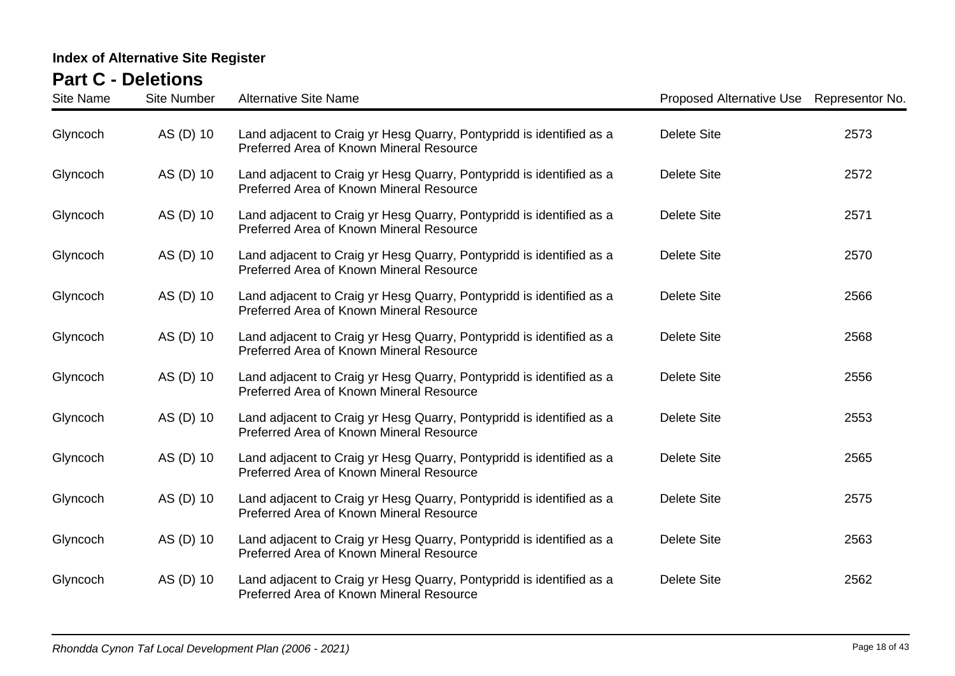| <b>Site Name</b> | <b>Site Number</b> | <b>Alternative Site Name</b>                                                                                     | Proposed Alternative Use Representor No. |      |
|------------------|--------------------|------------------------------------------------------------------------------------------------------------------|------------------------------------------|------|
| Glyncoch         | AS (D) 10          | Land adjacent to Craig yr Hesg Quarry, Pontypridd is identified as a<br>Preferred Area of Known Mineral Resource | <b>Delete Site</b>                       | 2573 |
| Glyncoch         | AS (D) 10          | Land adjacent to Craig yr Hesg Quarry, Pontypridd is identified as a<br>Preferred Area of Known Mineral Resource | <b>Delete Site</b>                       | 2572 |
| Glyncoch         | AS (D) 10          | Land adjacent to Craig yr Hesg Quarry, Pontypridd is identified as a<br>Preferred Area of Known Mineral Resource | <b>Delete Site</b>                       | 2571 |
| Glyncoch         | AS (D) 10          | Land adjacent to Craig yr Hesg Quarry, Pontypridd is identified as a<br>Preferred Area of Known Mineral Resource | <b>Delete Site</b>                       | 2570 |
| Glyncoch         | AS (D) 10          | Land adjacent to Craig yr Hesg Quarry, Pontypridd is identified as a<br>Preferred Area of Known Mineral Resource | <b>Delete Site</b>                       | 2566 |
| Glyncoch         | AS (D) 10          | Land adjacent to Craig yr Hesg Quarry, Pontypridd is identified as a<br>Preferred Area of Known Mineral Resource | <b>Delete Site</b>                       | 2568 |
| Glyncoch         | AS (D) 10          | Land adjacent to Craig yr Hesg Quarry, Pontypridd is identified as a<br>Preferred Area of Known Mineral Resource | <b>Delete Site</b>                       | 2556 |
| Glyncoch         | AS (D) 10          | Land adjacent to Craig yr Hesg Quarry, Pontypridd is identified as a<br>Preferred Area of Known Mineral Resource | <b>Delete Site</b>                       | 2553 |
| Glyncoch         | AS (D) 10          | Land adjacent to Craig yr Hesg Quarry, Pontypridd is identified as a<br>Preferred Area of Known Mineral Resource | <b>Delete Site</b>                       | 2565 |
| Glyncoch         | AS (D) 10          | Land adjacent to Craig yr Hesg Quarry, Pontypridd is identified as a<br>Preferred Area of Known Mineral Resource | <b>Delete Site</b>                       | 2575 |
| Glyncoch         | AS (D) 10          | Land adjacent to Craig yr Hesg Quarry, Pontypridd is identified as a<br>Preferred Area of Known Mineral Resource | Delete Site                              | 2563 |
| Glyncoch         | AS (D) 10          | Land adjacent to Craig yr Hesg Quarry, Pontypridd is identified as a<br>Preferred Area of Known Mineral Resource | <b>Delete Site</b>                       | 2562 |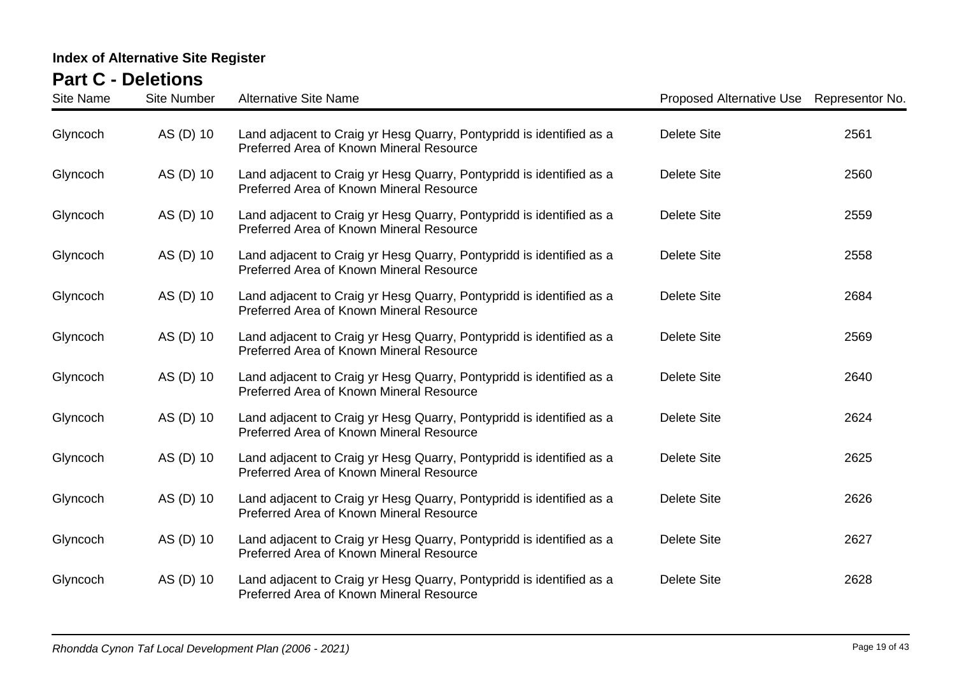| <b>Site Name</b> | <b>Site Number</b> | <b>Alternative Site Name</b>                                                                                     | Proposed Alternative Use Representor No. |      |
|------------------|--------------------|------------------------------------------------------------------------------------------------------------------|------------------------------------------|------|
| Glyncoch         | AS (D) 10          | Land adjacent to Craig yr Hesg Quarry, Pontypridd is identified as a<br>Preferred Area of Known Mineral Resource | <b>Delete Site</b>                       | 2561 |
| Glyncoch         | AS (D) 10          | Land adjacent to Craig yr Hesg Quarry, Pontypridd is identified as a<br>Preferred Area of Known Mineral Resource | <b>Delete Site</b>                       | 2560 |
| Glyncoch         | AS (D) 10          | Land adjacent to Craig yr Hesg Quarry, Pontypridd is identified as a<br>Preferred Area of Known Mineral Resource | <b>Delete Site</b>                       | 2559 |
| Glyncoch         | AS (D) 10          | Land adjacent to Craig yr Hesg Quarry, Pontypridd is identified as a<br>Preferred Area of Known Mineral Resource | <b>Delete Site</b>                       | 2558 |
| Glyncoch         | AS (D) 10          | Land adjacent to Craig yr Hesg Quarry, Pontypridd is identified as a<br>Preferred Area of Known Mineral Resource | <b>Delete Site</b>                       | 2684 |
| Glyncoch         | AS (D) 10          | Land adjacent to Craig yr Hesg Quarry, Pontypridd is identified as a<br>Preferred Area of Known Mineral Resource | <b>Delete Site</b>                       | 2569 |
| Glyncoch         | AS (D) 10          | Land adjacent to Craig yr Hesg Quarry, Pontypridd is identified as a<br>Preferred Area of Known Mineral Resource | <b>Delete Site</b>                       | 2640 |
| Glyncoch         | AS (D) 10          | Land adjacent to Craig yr Hesg Quarry, Pontypridd is identified as a<br>Preferred Area of Known Mineral Resource | <b>Delete Site</b>                       | 2624 |
| Glyncoch         | AS (D) 10          | Land adjacent to Craig yr Hesg Quarry, Pontypridd is identified as a<br>Preferred Area of Known Mineral Resource | <b>Delete Site</b>                       | 2625 |
| Glyncoch         | AS (D) 10          | Land adjacent to Craig yr Hesg Quarry, Pontypridd is identified as a<br>Preferred Area of Known Mineral Resource | <b>Delete Site</b>                       | 2626 |
| Glyncoch         | AS (D) 10          | Land adjacent to Craig yr Hesg Quarry, Pontypridd is identified as a<br>Preferred Area of Known Mineral Resource | Delete Site                              | 2627 |
| Glyncoch         | AS (D) 10          | Land adjacent to Craig yr Hesg Quarry, Pontypridd is identified as a<br>Preferred Area of Known Mineral Resource | <b>Delete Site</b>                       | 2628 |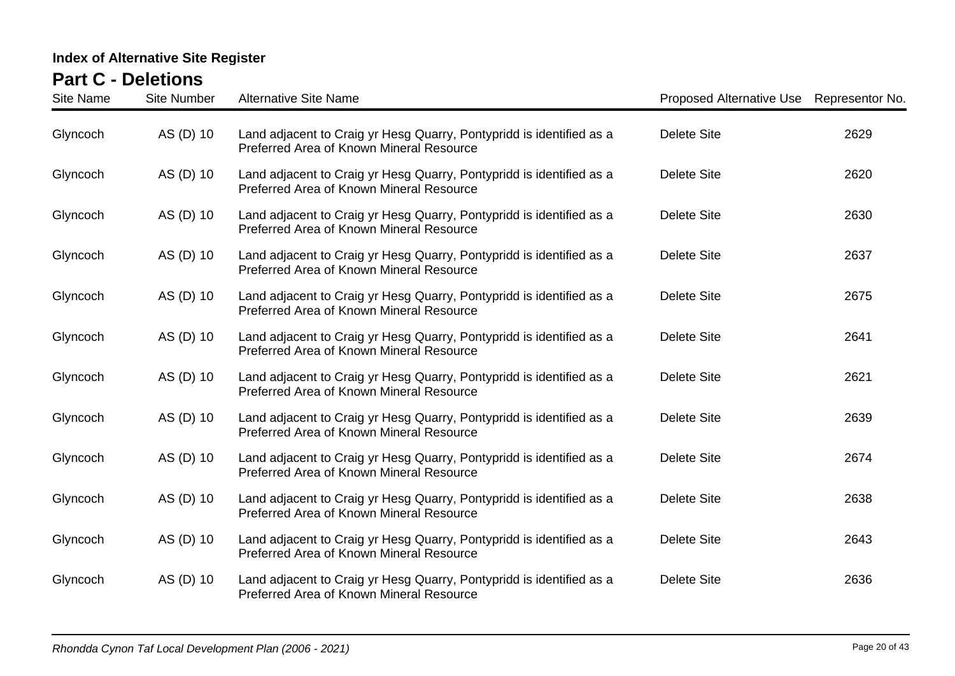| <b>Site Name</b> | <b>Site Number</b> | <b>Alternative Site Name</b>                                                                                     | Proposed Alternative Use Representor No. |      |
|------------------|--------------------|------------------------------------------------------------------------------------------------------------------|------------------------------------------|------|
| Glyncoch         | AS (D) 10          | Land adjacent to Craig yr Hesg Quarry, Pontypridd is identified as a<br>Preferred Area of Known Mineral Resource | <b>Delete Site</b>                       | 2629 |
| Glyncoch         | AS (D) 10          | Land adjacent to Craig yr Hesg Quarry, Pontypridd is identified as a<br>Preferred Area of Known Mineral Resource | <b>Delete Site</b>                       | 2620 |
| Glyncoch         | AS (D) 10          | Land adjacent to Craig yr Hesg Quarry, Pontypridd is identified as a<br>Preferred Area of Known Mineral Resource | <b>Delete Site</b>                       | 2630 |
| Glyncoch         | AS (D) 10          | Land adjacent to Craig yr Hesg Quarry, Pontypridd is identified as a<br>Preferred Area of Known Mineral Resource | <b>Delete Site</b>                       | 2637 |
| Glyncoch         | AS (D) 10          | Land adjacent to Craig yr Hesg Quarry, Pontypridd is identified as a<br>Preferred Area of Known Mineral Resource | <b>Delete Site</b>                       | 2675 |
| Glyncoch         | AS (D) 10          | Land adjacent to Craig yr Hesg Quarry, Pontypridd is identified as a<br>Preferred Area of Known Mineral Resource | <b>Delete Site</b>                       | 2641 |
| Glyncoch         | AS (D) 10          | Land adjacent to Craig yr Hesg Quarry, Pontypridd is identified as a<br>Preferred Area of Known Mineral Resource | <b>Delete Site</b>                       | 2621 |
| Glyncoch         | AS (D) 10          | Land adjacent to Craig yr Hesg Quarry, Pontypridd is identified as a<br>Preferred Area of Known Mineral Resource | <b>Delete Site</b>                       | 2639 |
| Glyncoch         | AS (D) 10          | Land adjacent to Craig yr Hesg Quarry, Pontypridd is identified as a<br>Preferred Area of Known Mineral Resource | <b>Delete Site</b>                       | 2674 |
| Glyncoch         | AS (D) 10          | Land adjacent to Craig yr Hesg Quarry, Pontypridd is identified as a<br>Preferred Area of Known Mineral Resource | <b>Delete Site</b>                       | 2638 |
| Glyncoch         | AS (D) 10          | Land adjacent to Craig yr Hesg Quarry, Pontypridd is identified as a<br>Preferred Area of Known Mineral Resource | <b>Delete Site</b>                       | 2643 |
| Glyncoch         | AS (D) 10          | Land adjacent to Craig yr Hesg Quarry, Pontypridd is identified as a<br>Preferred Area of Known Mineral Resource | <b>Delete Site</b>                       | 2636 |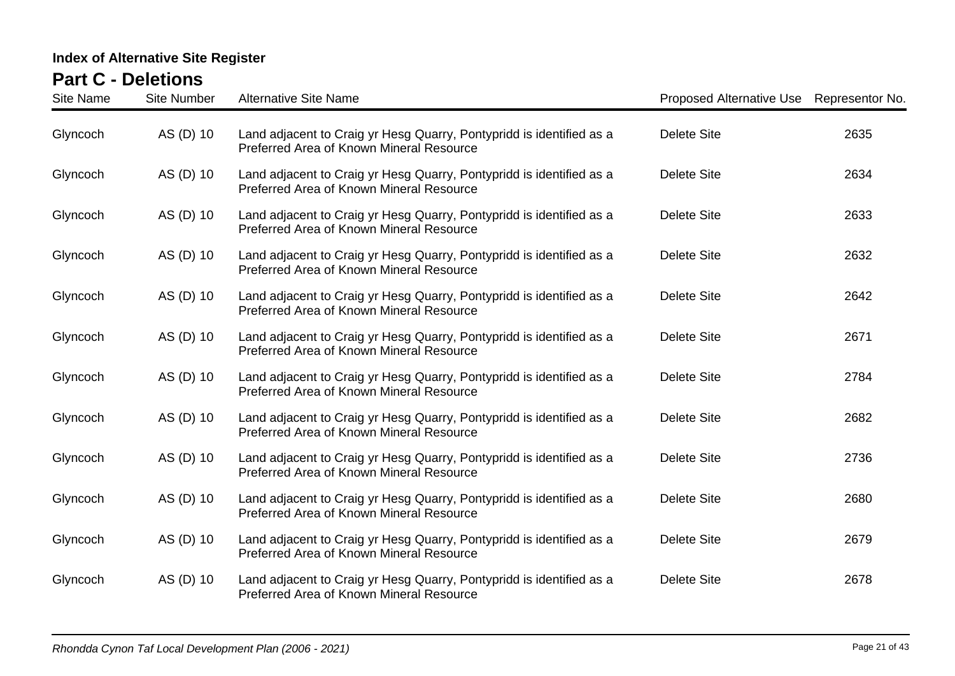| <b>Site Name</b> | <b>Site Number</b> | <b>Alternative Site Name</b>                                                                                     | Proposed Alternative Use Representor No. |      |
|------------------|--------------------|------------------------------------------------------------------------------------------------------------------|------------------------------------------|------|
| Glyncoch         | AS (D) 10          | Land adjacent to Craig yr Hesg Quarry, Pontypridd is identified as a<br>Preferred Area of Known Mineral Resource | <b>Delete Site</b>                       | 2635 |
| Glyncoch         | AS (D) 10          | Land adjacent to Craig yr Hesg Quarry, Pontypridd is identified as a<br>Preferred Area of Known Mineral Resource | <b>Delete Site</b>                       | 2634 |
| Glyncoch         | AS (D) 10          | Land adjacent to Craig yr Hesg Quarry, Pontypridd is identified as a<br>Preferred Area of Known Mineral Resource | <b>Delete Site</b>                       | 2633 |
| Glyncoch         | AS (D) 10          | Land adjacent to Craig yr Hesg Quarry, Pontypridd is identified as a<br>Preferred Area of Known Mineral Resource | <b>Delete Site</b>                       | 2632 |
| Glyncoch         | AS (D) 10          | Land adjacent to Craig yr Hesg Quarry, Pontypridd is identified as a<br>Preferred Area of Known Mineral Resource | <b>Delete Site</b>                       | 2642 |
| Glyncoch         | AS (D) 10          | Land adjacent to Craig yr Hesg Quarry, Pontypridd is identified as a<br>Preferred Area of Known Mineral Resource | <b>Delete Site</b>                       | 2671 |
| Glyncoch         | AS (D) 10          | Land adjacent to Craig yr Hesg Quarry, Pontypridd is identified as a<br>Preferred Area of Known Mineral Resource | <b>Delete Site</b>                       | 2784 |
| Glyncoch         | AS (D) 10          | Land adjacent to Craig yr Hesg Quarry, Pontypridd is identified as a<br>Preferred Area of Known Mineral Resource | <b>Delete Site</b>                       | 2682 |
| Glyncoch         | AS (D) 10          | Land adjacent to Craig yr Hesg Quarry, Pontypridd is identified as a<br>Preferred Area of Known Mineral Resource | <b>Delete Site</b>                       | 2736 |
| Glyncoch         | AS (D) 10          | Land adjacent to Craig yr Hesg Quarry, Pontypridd is identified as a<br>Preferred Area of Known Mineral Resource | <b>Delete Site</b>                       | 2680 |
| Glyncoch         | AS (D) 10          | Land adjacent to Craig yr Hesg Quarry, Pontypridd is identified as a<br>Preferred Area of Known Mineral Resource | Delete Site                              | 2679 |
| Glyncoch         | AS (D) 10          | Land adjacent to Craig yr Hesg Quarry, Pontypridd is identified as a<br>Preferred Area of Known Mineral Resource | <b>Delete Site</b>                       | 2678 |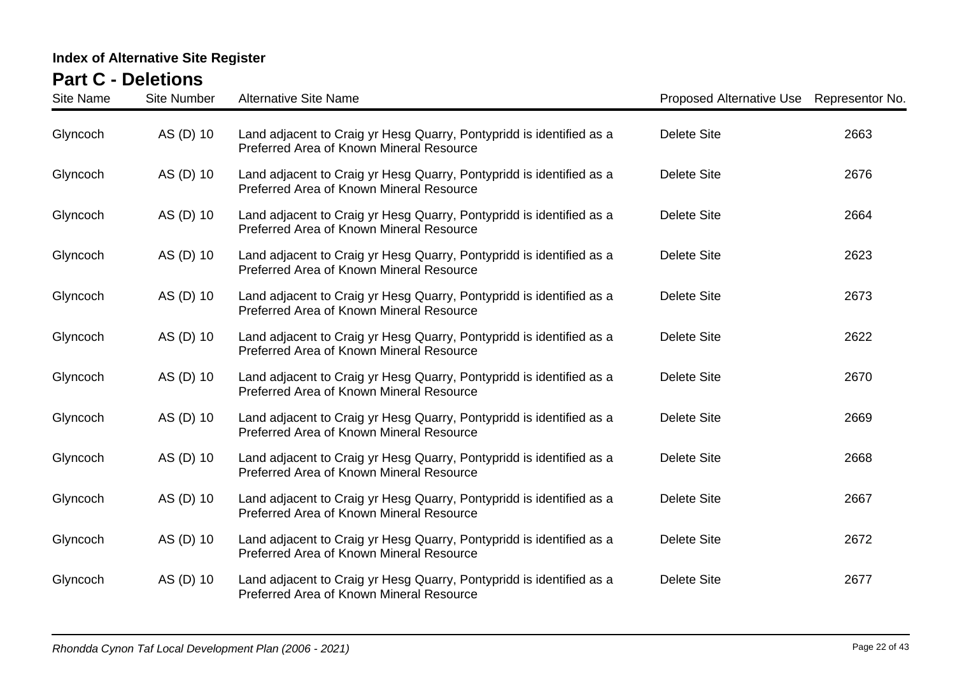| <b>Site Name</b> | <b>Site Number</b> | <b>Alternative Site Name</b>                                                                                     | Proposed Alternative Use Representor No. |      |
|------------------|--------------------|------------------------------------------------------------------------------------------------------------------|------------------------------------------|------|
| Glyncoch         | AS (D) 10          | Land adjacent to Craig yr Hesg Quarry, Pontypridd is identified as a<br>Preferred Area of Known Mineral Resource | <b>Delete Site</b>                       | 2663 |
| Glyncoch         | AS (D) 10          | Land adjacent to Craig yr Hesg Quarry, Pontypridd is identified as a<br>Preferred Area of Known Mineral Resource | <b>Delete Site</b>                       | 2676 |
| Glyncoch         | AS (D) 10          | Land adjacent to Craig yr Hesg Quarry, Pontypridd is identified as a<br>Preferred Area of Known Mineral Resource | <b>Delete Site</b>                       | 2664 |
| Glyncoch         | AS (D) 10          | Land adjacent to Craig yr Hesg Quarry, Pontypridd is identified as a<br>Preferred Area of Known Mineral Resource | <b>Delete Site</b>                       | 2623 |
| Glyncoch         | AS (D) 10          | Land adjacent to Craig yr Hesg Quarry, Pontypridd is identified as a<br>Preferred Area of Known Mineral Resource | <b>Delete Site</b>                       | 2673 |
| Glyncoch         | AS (D) 10          | Land adjacent to Craig yr Hesg Quarry, Pontypridd is identified as a<br>Preferred Area of Known Mineral Resource | <b>Delete Site</b>                       | 2622 |
| Glyncoch         | AS (D) 10          | Land adjacent to Craig yr Hesg Quarry, Pontypridd is identified as a<br>Preferred Area of Known Mineral Resource | <b>Delete Site</b>                       | 2670 |
| Glyncoch         | AS (D) 10          | Land adjacent to Craig yr Hesg Quarry, Pontypridd is identified as a<br>Preferred Area of Known Mineral Resource | <b>Delete Site</b>                       | 2669 |
| Glyncoch         | AS (D) 10          | Land adjacent to Craig yr Hesg Quarry, Pontypridd is identified as a<br>Preferred Area of Known Mineral Resource | <b>Delete Site</b>                       | 2668 |
| Glyncoch         | AS (D) 10          | Land adjacent to Craig yr Hesg Quarry, Pontypridd is identified as a<br>Preferred Area of Known Mineral Resource | <b>Delete Site</b>                       | 2667 |
| Glyncoch         | AS (D) 10          | Land adjacent to Craig yr Hesg Quarry, Pontypridd is identified as a<br>Preferred Area of Known Mineral Resource | Delete Site                              | 2672 |
| Glyncoch         | AS (D) 10          | Land adjacent to Craig yr Hesg Quarry, Pontypridd is identified as a<br>Preferred Area of Known Mineral Resource | <b>Delete Site</b>                       | 2677 |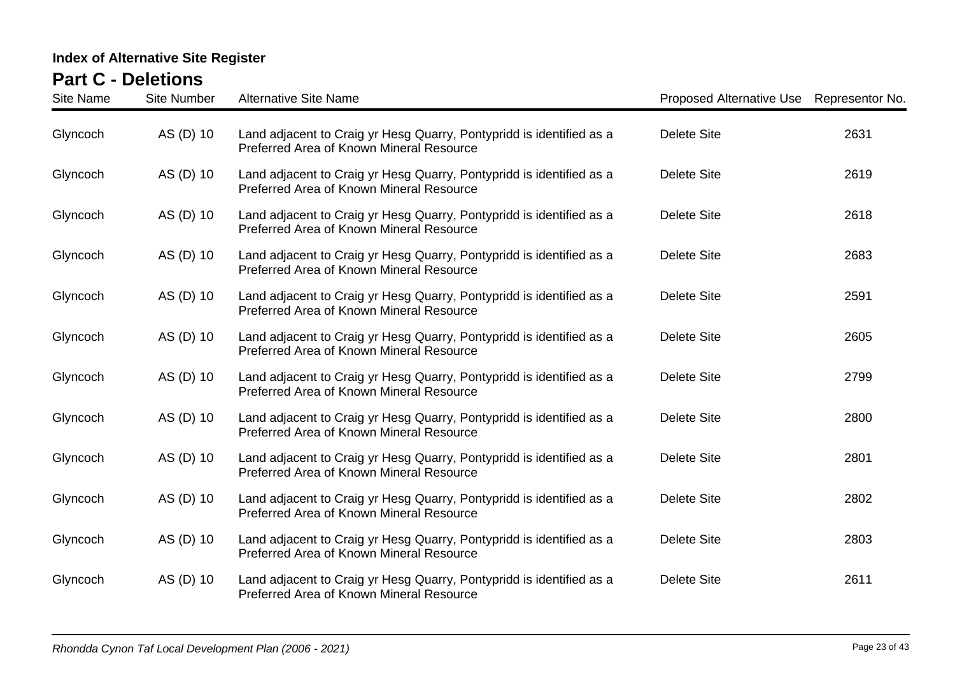| <b>Site Name</b> | <b>Site Number</b> | <b>Alternative Site Name</b>                                                                                     | Proposed Alternative Use Representor No. |      |
|------------------|--------------------|------------------------------------------------------------------------------------------------------------------|------------------------------------------|------|
| Glyncoch         | AS (D) 10          | Land adjacent to Craig yr Hesg Quarry, Pontypridd is identified as a<br>Preferred Area of Known Mineral Resource | <b>Delete Site</b>                       | 2631 |
| Glyncoch         | AS (D) 10          | Land adjacent to Craig yr Hesg Quarry, Pontypridd is identified as a<br>Preferred Area of Known Mineral Resource | <b>Delete Site</b>                       | 2619 |
| Glyncoch         | AS (D) 10          | Land adjacent to Craig yr Hesg Quarry, Pontypridd is identified as a<br>Preferred Area of Known Mineral Resource | <b>Delete Site</b>                       | 2618 |
| Glyncoch         | AS (D) 10          | Land adjacent to Craig yr Hesg Quarry, Pontypridd is identified as a<br>Preferred Area of Known Mineral Resource | <b>Delete Site</b>                       | 2683 |
| Glyncoch         | AS (D) 10          | Land adjacent to Craig yr Hesg Quarry, Pontypridd is identified as a<br>Preferred Area of Known Mineral Resource | <b>Delete Site</b>                       | 2591 |
| Glyncoch         | AS (D) 10          | Land adjacent to Craig yr Hesg Quarry, Pontypridd is identified as a<br>Preferred Area of Known Mineral Resource | <b>Delete Site</b>                       | 2605 |
| Glyncoch         | AS (D) 10          | Land adjacent to Craig yr Hesg Quarry, Pontypridd is identified as a<br>Preferred Area of Known Mineral Resource | <b>Delete Site</b>                       | 2799 |
| Glyncoch         | AS (D) 10          | Land adjacent to Craig yr Hesg Quarry, Pontypridd is identified as a<br>Preferred Area of Known Mineral Resource | <b>Delete Site</b>                       | 2800 |
| Glyncoch         | AS (D) 10          | Land adjacent to Craig yr Hesg Quarry, Pontypridd is identified as a<br>Preferred Area of Known Mineral Resource | <b>Delete Site</b>                       | 2801 |
| Glyncoch         | AS (D) 10          | Land adjacent to Craig yr Hesg Quarry, Pontypridd is identified as a<br>Preferred Area of Known Mineral Resource | <b>Delete Site</b>                       | 2802 |
| Glyncoch         | AS (D) 10          | Land adjacent to Craig yr Hesg Quarry, Pontypridd is identified as a<br>Preferred Area of Known Mineral Resource | Delete Site                              | 2803 |
| Glyncoch         | AS (D) 10          | Land adjacent to Craig yr Hesg Quarry, Pontypridd is identified as a<br>Preferred Area of Known Mineral Resource | <b>Delete Site</b>                       | 2611 |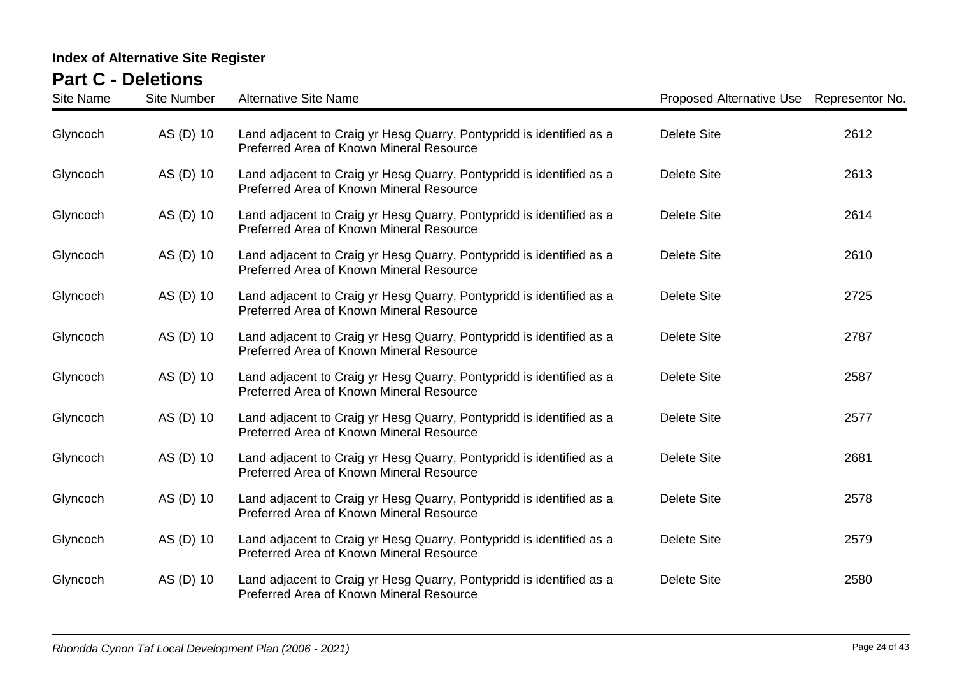| <b>Site Name</b> | <b>Site Number</b> | <b>Alternative Site Name</b>                                                                                     | Proposed Alternative Use Representor No. |      |
|------------------|--------------------|------------------------------------------------------------------------------------------------------------------|------------------------------------------|------|
| Glyncoch         | AS (D) 10          | Land adjacent to Craig yr Hesg Quarry, Pontypridd is identified as a<br>Preferred Area of Known Mineral Resource | <b>Delete Site</b>                       | 2612 |
| Glyncoch         | AS (D) 10          | Land adjacent to Craig yr Hesg Quarry, Pontypridd is identified as a<br>Preferred Area of Known Mineral Resource | <b>Delete Site</b>                       | 2613 |
| Glyncoch         | AS (D) 10          | Land adjacent to Craig yr Hesg Quarry, Pontypridd is identified as a<br>Preferred Area of Known Mineral Resource | <b>Delete Site</b>                       | 2614 |
| Glyncoch         | AS (D) 10          | Land adjacent to Craig yr Hesg Quarry, Pontypridd is identified as a<br>Preferred Area of Known Mineral Resource | <b>Delete Site</b>                       | 2610 |
| Glyncoch         | AS (D) 10          | Land adjacent to Craig yr Hesg Quarry, Pontypridd is identified as a<br>Preferred Area of Known Mineral Resource | <b>Delete Site</b>                       | 2725 |
| Glyncoch         | AS (D) 10          | Land adjacent to Craig yr Hesg Quarry, Pontypridd is identified as a<br>Preferred Area of Known Mineral Resource | <b>Delete Site</b>                       | 2787 |
| Glyncoch         | AS (D) 10          | Land adjacent to Craig yr Hesg Quarry, Pontypridd is identified as a<br>Preferred Area of Known Mineral Resource | <b>Delete Site</b>                       | 2587 |
| Glyncoch         | AS (D) 10          | Land adjacent to Craig yr Hesg Quarry, Pontypridd is identified as a<br>Preferred Area of Known Mineral Resource | <b>Delete Site</b>                       | 2577 |
| Glyncoch         | AS (D) 10          | Land adjacent to Craig yr Hesg Quarry, Pontypridd is identified as a<br>Preferred Area of Known Mineral Resource | <b>Delete Site</b>                       | 2681 |
| Glyncoch         | AS (D) 10          | Land adjacent to Craig yr Hesg Quarry, Pontypridd is identified as a<br>Preferred Area of Known Mineral Resource | <b>Delete Site</b>                       | 2578 |
| Glyncoch         | AS (D) 10          | Land adjacent to Craig yr Hesg Quarry, Pontypridd is identified as a<br>Preferred Area of Known Mineral Resource | <b>Delete Site</b>                       | 2579 |
| Glyncoch         | AS (D) 10          | Land adjacent to Craig yr Hesg Quarry, Pontypridd is identified as a<br>Preferred Area of Known Mineral Resource | <b>Delete Site</b>                       | 2580 |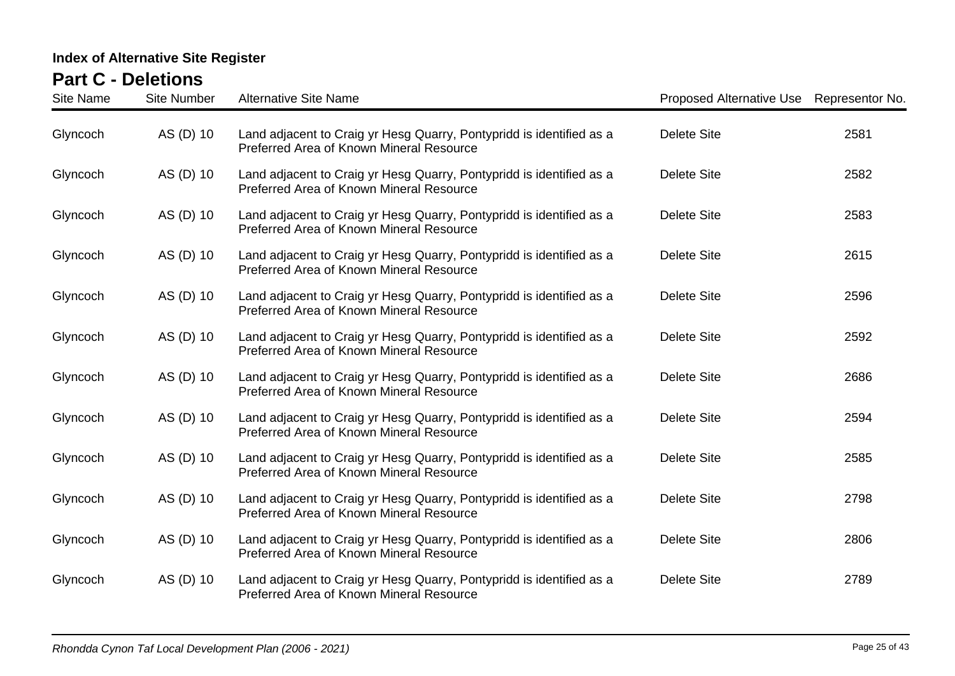| <b>Site Name</b> | <b>Site Number</b> | <b>Alternative Site Name</b>                                                                                     | Proposed Alternative Use Representor No. |      |
|------------------|--------------------|------------------------------------------------------------------------------------------------------------------|------------------------------------------|------|
| Glyncoch         | AS (D) 10          | Land adjacent to Craig yr Hesg Quarry, Pontypridd is identified as a<br>Preferred Area of Known Mineral Resource | <b>Delete Site</b>                       | 2581 |
| Glyncoch         | AS (D) 10          | Land adjacent to Craig yr Hesg Quarry, Pontypridd is identified as a<br>Preferred Area of Known Mineral Resource | <b>Delete Site</b>                       | 2582 |
| Glyncoch         | AS (D) 10          | Land adjacent to Craig yr Hesg Quarry, Pontypridd is identified as a<br>Preferred Area of Known Mineral Resource | <b>Delete Site</b>                       | 2583 |
| Glyncoch         | AS (D) 10          | Land adjacent to Craig yr Hesg Quarry, Pontypridd is identified as a<br>Preferred Area of Known Mineral Resource | <b>Delete Site</b>                       | 2615 |
| Glyncoch         | AS (D) 10          | Land adjacent to Craig yr Hesg Quarry, Pontypridd is identified as a<br>Preferred Area of Known Mineral Resource | <b>Delete Site</b>                       | 2596 |
| Glyncoch         | AS (D) 10          | Land adjacent to Craig yr Hesg Quarry, Pontypridd is identified as a<br>Preferred Area of Known Mineral Resource | <b>Delete Site</b>                       | 2592 |
| Glyncoch         | AS (D) 10          | Land adjacent to Craig yr Hesg Quarry, Pontypridd is identified as a<br>Preferred Area of Known Mineral Resource | <b>Delete Site</b>                       | 2686 |
| Glyncoch         | AS (D) 10          | Land adjacent to Craig yr Hesg Quarry, Pontypridd is identified as a<br>Preferred Area of Known Mineral Resource | <b>Delete Site</b>                       | 2594 |
| Glyncoch         | AS (D) 10          | Land adjacent to Craig yr Hesg Quarry, Pontypridd is identified as a<br>Preferred Area of Known Mineral Resource | Delete Site                              | 2585 |
| Glyncoch         | AS (D) 10          | Land adjacent to Craig yr Hesg Quarry, Pontypridd is identified as a<br>Preferred Area of Known Mineral Resource | <b>Delete Site</b>                       | 2798 |
| Glyncoch         | AS (D) 10          | Land adjacent to Craig yr Hesg Quarry, Pontypridd is identified as a<br>Preferred Area of Known Mineral Resource | Delete Site                              | 2806 |
| Glyncoch         | AS (D) 10          | Land adjacent to Craig yr Hesg Quarry, Pontypridd is identified as a<br>Preferred Area of Known Mineral Resource | <b>Delete Site</b>                       | 2789 |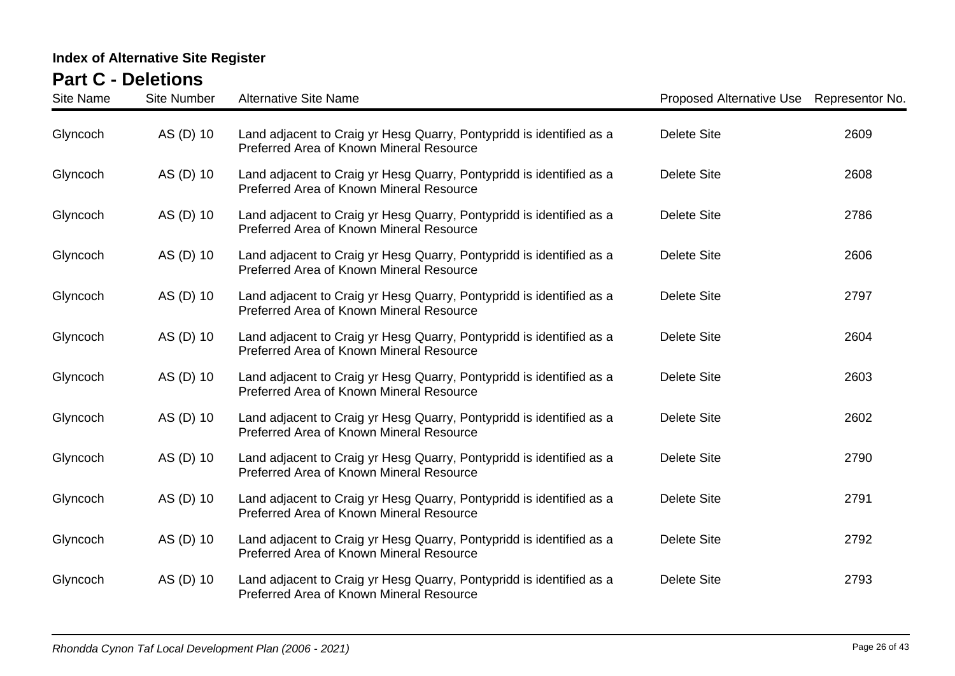| <b>Site Name</b> | <b>Site Number</b> | <b>Alternative Site Name</b>                                                                                     | Proposed Alternative Use Representor No. |      |
|------------------|--------------------|------------------------------------------------------------------------------------------------------------------|------------------------------------------|------|
| Glyncoch         | AS (D) 10          | Land adjacent to Craig yr Hesg Quarry, Pontypridd is identified as a<br>Preferred Area of Known Mineral Resource | <b>Delete Site</b>                       | 2609 |
| Glyncoch         | AS (D) 10          | Land adjacent to Craig yr Hesg Quarry, Pontypridd is identified as a<br>Preferred Area of Known Mineral Resource | <b>Delete Site</b>                       | 2608 |
| Glyncoch         | AS (D) 10          | Land adjacent to Craig yr Hesg Quarry, Pontypridd is identified as a<br>Preferred Area of Known Mineral Resource | <b>Delete Site</b>                       | 2786 |
| Glyncoch         | AS (D) 10          | Land adjacent to Craig yr Hesg Quarry, Pontypridd is identified as a<br>Preferred Area of Known Mineral Resource | <b>Delete Site</b>                       | 2606 |
| Glyncoch         | AS (D) 10          | Land adjacent to Craig yr Hesg Quarry, Pontypridd is identified as a<br>Preferred Area of Known Mineral Resource | <b>Delete Site</b>                       | 2797 |
| Glyncoch         | AS (D) 10          | Land adjacent to Craig yr Hesg Quarry, Pontypridd is identified as a<br>Preferred Area of Known Mineral Resource | <b>Delete Site</b>                       | 2604 |
| Glyncoch         | AS (D) 10          | Land adjacent to Craig yr Hesg Quarry, Pontypridd is identified as a<br>Preferred Area of Known Mineral Resource | <b>Delete Site</b>                       | 2603 |
| Glyncoch         | AS (D) 10          | Land adjacent to Craig yr Hesg Quarry, Pontypridd is identified as a<br>Preferred Area of Known Mineral Resource | <b>Delete Site</b>                       | 2602 |
| Glyncoch         | AS (D) 10          | Land adjacent to Craig yr Hesg Quarry, Pontypridd is identified as a<br>Preferred Area of Known Mineral Resource | <b>Delete Site</b>                       | 2790 |
| Glyncoch         | AS (D) 10          | Land adjacent to Craig yr Hesg Quarry, Pontypridd is identified as a<br>Preferred Area of Known Mineral Resource | <b>Delete Site</b>                       | 2791 |
| Glyncoch         | AS (D) 10          | Land adjacent to Craig yr Hesg Quarry, Pontypridd is identified as a<br>Preferred Area of Known Mineral Resource | Delete Site                              | 2792 |
| Glyncoch         | AS (D) 10          | Land adjacent to Craig yr Hesg Quarry, Pontypridd is identified as a<br>Preferred Area of Known Mineral Resource | <b>Delete Site</b>                       | 2793 |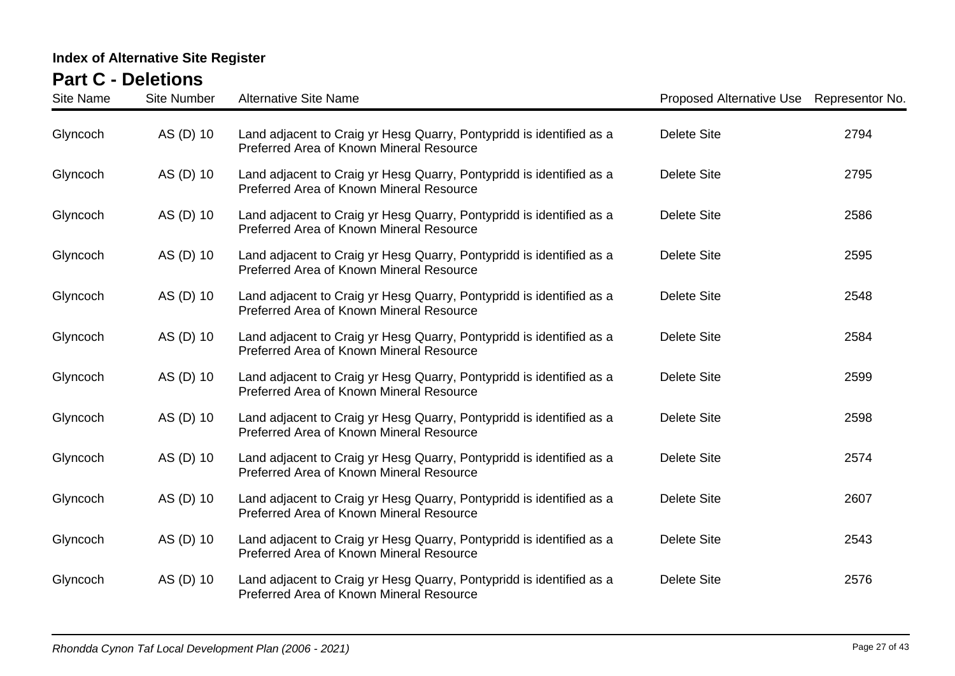| <b>Site Name</b> | <b>Site Number</b> | <b>Alternative Site Name</b>                                                                                     | Proposed Alternative Use Representor No. |      |
|------------------|--------------------|------------------------------------------------------------------------------------------------------------------|------------------------------------------|------|
| Glyncoch         | AS (D) 10          | Land adjacent to Craig yr Hesg Quarry, Pontypridd is identified as a<br>Preferred Area of Known Mineral Resource | <b>Delete Site</b>                       | 2794 |
| Glyncoch         | AS (D) 10          | Land adjacent to Craig yr Hesg Quarry, Pontypridd is identified as a<br>Preferred Area of Known Mineral Resource | <b>Delete Site</b>                       | 2795 |
| Glyncoch         | AS (D) 10          | Land adjacent to Craig yr Hesg Quarry, Pontypridd is identified as a<br>Preferred Area of Known Mineral Resource | <b>Delete Site</b>                       | 2586 |
| Glyncoch         | AS (D) 10          | Land adjacent to Craig yr Hesg Quarry, Pontypridd is identified as a<br>Preferred Area of Known Mineral Resource | <b>Delete Site</b>                       | 2595 |
| Glyncoch         | AS (D) 10          | Land adjacent to Craig yr Hesg Quarry, Pontypridd is identified as a<br>Preferred Area of Known Mineral Resource | <b>Delete Site</b>                       | 2548 |
| Glyncoch         | AS (D) 10          | Land adjacent to Craig yr Hesg Quarry, Pontypridd is identified as a<br>Preferred Area of Known Mineral Resource | <b>Delete Site</b>                       | 2584 |
| Glyncoch         | AS (D) 10          | Land adjacent to Craig yr Hesg Quarry, Pontypridd is identified as a<br>Preferred Area of Known Mineral Resource | <b>Delete Site</b>                       | 2599 |
| Glyncoch         | AS (D) 10          | Land adjacent to Craig yr Hesg Quarry, Pontypridd is identified as a<br>Preferred Area of Known Mineral Resource | <b>Delete Site</b>                       | 2598 |
| Glyncoch         | AS (D) 10          | Land adjacent to Craig yr Hesg Quarry, Pontypridd is identified as a<br>Preferred Area of Known Mineral Resource | <b>Delete Site</b>                       | 2574 |
| Glyncoch         | AS (D) 10          | Land adjacent to Craig yr Hesg Quarry, Pontypridd is identified as a<br>Preferred Area of Known Mineral Resource | <b>Delete Site</b>                       | 2607 |
| Glyncoch         | AS (D) 10          | Land adjacent to Craig yr Hesg Quarry, Pontypridd is identified as a<br>Preferred Area of Known Mineral Resource | <b>Delete Site</b>                       | 2543 |
| Glyncoch         | AS (D) 10          | Land adjacent to Craig yr Hesg Quarry, Pontypridd is identified as a<br>Preferred Area of Known Mineral Resource | <b>Delete Site</b>                       | 2576 |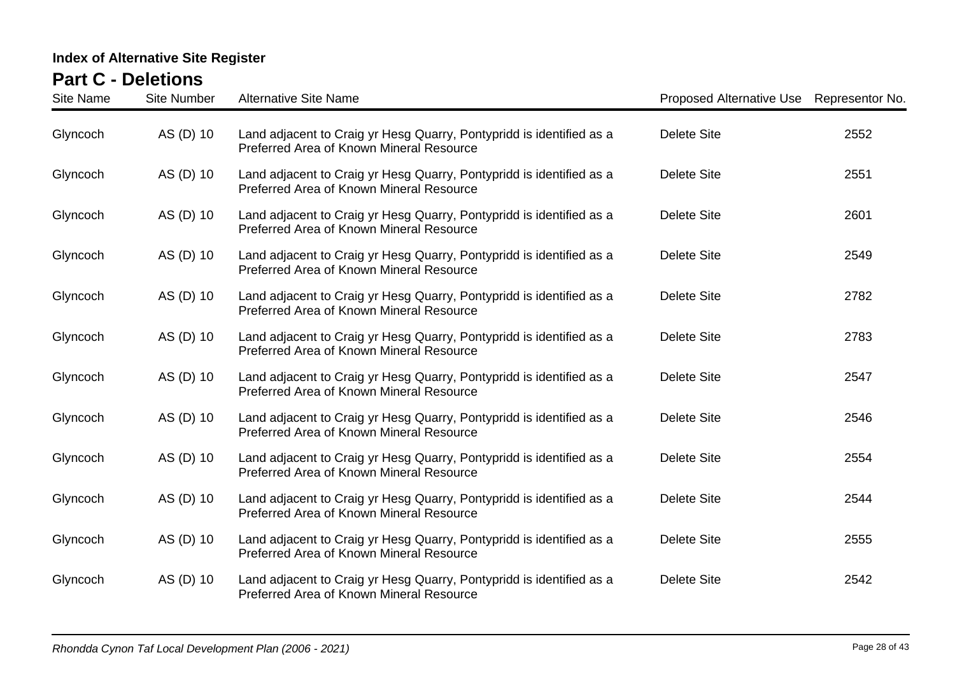| <b>Site Name</b> | <b>Site Number</b> | <b>Alternative Site Name</b>                                                                                     | Proposed Alternative Use Representor No. |      |
|------------------|--------------------|------------------------------------------------------------------------------------------------------------------|------------------------------------------|------|
| Glyncoch         | AS (D) 10          | Land adjacent to Craig yr Hesg Quarry, Pontypridd is identified as a<br>Preferred Area of Known Mineral Resource | <b>Delete Site</b>                       | 2552 |
| Glyncoch         | AS (D) 10          | Land adjacent to Craig yr Hesg Quarry, Pontypridd is identified as a<br>Preferred Area of Known Mineral Resource | <b>Delete Site</b>                       | 2551 |
| Glyncoch         | AS (D) 10          | Land adjacent to Craig yr Hesg Quarry, Pontypridd is identified as a<br>Preferred Area of Known Mineral Resource | <b>Delete Site</b>                       | 2601 |
| Glyncoch         | AS (D) 10          | Land adjacent to Craig yr Hesg Quarry, Pontypridd is identified as a<br>Preferred Area of Known Mineral Resource | <b>Delete Site</b>                       | 2549 |
| Glyncoch         | AS (D) 10          | Land adjacent to Craig yr Hesg Quarry, Pontypridd is identified as a<br>Preferred Area of Known Mineral Resource | <b>Delete Site</b>                       | 2782 |
| Glyncoch         | AS (D) 10          | Land adjacent to Craig yr Hesg Quarry, Pontypridd is identified as a<br>Preferred Area of Known Mineral Resource | <b>Delete Site</b>                       | 2783 |
| Glyncoch         | AS (D) 10          | Land adjacent to Craig yr Hesg Quarry, Pontypridd is identified as a<br>Preferred Area of Known Mineral Resource | <b>Delete Site</b>                       | 2547 |
| Glyncoch         | AS (D) 10          | Land adjacent to Craig yr Hesg Quarry, Pontypridd is identified as a<br>Preferred Area of Known Mineral Resource | <b>Delete Site</b>                       | 2546 |
| Glyncoch         | AS (D) 10          | Land adjacent to Craig yr Hesg Quarry, Pontypridd is identified as a<br>Preferred Area of Known Mineral Resource | <b>Delete Site</b>                       | 2554 |
| Glyncoch         | AS (D) 10          | Land adjacent to Craig yr Hesg Quarry, Pontypridd is identified as a<br>Preferred Area of Known Mineral Resource | <b>Delete Site</b>                       | 2544 |
| Glyncoch         | AS (D) 10          | Land adjacent to Craig yr Hesg Quarry, Pontypridd is identified as a<br>Preferred Area of Known Mineral Resource | Delete Site                              | 2555 |
| Glyncoch         | AS (D) 10          | Land adjacent to Craig yr Hesg Quarry, Pontypridd is identified as a<br>Preferred Area of Known Mineral Resource | <b>Delete Site</b>                       | 2542 |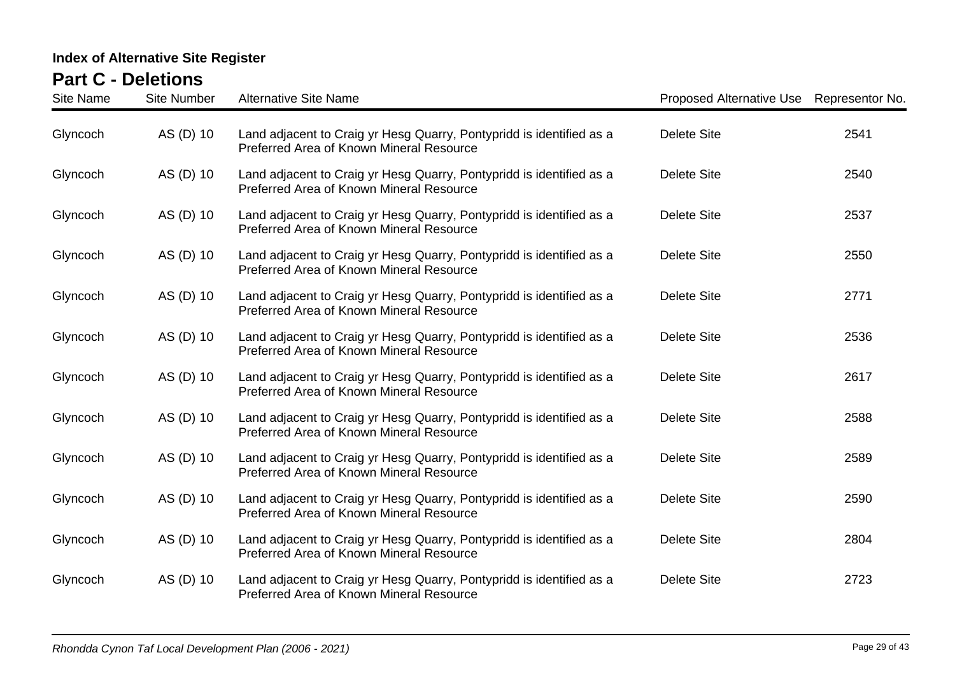| <b>Site Name</b> | <b>Site Number</b> | <b>Alternative Site Name</b>                                                                                     | Proposed Alternative Use Representor No. |      |
|------------------|--------------------|------------------------------------------------------------------------------------------------------------------|------------------------------------------|------|
| Glyncoch         | AS (D) 10          | Land adjacent to Craig yr Hesg Quarry, Pontypridd is identified as a<br>Preferred Area of Known Mineral Resource | <b>Delete Site</b>                       | 2541 |
| Glyncoch         | AS (D) 10          | Land adjacent to Craig yr Hesg Quarry, Pontypridd is identified as a<br>Preferred Area of Known Mineral Resource | <b>Delete Site</b>                       | 2540 |
| Glyncoch         | AS (D) 10          | Land adjacent to Craig yr Hesg Quarry, Pontypridd is identified as a<br>Preferred Area of Known Mineral Resource | <b>Delete Site</b>                       | 2537 |
| Glyncoch         | AS (D) 10          | Land adjacent to Craig yr Hesg Quarry, Pontypridd is identified as a<br>Preferred Area of Known Mineral Resource | <b>Delete Site</b>                       | 2550 |
| Glyncoch         | AS (D) 10          | Land adjacent to Craig yr Hesg Quarry, Pontypridd is identified as a<br>Preferred Area of Known Mineral Resource | <b>Delete Site</b>                       | 2771 |
| Glyncoch         | AS (D) 10          | Land adjacent to Craig yr Hesg Quarry, Pontypridd is identified as a<br>Preferred Area of Known Mineral Resource | <b>Delete Site</b>                       | 2536 |
| Glyncoch         | AS (D) 10          | Land adjacent to Craig yr Hesg Quarry, Pontypridd is identified as a<br>Preferred Area of Known Mineral Resource | <b>Delete Site</b>                       | 2617 |
| Glyncoch         | AS (D) 10          | Land adjacent to Craig yr Hesg Quarry, Pontypridd is identified as a<br>Preferred Area of Known Mineral Resource | <b>Delete Site</b>                       | 2588 |
| Glyncoch         | AS (D) 10          | Land adjacent to Craig yr Hesg Quarry, Pontypridd is identified as a<br>Preferred Area of Known Mineral Resource | <b>Delete Site</b>                       | 2589 |
| Glyncoch         | AS (D) 10          | Land adjacent to Craig yr Hesg Quarry, Pontypridd is identified as a<br>Preferred Area of Known Mineral Resource | <b>Delete Site</b>                       | 2590 |
| Glyncoch         | AS (D) 10          | Land adjacent to Craig yr Hesg Quarry, Pontypridd is identified as a<br>Preferred Area of Known Mineral Resource | <b>Delete Site</b>                       | 2804 |
| Glyncoch         | AS (D) 10          | Land adjacent to Craig yr Hesg Quarry, Pontypridd is identified as a<br>Preferred Area of Known Mineral Resource | <b>Delete Site</b>                       | 2723 |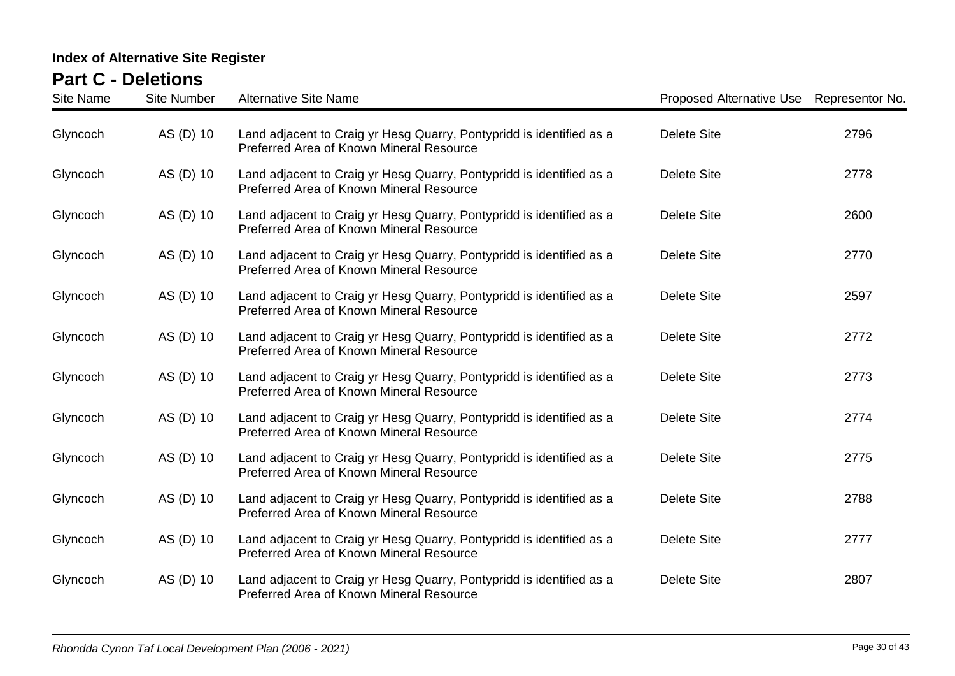| <b>Site Name</b> | <b>Site Number</b> | <b>Alternative Site Name</b>                                                                                     | Proposed Alternative Use Representor No. |      |
|------------------|--------------------|------------------------------------------------------------------------------------------------------------------|------------------------------------------|------|
| Glyncoch         | AS (D) 10          | Land adjacent to Craig yr Hesg Quarry, Pontypridd is identified as a<br>Preferred Area of Known Mineral Resource | <b>Delete Site</b>                       | 2796 |
| Glyncoch         | AS (D) 10          | Land adjacent to Craig yr Hesg Quarry, Pontypridd is identified as a<br>Preferred Area of Known Mineral Resource | <b>Delete Site</b>                       | 2778 |
| Glyncoch         | AS (D) 10          | Land adjacent to Craig yr Hesg Quarry, Pontypridd is identified as a<br>Preferred Area of Known Mineral Resource | <b>Delete Site</b>                       | 2600 |
| Glyncoch         | AS (D) 10          | Land adjacent to Craig yr Hesg Quarry, Pontypridd is identified as a<br>Preferred Area of Known Mineral Resource | <b>Delete Site</b>                       | 2770 |
| Glyncoch         | AS (D) 10          | Land adjacent to Craig yr Hesg Quarry, Pontypridd is identified as a<br>Preferred Area of Known Mineral Resource | <b>Delete Site</b>                       | 2597 |
| Glyncoch         | AS (D) 10          | Land adjacent to Craig yr Hesg Quarry, Pontypridd is identified as a<br>Preferred Area of Known Mineral Resource | <b>Delete Site</b>                       | 2772 |
| Glyncoch         | AS (D) 10          | Land adjacent to Craig yr Hesg Quarry, Pontypridd is identified as a<br>Preferred Area of Known Mineral Resource | <b>Delete Site</b>                       | 2773 |
| Glyncoch         | AS (D) 10          | Land adjacent to Craig yr Hesg Quarry, Pontypridd is identified as a<br>Preferred Area of Known Mineral Resource | <b>Delete Site</b>                       | 2774 |
| Glyncoch         | AS (D) 10          | Land adjacent to Craig yr Hesg Quarry, Pontypridd is identified as a<br>Preferred Area of Known Mineral Resource | <b>Delete Site</b>                       | 2775 |
| Glyncoch         | AS (D) 10          | Land adjacent to Craig yr Hesg Quarry, Pontypridd is identified as a<br>Preferred Area of Known Mineral Resource | <b>Delete Site</b>                       | 2788 |
| Glyncoch         | AS (D) 10          | Land adjacent to Craig yr Hesg Quarry, Pontypridd is identified as a<br>Preferred Area of Known Mineral Resource | <b>Delete Site</b>                       | 2777 |
| Glyncoch         | AS (D) 10          | Land adjacent to Craig yr Hesg Quarry, Pontypridd is identified as a<br>Preferred Area of Known Mineral Resource | <b>Delete Site</b>                       | 2807 |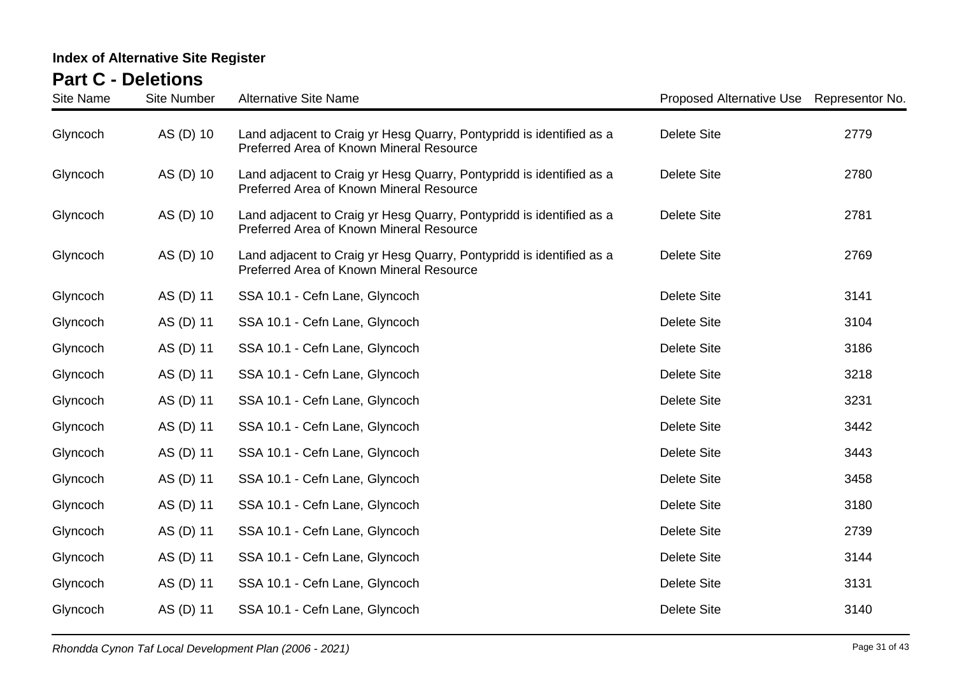| <b>Site Name</b> | <b>Site Number</b> | <b>Alternative Site Name</b>                                                                                     | Proposed Alternative Use | Representor No. |
|------------------|--------------------|------------------------------------------------------------------------------------------------------------------|--------------------------|-----------------|
| Glyncoch         | AS (D) 10          | Land adjacent to Craig yr Hesg Quarry, Pontypridd is identified as a<br>Preferred Area of Known Mineral Resource | <b>Delete Site</b>       | 2779            |
| Glyncoch         | AS (D) 10          | Land adjacent to Craig yr Hesg Quarry, Pontypridd is identified as a<br>Preferred Area of Known Mineral Resource | <b>Delete Site</b>       | 2780            |
| Glyncoch         | AS (D) 10          | Land adjacent to Craig yr Hesg Quarry, Pontypridd is identified as a<br>Preferred Area of Known Mineral Resource | <b>Delete Site</b>       | 2781            |
| Glyncoch         | AS (D) 10          | Land adjacent to Craig yr Hesg Quarry, Pontypridd is identified as a<br>Preferred Area of Known Mineral Resource | <b>Delete Site</b>       | 2769            |
| Glyncoch         | AS (D) 11          | SSA 10.1 - Cefn Lane, Glyncoch                                                                                   | <b>Delete Site</b>       | 3141            |
| Glyncoch         | AS (D) 11          | SSA 10.1 - Cefn Lane, Glyncoch                                                                                   | <b>Delete Site</b>       | 3104            |
| Glyncoch         | AS (D) 11          | SSA 10.1 - Cefn Lane, Glyncoch                                                                                   | <b>Delete Site</b>       | 3186            |
| Glyncoch         | AS (D) 11          | SSA 10.1 - Cefn Lane, Glyncoch                                                                                   | <b>Delete Site</b>       | 3218            |
| Glyncoch         | AS (D) 11          | SSA 10.1 - Cefn Lane, Glyncoch                                                                                   | <b>Delete Site</b>       | 3231            |
| Glyncoch         | AS (D) 11          | SSA 10.1 - Cefn Lane, Glyncoch                                                                                   | <b>Delete Site</b>       | 3442            |
| Glyncoch         | AS (D) 11          | SSA 10.1 - Cefn Lane, Glyncoch                                                                                   | <b>Delete Site</b>       | 3443            |
| Glyncoch         | AS (D) 11          | SSA 10.1 - Cefn Lane, Glyncoch                                                                                   | <b>Delete Site</b>       | 3458            |
| Glyncoch         | AS (D) 11          | SSA 10.1 - Cefn Lane, Glyncoch                                                                                   | <b>Delete Site</b>       | 3180            |
| Glyncoch         | AS (D) 11          | SSA 10.1 - Cefn Lane, Glyncoch                                                                                   | <b>Delete Site</b>       | 2739            |
| Glyncoch         | AS (D) 11          | SSA 10.1 - Cefn Lane, Glyncoch                                                                                   | <b>Delete Site</b>       | 3144            |
| Glyncoch         | AS (D) 11          | SSA 10.1 - Cefn Lane, Glyncoch                                                                                   | <b>Delete Site</b>       | 3131            |
| Glyncoch         | AS (D) 11          | SSA 10.1 - Cefn Lane, Glyncoch                                                                                   | <b>Delete Site</b>       | 3140            |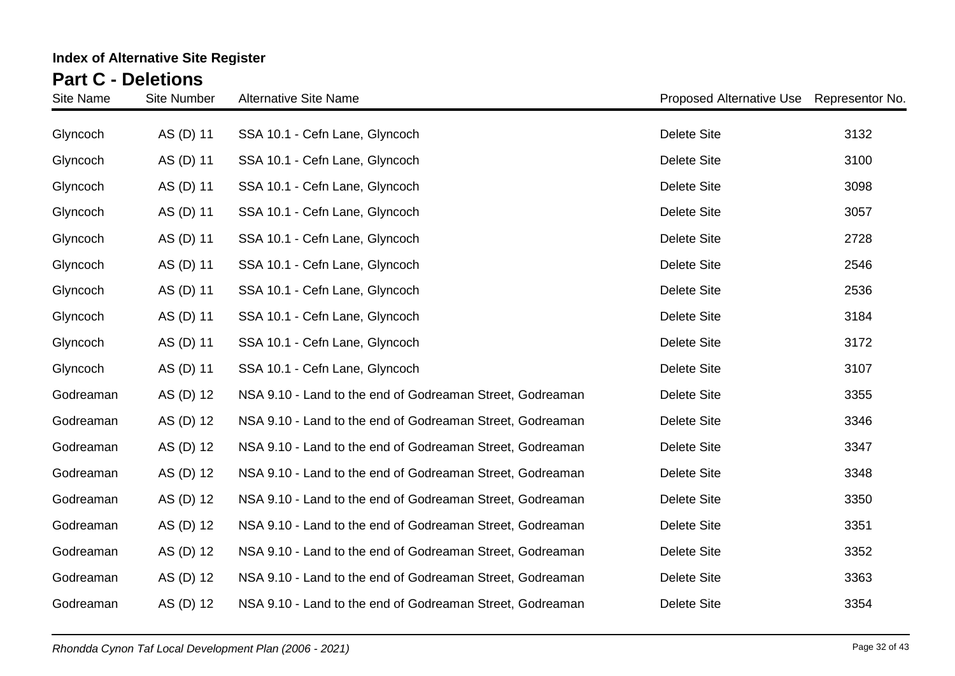| Site Name | <b>Site Number</b> | <b>Alternative Site Name</b>                              | Proposed Alternative Use Representor No. |      |
|-----------|--------------------|-----------------------------------------------------------|------------------------------------------|------|
| Glyncoch  | AS (D) 11          | SSA 10.1 - Cefn Lane, Glyncoch                            | <b>Delete Site</b>                       | 3132 |
| Glyncoch  | AS (D) 11          | SSA 10.1 - Cefn Lane, Glyncoch                            | <b>Delete Site</b>                       | 3100 |
| Glyncoch  | AS (D) 11          | SSA 10.1 - Cefn Lane, Glyncoch                            | <b>Delete Site</b>                       | 3098 |
| Glyncoch  | AS (D) 11          | SSA 10.1 - Cefn Lane, Glyncoch                            | <b>Delete Site</b>                       | 3057 |
| Glyncoch  | AS (D) 11          | SSA 10.1 - Cefn Lane, Glyncoch                            | <b>Delete Site</b>                       | 2728 |
| Glyncoch  | AS (D) 11          | SSA 10.1 - Cefn Lane, Glyncoch                            | <b>Delete Site</b>                       | 2546 |
| Glyncoch  | AS (D) 11          | SSA 10.1 - Cefn Lane, Glyncoch                            | <b>Delete Site</b>                       | 2536 |
| Glyncoch  | AS (D) 11          | SSA 10.1 - Cefn Lane, Glyncoch                            | <b>Delete Site</b>                       | 3184 |
| Glyncoch  | AS (D) 11          | SSA 10.1 - Cefn Lane, Glyncoch                            | <b>Delete Site</b>                       | 3172 |
| Glyncoch  | AS (D) 11          | SSA 10.1 - Cefn Lane, Glyncoch                            | <b>Delete Site</b>                       | 3107 |
| Godreaman | AS (D) 12          | NSA 9.10 - Land to the end of Godreaman Street, Godreaman | <b>Delete Site</b>                       | 3355 |
| Godreaman | AS (D) 12          | NSA 9.10 - Land to the end of Godreaman Street, Godreaman | <b>Delete Site</b>                       | 3346 |
| Godreaman | AS (D) 12          | NSA 9.10 - Land to the end of Godreaman Street, Godreaman | <b>Delete Site</b>                       | 3347 |
| Godreaman | AS (D) 12          | NSA 9.10 - Land to the end of Godreaman Street, Godreaman | <b>Delete Site</b>                       | 3348 |
| Godreaman | AS (D) 12          | NSA 9.10 - Land to the end of Godreaman Street, Godreaman | <b>Delete Site</b>                       | 3350 |
| Godreaman | AS (D) 12          | NSA 9.10 - Land to the end of Godreaman Street, Godreaman | <b>Delete Site</b>                       | 3351 |
| Godreaman | AS (D) 12          | NSA 9.10 - Land to the end of Godreaman Street, Godreaman | <b>Delete Site</b>                       | 3352 |
| Godreaman | AS (D) 12          | NSA 9.10 - Land to the end of Godreaman Street, Godreaman | <b>Delete Site</b>                       | 3363 |
| Godreaman | AS (D) 12          | NSA 9.10 - Land to the end of Godreaman Street, Godreaman | <b>Delete Site</b>                       | 3354 |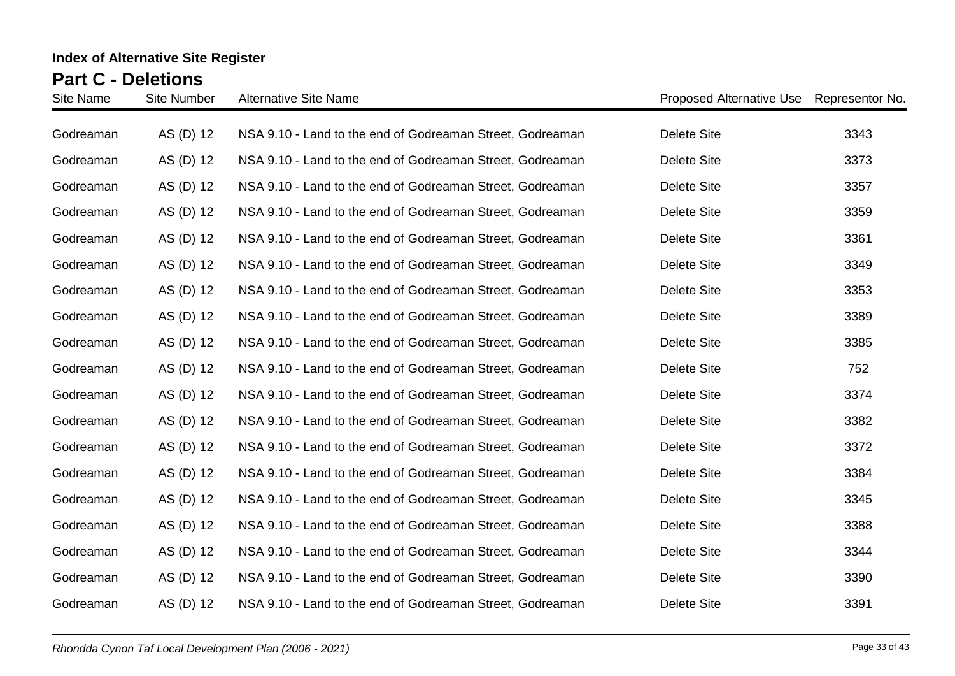| Site Name | <b>Site Number</b> | <b>Alternative Site Name</b>                              | Proposed Alternative Use Representor No. |      |
|-----------|--------------------|-----------------------------------------------------------|------------------------------------------|------|
| Godreaman | AS (D) 12          | NSA 9.10 - Land to the end of Godreaman Street, Godreaman | <b>Delete Site</b>                       | 3343 |
| Godreaman | AS (D) 12          | NSA 9.10 - Land to the end of Godreaman Street, Godreaman | <b>Delete Site</b>                       | 3373 |
| Godreaman | AS (D) 12          | NSA 9.10 - Land to the end of Godreaman Street, Godreaman | <b>Delete Site</b>                       | 3357 |
| Godreaman | AS (D) 12          | NSA 9.10 - Land to the end of Godreaman Street, Godreaman | <b>Delete Site</b>                       | 3359 |
| Godreaman | AS (D) 12          | NSA 9.10 - Land to the end of Godreaman Street, Godreaman | <b>Delete Site</b>                       | 3361 |
| Godreaman | AS (D) 12          | NSA 9.10 - Land to the end of Godreaman Street, Godreaman | Delete Site                              | 3349 |
| Godreaman | AS (D) 12          | NSA 9.10 - Land to the end of Godreaman Street, Godreaman | Delete Site                              | 3353 |
| Godreaman | AS (D) 12          | NSA 9.10 - Land to the end of Godreaman Street, Godreaman | <b>Delete Site</b>                       | 3389 |
| Godreaman | AS (D) 12          | NSA 9.10 - Land to the end of Godreaman Street, Godreaman | <b>Delete Site</b>                       | 3385 |
| Godreaman | AS (D) 12          | NSA 9.10 - Land to the end of Godreaman Street, Godreaman | <b>Delete Site</b>                       | 752  |
| Godreaman | AS (D) 12          | NSA 9.10 - Land to the end of Godreaman Street, Godreaman | <b>Delete Site</b>                       | 3374 |
| Godreaman | AS (D) 12          | NSA 9.10 - Land to the end of Godreaman Street, Godreaman | <b>Delete Site</b>                       | 3382 |
| Godreaman | AS (D) 12          | NSA 9.10 - Land to the end of Godreaman Street, Godreaman | Delete Site                              | 3372 |
| Godreaman | AS (D) 12          | NSA 9.10 - Land to the end of Godreaman Street, Godreaman | <b>Delete Site</b>                       | 3384 |
| Godreaman | AS (D) 12          | NSA 9.10 - Land to the end of Godreaman Street, Godreaman | <b>Delete Site</b>                       | 3345 |
| Godreaman | AS (D) 12          | NSA 9.10 - Land to the end of Godreaman Street, Godreaman | <b>Delete Site</b>                       | 3388 |
| Godreaman | AS (D) 12          | NSA 9.10 - Land to the end of Godreaman Street, Godreaman | <b>Delete Site</b>                       | 3344 |
| Godreaman | AS (D) 12          | NSA 9.10 - Land to the end of Godreaman Street, Godreaman | <b>Delete Site</b>                       | 3390 |
| Godreaman | AS (D) 12          | NSA 9.10 - Land to the end of Godreaman Street, Godreaman | <b>Delete Site</b>                       | 3391 |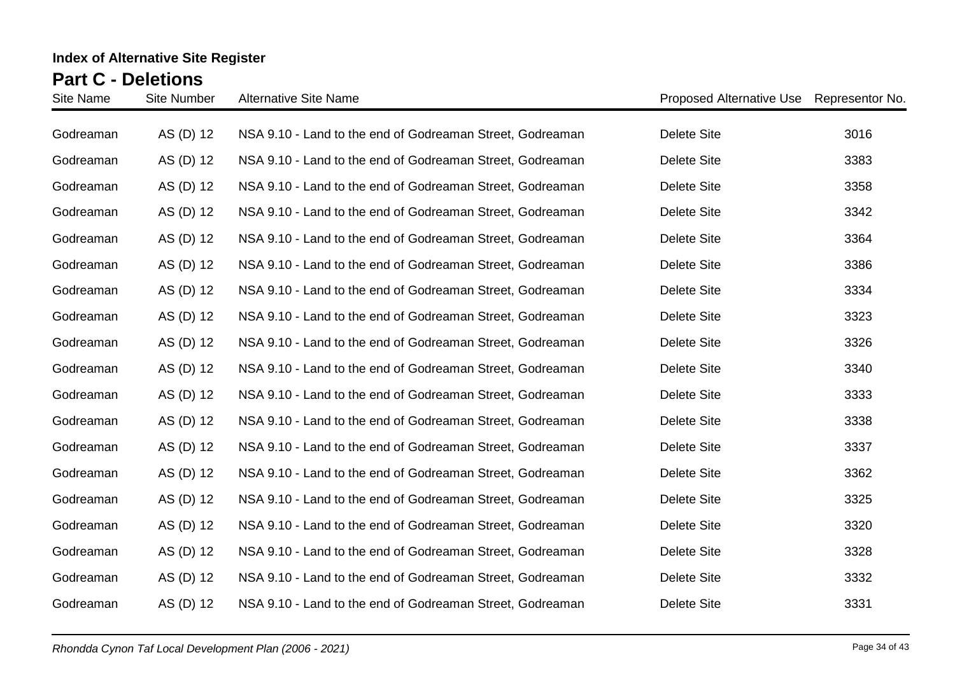| Site Name | <b>Site Number</b> | <b>Alternative Site Name</b>                              | Proposed Alternative Use Representor No. |      |
|-----------|--------------------|-----------------------------------------------------------|------------------------------------------|------|
| Godreaman | AS (D) 12          | NSA 9.10 - Land to the end of Godreaman Street, Godreaman | <b>Delete Site</b>                       | 3016 |
| Godreaman | AS (D) 12          | NSA 9.10 - Land to the end of Godreaman Street, Godreaman | Delete Site                              | 3383 |
| Godreaman | AS (D) 12          | NSA 9.10 - Land to the end of Godreaman Street, Godreaman | <b>Delete Site</b>                       | 3358 |
| Godreaman | AS (D) 12          | NSA 9.10 - Land to the end of Godreaman Street, Godreaman | <b>Delete Site</b>                       | 3342 |
| Godreaman | AS (D) 12          | NSA 9.10 - Land to the end of Godreaman Street, Godreaman | <b>Delete Site</b>                       | 3364 |
| Godreaman | AS (D) 12          | NSA 9.10 - Land to the end of Godreaman Street, Godreaman | Delete Site                              | 3386 |
| Godreaman | AS (D) 12          | NSA 9.10 - Land to the end of Godreaman Street, Godreaman | Delete Site                              | 3334 |
| Godreaman | AS (D) 12          | NSA 9.10 - Land to the end of Godreaman Street, Godreaman | <b>Delete Site</b>                       | 3323 |
| Godreaman | AS (D) 12          | NSA 9.10 - Land to the end of Godreaman Street, Godreaman | <b>Delete Site</b>                       | 3326 |
| Godreaman | AS (D) 12          | NSA 9.10 - Land to the end of Godreaman Street, Godreaman | <b>Delete Site</b>                       | 3340 |
| Godreaman | AS (D) 12          | NSA 9.10 - Land to the end of Godreaman Street, Godreaman | <b>Delete Site</b>                       | 3333 |
| Godreaman | AS (D) 12          | NSA 9.10 - Land to the end of Godreaman Street, Godreaman | <b>Delete Site</b>                       | 3338 |
| Godreaman | AS (D) 12          | NSA 9.10 - Land to the end of Godreaman Street, Godreaman | Delete Site                              | 3337 |
| Godreaman | AS (D) 12          | NSA 9.10 - Land to the end of Godreaman Street, Godreaman | <b>Delete Site</b>                       | 3362 |
| Godreaman | AS (D) 12          | NSA 9.10 - Land to the end of Godreaman Street, Godreaman | <b>Delete Site</b>                       | 3325 |
| Godreaman | AS (D) 12          | NSA 9.10 - Land to the end of Godreaman Street, Godreaman | <b>Delete Site</b>                       | 3320 |
| Godreaman | AS (D) 12          | NSA 9.10 - Land to the end of Godreaman Street, Godreaman | <b>Delete Site</b>                       | 3328 |
| Godreaman | AS (D) 12          | NSA 9.10 - Land to the end of Godreaman Street, Godreaman | <b>Delete Site</b>                       | 3332 |
| Godreaman | AS (D) 12          | NSA 9.10 - Land to the end of Godreaman Street, Godreaman | <b>Delete Site</b>                       | 3331 |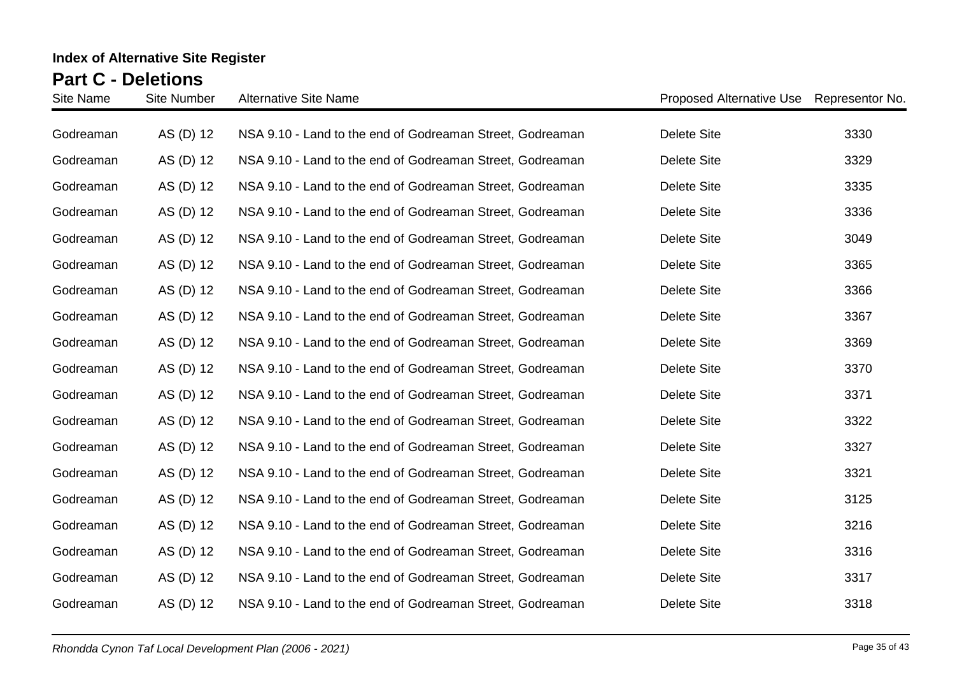| Site Name | <b>Site Number</b> | <b>Alternative Site Name</b>                              | Proposed Alternative Use Representor No. |      |
|-----------|--------------------|-----------------------------------------------------------|------------------------------------------|------|
| Godreaman | AS (D) 12          | NSA 9.10 - Land to the end of Godreaman Street, Godreaman | <b>Delete Site</b>                       | 3330 |
| Godreaman | AS (D) 12          | NSA 9.10 - Land to the end of Godreaman Street, Godreaman | <b>Delete Site</b>                       | 3329 |
| Godreaman | AS (D) 12          | NSA 9.10 - Land to the end of Godreaman Street, Godreaman | <b>Delete Site</b>                       | 3335 |
| Godreaman | AS (D) 12          | NSA 9.10 - Land to the end of Godreaman Street, Godreaman | <b>Delete Site</b>                       | 3336 |
| Godreaman | AS (D) 12          | NSA 9.10 - Land to the end of Godreaman Street, Godreaman | <b>Delete Site</b>                       | 3049 |
| Godreaman | AS (D) 12          | NSA 9.10 - Land to the end of Godreaman Street, Godreaman | Delete Site                              | 3365 |
| Godreaman | AS (D) 12          | NSA 9.10 - Land to the end of Godreaman Street, Godreaman | Delete Site                              | 3366 |
| Godreaman | AS (D) 12          | NSA 9.10 - Land to the end of Godreaman Street, Godreaman | <b>Delete Site</b>                       | 3367 |
| Godreaman | AS (D) 12          | NSA 9.10 - Land to the end of Godreaman Street, Godreaman | <b>Delete Site</b>                       | 3369 |
| Godreaman | AS (D) 12          | NSA 9.10 - Land to the end of Godreaman Street, Godreaman | <b>Delete Site</b>                       | 3370 |
| Godreaman | AS (D) 12          | NSA 9.10 - Land to the end of Godreaman Street, Godreaman | <b>Delete Site</b>                       | 3371 |
| Godreaman | AS (D) 12          | NSA 9.10 - Land to the end of Godreaman Street, Godreaman | <b>Delete Site</b>                       | 3322 |
| Godreaman | AS (D) 12          | NSA 9.10 - Land to the end of Godreaman Street, Godreaman | Delete Site                              | 3327 |
| Godreaman | AS (D) 12          | NSA 9.10 - Land to the end of Godreaman Street, Godreaman | <b>Delete Site</b>                       | 3321 |
| Godreaman | AS (D) 12          | NSA 9.10 - Land to the end of Godreaman Street, Godreaman | <b>Delete Site</b>                       | 3125 |
| Godreaman | AS (D) 12          | NSA 9.10 - Land to the end of Godreaman Street, Godreaman | <b>Delete Site</b>                       | 3216 |
| Godreaman | AS (D) 12          | NSA 9.10 - Land to the end of Godreaman Street, Godreaman | <b>Delete Site</b>                       | 3316 |
| Godreaman | AS (D) 12          | NSA 9.10 - Land to the end of Godreaman Street, Godreaman | <b>Delete Site</b>                       | 3317 |
| Godreaman | AS (D) 12          | NSA 9.10 - Land to the end of Godreaman Street, Godreaman | <b>Delete Site</b>                       | 3318 |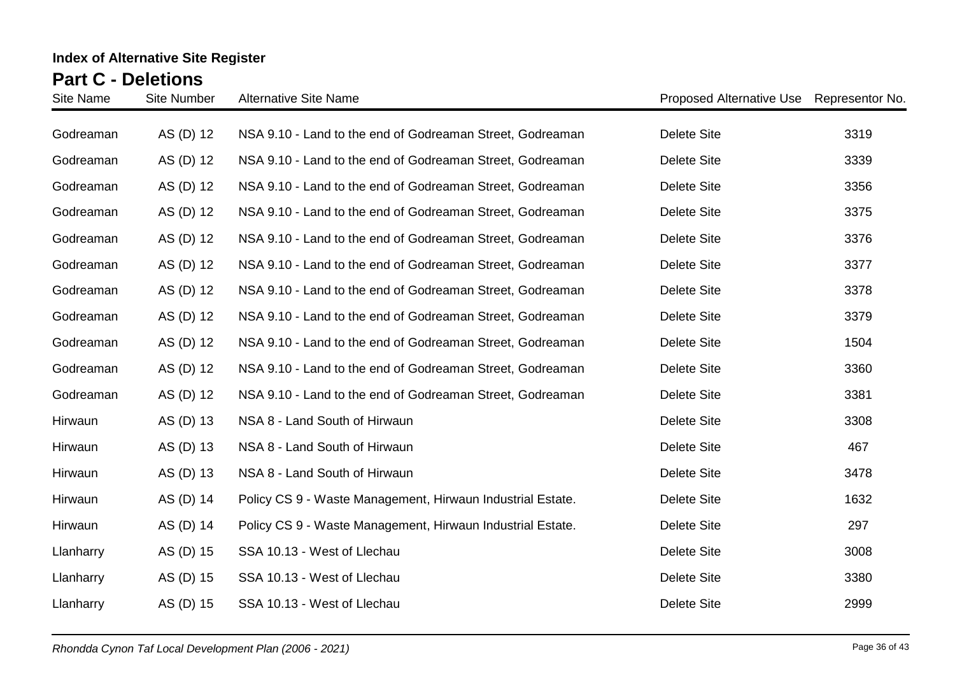| Site Name | <b>Site Number</b> | <b>Alternative Site Name</b>                               | Proposed Alternative Use Representor No. |      |
|-----------|--------------------|------------------------------------------------------------|------------------------------------------|------|
| Godreaman | AS (D) 12          | NSA 9.10 - Land to the end of Godreaman Street, Godreaman  | <b>Delete Site</b>                       | 3319 |
| Godreaman | AS (D) 12          | NSA 9.10 - Land to the end of Godreaman Street, Godreaman  | <b>Delete Site</b>                       | 3339 |
| Godreaman | AS (D) 12          | NSA 9.10 - Land to the end of Godreaman Street, Godreaman  | <b>Delete Site</b>                       | 3356 |
| Godreaman | AS (D) 12          | NSA 9.10 - Land to the end of Godreaman Street, Godreaman  | <b>Delete Site</b>                       | 3375 |
| Godreaman | AS (D) 12          | NSA 9.10 - Land to the end of Godreaman Street, Godreaman  | <b>Delete Site</b>                       | 3376 |
| Godreaman | AS (D) 12          | NSA 9.10 - Land to the end of Godreaman Street, Godreaman  | <b>Delete Site</b>                       | 3377 |
| Godreaman | AS (D) 12          | NSA 9.10 - Land to the end of Godreaman Street, Godreaman  | <b>Delete Site</b>                       | 3378 |
| Godreaman | AS (D) 12          | NSA 9.10 - Land to the end of Godreaman Street, Godreaman  | <b>Delete Site</b>                       | 3379 |
| Godreaman | AS (D) 12          | NSA 9.10 - Land to the end of Godreaman Street, Godreaman  | <b>Delete Site</b>                       | 1504 |
| Godreaman | AS (D) 12          | NSA 9.10 - Land to the end of Godreaman Street, Godreaman  | <b>Delete Site</b>                       | 3360 |
| Godreaman | AS (D) 12          | NSA 9.10 - Land to the end of Godreaman Street, Godreaman  | <b>Delete Site</b>                       | 3381 |
| Hirwaun   | AS (D) 13          | NSA 8 - Land South of Hirwaun                              | <b>Delete Site</b>                       | 3308 |
| Hirwaun   | AS (D) 13          | NSA 8 - Land South of Hirwaun                              | <b>Delete Site</b>                       | 467  |
| Hirwaun   | AS (D) 13          | NSA 8 - Land South of Hirwaun                              | <b>Delete Site</b>                       | 3478 |
| Hirwaun   | AS (D) 14          | Policy CS 9 - Waste Management, Hirwaun Industrial Estate. | <b>Delete Site</b>                       | 1632 |
| Hirwaun   | AS (D) 14          | Policy CS 9 - Waste Management, Hirwaun Industrial Estate. | <b>Delete Site</b>                       | 297  |
| Llanharry | AS (D) 15          | SSA 10.13 - West of Llechau                                | <b>Delete Site</b>                       | 3008 |
| Llanharry | AS (D) 15          | SSA 10.13 - West of Llechau                                | <b>Delete Site</b>                       | 3380 |
| Llanharry | AS (D) 15          | SSA 10.13 - West of Llechau                                | <b>Delete Site</b>                       | 2999 |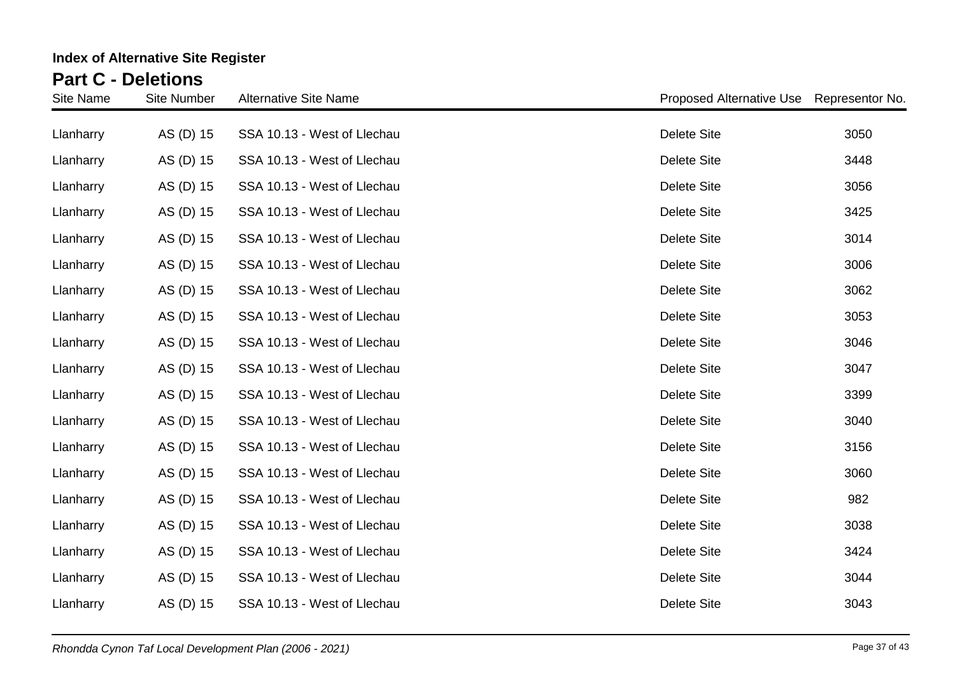| <b>Site Name</b> | <b>Site Number</b> | <b>Alternative Site Name</b> | <b>Proposed Alternative Use</b> | Representor No. |
|------------------|--------------------|------------------------------|---------------------------------|-----------------|
| Llanharry        | AS (D) 15          | SSA 10.13 - West of Llechau  | <b>Delete Site</b>              | 3050            |
| Llanharry        | AS (D) 15          | SSA 10.13 - West of Llechau  | <b>Delete Site</b>              | 3448            |
| Llanharry        | AS (D) 15          | SSA 10.13 - West of Llechau  | <b>Delete Site</b>              | 3056            |
| Llanharry        | AS (D) 15          | SSA 10.13 - West of Llechau  | <b>Delete Site</b>              | 3425            |
| Llanharry        | AS (D) 15          | SSA 10.13 - West of Llechau  | <b>Delete Site</b>              | 3014            |
| Llanharry        | AS (D) 15          | SSA 10.13 - West of Llechau  | <b>Delete Site</b>              | 3006            |
| Llanharry        | AS (D) 15          | SSA 10.13 - West of Llechau  | <b>Delete Site</b>              | 3062            |
| Llanharry        | AS (D) 15          | SSA 10.13 - West of Llechau  | <b>Delete Site</b>              | 3053            |
| Llanharry        | AS (D) 15          | SSA 10.13 - West of Llechau  | <b>Delete Site</b>              | 3046            |
| Llanharry        | AS (D) 15          | SSA 10.13 - West of Llechau  | <b>Delete Site</b>              | 3047            |
| Llanharry        | AS (D) 15          | SSA 10.13 - West of Llechau  | <b>Delete Site</b>              | 3399            |
| Llanharry        | AS (D) 15          | SSA 10.13 - West of Llechau  | <b>Delete Site</b>              | 3040            |
| Llanharry        | AS (D) 15          | SSA 10.13 - West of Llechau  | <b>Delete Site</b>              | 3156            |
| Llanharry        | AS (D) 15          | SSA 10.13 - West of Llechau  | <b>Delete Site</b>              | 3060            |
| Llanharry        | AS (D) 15          | SSA 10.13 - West of Llechau  | <b>Delete Site</b>              | 982             |
| Llanharry        | AS (D) 15          | SSA 10.13 - West of Llechau  | <b>Delete Site</b>              | 3038            |
| Llanharry        | AS (D) 15          | SSA 10.13 - West of Llechau  | <b>Delete Site</b>              | 3424            |
| Llanharry        | AS (D) 15          | SSA 10.13 - West of Llechau  | <b>Delete Site</b>              | 3044            |
| Llanharry        | AS (D) 15          | SSA 10.13 - West of Llechau  | <b>Delete Site</b>              | 3043            |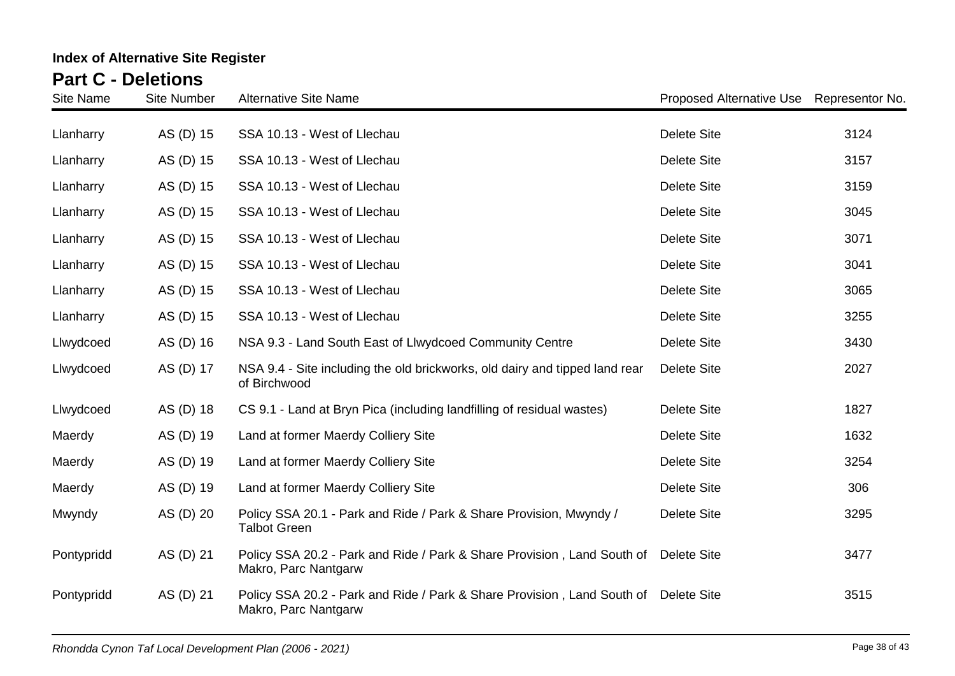| <b>Site Name</b> | <b>Site Number</b> | <b>Alternative Site Name</b>                                                                                | Proposed Alternative Use | Representor No. |
|------------------|--------------------|-------------------------------------------------------------------------------------------------------------|--------------------------|-----------------|
| Llanharry        | AS (D) 15          | SSA 10.13 - West of Llechau                                                                                 | <b>Delete Site</b>       | 3124            |
| Llanharry        | AS (D) 15          | SSA 10.13 - West of Llechau                                                                                 | <b>Delete Site</b>       | 3157            |
| Llanharry        | AS (D) 15          | SSA 10.13 - West of Llechau                                                                                 | <b>Delete Site</b>       | 3159            |
| Llanharry        | AS (D) 15          | SSA 10.13 - West of Llechau                                                                                 | <b>Delete Site</b>       | 3045            |
| Llanharry        | AS (D) 15          | SSA 10.13 - West of Llechau                                                                                 | <b>Delete Site</b>       | 3071            |
| Llanharry        | AS (D) 15          | SSA 10.13 - West of Llechau                                                                                 | <b>Delete Site</b>       | 3041            |
| Llanharry        | AS (D) 15          | SSA 10.13 - West of Llechau                                                                                 | <b>Delete Site</b>       | 3065            |
| Llanharry        | AS (D) 15          | SSA 10.13 - West of Llechau                                                                                 | <b>Delete Site</b>       | 3255            |
| Llwydcoed        | AS (D) 16          | NSA 9.3 - Land South East of Llwydcoed Community Centre                                                     | <b>Delete Site</b>       | 3430            |
| Llwydcoed        | AS (D) 17          | NSA 9.4 - Site including the old brickworks, old dairy and tipped land rear<br>of Birchwood                 | <b>Delete Site</b>       | 2027            |
| Llwydcoed        | AS (D) 18          | CS 9.1 - Land at Bryn Pica (including landfilling of residual wastes)                                       | <b>Delete Site</b>       | 1827            |
| Maerdy           | AS (D) 19          | Land at former Maerdy Colliery Site                                                                         | <b>Delete Site</b>       | 1632            |
| Maerdy           | AS (D) 19          | Land at former Maerdy Colliery Site                                                                         | <b>Delete Site</b>       | 3254            |
| Maerdy           | AS (D) 19          | Land at former Maerdy Colliery Site                                                                         | <b>Delete Site</b>       | 306             |
| Mwyndy           | AS (D) 20          | Policy SSA 20.1 - Park and Ride / Park & Share Provision, Mwyndy /<br><b>Talbot Green</b>                   | <b>Delete Site</b>       | 3295            |
| Pontypridd       | AS (D) 21          | Policy SSA 20.2 - Park and Ride / Park & Share Provision, Land South of Delete Site<br>Makro, Parc Nantgarw |                          | 3477            |
| Pontypridd       | AS (D) 21          | Policy SSA 20.2 - Park and Ride / Park & Share Provision, Land South of Delete Site<br>Makro, Parc Nantgarw |                          | 3515            |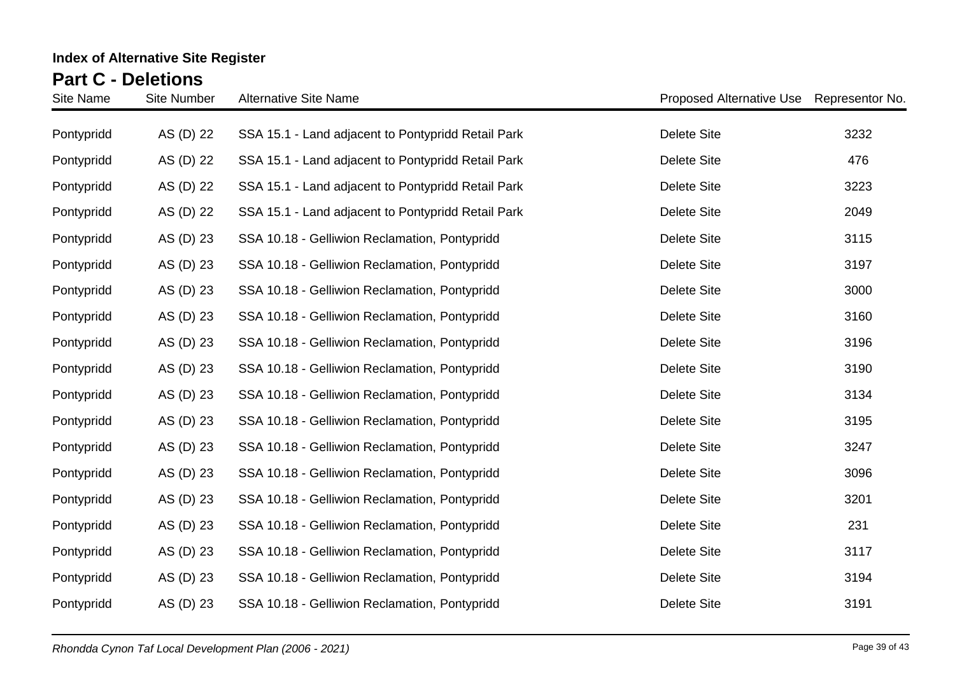| Site Name  | <b>Site Number</b> | <b>Alternative Site Name</b>                       | Proposed Alternative Use | Representor No. |
|------------|--------------------|----------------------------------------------------|--------------------------|-----------------|
| Pontypridd | AS (D) 22          | SSA 15.1 - Land adjacent to Pontypridd Retail Park | <b>Delete Site</b>       | 3232            |
| Pontypridd | AS (D) 22          | SSA 15.1 - Land adjacent to Pontypridd Retail Park | <b>Delete Site</b>       | 476             |
| Pontypridd | AS (D) 22          | SSA 15.1 - Land adjacent to Pontypridd Retail Park | <b>Delete Site</b>       | 3223            |
| Pontypridd | AS (D) 22          | SSA 15.1 - Land adjacent to Pontypridd Retail Park | <b>Delete Site</b>       | 2049            |
| Pontypridd | AS (D) 23          | SSA 10.18 - Gelliwion Reclamation, Pontypridd      | <b>Delete Site</b>       | 3115            |
| Pontypridd | AS (D) 23          | SSA 10.18 - Gelliwion Reclamation, Pontypridd      | <b>Delete Site</b>       | 3197            |
| Pontypridd | AS (D) 23          | SSA 10.18 - Gelliwion Reclamation, Pontypridd      | <b>Delete Site</b>       | 3000            |
| Pontypridd | AS (D) 23          | SSA 10.18 - Gelliwion Reclamation, Pontypridd      | <b>Delete Site</b>       | 3160            |
| Pontypridd | AS (D) 23          | SSA 10.18 - Gelliwion Reclamation, Pontypridd      | <b>Delete Site</b>       | 3196            |
| Pontypridd | AS (D) 23          | SSA 10.18 - Gelliwion Reclamation, Pontypridd      | <b>Delete Site</b>       | 3190            |
| Pontypridd | AS (D) 23          | SSA 10.18 - Gelliwion Reclamation, Pontypridd      | <b>Delete Site</b>       | 3134            |
| Pontypridd | AS (D) 23          | SSA 10.18 - Gelliwion Reclamation, Pontypridd      | <b>Delete Site</b>       | 3195            |
| Pontypridd | AS (D) 23          | SSA 10.18 - Gelliwion Reclamation, Pontypridd      | <b>Delete Site</b>       | 3247            |
| Pontypridd | AS (D) 23          | SSA 10.18 - Gelliwion Reclamation, Pontypridd      | <b>Delete Site</b>       | 3096            |
| Pontypridd | AS (D) 23          | SSA 10.18 - Gelliwion Reclamation, Pontypridd      | <b>Delete Site</b>       | 3201            |
| Pontypridd | AS (D) 23          | SSA 10.18 - Gelliwion Reclamation, Pontypridd      | <b>Delete Site</b>       | 231             |
| Pontypridd | AS (D) 23          | SSA 10.18 - Gelliwion Reclamation, Pontypridd      | <b>Delete Site</b>       | 3117            |
| Pontypridd | AS (D) 23          | SSA 10.18 - Gelliwion Reclamation, Pontypridd      | <b>Delete Site</b>       | 3194            |
| Pontypridd | AS (D) 23          | SSA 10.18 - Gelliwion Reclamation, Pontypridd      | <b>Delete Site</b>       | 3191            |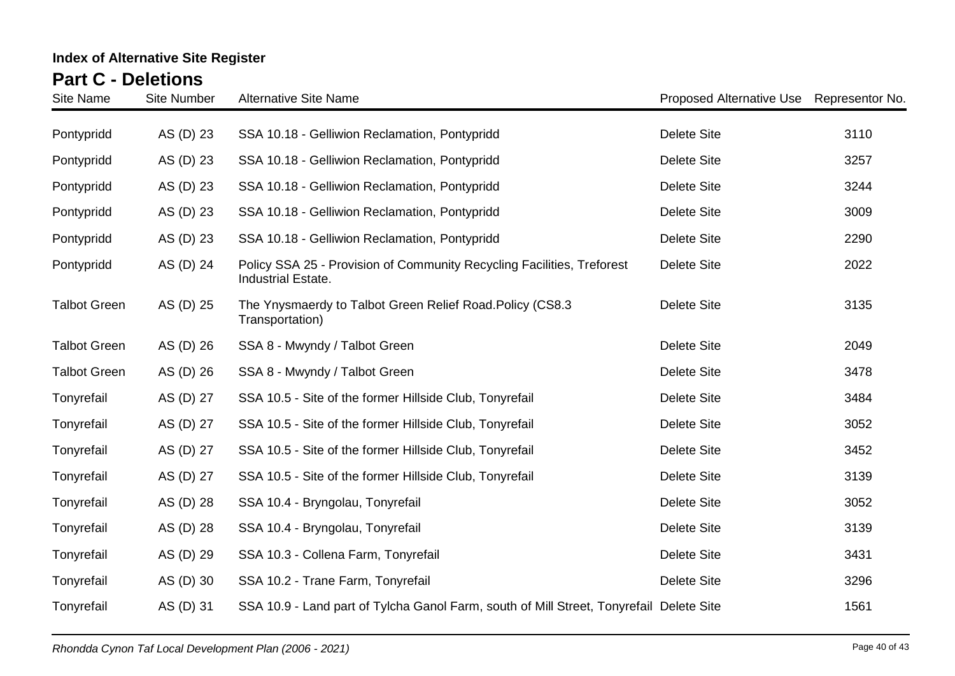| <b>Site Name</b>    | <b>Site Number</b> | <b>Alternative Site Name</b>                                                                 | Proposed Alternative Use Representor No. |      |
|---------------------|--------------------|----------------------------------------------------------------------------------------------|------------------------------------------|------|
| Pontypridd          | AS (D) 23          | SSA 10.18 - Gelliwion Reclamation, Pontypridd                                                | <b>Delete Site</b>                       | 3110 |
| Pontypridd          | AS (D) 23          | SSA 10.18 - Gelliwion Reclamation, Pontypridd                                                | <b>Delete Site</b>                       | 3257 |
| Pontypridd          | AS (D) 23          | SSA 10.18 - Gelliwion Reclamation, Pontypridd                                                | <b>Delete Site</b>                       | 3244 |
| Pontypridd          | AS (D) 23          | SSA 10.18 - Gelliwion Reclamation, Pontypridd                                                | <b>Delete Site</b>                       | 3009 |
| Pontypridd          | AS (D) 23          | SSA 10.18 - Gelliwion Reclamation, Pontypridd                                                | <b>Delete Site</b>                       | 2290 |
| Pontypridd          | AS (D) 24          | Policy SSA 25 - Provision of Community Recycling Facilities, Treforest<br>Industrial Estate. | <b>Delete Site</b>                       | 2022 |
| <b>Talbot Green</b> | AS (D) 25          | The Ynysmaerdy to Talbot Green Relief Road. Policy (CS8.3<br>Transportation)                 | <b>Delete Site</b>                       | 3135 |
| <b>Talbot Green</b> | AS (D) 26          | SSA 8 - Mwyndy / Talbot Green                                                                | <b>Delete Site</b>                       | 2049 |
| <b>Talbot Green</b> | AS (D) 26          | SSA 8 - Mwyndy / Talbot Green                                                                | <b>Delete Site</b>                       | 3478 |
| Tonyrefail          | AS (D) 27          | SSA 10.5 - Site of the former Hillside Club, Tonyrefail                                      | <b>Delete Site</b>                       | 3484 |
| Tonyrefail          | AS (D) 27          | SSA 10.5 - Site of the former Hillside Club, Tonyrefail                                      | <b>Delete Site</b>                       | 3052 |
| Tonyrefail          | AS (D) 27          | SSA 10.5 - Site of the former Hillside Club, Tonyrefail                                      | <b>Delete Site</b>                       | 3452 |
| Tonyrefail          | AS (D) 27          | SSA 10.5 - Site of the former Hillside Club, Tonyrefail                                      | <b>Delete Site</b>                       | 3139 |
| Tonyrefail          | AS (D) 28          | SSA 10.4 - Bryngolau, Tonyrefail                                                             | <b>Delete Site</b>                       | 3052 |
| Tonyrefail          | AS (D) 28          | SSA 10.4 - Bryngolau, Tonyrefail                                                             | <b>Delete Site</b>                       | 3139 |
| Tonyrefail          | AS (D) 29          | SSA 10.3 - Collena Farm, Tonyrefail                                                          | <b>Delete Site</b>                       | 3431 |
| Tonyrefail          | AS (D) 30          | SSA 10.2 - Trane Farm, Tonyrefail                                                            | <b>Delete Site</b>                       | 3296 |
| Tonyrefail          | AS (D) 31          | SSA 10.9 - Land part of Tylcha Ganol Farm, south of Mill Street, Tonyrefail Delete Site      |                                          | 1561 |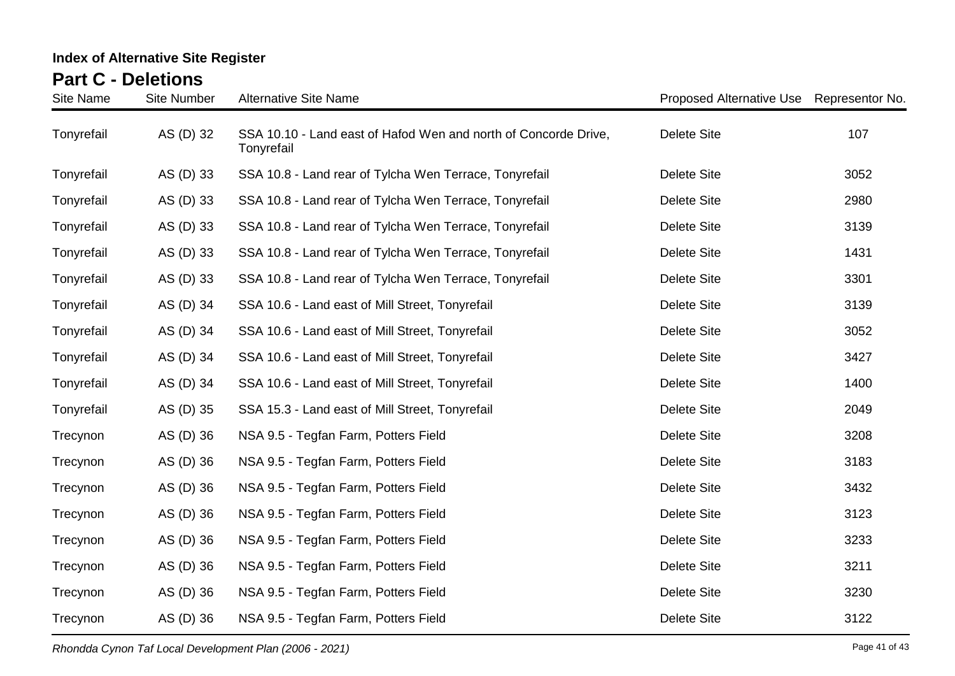| Site Name  | <b>Site Number</b> | <b>Alternative Site Name</b>                                                  | Proposed Alternative Use Representor No. |      |
|------------|--------------------|-------------------------------------------------------------------------------|------------------------------------------|------|
| Tonyrefail | AS (D) 32          | SSA 10.10 - Land east of Hafod Wen and north of Concorde Drive,<br>Tonyrefail | <b>Delete Site</b>                       | 107  |
| Tonyrefail | AS (D) 33          | SSA 10.8 - Land rear of Tylcha Wen Terrace, Tonyrefail                        | <b>Delete Site</b>                       | 3052 |
| Tonyrefail | AS (D) 33          | SSA 10.8 - Land rear of Tylcha Wen Terrace, Tonyrefail                        | <b>Delete Site</b>                       | 2980 |
| Tonyrefail | AS (D) 33          | SSA 10.8 - Land rear of Tylcha Wen Terrace, Tonyrefail                        | <b>Delete Site</b>                       | 3139 |
| Tonyrefail | AS (D) 33          | SSA 10.8 - Land rear of Tylcha Wen Terrace, Tonyrefail                        | <b>Delete Site</b>                       | 1431 |
| Tonyrefail | AS (D) 33          | SSA 10.8 - Land rear of Tylcha Wen Terrace, Tonyrefail                        | <b>Delete Site</b>                       | 3301 |
| Tonyrefail | AS (D) 34          | SSA 10.6 - Land east of Mill Street, Tonyrefail                               | <b>Delete Site</b>                       | 3139 |
| Tonyrefail | AS (D) 34          | SSA 10.6 - Land east of Mill Street, Tonyrefail                               | <b>Delete Site</b>                       | 3052 |
| Tonyrefail | AS (D) 34          | SSA 10.6 - Land east of Mill Street, Tonyrefail                               | <b>Delete Site</b>                       | 3427 |
| Tonyrefail | AS (D) 34          | SSA 10.6 - Land east of Mill Street, Tonyrefail                               | <b>Delete Site</b>                       | 1400 |
| Tonyrefail | AS (D) 35          | SSA 15.3 - Land east of Mill Street, Tonyrefail                               | <b>Delete Site</b>                       | 2049 |
| Trecynon   | AS (D) 36          | NSA 9.5 - Tegfan Farm, Potters Field                                          | <b>Delete Site</b>                       | 3208 |
| Trecynon   | AS (D) 36          | NSA 9.5 - Tegfan Farm, Potters Field                                          | <b>Delete Site</b>                       | 3183 |
| Trecynon   | AS (D) 36          | NSA 9.5 - Tegfan Farm, Potters Field                                          | <b>Delete Site</b>                       | 3432 |
| Trecynon   | AS (D) 36          | NSA 9.5 - Tegfan Farm, Potters Field                                          | <b>Delete Site</b>                       | 3123 |
| Trecynon   | AS (D) 36          | NSA 9.5 - Tegfan Farm, Potters Field                                          | <b>Delete Site</b>                       | 3233 |
| Trecynon   | AS (D) 36          | NSA 9.5 - Tegfan Farm, Potters Field                                          | <b>Delete Site</b>                       | 3211 |
| Trecynon   | AS (D) 36          | NSA 9.5 - Tegfan Farm, Potters Field                                          | <b>Delete Site</b>                       | 3230 |
| Trecynon   | AS (D) 36          | NSA 9.5 - Tegfan Farm, Potters Field                                          | <b>Delete Site</b>                       | 3122 |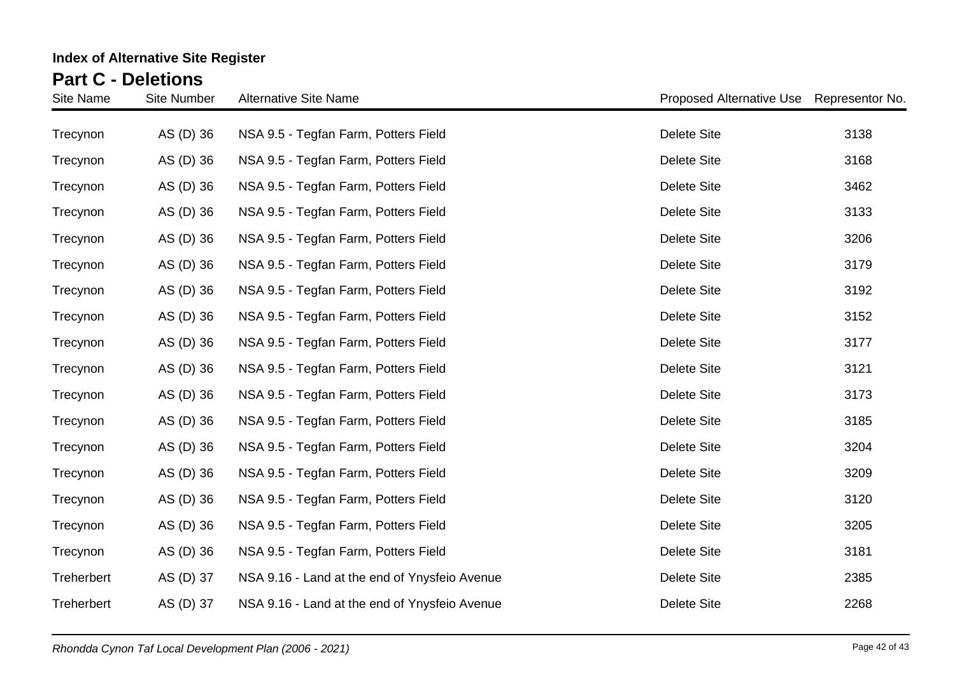| Site Name  | <b>Site Number</b> | <b>Alternative Site Name</b>                  | Proposed Alternative Use Representor No. |      |
|------------|--------------------|-----------------------------------------------|------------------------------------------|------|
| Trecynon   | AS (D) 36          | NSA 9.5 - Tegfan Farm, Potters Field          | <b>Delete Site</b>                       | 3138 |
| Trecynon   | AS (D) 36          | NSA 9.5 - Tegfan Farm, Potters Field          | <b>Delete Site</b>                       | 3168 |
| Trecynon   | AS (D) 36          | NSA 9.5 - Tegfan Farm, Potters Field          | Delete Site                              | 3462 |
| Trecynon   | AS (D) 36          | NSA 9.5 - Tegfan Farm, Potters Field          | <b>Delete Site</b>                       | 3133 |
| Trecynon   | AS (D) 36          | NSA 9.5 - Tegfan Farm, Potters Field          | <b>Delete Site</b>                       | 3206 |
| Trecynon   | AS (D) 36          | NSA 9.5 - Tegfan Farm, Potters Field          | <b>Delete Site</b>                       | 3179 |
| Trecynon   | AS (D) 36          | NSA 9.5 - Tegfan Farm, Potters Field          | <b>Delete Site</b>                       | 3192 |
| Trecynon   | AS (D) 36          | NSA 9.5 - Tegfan Farm, Potters Field          | <b>Delete Site</b>                       | 3152 |
| Trecynon   | AS (D) 36          | NSA 9.5 - Tegfan Farm, Potters Field          | <b>Delete Site</b>                       | 3177 |
| Trecynon   | AS (D) 36          | NSA 9.5 - Tegfan Farm, Potters Field          | Delete Site                              | 3121 |
| Trecynon   | AS (D) 36          | NSA 9.5 - Tegfan Farm, Potters Field          | <b>Delete Site</b>                       | 3173 |
| Trecynon   | AS (D) 36          | NSA 9.5 - Tegfan Farm, Potters Field          | <b>Delete Site</b>                       | 3185 |
| Trecynon   | AS (D) 36          | NSA 9.5 - Tegfan Farm, Potters Field          | Delete Site                              | 3204 |
| Trecynon   | AS (D) 36          | NSA 9.5 - Tegfan Farm, Potters Field          | <b>Delete Site</b>                       | 3209 |
| Trecynon   | AS (D) 36          | NSA 9.5 - Tegfan Farm, Potters Field          | <b>Delete Site</b>                       | 3120 |
| Trecynon   | AS (D) 36          | NSA 9.5 - Tegfan Farm, Potters Field          | <b>Delete Site</b>                       | 3205 |
| Trecynon   | AS (D) 36          | NSA 9.5 - Tegfan Farm, Potters Field          | <b>Delete Site</b>                       | 3181 |
| Treherbert | AS (D) 37          | NSA 9.16 - Land at the end of Ynysfeio Avenue | <b>Delete Site</b>                       | 2385 |
| Treherbert | AS (D) 37          | NSA 9.16 - Land at the end of Ynysfeio Avenue | <b>Delete Site</b>                       | 2268 |